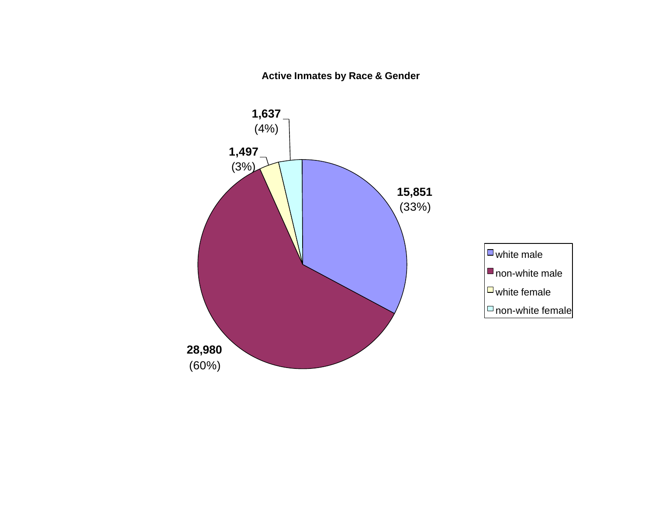**Active Inmates by Race & Gender**

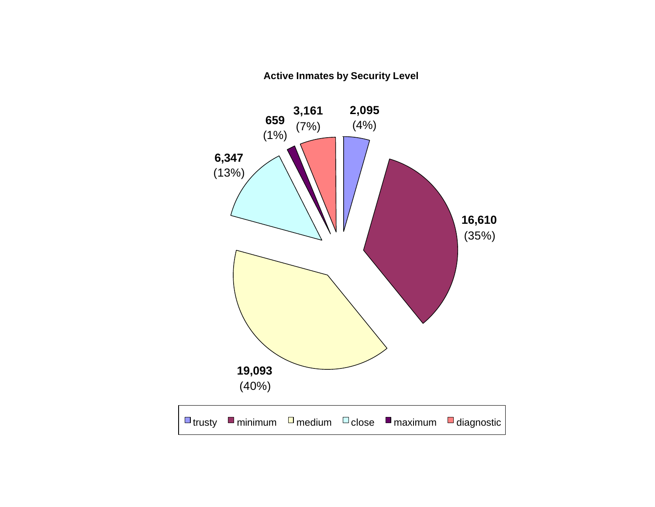### **Active Inmates by Security Level**

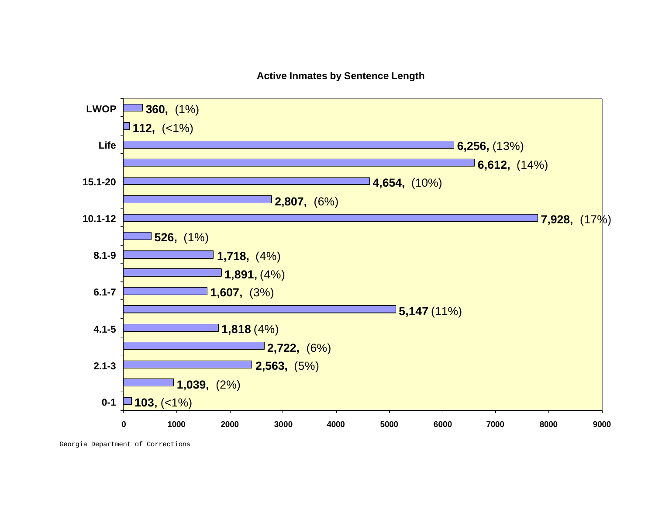### **Active Inmates by Sentence Length**



Georgia Department of Corrections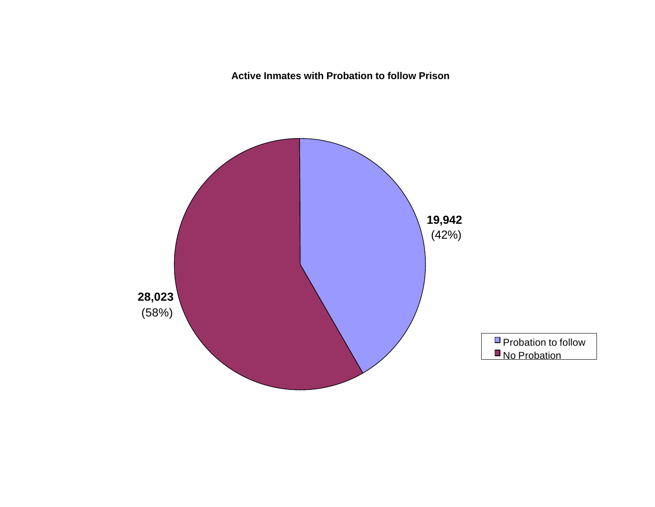**Active Inmates with Probation to follow Prison**

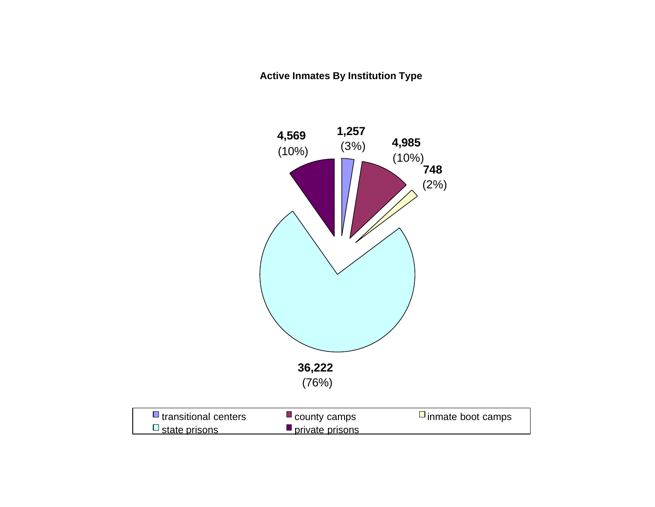### **Active Inmates By Institution Type**

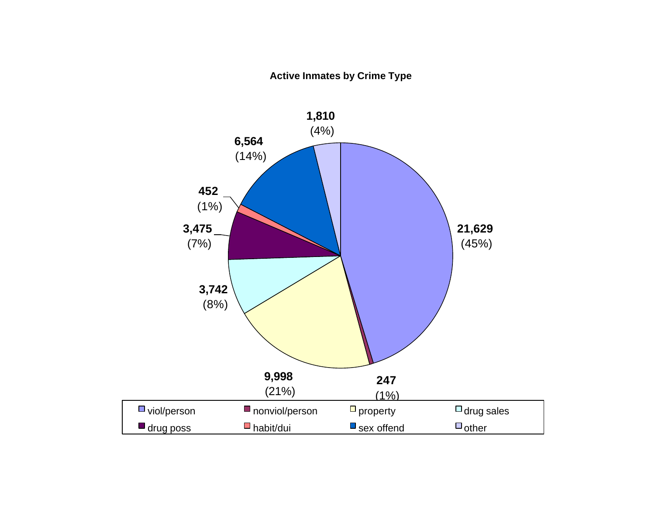### **Active Inmates by Crime Type**

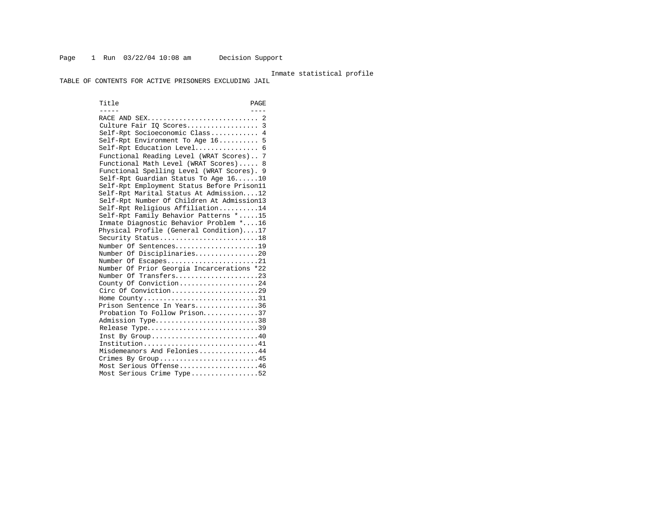#### Inmate statistical profile

TABLE OF CONTENTS FOR ACTIVE PRISONERS EXCLUDING JAIL

Title PAGE ----- ---- RACE AND SEX............................ 2 Culture Fair IQ Scores.................. 3 Self-Rpt Socioeconomic Class............ 4 Self-Rpt Environment To Age 16.......... 5 Self-Rpt Education Level................ 6 Functional Reading Level (WRAT Scores).. 7 Functional Math Level (WRAT Scores)..... 8 Functional Spelling Level (WRAT Scores). 9 Self-Rpt Guardian Status To Age 16......10 Self-Rpt Employment Status Before Prison11 Self-Rpt Marital Status At Admission....12 Self-Rpt Number Of Children At Admission13 Self-Rpt Religious Affiliation..........14 Self-Rpt Family Behavior Patterns \*.....15 Inmate Diagnostic Behavior Problem \*....16 Physical Profile (General Condition)....17 Security Status...........................18 Number Of Sentences.....................19 Number Of Disciplinaries................20 Number Of Escapes........................21 Number Of Prior Georgia Incarcerations \*22 Number Of Transfers......................23 County Of Conviction....................24 Circ Of Conviction........................29 Home County.................................31 Prison Sentence In Years................36 Probation To Follow Prison..............37 Admission Type.............................38 Release Type...............................39 Inst By Group.............................40 Institution.............................41 Misdemeanors And Felonies...............44 Crimes By Group..........................45 Most Serious Offense....................46 Most Serious Crime Type.................52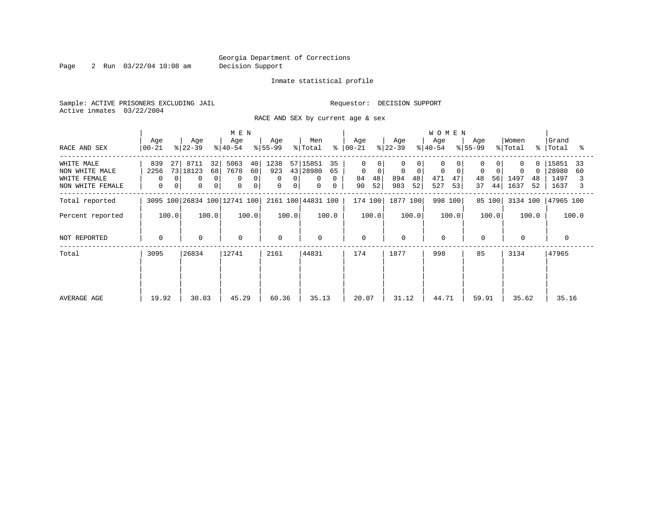Page 2 Run 03/22/04 10:08 am Decision Support

### Inmate statistical profile

Sample: ACTIVE PRISONERS EXCLUDING JAIL **Requestor: DECISION SUPPORT** Active inmates 03/22/2004

RACE AND SEX by current age & sex

|                                                                  |                                                         |                                                                                   | M E N                                        |                                 |                                                                                   |                                                      |                                            | <b>WOMEN</b>                               |                           |                                           |                                            |
|------------------------------------------------------------------|---------------------------------------------------------|-----------------------------------------------------------------------------------|----------------------------------------------|---------------------------------|-----------------------------------------------------------------------------------|------------------------------------------------------|--------------------------------------------|--------------------------------------------|---------------------------|-------------------------------------------|--------------------------------------------|
| RACE AND SEX                                                     | Age<br>$ 00-21 $                                        | Age<br>$ 22-39 $                                                                  | Age<br>$ 40-54 $                             | Age<br>$8 55-99$                | Men<br>% Total                                                                    | Age<br>$8   00 - 21$                                 | Age<br>$ 22-39 $                           | Age<br>$ 40-54 $                           | Age<br>$8 55-99$          | Women<br>% Total<br>$\approx$             | Grand<br>Total<br>°≈                       |
| WHITE MALE<br>NON WHITE MALE<br>WHITE FEMALE<br>NON WHITE FEMALE | 839<br>27<br>2256<br>$\Omega$<br>0<br>$\mathbf{0}$<br>0 | 8711<br>32<br>73 18123<br>68<br>$\mathbf 0$<br>0<br>$\mathbf 0$<br>0 <sup>1</sup> | 5063<br>40<br>7678<br>60<br>0<br>0<br>0<br>0 | 1238<br>923<br>0<br>0<br>0<br>0 | 57 15851<br>35<br>43 28980<br>65<br>$\Omega$<br>$\mathbf{0}$<br>0<br>$\mathbf{0}$ | $\Omega$<br>$\mathbf 0$<br>0<br>48<br>84<br>52<br>90 | $\mathbf 0$<br>0<br>894<br>48<br>52<br>983 | 0<br>$\mathbf 0$<br>471<br>47<br>53<br>527 | 0<br>48<br>56<br>44<br>37 | $\Omega$<br>0<br>1497<br>48<br>1637<br>52 | 15851<br>33<br>28980<br>60<br>1497<br>1637 |
| Total reported                                                   |                                                         | 3095 100 26834 100 12741 100                                                      |                                              |                                 | 2161 100 44831 100                                                                | 174 100                                              | 1877 100                                   | 998 100                                    | 85 100                    | 3134 100                                  | 47965 100                                  |
| Percent reported                                                 | 100.0                                                   | 100.0                                                                             | 100.0                                        | 100.0                           | 100.0                                                                             | 100.0                                                | 100.0                                      | 100.0                                      | 100.0                     | 100.0                                     | 100.0                                      |
| NOT REPORTED                                                     | $\mathbf{0}$                                            | $\Omega$                                                                          | $\mathbf 0$                                  | $\Omega$                        | $\mathbf 0$                                                                       | $\mathbf 0$                                          | $\Omega$                                   | $\mathbf 0$                                | $\mathbf 0$               | $\Omega$                                  | $\Omega$                                   |
| Total                                                            | 3095                                                    | 26834                                                                             | 12741                                        | 2161                            | 44831                                                                             | 174                                                  | 1877                                       | 998                                        | 85                        | 3134                                      | 47965                                      |
| AVERAGE AGE                                                      | 19.92                                                   | 30.03                                                                             | 45.29                                        | 60.36                           | 35.13                                                                             | 20.07                                                | 31.12                                      | 44.71                                      | 59.91                     | 35.62                                     | 35.16                                      |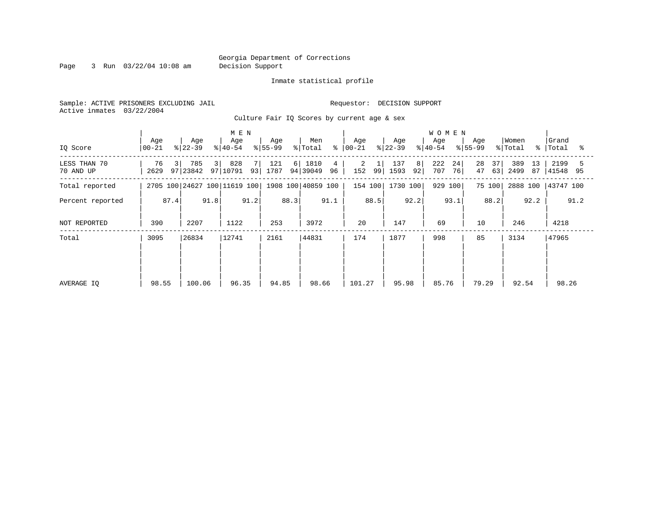Page 3 Run 03/22/04 10:08 am Decision Support

### Inmate statistical profile

Sample: ACTIVE PRISONERS EXCLUDING JAIL **Requestor: DECISION SUPPORT** Active inmates 03/22/2004

Culture Fair IQ Scores by current age & sex

|                           |                              |                                   | M E N                        |                      |                             |                      |                        | <b>WOMEN</b>           |                      |                                 |                  |
|---------------------------|------------------------------|-----------------------------------|------------------------------|----------------------|-----------------------------|----------------------|------------------------|------------------------|----------------------|---------------------------------|------------------|
| IQ Score                  | Age<br>$00 - 21$             | Age<br>$ 22-39 $                  | Age<br>$ 40-54 $             | Age<br>$ 55-99 $     | Men<br>% Total              | Age<br>$8   00 - 21$ | Age<br>$ 22-39 $       | Age<br>$8 40-54$       | Age<br>$8 55-99$     | Women<br>% Total<br>$\approx$ 1 | Grand<br>Total   |
| LESS THAN 70<br>70 AND UP | $\overline{3}$<br>76<br>2629 | 785<br>3 <sup>1</sup><br>97 23842 | 828<br>97   10791            | 121<br>6 <br>93 1787 | 1810<br>4<br>94 39049<br>96 | 2<br>152<br>99       | 137<br>8<br>92<br>1593 | 222<br>24<br>76<br>707 | 28<br>37<br>47<br>63 | 389<br>13<br>2499<br>87         | 2199<br>41548 95 |
| Total reported            |                              |                                   | 2705 100 24627 100 11619 100 |                      | 1908 100 40859 100          | 154 100              | 1730 100               | 929 100                | 75 100               | 2888 100                        | 43747 100        |
| Percent reported          |                              | 91.8                              | 91.2                         | 88.3                 | 91.1                        | 88.5                 | 92.2                   | 93.1                   | 88.2                 | 92.2                            | 91.2             |
| NOT REPORTED              | 87.4<br>2207<br>390          |                                   | 1122                         | 253                  | 3972                        | 20                   | 147                    | 69                     | 10                   | 246                             | 4218             |
| Total                     | 3095                         | 26834                             | 12741                        | 2161                 | 44831                       | 174                  | 1877                   | 998                    | 85                   | 3134                            | 47965            |
|                           |                              |                                   |                              |                      |                             |                      |                        |                        |                      |                                 |                  |
|                           |                              |                                   |                              |                      |                             |                      |                        |                        |                      |                                 |                  |
| AVERAGE IQ                | 98.55                        | 100.06                            | 96.35                        | 94.85                | 98.66                       | 101.27               | 95.98                  | 85.76                  | 79.29                | 92.54                           | 98.26            |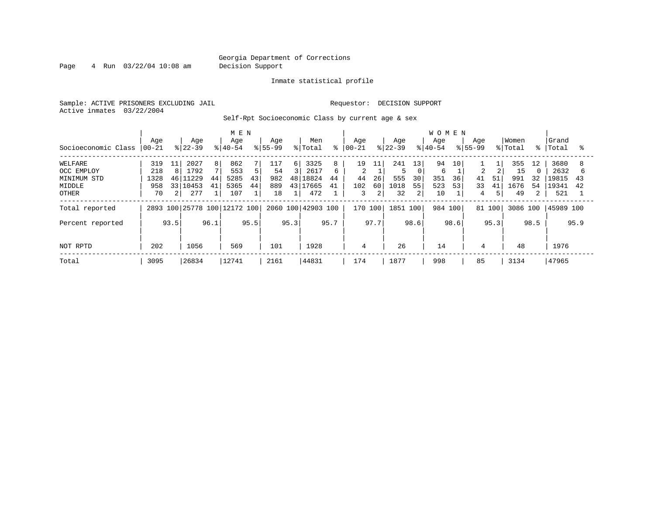Page 4 Run 03/22/04 10:08 am Decision Support

### Inmate statistical profile

Sample: ACTIVE PRISONERS EXCLUDING JAIL **Requestor: DECISION SUPPORT** Active inmates 03/22/2004

Self-Rpt Socioeconomic Class by current age & sex

|                     |                  |                 |                  |                | M E N                        |      |                    |               |                    |      |                 |      |                  |                 | <b>WOMEN</b>     |      |                    |      |                  |                |                 |      |
|---------------------|------------------|-----------------|------------------|----------------|------------------------------|------|--------------------|---------------|--------------------|------|-----------------|------|------------------|-----------------|------------------|------|--------------------|------|------------------|----------------|-----------------|------|
| Socioeconomic Class | Age<br>$00 - 21$ |                 | Age<br>$ 22-39 $ |                | Age<br>$ 40-54$              |      | Age<br>$8155 - 99$ |               | Men<br>% Total     | ⊱    | Aqe<br>$ 00-21$ |      | Age<br>$ 22-39 $ |                 | Age<br>$8 40-54$ |      | Age<br>$8155 - 99$ |      | Women<br>% Total | °≈             | Grand<br> Total | °≈   |
| WELFARE             | 319              | 11              | 2027             | 8 <sup>1</sup> | 862                          |      | 117                | $6 \mid$      | 3325               | 8    | 19              |      | 241              | 13 <sub>1</sub> | 94               | 10   |                    |      | 355              | 12             | 3680            |      |
| OCC EMPLOY          | 218              | 8               | 1792             |                | 553                          | 5    | 54                 | $\mathcal{L}$ | 2617               | 6    | 2               |      |                  |                 | 6                |      | $\overline{2}$     |      | 15               |                | 2632            |      |
| MINIMUM STD         | 1328             | 46              | 1229             | 44             | 5285                         | 43   | 982                | 48            | 18824              | 44   | 44              | 26   | 555              | 30              | 351              | 36   | 41                 | 51   | 991              | 32             | 19815           | 43   |
| MIDDLE              | 958              | 33 <sup>1</sup> | 10453            | 41             | 5365                         | 44   | 889                |               | 43 17665           | 41   | 102             | 60   | 1018             | 55              | 523              | 53   | 33                 | 41   | 1676             | 54             | 19341           | 42   |
| <b>OTHER</b>        | 70               | $\overline{2}$  | 277              |                | 107                          |      | 18                 |               | 472                |      | 3               | 2    | 32               | 2               | 10               |      | 4                  | 5    | 49               | $\overline{2}$ | 521             |      |
| Total reported      |                  |                 |                  |                | 2893 100 25778 100 12172 100 |      |                    |               | 2060 100 42903 100 |      | 170 100         |      | 1851 100         |                 | 984 100          |      | 81 100             |      | 3086 100         |                | 45989 100       |      |
| Percent reported    |                  | 93.5            |                  | 96.1           |                              | 95.5 |                    | 95.3          |                    | 95.7 |                 | 97.7 |                  | 98.6            |                  | 98.6 |                    | 95.3 |                  | 98.5           |                 | 95.9 |
| NOT RPTD            | 202              |                 | 1056             |                | 569                          |      | 101                |               | 1928               |      | 4               |      | 26               |                 | 14               |      | 4                  |      | 48               |                | 1976            |      |
| Total               | 3095             |                 | 26834            |                | 12741                        |      | 2161               |               | 44831              |      | 174             |      | 1877             |                 | 998              |      | 85                 |      | 3134             |                | 47965           |      |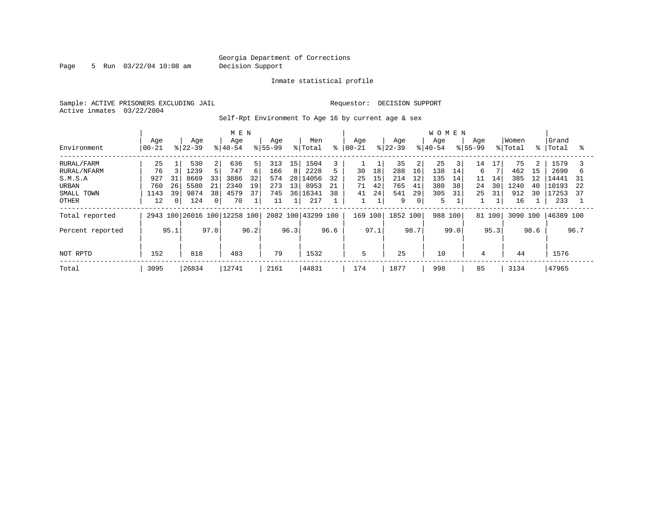Page 5 Run 03/22/04 10:08 am Decision Support

### Inmate statistical profile

Sample: ACTIVE PRISONERS EXCLUDING JAIL **Requestor: DECISION SUPPORT** Active inmates 03/22/2004

Self-Rpt Environment To Age 16 by current age & sex

|                                                                             |                                                        |                                                                                              | M E N                                                                |                                                              |                                                                         |                                              |                                                                                               | <b>WOMEN</b>                                                     |                                                   |                                                                    |                                                                       |
|-----------------------------------------------------------------------------|--------------------------------------------------------|----------------------------------------------------------------------------------------------|----------------------------------------------------------------------|--------------------------------------------------------------|-------------------------------------------------------------------------|----------------------------------------------|-----------------------------------------------------------------------------------------------|------------------------------------------------------------------|---------------------------------------------------|--------------------------------------------------------------------|-----------------------------------------------------------------------|
| Environment                                                                 | Age<br>$ 00-21$                                        | Age<br>$ 22-39 $                                                                             | Age<br>$8 40-54$                                                     | Age<br>$8155 - 99$                                           | Men<br>ి<br>% Total                                                     | Aqe<br>$ 00 - 21$                            | Age<br>$8 22-39$                                                                              | Age<br>$8 40-54$                                                 | Age<br>$8155 - 99$                                | Women<br>% Total<br>%                                              | Grand<br>Total<br>°                                                   |
| RURAL/FARM<br>RURAL/NFARM<br>S.M.S.A<br>URBAN<br>SMALL TOWN<br><b>OTHER</b> | 25<br>76<br>927<br>31<br>26<br>760<br>1143<br>39<br>12 | 530<br>2<br>5.<br>1239<br>8669<br>33<br>21<br>5580<br>38<br>9874<br>$\mathbf{0}$<br>124<br>0 | 636<br>5<br>747<br>6<br>3886<br>32<br>19<br>2340<br>37<br>4579<br>70 | 313<br>15<br>166<br>8<br>574<br>28<br>273<br>13<br>745<br>11 | 1504<br>2228<br>5<br>32<br>14056<br>8953<br>21<br>36 16341<br>38<br>217 | 18<br>30<br>15<br>25<br>42<br>71<br>24<br>41 | 35<br>$\overline{2}$<br>288<br>16<br>214<br>12<br>765<br>41<br>541<br>29<br>9<br>$\mathbf{0}$ | 25<br>3<br>138<br>14<br>135<br>14<br>380<br>38<br>31<br>305<br>5 | 14<br>17<br>6<br>11<br>14<br>30<br>24<br>25<br>31 | 75<br>2<br>462<br>15<br>385<br>12<br>1240<br>40<br>912<br>30<br>16 | 1579<br>2690<br>b<br>L4441<br>31<br>10193<br>22<br>17253<br>37<br>233 |
| Total reported                                                              |                                                        |                                                                                              | 2943 100 26016 100 12258 100                                         |                                                              | 2082 100 43299 100                                                      | 169 100                                      | 1852 100                                                                                      | 988<br>100                                                       | 81 100                                            | 3090 100                                                           | 46389 100                                                             |
| Percent reported<br>NOT RPTD                                                | 95.1<br>152                                            | 97.0<br>818                                                                                  | 96.2<br>483                                                          | 96.3<br>79                                                   | 96.6<br>1532                                                            | 97.1<br>5                                    | 98.7<br>25                                                                                    | 99.0<br>10                                                       | 95.3<br>4                                         | 98.6<br>44                                                         | 96.7<br>1576                                                          |
| Total                                                                       | 3095                                                   | 26834                                                                                        | 12741                                                                | 2161                                                         | 44831                                                                   | 174                                          | 1877                                                                                          | 998                                                              | 85                                                | 3134                                                               | 47965                                                                 |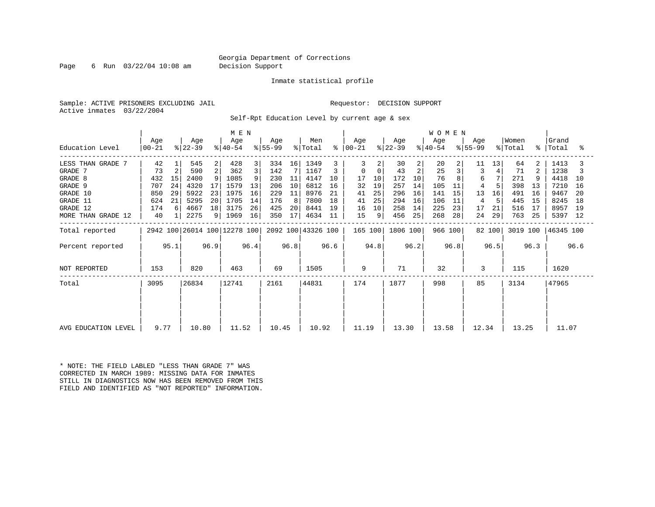Page 6 Run 03/22/04 10:08 am Decision Support

#### Inmate statistical profile

Sample: ACTIVE PRISONERS EXCLUDING JAIL **Requestor: DECISION SUPPORT** Active inmates 03/22/2004

Self-Rpt Education Level by current age & sex

|                     | M E N            |      |                              |      |                  |      |                  |      |                    |      |                |          |                  |      | <b>WOMEN</b>     |      |                  |        |                  |      |                      |      |
|---------------------|------------------|------|------------------------------|------|------------------|------|------------------|------|--------------------|------|----------------|----------|------------------|------|------------------|------|------------------|--------|------------------|------|----------------------|------|
| Education Level     | Age<br>$ 00-21 $ |      | Age<br>$ 22-39 $             |      | Age<br>$ 40-54 $ |      | Age<br>$ 55-99 $ |      | Men<br>% Total     | ွေ   | Age<br>  00-21 |          | Age<br>$ 22-39 $ |      | Age<br>$ 40-54 $ |      | Age<br>$ 55-99 $ |        | Women<br>% Total |      | Grand<br>%   Total   | ႜ    |
| LESS THAN GRADE 7   | 42               |      | 545                          | 2    | 428              | 3    | 334              | 16   | 1349               |      | 3              |          | 30               | 2    | 20               | 2    | 11               | 13     | 64               | 2    | 1413                 |      |
| GRADE 7             | 73               | 2    | 590                          | 2    | 362              | 3    | 142              |      | 1167               |      | 0              | $\Omega$ | 43               | 2    | 25               |      | 3                |        | 71               | 2    | 1238                 |      |
| GRADE 8             | 432              | 15   | 2400                         | 9    | 1085             | 9    | 230              | 11   | 4147               | 10   | 17             | 10       | 172              | 10   | 76               |      | 6                |        | 271              |      | 4418                 | 10   |
| GRADE 9             | 707              | 24   | 4320                         | 17   | 1579             | 13   | 206              | 10   | 6812               | 16   | 32             | 19       | 257              | 14   | 105              | 11   | 4                |        | 398              | 13   | 7210                 | 16   |
| GRADE 10            | 850              | 29   | 5922                         | 23   | 1975             | 16   | 229              | 11   | 8976               | 21   | 41             | 25       | 296              | 16   | 141              | 15   | 13               | 16     | 491              | 16   | 9467                 | 20   |
| GRADE 11            | 624              | 21   | 5295                         | 20   | 1705             | 14   | 176              | 8    | 7800               | 18   | 41             | 25       | 294              | 16   | 106              | 11   | 4                |        | 445              | 15   | 8245                 | 18   |
| GRADE 12            | 174              |      | 4667                         | 18   | 3175             | 26   | 425              | 20   | 8441               | 19   | 16             | 10       | 258              | 14   | 225              | 23   | 17               | 21     | 516              | 17   | 8957                 | 19   |
| MORE THAN GRADE 12  | 40               |      | 2275                         | 9    | 1969             | 16   | 350              | 17   | 4634               | 11   | 15             | 9        | 456              | 25   | 268              | 28   | 24               | 29     | 763              | 25   | 5397                 | - 12 |
| Total reported      |                  |      | 2942 100 26014 100 12278 100 |      |                  |      |                  |      | 2092 100 43326 100 |      | 165 100        |          | 1806 100         |      | 966 100          |      |                  | 82 100 |                  |      | 3019 100   46345 100 |      |
| Percent reported    |                  | 95.1 |                              | 96.9 |                  | 96.4 |                  | 96.8 |                    | 96.6 |                | 94.8     |                  | 96.2 |                  | 96.8 |                  | 96.5   |                  | 96.3 |                      | 96.6 |
| NOT REPORTED        | 153              |      | 820                          |      | 463              |      | 69               |      | 1505               |      | 9              |          | 71               |      | 32               |      | 3                |        | 115              |      | 1620                 |      |
| Total               | 3095             |      | 26834                        |      | 12741            |      | 2161             |      | 44831              |      | 174            |          | 1877             |      | 998              |      | 85               |        | 3134             |      | 47965                |      |
|                     |                  |      |                              |      |                  |      |                  |      |                    |      |                |          |                  |      |                  |      |                  |        |                  |      |                      |      |
| AVG EDUCATION LEVEL | 9.77             |      | 10.80                        |      | 11.52            |      | 10.45            |      | 10.92              |      | 11.19          |          | 13.30            |      | 13.58            |      | 12.34            |        | 13.25            |      | 11.07                |      |
|                     |                  |      |                              |      |                  |      |                  |      |                    |      |                |          |                  |      |                  |      |                  |        |                  |      |                      |      |

\* NOTE: THE FIELD LABLED "LESS THAN GRADE 7" WAS CORRECTED IN MARCH 1989: MISSING DATA FOR INMATES STILL IN DIAGNOSTICS NOW HAS BEEN REMOVED FROM THIS FIELD AND IDENTIFIED AS "NOT REPORTED" INFORMATION.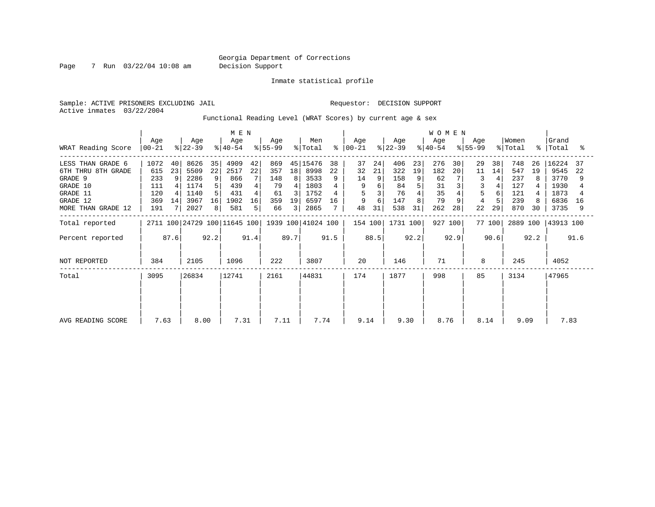Page 7 Run 03/22/04 10:08 am Decision Support

Inmate statistical profile

Sample: ACTIVE PRISONERS EXCLUDING JAIL **Requestor: DECISION SUPPORT** Active inmates 03/22/2004

Functional Reading Level (WRAT Scores) by current age & sex

| WRAT Reading Score                                                                                           | Age<br>$00 - 21$                               |                     | Age<br>$ 22-39 $                                     |                                                  | M E N<br>Age<br>$ 40-54 $                        |                     | Age<br>$8 55-99$                           |                          | Men<br>% Total                                           | $\approx$      | Age<br>$ 00 - 21 $             |                | Age<br>$ 22-39 $                            |                          | <b>WOMEN</b><br>Age<br>$ 40-54 $          |                | Aqe<br>$ 55-99$     |                | Women<br>% Total                              | $\approx$           | Grand<br>Total                                        | ႜ              |
|--------------------------------------------------------------------------------------------------------------|------------------------------------------------|---------------------|------------------------------------------------------|--------------------------------------------------|--------------------------------------------------|---------------------|--------------------------------------------|--------------------------|----------------------------------------------------------|----------------|--------------------------------|----------------|---------------------------------------------|--------------------------|-------------------------------------------|----------------|---------------------|----------------|-----------------------------------------------|---------------------|-------------------------------------------------------|----------------|
| LESS THAN GRADE 6<br>6TH THRU 8TH GRADE<br>GRADE 9<br>GRADE 10<br>GRADE 11<br>GRADE 12<br>MORE THAN GRADE 12 | 1072<br>615<br>233<br>111<br>120<br>369<br>191 | 40<br>23<br>9<br>14 | 8626<br>5509<br>2286<br>1174<br>1140<br>3967<br>2027 | 35<br>22<br>9<br>5<br>5.<br>16<br>8 <sup>1</sup> | 4909<br>2517<br>866<br>439<br>431<br>1902<br>581 | 42<br>22<br>16<br>5 | 869<br>357<br>148<br>79<br>61<br>359<br>66 | 18<br>8<br>3<br>19<br>31 | 45 15476<br>8998<br>3533<br>1803<br>1752<br>6597<br>2865 | 38<br>22<br>16 | 37<br>32<br>14<br>9<br>9<br>48 | 24<br>21<br>31 | 406<br>322<br>158<br>84<br>76<br>147<br>538 | 23<br>19<br>9<br>5<br>31 | 276<br>182<br>62<br>31<br>35<br>79<br>262 | 30<br>20<br>28 | 29<br>11<br>3<br>22 | 38<br>14<br>29 | 748<br>547<br>237<br>127<br>121<br>239<br>870 | 26<br>19<br>8<br>30 | 16224<br>9545<br>3770<br>1930<br>1873<br>6836<br>3735 | 37<br>22<br>16 |
| Total reported<br>Percent reported                                                                           |                                                | 87.6                |                                                      | 92.2                                             | 2711 100 24729 100 11645 100                     | 91.4                |                                            | 89.7                     | 1939 100 41024 100                                       | 91.5           | 154 100                        | 88.5           | 1731 100                                    | 92.2                     | 927                                       | 100<br>92.9    |                     | 77 100<br>90.6 | 2889 100                                      | 92.2                | 43913 100                                             | 91.6           |
| NOT REPORTED                                                                                                 | 384                                            |                     | 2105                                                 |                                                  | 1096                                             |                     | 222                                        |                          | 3807                                                     |                | 20                             |                | 146                                         |                          | 71                                        |                | 8                   |                | 245                                           |                     | 4052                                                  |                |
| Total                                                                                                        | 3095                                           |                     | 26834                                                |                                                  | 12741                                            |                     | 2161                                       |                          | 44831                                                    |                | 174                            |                | 1877                                        |                          | 998                                       |                | 85                  |                | 3134                                          |                     | 47965                                                 |                |
| AVG READING SCORE                                                                                            | 7.63                                           |                     | 8.00                                                 |                                                  | 7.31                                             |                     | 7.11                                       |                          | 7.74                                                     |                | 9.14                           |                | 9.30                                        |                          | 8.76                                      |                | 8.14                |                | 9.09                                          |                     | 7.83                                                  |                |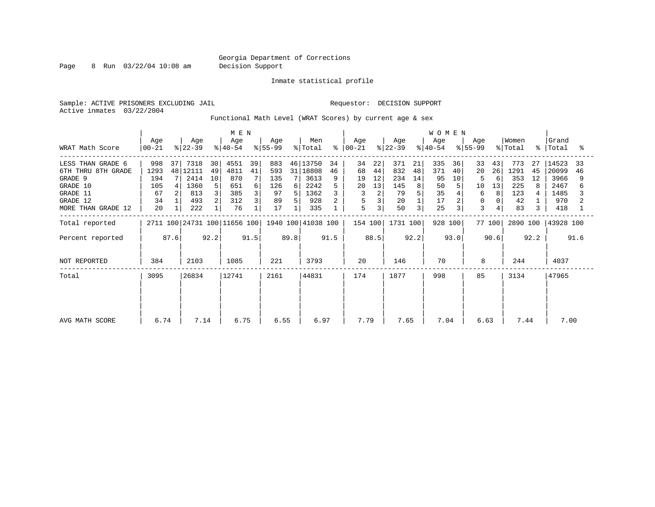Page 8 Run 03/22/04 10:08 am Decision Support

Inmate statistical profile

Sample: ACTIVE PRISONERS EXCLUDING JAIL **Requestor: DECISION SUPPORT** Active inmates 03/22/2004

Functional Math Level (WRAT Scores) by current age & sex

| WRAT Math Score                                                                                              | Age<br>$00 - 21$                            |      | Age<br>$ 22-39 $                                      |                               | M E N<br>Age<br>$ 40-54 $                      |               | Age<br>$8 55-99$                           |                | Men<br>% Total                                          | ိ             | Age<br>$ 00-21 $                    |                                | Age<br>$ 22-39 $                           |                                  | <b>WOMEN</b><br>Age<br>$8 40-54$         |                     | Aqe<br>$ 55-99 $         |                          | Women<br>% Total                             |                     | Grand<br>%   Total                                   | °≈       |
|--------------------------------------------------------------------------------------------------------------|---------------------------------------------|------|-------------------------------------------------------|-------------------------------|------------------------------------------------|---------------|--------------------------------------------|----------------|---------------------------------------------------------|---------------|-------------------------------------|--------------------------------|--------------------------------------------|----------------------------------|------------------------------------------|---------------------|--------------------------|--------------------------|----------------------------------------------|---------------------|------------------------------------------------------|----------|
| LESS THAN GRADE 6<br>6TH THRU 8TH GRADE<br>GRADE 9<br>GRADE 10<br>GRADE 11<br>GRADE 12<br>MORE THAN GRADE 12 | 998<br>1293<br>194<br>105<br>67<br>34<br>20 | 37   | 7318<br>48 12111<br>2414<br>1360<br>813<br>493<br>222 | 30<br>49<br>10<br>5<br>3<br>2 | 4551<br>4811<br>870<br>651<br>385<br>312<br>76 | 39<br>41<br>6 | 883<br>593<br>135<br>126<br>97<br>89<br>17 | 31<br>6 I<br>5 | 46 13750<br>18808<br>3613<br>2242<br>1362<br>928<br>335 | 34<br>46<br>9 | 34<br>68<br>19<br>20<br>3<br>5<br>5 | 22<br>44<br>12<br>13<br>2<br>3 | 371<br>832<br>234<br>145<br>79<br>20<br>50 | 21<br>48<br>14<br>8 <sup>1</sup> | 335<br>371<br>95<br>50<br>35<br>17<br>25 | 36<br>40<br>10<br>3 | 33<br>20<br>10<br>6<br>3 | 43<br>26<br>6<br>13<br>8 | 773<br>1291<br>353<br>225<br>123<br>42<br>83 | 27<br>45<br>12<br>3 | 14523<br>20099<br>3966<br>2467<br>1485<br>970<br>418 | 33<br>46 |
| Total reported<br>Percent reported                                                                           |                                             | 87.6 |                                                       | 92.2                          | 2711 100 24731 100 11656 100                   | 91.5          |                                            | 89.8           | 1940 100 41038 100                                      | 91.5          | 154 100                             | 88.5                           | 1731 100                                   | 92.2                             | 928 100                                  | 93.0                |                          | 77 100<br>90.6           | 2890 100                                     | 92.2                | 43928 100                                            | 91.6     |
| NOT REPORTED                                                                                                 | 384                                         |      | 2103                                                  |                               | 1085                                           |               | 221                                        |                | 3793                                                    |               | 20                                  |                                | 146                                        |                                  | 70                                       |                     | 8                        |                          | 244                                          |                     | 4037                                                 |          |
| Total                                                                                                        | 3095                                        |      | 26834                                                 |                               | 12741                                          |               | 2161                                       |                | 44831                                                   |               | 174                                 |                                | 1877                                       |                                  | 998                                      |                     | 85                       |                          | 3134                                         |                     | 47965                                                |          |
| AVG MATH SCORE                                                                                               | 6.74                                        |      | 7.14                                                  |                               | 6.75                                           |               | 6.55                                       |                | 6.97                                                    |               | 7.79                                |                                | 7.65                                       |                                  | 7.04                                     |                     | 6.63                     |                          | 7.44                                         |                     | 7.00                                                 |          |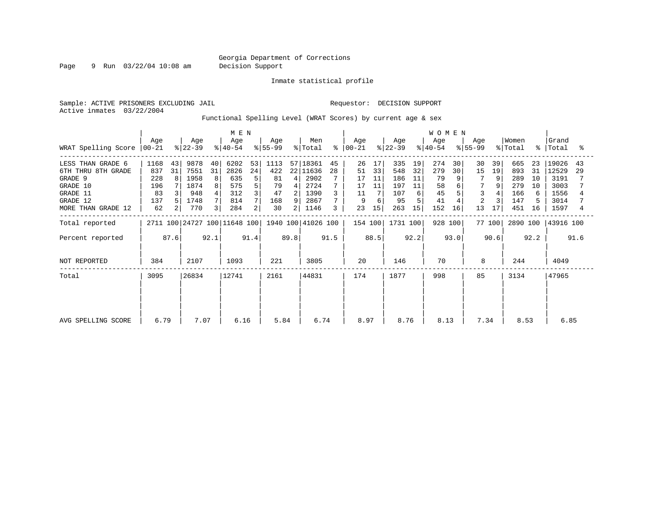Page 9 Run 03/22/04 10:08 am Decision Support

Inmate statistical profile

Active inmates 03/22/2004

Sample: ACTIVE PRISONERS EXCLUDING JAIL **Requestor: DECISION SUPPORT** 

Functional Spelling Level (WRAT Scores) by current age & sex

|                                         |                  |          |                  |          | M E N                        |          |                  |         |                      |           |                  |          |                  | <b>WOMEN</b> |                  |          |                      |          |                  |          |                    |          |
|-----------------------------------------|------------------|----------|------------------|----------|------------------------------|----------|------------------|---------|----------------------|-----------|------------------|----------|------------------|--------------|------------------|----------|----------------------|----------|------------------|----------|--------------------|----------|
| WRAT Spelling Score                     | Age<br>$ 00-21 $ |          | Age<br>$ 22-39 $ |          | Age<br>$ 40-54 $             |          | Age<br>$ 55-99 $ |         | Men<br>% Total       | $\approx$ | Age<br>$ 00-21 $ |          | Age<br>$ 22-39 $ |              | Age<br>$ 40-54 $ |          | Age<br>$ 55-99 $     |          | Women<br>% Total |          | Grand<br>%   Total | ႜ        |
| LESS THAN GRADE 6<br>6TH THRU 8TH GRADE | 1168<br>837      | 43<br>31 | 9878<br>7551     | 40<br>31 | 6202<br>2826                 | 53<br>24 | 1113<br>422      |         | 57 18361<br>22 11636 | 45<br>28  | 26<br>51         | 17<br>33 | 335<br>548       | 19<br>32     | 274<br>279       | 30<br>30 | 30<br>15             | 39<br>19 | 665<br>893       | 23<br>31 | 19026<br>12529     | 43<br>29 |
| GRADE 9<br>GRADE 10                     | 228              | 8        | 1958<br>1874     | 8        | 635                          | 5        | 81               | 4       | 2902<br>2724         |           | 17               | 11       | 186<br>197       | 11           | 79<br>58         | 9        | 7                    | 9        | 289<br>279       | 10<br>10 | 3191<br>3003       |          |
| GRADE 11                                | 196<br>83        |          | 948              |          | 575<br>312                   | 5        | 79<br>47         | 4       | 1390                 |           | 17<br>11         | 11       | 107              | 11<br>6      | 45               | 6        | 3                    |          | 166              | 6        | 1556               |          |
| GRADE 12<br>MORE THAN GRADE 12          | 137<br>62        |          | 1748<br>770      | 3        | 814<br>284                   | 2        | 168<br>30        | 9<br>21 | 2867<br>1146         | 3         | 23               | 6<br>15  | 95<br>263        | 15           | 41<br>152        | 16       | $\overline{2}$<br>13 | 17       | 147<br>451       | 5<br>16  | 3014<br>1597       |          |
| Total reported                          |                  |          |                  |          | 2711 100 24727 100 11648 100 |          |                  |         | 1940 100 41026 100   |           | 154 100          |          | 1731 100         |              | 928 100          |          |                      | 77 100   | 2890 100         |          | 43916 100          |          |
| Percent reported                        |                  | 87.6     |                  | 92.1     |                              | 91.4     |                  | 89.8    |                      | 91.5      |                  | 88.5     |                  | 92.2         |                  | 93.0     |                      | 90.6     |                  | 92.2     |                    | 91.6     |
| NOT REPORTED                            | 384              |          | 2107             |          | 1093                         |          | 221              |         | 3805                 |           | 20               |          | 146              |              | 70               |          | 8                    |          | 244              |          | 4049               |          |
| Total                                   | 3095             |          | 26834            |          | 12741                        |          | 2161             |         | 44831                |           | 174              |          | 1877             |              | 998              |          | 85                   |          | 3134             |          | 47965              |          |
|                                         |                  |          |                  |          |                              |          |                  |         |                      |           |                  |          |                  |              |                  |          |                      |          |                  |          |                    |          |
| AVG SPELLING SCORE                      | 6.79             |          | 7.07             |          | 6.16                         |          | 5.84             |         | 6.74                 |           | 8.97             |          | 8.76             |              | 8.13             |          | 7.34                 |          | 8.53             |          | 6.85               |          |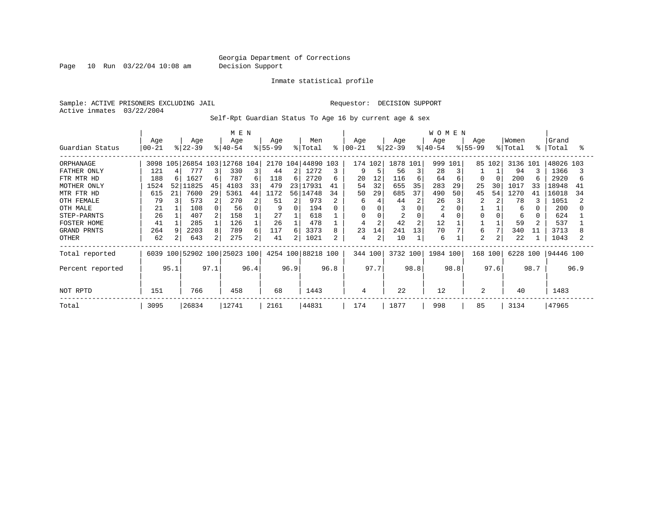Page 10 Run 03/22/04 10:08 am Decision Support

#### Inmate statistical profile

Sample: ACTIVE PRISONERS EXCLUDING JAIL **Requestor: DECISION SUPPORT** Active inmates 03/22/2004

Self-Rpt Guardian Status To Age 16 by current age & sex

|                  |                 |      |                  |      | M E N                        |      |                  |      |                    |      |                  |                |                  |                | <b>WOMEN</b>     |      |                    |        |                  |      |                |      |
|------------------|-----------------|------|------------------|------|------------------------------|------|------------------|------|--------------------|------|------------------|----------------|------------------|----------------|------------------|------|--------------------|--------|------------------|------|----------------|------|
| Guardian Status  | Age<br>$ 00-21$ |      | Age<br>$ 22-39 $ |      | Age<br>$ 40-54 $             |      | Age<br>$ 55-99 $ |      | Men<br>% Total     | ⊱    | Age<br>$ 00-21 $ |                | Age<br>$ 22-39 $ |                | Age<br>$8 40-54$ |      | Age<br>$8155 - 99$ |        | Women<br>% Total | °    | Grand<br>Total | °≈   |
| ORPHANAGE        | 3098 105        |      | 26854 103        |      | 12768 104                    |      |                  |      | 2170 104 44890 103 |      |                  | 174 102        | 1878 101         |                | 999              | 101  |                    | 85 102 | 3136 101         |      | 48026 103      |      |
| FATHER ONLY      | 121             |      | 777              |      | 330                          | 3    | 44               | 2    | 1272               | 3    | 9                |                | 56               | 3              | 28               |      |                    |        | 94               |      | 1366           |      |
| FTR MTR HD       | 188             | 6    | 1627             | 6    | 787                          | 6    | 118              | 6    | 2720               | 6    | 20               | 12             | 116              | 6              | 64               | 6    | O                  |        | 200              |      | 2920           | 6    |
| MOTHER ONLY      | 1524            | 52   | 11825            | 45   | 4103                         | 33   | 479              | 23   | 17931              | 41   | 54               | 32             | 655              | 35             | 283              | 29   | 25                 | 30     | 1017             | 33   | 18948          | 41   |
| MTR FTR HD       | 615             | 21   | 7600             | 29   | 5361                         | 44   | 1172             | 561  | 14748              | 34   | 50               | 29             | 685              | 37             | 490              | 50   | 45                 | 54     | 1270             | 41   | 16018          | 34   |
| OTH FEMALE       | 79              |      | 573              | 2    | 270                          | 2    | 51               | 2    | 973                |      | 6                |                | 44               | 2              | 26               |      |                    |        | 78               |      | 1051           |      |
| OTH MALE         | 21              |      | 108              |      | 56                           | 0    | 9                | 0    | 194                | 0    | $\Omega$         |                |                  | C              | 2                |      |                    |        | 6                |      | 200            |      |
| STEP-PARNTS      | 26              |      | 407              | 2    | 158                          |      | 27               |      | 618                |      | 0                |                | 2                | 0              | 4                |      | O                  |        | 6                |      | 624            |      |
| FOSTER HOME      | 41              |      | 285              |      | 126                          |      | 26               |      | 478                |      |                  | $\overline{2}$ | 42               | $\overline{2}$ | 12               |      |                    |        | 59               |      | 537            |      |
| GRAND PRNTS      | 264             |      | 2203             | 8    | 789                          | 6    | 117              | 6    | 3373               | 8    | 23               | 14             | 241              | 13             | 70               |      | 6                  | 7      | 340              | 11   | 3713           |      |
| OTHER            | 62              |      | 643              | 2    | 275                          | 2    | 41               | 21   | 1021               |      | 4                | 2              | 10               |                | 6                |      | 2                  | 2      | 22               |      | 1043           |      |
| Total reported   |                 |      |                  |      | 6039 100 52902 100 25023 100 |      |                  |      | 4254 100 88218 100 |      |                  | 344 100        | 3732 100         |                | 1984 100         |      | 168 100            |        | 6228 100         |      | 94446 100      |      |
| Percent reported |                 | 95.1 |                  | 97.1 |                              | 96.4 |                  | 96.9 |                    | 96.8 |                  | 97.7           |                  | 98.8           |                  | 98.8 |                    | 97.6   |                  | 98.7 |                | 96.9 |
| NOT RPTD         | 151             |      | 766              |      | 458                          |      | 68               |      | 1443               |      | 4                |                | 22               |                | 12               |      | 2                  |        | 40               |      | 1483           |      |
| Total            | 3095            |      | 26834            |      | 12741                        |      | 2161             |      | 44831              |      | 174              |                | 1877             |                | 998              |      | 85                 |        | 3134             |      | 47965          |      |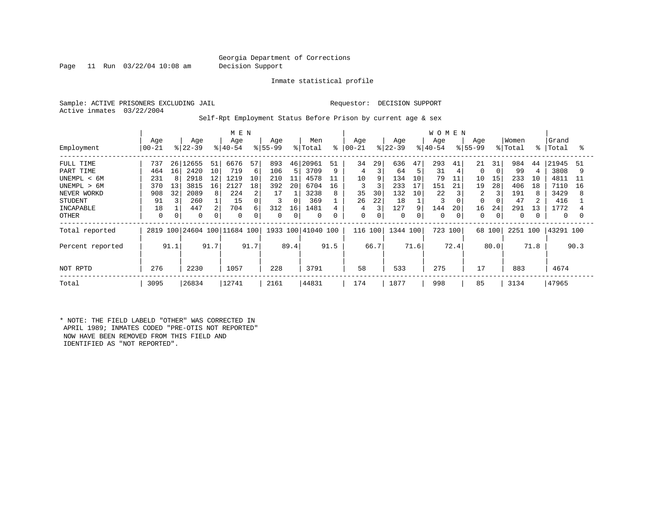Page 11 Run 03/22/04 10:08 am Decision Support

Inmate statistical profile

Sample: ACTIVE PRISONERS EXCLUDING JAIL **Requestor: DECISION SUPPORT** Active inmates 03/22/2004

Self-Rpt Employment Status Before Prison by current age & sex

|                  |           |      | M E N     |      |                         |      |          |      | W O M E N          |      |          |      |           |      |          |      |             |          |          |      |           |      |
|------------------|-----------|------|-----------|------|-------------------------|------|----------|------|--------------------|------|----------|------|-----------|------|----------|------|-------------|----------|----------|------|-----------|------|
|                  | Age       |      | Age       |      | Age                     |      | Age      |      | Men                |      | Age      |      | Age       |      | Age      |      | Age         |          | Women    |      | Grand     |      |
| Employment       | $00 - 21$ |      | $ 22-39 $ |      | $8140 - 54$             |      | $ 55-99$ |      | % Total            | ႜ    | $ 00-21$ |      | $ 22-39 $ |      | $ 40-54$ |      | $ 55-99 $   |          | % Total  | ⊱    | Total     | ႜ    |
| FULL TIME        | 737       | 26   | 12655     | 51   | 6676                    | 57   | 893      |      | 46 20961           | 51   | 34       | 29   | 636       | 47   | 293      | 41   | 21          | 31       | 984      | 44   | 21945     | 51   |
| PART TIME        | 464       | 16   | 2420      | 10   | 719                     | 6    | 106      | 5.   | 3709               | 9    | 4        |      | 64        |      | 31       |      | $\mathbf 0$ | $\Omega$ | 99       |      | 3808      |      |
| UNEMPL < 6M      | 231       |      | 2918      | 12   | 1219                    | 10   | 210      | 11   | 4578               |      | 10       | 9    | 134       | 10   | 79       | 11   | 10          | 15       | 233      | 10   | 4811      |      |
| UNEMPL > 6M      | 370       | 13   | 3815      | 16   | 2127                    | 18   | 392      | 20   | 6704               | 16   |          | 3    | 233       | 17   | 151      | 21   | 19          | 28       | 406      | 18   | 7110      | 16   |
| NEVER WORKD      | 908       | 32   | 2089      | 8    | 224                     | 2    | 17       |      | 3238               | 8    | 35       | 30   | 132       | 10   | 22       |      | 2           | 3        | 191      | 8    | 3429      | 8    |
| <b>STUDENT</b>   | 91        |      | 260       |      | 15                      | 0    |          |      | 369                |      | 26       | 22   | 18        |      |          |      | $\Omega$    |          | 47       |      | 416       |      |
| INCAPABLE        | 18        |      | 447       |      | 704                     | 6    | 312      | 16   | 1481               |      | 4        | 3    | 127       | 9    | 144      | 20   | 16          | 24       | 291      | 13   | 1772      |      |
| <b>OTHER</b>     | 0         |      | 0         |      | 0                       | 0    | $\Omega$ |      | $\Omega$           | 0    | 0        | 0    | 0         |      | $\Omega$ |      | 0           | 0        | $\Omega$ |      | 0         |      |
| Total reported   | 2819      |      |           |      | 100 24604 100 11684 100 |      |          |      | 1933 100 41040 100 |      | 116 100  |      | 1344 100  |      | 723      | 100  | 68 100      |          | 2251 100 |      | 43291 100 |      |
| Percent reported |           | 91.1 |           | 91.7 |                         | 91.7 |          | 89.4 |                    | 91.5 |          | 66.7 |           | 71.6 |          | 72.4 |             | 80.0     |          | 71.8 |           | 90.3 |
| NOT RPTD         | 276       |      | 2230      |      | 1057                    |      | 228      |      | 3791               |      | 58       |      | 533       |      | 275      |      | 17          |          | 883      |      | 4674      |      |
| Total            | 3095      |      | 26834     |      | 12741                   |      | 2161     |      | 44831              |      | 174      |      | 1877      |      | 998      |      | 85          |          | 3134     |      | 47965     |      |

\* NOTE: THE FIELD LABELD "OTHER" WAS CORRECTED IN APRIL 1989; INMATES CODED "PRE-OTIS NOT REPORTED" NOW HAVE BEEN REMOVED FROM THIS FIELD AND IDENTIFIED AS "NOT REPORTED".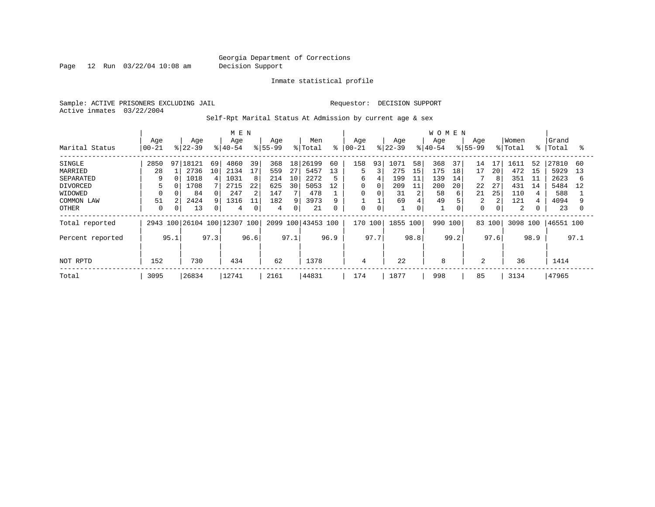Page 12 Run 03/22/04 10:08 am Decision Support

Inmate statistical profile

Sample: ACTIVE PRISONERS EXCLUDING JAIL **Requestor: DECISION SUPPORT** Active inmates 03/22/2004

Self-Rpt Marital Status At Admission by current age & sex

|                  | M E N     |      |           |      |                         |      |             |      |           |      |           |             |           |      | <b>WOMEN</b> |      |             |      |         |      |           |      |
|------------------|-----------|------|-----------|------|-------------------------|------|-------------|------|-----------|------|-----------|-------------|-----------|------|--------------|------|-------------|------|---------|------|-----------|------|
|                  | Age       |      | Age       |      | Age                     |      | Age         |      | Men       |      | Age       |             | Age       |      | Age          |      | Age         |      | Women   |      | Grand     |      |
| Marital Status   | $00 - 21$ |      | $8 22-39$ |      | $ 40-54 $               |      | $8155 - 99$ |      | % Total   | ႜ    | $ 00-21 $ |             | $8 22-39$ |      | $8 40-54$    |      | $8155 - 99$ |      | % Total | °≈   | Total     | °≈   |
| SINGLE           | 2850      | 97   | 18121     | 69   | 4860                    | 39   | 368         | 18   | 26199     | 60   | 158       | 93          | 1071      | 58   | 368          | 37   | 14          | 17   | 1611    | 52   | 27810     | 60   |
| MARRIED          | 28        |      | 2736      | 10   | 2134                    | 17   | 559         | 27   | 5457      | 13   | 5         | 3           | 275       | 15   | 175          | 18   | 17          | 20   | 472     | 15   | 5929      | 13   |
| SEPARATED        | 9         |      | 1018      |      | 1031                    | 8    | 214         | 10   | 2272      | 5    | 6         | 4           | 199       | 11   | 139          | 14   |             | 8    | 351     | 11   | 2623      | 6    |
| <b>DIVORCED</b>  |           |      | 1708      |      | 2715                    | 22   | 625         | 30   | 5053      | 12   | 0         | 0           | 209       | 11   | 200          | 20   | 22          | 27   | 431     | 14   | 5484      | 12   |
| WIDOWED          |           |      | 84        |      | 247                     | 2    | 147         |      | 478       |      | 0         |             | 31        | 2    | 58           | 6    | 21          | 25   | 110     |      | 588       |      |
| COMMON LAW       | 51        |      | 2424      |      | 1316                    | 11   | 182         | q    | 3973      | 9    |           |             | 69        |      | 49           |      | 2           | 2    | 121     |      | 4094      |      |
| OTHER            | $\Omega$  | 0    | 13        |      | 4                       | 0    | 4           | 0    | 21        | 0    | 0         | $\mathbf 0$ |           | 0    |              |      | $\mathbf 0$ | 0    | 2       |      | 23        |      |
| Total reported   | 2943      |      |           |      | 100 26104 100 12307 100 |      | 2099        |      | 100 43453 | 100  | 170       | 100         | 1855 100  |      | 990          | 100  | 83 100      |      | 3098    | 100  | 46551 100 |      |
| Percent reported |           | 95.1 |           | 97.3 |                         | 96.6 |             | 97.1 |           | 96.9 |           | 97.7        |           | 98.8 |              | 99.2 |             | 97.6 |         | 98.9 |           | 97.1 |
|                  |           |      |           |      |                         |      |             |      |           |      |           |             |           |      |              |      |             |      |         |      |           |      |
| NOT RPTD         | 152       |      | 730       |      | 434                     |      | 62          |      | 1378      |      | 4         |             | 22        |      | 8            |      | 2           |      | 36      |      | 1414      |      |
| Total            | 3095      |      | 26834     |      | 12741                   |      | 2161        |      | 44831     |      | 174       |             | 1877      |      | 998          |      | 85          |      | 3134    |      | 47965     |      |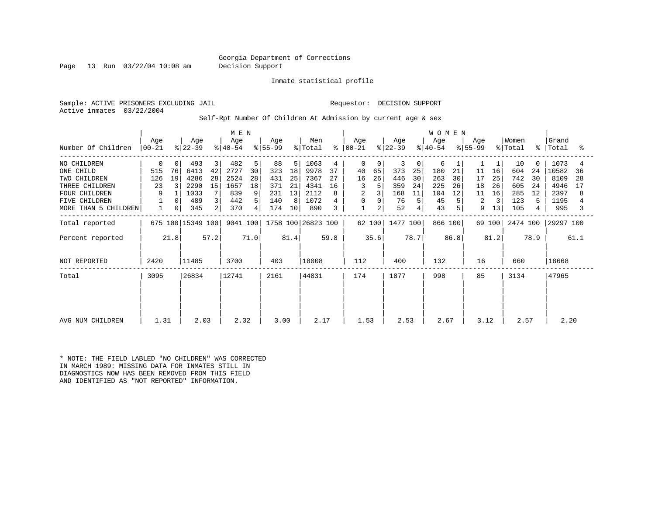Page 13 Run 03/22/04 10:08 am Decision Support

Inmate statistical profile

Sample: ACTIVE PRISONERS EXCLUDING JAIL **Requestor: DECISION SUPPORT** Active inmates 03/22/2004

Self-Rpt Number Of Children At Admission by current age & sex

|                      | M E N            |      |                   |      |                  |      |                  |      |                    |      |                  |                |                  |      | WOMEN            |      |                  |        |                  |           |                |      |
|----------------------|------------------|------|-------------------|------|------------------|------|------------------|------|--------------------|------|------------------|----------------|------------------|------|------------------|------|------------------|--------|------------------|-----------|----------------|------|
| Number Of Children   | Age<br>$00 - 21$ |      | Age<br>$ 22-39 $  |      | Age<br>$ 40-54 $ |      | Age<br>$ 55-99 $ |      | Men<br>% Total     | ႜ    | Aqe<br>$ 00-21 $ |                | Age<br>$ 22-39 $ |      | Age<br>$ 40-54 $ |      | Aqe<br>$ 55-99 $ |        | Women<br>% Total | $\approx$ | Grand<br>Total | ႜ    |
| NO CHILDREN          | 0                | 0    | 493               | 3    | 482              | 5    | 88               | 5    | 1063               | 4    | $\mathbf 0$      | 0              | 3                | 0    | 6                |      |                  |        | 10               |           | 1073           |      |
| ONE CHILD            | 515              | 76   | 6413              | 42   | 2727             | 30   | 323              | 18   | 9978               | 37   | 40               | 65             | 373              | 25   | 180              | 21   | 11               | 16     | 604              | 24        | 10582          | 36   |
| TWO CHILDREN         | 126              | 19   | 4286              | 28   | 2524             | 28   | 431              | 25   | 7367               | 27   | 16               | 26             | 446              | 30   | 263              | 30   | 17               | 25     | 742              | 30        | 8109           | 28   |
| THREE CHILDREN       | 23               |      | 2290              | 15   | 1657             | 18   | 371              | 21   | 4341               | 16   | 3                |                | 359              | 24   | 225              | 26   | 18               | 26     | 605              | 24        | 4946           | 17   |
| <b>FOUR CHILDREN</b> | 9                |      | 1033              |      | 839              | 9    | 231              | 13   | 2112               |      | $\overline{a}$   |                | 168              | 11   | 104              | 12   | 11               | 16     | 285              | 12        | 2397           | 8    |
| <b>FIVE CHILDREN</b> |                  |      | 489               | 3    | 442              | 5    | 140              | 8    | 1072               |      | 0                |                | 76               |      | 45               |      | 2                |        | 123              | 5.        | 1195           |      |
| MORE THAN 5 CHILDREN |                  | 0    | 345               | 2    | 370              | 4    | 174              | 10   | 890                |      | $\mathbf 1$      | $\overline{a}$ | 52               |      | 43               |      | 9                | 13     | 105              |           | 995            |      |
| Total reported       |                  |      | 675 100 15349 100 |      | 9041 100         |      |                  |      | 1758 100 26823 100 |      |                  | 62 100         | 1477 100         |      | 866 100          |      |                  | 69 100 | 2474 100         |           | 29297 100      |      |
| Percent reported     |                  | 21.8 |                   | 57.2 |                  | 71.0 |                  | 81.4 |                    | 59.8 |                  | 35.6           |                  | 78.7 |                  | 86.8 |                  | 81.2   |                  | 78.9      |                | 61.1 |
| NOT REPORTED         | 2420             |      | 11485             |      | 3700             |      | 403              |      | 18008              |      | 112              |                | 400              |      | 132              |      | 16               |        | 660              |           | 18668          |      |
| Total                | 3095             |      | 26834             |      | 12741            |      | 2161             |      | 44831              |      | 174              |                | 1877             |      | 998              |      | 85               |        | 3134             |           | 47965          |      |
|                      |                  |      |                   |      |                  |      |                  |      |                    |      |                  |                |                  |      |                  |      |                  |        |                  |           |                |      |
|                      |                  |      |                   |      |                  |      |                  |      |                    |      |                  |                |                  |      |                  |      |                  |        |                  |           |                |      |
| AVG NUM CHILDREN     | 1.31             |      | 2.03              |      | 2.32             |      | 3.00             |      | 2.17               |      | 1.53             |                | 2.53             |      | 2.67             |      | 3.12             |        | 2.57             |           | 2.20           |      |

\* NOTE: THE FIELD LABLED "NO CHILDREN" WAS CORRECTED IN MARCH 1989: MISSING DATA FOR INMATES STILL IN DIAGNOSTICS NOW HAS BEEN REMOVED FROM THIS FIELD AND IDENTIFIED AS "NOT REPORTED" INFORMATION.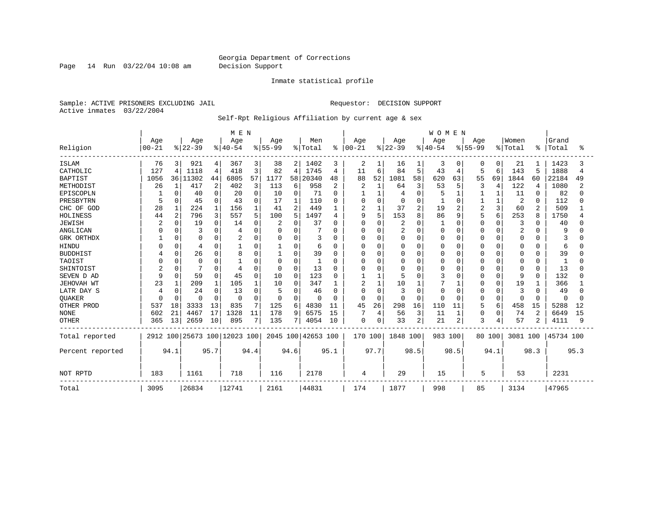Page 14 Run 03/22/04 10:08 am Decision Support

### Inmate statistical profile

Sample: ACTIVE PRISONERS EXCLUDING JAIL **Requestor: DECISION SUPPORT** Active inmates 03/22/2004

### Self-Rpt Religious Affiliation by current age & sex

|                  |           |              |                              |          | M E N    |          |           |                |                    |          |               |                |                |                | <b>WOMEN</b> |                |           |             |          |                |              |      |
|------------------|-----------|--------------|------------------------------|----------|----------|----------|-----------|----------------|--------------------|----------|---------------|----------------|----------------|----------------|--------------|----------------|-----------|-------------|----------|----------------|--------------|------|
|                  | Age       |              | Age                          |          | Age      |          | Age       |                | Men                |          | Age           |                | Age            |                | Age          |                | Age       |             | Women    |                | Grand        |      |
| Religion         | $00 - 21$ |              | $8 22-39$                    |          | $ 40-54$ |          | $8 55-99$ |                | % Total            |          | $8   00 - 21$ |                | $8 22-39$      |                | $ 40-54$     |                | $8 55-99$ |             | % Total  | ႜ              | Total        |      |
| <b>ISLAM</b>     | 76        | 3            | 921                          | 4        | 367      | 3        | 38        | 2              | 1402               | 3        | 2             |                | 16             | 1              | 3            | 0              |           | 0           | 21       |                | 1423         | 3    |
| CATHOLIC         | 127       | 4            | 1118                         | 4        | 418      | 3        | 82        | $\overline{4}$ | 1745               | 4        | 11            | 6              | 84             | 5              | 43           | 4              | 5         | 6           | 143      | 5              | 1888         | 4    |
| <b>BAPTIST</b>   | 1056      | 36           | 11302                        | 44       | 6805     | 57       | 1177      | 58             | 20340              | 48       | 88            | 52             | 1081           | 58             | 620          | 63             | 55        | 69          | 1844     | 60             | 22184        | 49   |
| METHODIST        | 26        | $\mathbf{1}$ | 417                          | 2        | 402      | 3        | 113       | 6              | 958                | 2        |               | $\mathbf{1}$   | 64             | 3              | 53           | 5              | 3         | 4           | 122      | 4              | 1080         | 2    |
| EPISCOPLN        |           | $\Omega$     | 40                           | $\Omega$ | 20       | 0        | 10        | 0              | 71                 | $\Omega$ |               | $\mathbf{1}$   |                | $\mathbf 0$    |              | 1              |           |             | 11       | 0              | 82           | n    |
| PRESBYTRN        | 5         | $\Omega$     | 45                           | $\Omega$ | 43       | $\Omega$ | 17        |                | 110                | 0        |               | $\mathbf 0$    |                | $\Omega$       |              | $\Omega$       |           |             | 2        | $\Omega$       | 112          |      |
| CHC OF GOD       | 28        |              | 224                          |          | 156      |          | 41        | 2              | 449                | 1        | 2             | $\mathbf{1}$   | 37             | $\overline{a}$ | 19           | $\overline{c}$ | 2         | 3           | 60       | $\overline{a}$ | 509          |      |
| HOLINESS         | 44        | 2            | 796                          | 3        | 557      | 5        | 100       | 5              | 1497               | 4        | 9             | 5              | 153            | 8              | 86           | 9              |           | 6           | 253      | $\mathsf{R}$   | 1750         |      |
| <b>JEWISH</b>    |           | $\Omega$     | 19                           | U        | 14       | 0        |           | $\Omega$       | 37                 | O        | $\Omega$      | $\mathbf 0$    |                | 0              |              | $\Omega$       | Ω         | $\cap$      | 3        | O              | 40           |      |
| ANGLICAN         |           |              | 3                            |          |          | $\Omega$ | 0         | O              |                    | U        | O             | 0              | $\overline{2}$ | 0              |              | $\Omega$       |           | $\Omega$    | 2        | O              |              |      |
| GRK ORTHDX       |           | $\Omega$     | ∩                            |          |          | 0        | 0         | $\Omega$       | 3                  | U        | O             | 0              | <sup>0</sup>   | 0              |              | 0              | O         | $\Omega$    | 0        | O              |              |      |
| HINDU            |           | $\Omega$     | 4                            |          |          | 0        |           | 0              | 6                  | 0        | 0             | 0              |                | $\Omega$       |              | $\Omega$       |           | $\Omega$    | 0        | O              | 6            |      |
| <b>BUDDHIST</b>  |           | $\Omega$     | 26                           | $\Omega$ | 8        | $\Omega$ |           | $\Omega$       | 39                 | 0        | 0             | 0              |                | $\Omega$       |              | $\Omega$       |           | $\Omega$    | 0        | $\Omega$       | 39           |      |
| TAOIST           |           | $\Omega$     | $\mathbf 0$                  |          |          | $\Omega$ | 0         | $\Omega$       |                    | O        | O             | $\Omega$       |                | $\Omega$       |              | $\Omega$       |           | ∩           | 0        | $\Omega$       | -1           |      |
| SHINTOIST        | 2         | $\Omega$     |                              | O        |          | $\Omega$ | $\Omega$  | $\Omega$       | 13                 | O        | O             | $\Omega$       |                | $\Omega$       |              | $\Omega$       |           | $\Omega$    | $\Omega$ | $\Omega$       | 13           |      |
| SEVEN D AD       |           | $\Omega$     | 59                           | $\Omega$ | 45       | 0        | 10        | $\Omega$       | 123                | 0        |               | 1              |                | $\Omega$       |              | $\Omega$       |           | $\Omega$    | 9        | $\Omega$       | 132          |      |
| JEHOVAH WT       | 23        |              | 209                          |          | 105      |          | 10        | O              | 347                |          | 2             | $\mathbf{1}$   | 10             |                |              |                |           | $\Omega$    | 19       |                | 366          |      |
| LATR DAY S       | 4         | n            | 24                           | O        | 13       | 0        | 5         | 0              | 46                 | 0        | O             | $\mathbf 0$    | 3              | $\Omega$       |              | $\Omega$       |           | O           | 3        | O              | 49           |      |
| QUAKER           | U         | $\Omega$     | $\Omega$                     | $\Omega$ | $\Omega$ | $\Omega$ | $\Omega$  | $\Omega$       | $\Omega$           | 0        | $\Omega$      | $\Omega$       | n              | $\Omega$       |              | $\Omega$       | 0         | $\Omega$    | 0        | $\Omega$       | <sup>0</sup> |      |
| OTHER PROD       | 537       | 18           | 3333                         | 13       | 835      | 7        | 125       | 6              | 4830               | 11       | 45            | 26             | 298            | 16             | 110          | 11             | 5         | 6           | 458      | 15             | 5288         | 12   |
| <b>NONE</b>      | 602       | 21           | 4467                         | 17       | 1328     | 11       | 178       | 9              | 6575               | 15       |               | $\overline{4}$ | 56             | 3              | 11           | $\mathbf{1}$   | 0         | $\mathbf 0$ | 74       | $\overline{2}$ | 6649         | 15   |
| <b>OTHER</b>     | 365       | 13           | 2659                         | 10       | 895      | 7        | 135       | 7              | 4054               | 10       | 0             | 0              | 33             | $\overline{c}$ | 21           | $\overline{2}$ | 3         | 4           | 57       | 2              | 4111         | 9    |
| Total reported   |           |              | 2912 100 25673 100 12023 100 |          |          |          |           |                | 2045 100 42653 100 |          | 170 100       |                | 1848 100       |                | 983 100      |                |           | 80 100      | 3081 100 |                | 45734 100    |      |
| Percent reported |           | 94.1         |                              | 95.7     |          | 94.4     |           | 94.6           |                    | 95.1     |               | 97.7           |                | 98.5           |              | 98.5           |           | 94.1        |          | 98.3           |              | 95.3 |
| NOT RPTD         | 183       |              | 1161                         |          | 718      |          | 116       |                | 2178               |          | 4             |                | 29             |                | 15           |                | 5         |             | 53       |                | 2231         |      |
| Total            | 3095      |              | 26834                        |          | 12741    |          | 2161      |                | 44831              |          | 174           |                | 1877           |                | 998          |                | 85        |             | 3134     |                | 47965        |      |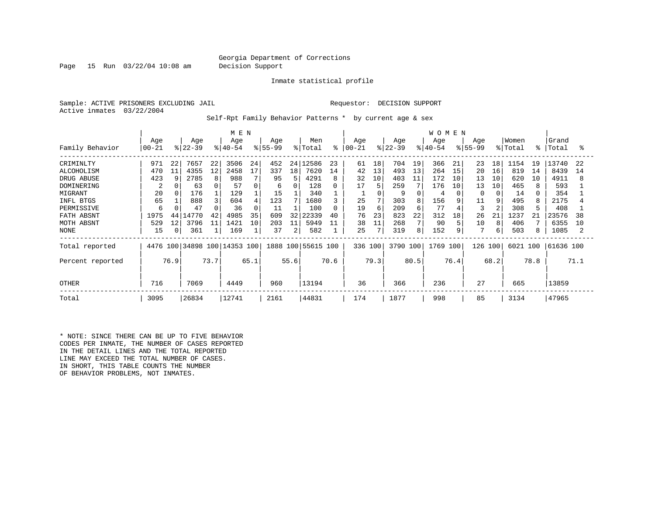Page 15 Run 03/22/04 10:08 am Decision Support

Inmate statistical profile

Sample: ACTIVE PRISONERS EXCLUDING JAIL REGUESTOR: DECISION SUPPORT Active inmates 03/22/2004

Self-Rpt Family Behavior Patterns \* by current age & sex

|                                                                                                                       |                                                        |                           |                                                                 |                                          | M E N                                                         |                                            |                                                        |                     |                                                                        |                                     |                                              |                                           |                                                           |                                                       | <b>WOMEN</b>                                            |                                      |                                             |                                      |                                                              |                      |                                                                     |                      |
|-----------------------------------------------------------------------------------------------------------------------|--------------------------------------------------------|---------------------------|-----------------------------------------------------------------|------------------------------------------|---------------------------------------------------------------|--------------------------------------------|--------------------------------------------------------|---------------------|------------------------------------------------------------------------|-------------------------------------|----------------------------------------------|-------------------------------------------|-----------------------------------------------------------|-------------------------------------------------------|---------------------------------------------------------|--------------------------------------|---------------------------------------------|--------------------------------------|--------------------------------------------------------------|----------------------|---------------------------------------------------------------------|----------------------|
| Family Behavior                                                                                                       | Age<br>$00 - 21$                                       |                           | Age<br>$ 22 - 39 $                                              |                                          | Age<br>$ 40-54 $                                              |                                            | Age<br>$8155 - 99$                                     |                     | Men<br>% Total                                                         | ៖                                   | Age<br>  00-21                               |                                           | Age<br>$ 22-39 $                                          |                                                       | Age<br>$ 40-54 $                                        |                                      | Age<br>$8155 - 99$                          |                                      | Women<br>% Total                                             | °                    | Grand<br>Total                                                      | ႜ                    |
| CRIMINLTY<br>ALCOHOLISM<br>DRUG ABUSE<br>DOMINERING<br>MIGRANT<br>INFL BTGS<br>PERMISSIVE<br>FATH ABSNT<br>MOTH ABSNT | 971<br>470<br>423<br>2<br>20<br>65<br>6<br>1975<br>529 | 22<br>11<br>9<br>44<br>12 | 7657<br>4355<br>2785<br>63<br>176<br>888<br>47<br>14770<br>3796 | 22<br>$12 \overline{ }$<br>8<br>42<br>11 | 3506<br>2458<br>988<br>57<br>129<br>604<br>36<br>4985<br>1421 | 24<br>17<br>0<br>4<br>$\Omega$<br>35<br>10 | 452<br>337<br>95<br>6<br>15<br>123<br>11<br>609<br>203 | 18<br>5<br>32<br>11 | 24 12586<br>7620<br>4291<br>128<br>340<br>1680<br>100<br>22339<br>5949 | 23<br>14<br>8<br>0<br>0<br>40<br>11 | 61<br>42<br>32<br>17<br>25<br>19<br>76<br>38 | 18<br>13<br>10<br>5<br>7<br>6<br>23<br>11 | 704<br>493<br>403<br>259<br>9<br>303<br>209<br>823<br>268 | 19<br>13<br>11<br>7<br>8<br>6<br>22<br>$7\phantom{.}$ | 366<br>264<br>172<br>176<br>4<br>156<br>77<br>312<br>90 | 21<br>15<br>10<br>10<br>9<br>18<br>5 | 23<br>20<br>13<br>13<br>11<br>3<br>26<br>10 | 18<br>16<br>10<br>10<br>9<br>21<br>8 | 1154<br>819<br>620<br>465<br>14<br>495<br>308<br>1237<br>406 | 19<br>14<br>10<br>21 | 13740<br>8439<br>4911<br>593<br>354<br>2175<br>408<br>23576<br>6355 | 22<br>14<br>38<br>10 |
| NONE<br>Total reported<br>Percent reported<br><b>OTHER</b>                                                            | 15<br>716                                              | $\overline{0}$<br>76.9    | 361<br>7069                                                     | 73.7                                     | 169<br>4476 100 34898 100 14353 100<br>4449                   | 65.1                                       | 37<br>960                                              | 2<br>55.6           | 582<br>1888 100 55615 100<br>13194                                     | 70.6                                | 25<br>336 100<br>36                          | 79.3                                      | 319<br>3790 100<br>366                                    | 8<br>80.5                                             | 152<br>1769 100<br>236                                  | 9<br>76.4                            | 126<br>27                                   | 100<br>68.2                          | 503<br>6021 100<br>665                                       | 78.8                 | 1085<br> 61636 100<br>13859                                         | 71.1                 |
| Total                                                                                                                 | 3095                                                   |                           | 26834                                                           |                                          | 12741                                                         |                                            | 2161                                                   |                     | 44831                                                                  |                                     | 174                                          |                                           | 1877                                                      |                                                       | 998                                                     |                                      | 85                                          |                                      | 3134                                                         |                      | 47965                                                               |                      |

\* NOTE: SINCE THERE CAN BE UP TO FIVE BEHAVIOR CODES PER INMATE, THE NUMBER OF CASES REPORTED IN THE DETAIL LINES AND THE TOTAL REPORTED LINE MAY EXCEED THE TOTAL NUMBER OF CASES. IN SHORT, THIS TABLE COUNTS THE NUMBER OF BEHAVIOR PROBLEMS, NOT INMATES.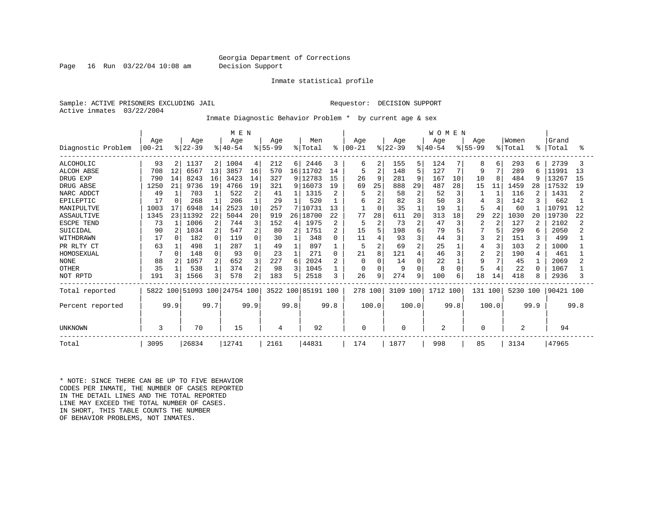Page 16 Run 03/22/04 10:08 am Decision Support

#### Inmate statistical profile

Sample: ACTIVE PRISONERS EXCLUDING JAIL REQUESTOR: DECISION SUPPORT Active inmates 03/22/2004

Inmate Diagnostic Behavior Problem \* by current age & sex

|                    |           |          |          |                | M E N                   |               |           |                 |                    |                |           |                |           |                | WOMEN    |          |                |                |          |      |           |      |
|--------------------|-----------|----------|----------|----------------|-------------------------|---------------|-----------|-----------------|--------------------|----------------|-----------|----------------|-----------|----------------|----------|----------|----------------|----------------|----------|------|-----------|------|
|                    | Age       |          | Age      |                | Age                     |               | Age       |                 | Men                |                | Age       |                | Age       |                | Age      |          | Age            |                | Women    |      | Grand     |      |
| Diagnostic Problem | $00 - 21$ |          | $ 22-39$ |                | $ 40-54$                | $\frac{8}{6}$ | $55 - 99$ |                 | % Total            | ి              | $00 - 21$ |                | $ 22-39 $ |                | $ 40-54$ |          | $ 55-99$       |                | % Total  | ႜ    | Total     | ႜ    |
| <b>ALCOHOLIC</b>   | 93        | 2        | 1137     | $\overline{2}$ | 1004                    | 4             | 212       | 6               | 2446               | 3              | 6         | 2              | 155       | 5              | 124      |          | 8              | 6              | 293      | 6    | 2739      |      |
| <b>ALCOH ABSE</b>  | 708       | 12       | 6567     | 13             | 3857                    | 16            | 570       | 16              | 11702              | 14             | 5         | $\overline{2}$ | 148       | 5              | 127      | 7        | 9              | 7              | 289      | 6    | 11991     | 13   |
| DRUG EXP           | 790       | 14       | 8243     | 16             | 3423                    | 14            | 327       |                 | 9 12783            | 15             | 26        | 9              | 281       | 9              | 167      | 10       | 10             | $\mathsf{R}$   | 484      | q    | 13267     | 15   |
| DRUG ABSE          | 1250      | 21       | 9736     | 19             | 4766                    | 19            | 321       | 9               | 16073              | 19             | 69        | 25             | 888       | 29             | 487      | 28       | 15             | 11             | 1459     | 28   | 17532     | 19   |
| NARC ADDCT         | 49        |          | 703      |                | 522                     | 2             | 41        |                 | 1315               | 2              | 5         | $\overline{2}$ | 58        | $\overline{2}$ | 52       | 3        |                |                | 116      |      | 1431      |      |
| EPILEPTIC          | 17        | $\Omega$ | 268      |                | 206                     |               | 29        |                 | 520                |                | 6         |                | 82        | 3              | 50       | 3        |                | 3              | 142      | 3    | 662       |      |
| MANIPULTVE         | 1003      | 17       | 6948     | 14             | 2523                    | 10            | 257       |                 | 7 10731            | 13             |           | $\Omega$       | 35        |                | 19       |          | 5              | $\overline{4}$ | 60       |      | 10791     | 12   |
| <b>ASSAULTIVE</b>  | 1345      | 231      | 11392    | 22             | 5044                    | 20            | 919       | 26 <sub>1</sub> | 18700              | 22             | 77        | 28             | 611       | 20             | 313      | 18       | 29             | 22             | 1030     | 20   | 19730     | 22   |
| ESCPE TEND         | 73        |          | 1006     | 2              | 744                     | 3             | 152       | 4               | 1975               | $\overline{2}$ | 5         | $\overline{c}$ | 73        | $\overline{2}$ | 47       | 3        | $\overline{c}$ | $\overline{2}$ | 127      | 2    | 2102      |      |
| SUICIDAL           | 90        |          | 1034     | $\overline{2}$ | 547                     | 2             | 80        | 2               | 1751               | 2              | 15        | 5              | 198       | 6              | 79       |          |                | 5              | 299      | 6    | 2050      |      |
| WITHDRAWN          | 17        |          | 182      | 0              | 119                     | U             | 30        |                 | 348                | O              | 11        | 4              | 93        | 3              | 44       | 3        | 3              | 2              | 151      | 3    | 499       |      |
| PR RLTY CT         | 63        |          | 498      |                | 287                     |               | 49        |                 | 897                |                | 5         | 2              | 69        | $\overline{2}$ | 25       |          | 4              | 3              | 103      | 2    | 1000      |      |
| HOMOSEXUAL         |           | $\Omega$ | 148      | $\Omega$       | 93                      | $\Omega$      | 23        |                 | 271                | $\Omega$       | 21        | 8              | 121       | $\overline{4}$ | 46       | 3        | $\overline{2}$ | 2              | 190      | 4    | 461       |      |
| <b>NONE</b>        | 88        |          | 1057     | 2              | 652                     | 3             | 227       | 6               | 2024               | $\overline{2}$ | $\Omega$  | $\Omega$       | 14        | $\Omega$       | 22       |          | 9              | 7              | 45       |      | 2069      |      |
| <b>OTHER</b>       | 35        |          | 538      |                | 374                     | 2             | 98        | ζ               | 1045               |                | $\Omega$  | $\Omega$       | 9         | $\Omega$       | 8        | $\Omega$ | 5              | $\overline{4}$ | 22       | ∩    | 1067      |      |
| NOT RPTD           | 191       |          | 1566     | 3              | 578                     | 2             | 183       | 5               | 2518               | 3              | 26        | 9              | 274       | 9              | 100      | 6        | 18             | 14             | 418      |      | 2936      |      |
| Total reported     | 5822      |          |          |                | 100 51093 100 24754 100 |               |           |                 | 3522 100 85191 100 |                | 278 100   |                | 3109 100  |                | 1712 100 |          | 131 100        |                | 5230 100 |      | 90421 100 |      |
| Percent reported   |           | 99.9     |          | 99.7           |                         | 99.9          |           | 99.8            |                    | 99.8           |           | 100.0          |           | 100.0          |          | 99.8     |                | 100.0          |          | 99.9 |           | 99.8 |
| UNKNOWN            | 3         |          | 70       |                | 15                      |               | 4         |                 | 92                 |                | 0         |                | U         |                | 2        |          | O              |                | 2        |      | 94        |      |
| Total              | 3095      |          | 26834    |                | 12741                   |               | 2161      |                 | 44831              |                | 174       |                | 1877      |                | 998      |          | 85             |                | 3134     |      | 47965     |      |

\* NOTE: SINCE THERE CAN BE UP TO FIVE BEHAVIOR CODES PER INMATE, THE NUMBER OF CASES REPORTED IN THE DETAIL LINES AND THE TOTAL REPORTED LINE MAY EXCEED THE TOTAL NUMBER OF CASES. IN SHORT, THIS TABLE COUNTS THE NUMBER OF BEHAVIOR PROBLEMS, NOT INMATES.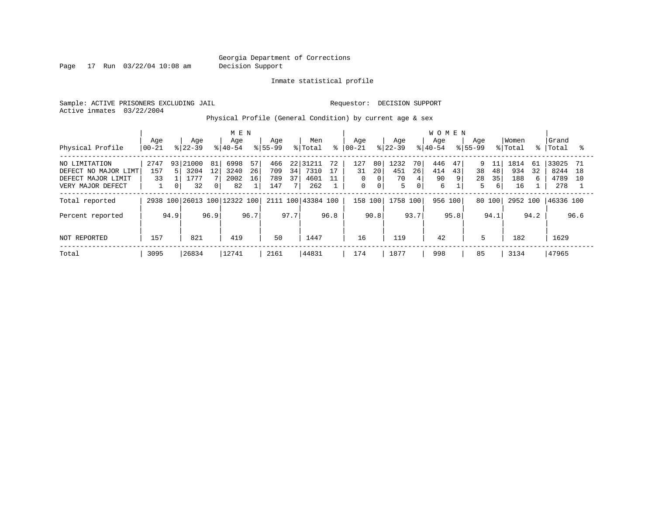Page 17 Run 03/22/04 10:08 am Decision Support

Inmate statistical profile

Sample: ACTIVE PRISONERS EXCLUDING JAIL **Requestor: DECISION SUPPORT** Active inmates 03/22/2004

Physical Profile (General Condition) by current age & sex

|                      |           |                |           |                | M E N                   |      |             |      |                    |      |             |                |           |             | <b>WOMEN</b> |       |             |      |          |      |           |      |
|----------------------|-----------|----------------|-----------|----------------|-------------------------|------|-------------|------|--------------------|------|-------------|----------------|-----------|-------------|--------------|-------|-------------|------|----------|------|-----------|------|
|                      | Age       |                | Age       |                | Age                     |      | Age         |      | Men                |      | Age         |                | Age       |             | Age          |       | Age         |      | Women    |      | Grand     |      |
| Physical Profile     | $00 - 21$ |                | $ 22-39 $ |                | $8 40-54$               |      | $8155 - 99$ |      | % Total            | ⊱    | 00-21       |                | $ 22-39 $ |             | $ 40-54$     |       | $8155 - 99$ |      | % Total  | န္   | Total     |      |
| NO LIMITATION        | 2747      | 931            | 21000     | 81             | 6998                    | 57   | 466         | 22   | 31211              | 72   | 127         | 80             | 1232      | 70          | 446          | 47    | 9           | 11   | 1814     | 61   | 33025     | 71   |
| DEFECT NO MAJOR LIMT | 157       | Б.             | 3204      | 12             | 3240                    | 26   | 709         | 34   | 7310               | 17   | 31          | 20             | 451       | 26          | 414          | 43    | 38          | 48   | 934      | 32   | 8244      | 18   |
| DEFECT MAJOR LIMIT   | 33        |                | 1777      |                | 2002                    | 16   | 789         | 37   | 4601               | 11   | 0           | 0              | 70        |             | 90           | 9     | 28          | 35   | 188      |      | 4789      | 1 O  |
| VERY MAJOR DEFECT    |           | 0 <sup>1</sup> | 32        | 0 <sup>1</sup> | 82                      |      | 147         |      | 262                |      | $\mathbf 0$ | 0 <sub>1</sub> | 5         | $\mathbf 0$ | 6            |       | 5           | 6    | 16       |      | 278       |      |
| Total reported       | 2938      |                |           |                | 100 26013 100 12322 100 |      |             |      | 2111 100 43384 100 |      | 158 100     |                | 1758 100  |             | 956          | 100 l | 80 100      |      | 2952 100 |      | 46336 100 |      |
| Percent reported     |           | 94.9           |           | 96.9           |                         | 96.7 |             | 97.7 |                    | 96.8 |             | 90.8           |           | 93.7        |              | 95.8  |             | 94.1 |          | 94.2 |           | 96.6 |
| NOT REPORTED         | 157       |                | 821       |                | 419                     |      | 50          |      | 1447               |      | 16          |                | 119       |             | 42           |       | 5           |      | 182      |      | 1629      |      |
| Total                | 3095      |                | 26834     |                | 12741                   |      | 2161        |      | 44831              |      | 174         |                | 1877      |             | 998          |       | 85          |      | 3134     |      | 47965     |      |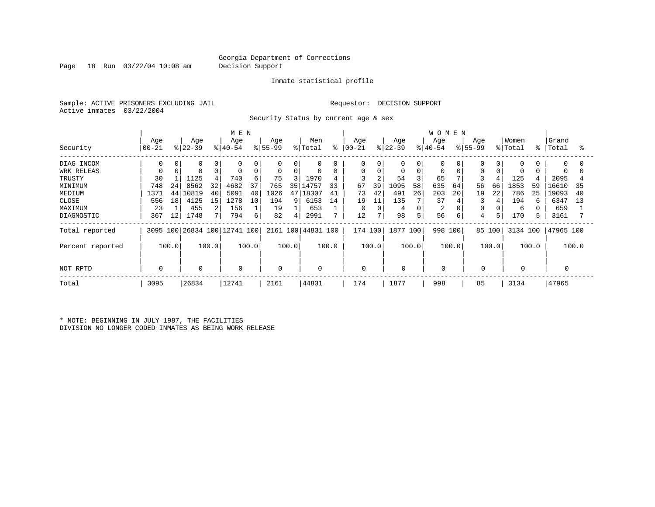Page 18 Run 03/22/04 10:08 am Decision Support

#### Inmate statistical profile

Sample: ACTIVE PRISONERS EXCLUDING JAIL **Requestor: DECISION SUPPORT** Active inmates 03/22/2004

Security Status by current age & sex

|                  |                    |       |                  |          | M E N                        |       |                 |       |                    |       |                   |                |                  |          | <b>WOMEN</b>     |       |                  |        |                  |       |                |       |
|------------------|--------------------|-------|------------------|----------|------------------------------|-------|-----------------|-------|--------------------|-------|-------------------|----------------|------------------|----------|------------------|-------|------------------|--------|------------------|-------|----------------|-------|
| Security         | Age<br>$ 00 - 21 $ |       | Age<br>$ 22-39 $ |          | Age<br>$ 40-54$              |       | Age<br>$ 55-99$ |       | Men<br>% Total     | နွ    | Age<br>$ 00 - 21$ |                | Age<br>$ 22-39 $ |          | Age<br>$ 40-54 $ |       | Age<br>$8 55-99$ |        | Women<br>% Total | ႜ     | Grand<br>Total | ႜ     |
| DIAG INCOM       | 0                  |       | $\Omega$         |          | 0                            | 0     | $\Omega$        | 0     | 0                  |       | 0                 |                | 0                | $\Omega$ | 0                |       | $\Omega$         |        | 0                |       | $\Omega$       | O     |
| WRK RELEAS       |                    |       |                  | $\Omega$ | 0                            | 0     | $\mathbf 0$     | 0     | $\mathbf 0$        | 0     | 0                 | 0              | 0                | 0        | 0                |       | $\Omega$         |        | 0                |       | $\Omega$       |       |
| TRUSTY           | 30                 |       | 1125             |          | 740                          | 6     | 75              | 3     | 1970               | 4     |                   | 2              | 54               |          | 65               |       | 3                |        | 125              |       | 2095           |       |
| MINIMUM          | 748                | 24    | 8562             | 32       | 4682                         | 37    | 765             | 35    | 14757              | 33    | 67                | 39             | 1095             | 58       | 635              | 64    | 56               | 66     | 1853             | 59    | 16610          | 35    |
| MEDIUM           | 1371               | 44    | 10819            | 40       | 5091                         | 40    | 1026            | 47    | 18307              | 41    | 73                | 42             | 491              | 26       | 203              | 20    | 19               | 22     | 786              | 25    | 19093          | 40    |
| CLOSE            | 556                | 18    | 4125             | 15       | 1278                         | 10    | 194             | 9     | 6153               | 14    | 19                | 11             | 135              |          | 37               |       | 3                | 4      | 194              | 6     | 6347           | 13    |
| MAXIMUM          | 23                 |       | 455              |          | 156                          |       | 19              |       | 653                |       | $\Omega$          |                | 4                | $\Omega$ | $\overline{2}$   |       |                  |        | 6                |       | 659            |       |
| DIAGNOSTIC       | 367                | 12    | 1748             |          | 794                          | 6     | 82              | 4     | 2991               | 7     | 12                | $\overline{7}$ | 98               | 5        | 56               | 6     | 4                |        | 170              |       | 3161           |       |
| Total reported   |                    |       |                  |          | 3095 100 26834 100 12741 100 |       |                 |       | 2161 100 44831 100 |       | 174 100           |                | 1877 100         |          | 998 100          |       |                  | 85 100 | 3134 100         |       | 47965 100      |       |
| Percent reported |                    | 100.0 |                  | 100.0    |                              | 100.0 |                 | 100.0 |                    | 100.0 |                   | 100.0          |                  | 100.0    |                  | 100.0 |                  | 100.0  |                  | 100.0 |                | 100.0 |
| NOT RPTD         | $\Omega$           |       | 0                |          | 0                            |       | 0               |       | $\mathbf{0}$       |       | 0                 |                | 0                |          |                  |       | 0                |        | 0                |       |                |       |
| Total            | 3095               |       | 26834            |          | 12741                        |       | 2161            |       | 44831              |       | 174               |                | 1877             |          | 998              |       | 85               |        | 3134             |       | 47965          |       |

\* NOTE: BEGINNING IN JULY 1987, THE FACILITIES DIVISION NO LONGER CODED INMATES AS BEING WORK RELEASE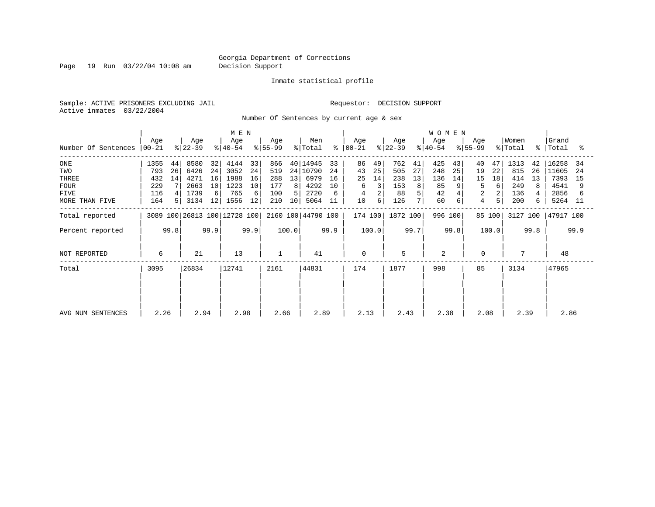Page 19 Run 03/22/04 10:08 am Decision Support

#### Inmate statistical profile

Sample: ACTIVE PRISONERS EXCLUDING JAIL **Requestor: DECISION SUPPORT** Active inmates 03/22/2004

Number Of Sentences by current age & sex

|                     |                  |      |                  | M E N |                              |      |                  |       |                    |      |                      |       |                  | <b>WOMEN</b> |                  |      |                    |        |                  |      |                    |      |
|---------------------|------------------|------|------------------|-------|------------------------------|------|------------------|-------|--------------------|------|----------------------|-------|------------------|--------------|------------------|------|--------------------|--------|------------------|------|--------------------|------|
| Number Of Sentences | Age<br>$ 00-21 $ |      | Age<br>$ 22-39 $ |       | Age<br>$ 40-54 $             |      | Age<br>$8 55-99$ |       | Men<br>% Total     |      | Age<br>$8   00 - 21$ |       | Age<br>$ 22-39 $ |              | Age<br>$8 40-54$ |      | Age<br>$8155 - 99$ |        | Women<br>% Total |      | Grand<br>%   Total | ႜ    |
|                     |                  |      |                  |       |                              |      |                  |       |                    |      |                      |       |                  |              |                  |      |                    |        |                  |      |                    |      |
| ONE                 | 1355             | 44   | 8580             | 32    | 4144                         | 33   | 866              |       | 40 14945           | 33   | 86                   | 49    | 762              | 41           | 425              | 43   | 40                 | 47     | 1313             | 42   | 16258              | -34  |
| TWO                 | 793              | 26   | 6426             | 24    | 3052                         | 24   | 519              |       | 24 10790           | 24   | 43                   | 25    | 505              | 27           | 248              | 25   | 19                 | 22     | 815              | 26   | 11605              | -24  |
| THREE               | 432              | 14   | 4271             | 16    | 1988                         | 16   | 288              | 13    | 6979               | 16   | 25                   | 14    | 238              | 13           | 136              | 14   | 15                 | 18     | 414              | 13   | 7393               | 15   |
| <b>FOUR</b>         | 229              |      | 2663             | 10    | 1223                         | 10   | 177              | 8     | 4292               | 10   | 6                    |       | 153              | 8            | 85               |      | 5                  | 6      | 249              | 8    | 4541               | 9    |
| <b>FIVE</b>         | 116              |      | 1739             | 6     | 765                          | 6    | 100              |       | 2720               | 6    |                      |       | 88               |              | 42               |      | 2                  |        | 136              |      | 2856               |      |
| MORE THAN FIVE      | 164              |      | 3134             | 12    | 1556                         | 12   | 210              | 10    | 5064               | 11   | 10                   | 6 I   | 126              |              | 60               | 6    | 4                  | 5      | 200              | 6.   | 5264 11            |      |
| Total reported      |                  |      |                  |       | 3089 100 26813 100 12728 100 |      |                  |       | 2160 100 44790 100 |      | 174 100              |       | 1872 100         |              | 996 100          |      |                    | 85 100 | 3127 100         |      | 47917 100          |      |
| Percent reported    |                  | 99.8 |                  | 99.9  |                              | 99.9 |                  | 100.0 |                    | 99.9 |                      | 100.0 |                  | 99.7         |                  | 99.8 |                    | 100.0  |                  | 99.8 |                    | 99.9 |
| NOT REPORTED        | 6                |      | 21               |       | 13                           |      |                  |       | 41                 |      | $\Omega$             |       | 5                |              | 2                |      | $\Omega$           |        |                  |      | 48                 |      |
| Total               | 3095             |      | 26834            |       | 12741                        |      | 2161             |       | 44831              |      | 174                  |       | 1877             |              | 998              |      | 85                 |        | 3134             |      | 47965              |      |
|                     |                  |      |                  |       |                              |      |                  |       |                    |      |                      |       |                  |              |                  |      |                    |        |                  |      |                    |      |
|                     |                  |      |                  |       |                              |      |                  |       |                    |      |                      |       |                  |              |                  |      |                    |        |                  |      |                    |      |
|                     |                  |      |                  |       |                              |      |                  |       |                    |      |                      |       |                  |              |                  |      |                    |        |                  |      |                    |      |
| AVG NUM SENTENCES   | 2.26             |      | 2.94             |       | 2.98                         |      | 2.66             |       | 2.89               |      | 2.13                 |       | 2.43             |              | 2.38             |      | 2.08               |        | 2.39             |      | 2.86               |      |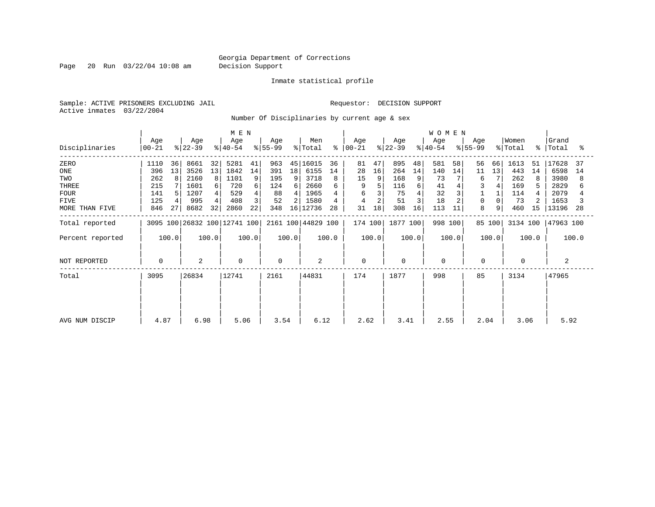Page 20 Run 03/22/04 10:08 am Decision Support

#### Inmate statistical profile

Sample: ACTIVE PRISONERS EXCLUDING JAIL **Requestor: DECISION SUPPORT** Active inmates 03/22/2004

Number Of Disciplinaries by current age & sex

|                             |                         |                                | M E N                        |                                  |                              |                      |                            | <b>WOMEN</b>           |                      |                         |                           |
|-----------------------------|-------------------------|--------------------------------|------------------------------|----------------------------------|------------------------------|----------------------|----------------------------|------------------------|----------------------|-------------------------|---------------------------|
| Disciplinaries              | Age<br>$ 00-21$         | Age<br>$ 22-39 $               | Age<br>$ 40-54 $             | Age<br>$ 55-99 $                 | Men<br>% Total<br>⊱          | Age<br>$ 00-21 $     | Age<br>$ 22-39 $           | Age<br>$8 40-54$       | Age<br>$ 55-99 $     | Women<br>% Total        | Grand<br>%   Total<br>ႜ   |
| ZERO<br>ONE                 | 1110<br>36<br>13<br>396 | 8661<br>32<br>13<br>3526       | 5281<br>41<br>1842<br>14     | 963<br>391<br>18 <sup>1</sup>    | 45 16015<br>36<br>6155<br>14 | 81<br>47<br>28<br>16 | 895<br>48<br>264<br>14     | 581<br>58<br>140<br>14 | 56<br>66<br>11<br>13 | 1613<br>51<br>443<br>14 | 17628<br>37<br>6598<br>14 |
| TWO<br>THREE<br><b>FOUR</b> | 262<br>8<br>215<br>141  | 2160<br>8<br>1601<br>6<br>1207 | 1101<br>9<br>720<br>6<br>529 | 195<br>9<br>124<br>61<br>88<br>4 | 3718<br>8<br>2660<br>1965    | 15<br>9<br>9<br>6    | 168<br>9<br>116<br>6<br>75 | 73<br>41<br>32         | 6<br>3               | 262<br>169<br>114       | 3980<br>2829<br>2079      |
| FIVE<br>MORE THAN FIVE      | 125<br>846<br>27        | 995<br>8682<br>32              | 3<br>408<br>22<br>2860       | 52<br>348                        | 1580<br>4<br>16 12736<br>28  | 4<br>31<br>18        | 51<br>308<br>16            | 18<br>113<br>11        | 0<br>8<br>9          | 73<br>460<br>15         | 1653<br>13196<br>28       |
| Total reported              |                         |                                | 3095 100 26832 100 12741 100 |                                  | 2161 100 44829 100           | 174 100              | 1877 100                   | 998 100                | 85 100               | 3134 100                | 47963 100                 |
| Percent reported            | 100.0                   | 100.0                          | 100.0                        | 100.0                            | 100.0                        | 100.0                | 100.0                      | 100.0                  | 100.0                | 100.0                   | 100.0                     |
| NOT REPORTED                | 0                       | 2                              | 0                            | $\mathbf 0$                      | 2                            | 0                    | 0                          | $\mathbf 0$            | 0                    | 0                       | 2                         |
| Total                       | 3095                    | 26834                          | 12741                        | 2161                             | 44831                        | 174                  | 1877                       | 998                    | 85                   | 3134                    | 47965                     |
| AVG NUM DISCIP              | 4.87                    | 6.98                           | 5.06                         | 3.54                             | 6.12                         | 2.62                 | 3.41                       | 2.55                   | 2.04                 | 3.06                    | 5.92                      |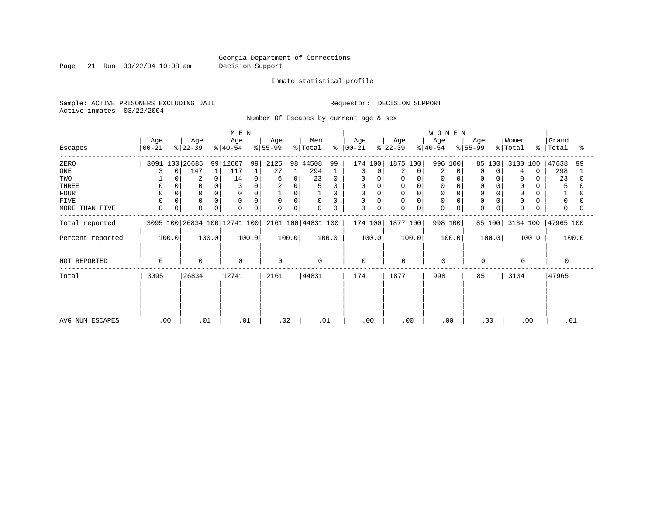Page 21 Run 03/22/04 10:08 am Decision Support

#### Inmate statistical profile

Sample: ACTIVE PRISONERS EXCLUDING JAIL **Requestor: DECISION SUPPORT** Active inmates 03/22/2004

Number Of Escapes by current age & sex

|                  |                  |                              | M E N            |                  |                    |                      |                  | <b>WOMEN</b>     |                            |                  |                         |
|------------------|------------------|------------------------------|------------------|------------------|--------------------|----------------------|------------------|------------------|----------------------------|------------------|-------------------------|
| Escapes          | Age<br>$00 - 21$ | Age<br>$ 22-39 $             | Age<br>$ 40-54 $ | Age<br>$ 55-99 $ | Men<br>% Total     | Age<br>$8   00 - 21$ | Age<br>$ 22-39 $ | Age<br>$ 40-54 $ | Age<br>$ 55-99 $           | Women<br>% Total | Grand<br>%   Total<br>° |
| ZERO             | 3091 100 26685   |                              | 99 12607<br>99   | 2125             | 98 44508<br>99     | 174 100              | 1875 100         | 996<br>100       | 85 100                     | 3130 100         | 47638<br>99             |
| ONE              | $\Omega$         | 147                          | 117<br>1         | 27               | 294                | 0<br>0               | 2<br>0           | 2<br>$\Omega$    | $\Omega$<br>$\Omega$       | $\Omega$         | 298                     |
| TWO              |                  | 2                            | 14<br>0          | 0<br>6           | 23<br>0            | 0                    | 0<br>$\Omega$    |                  | 0                          | 0                | 23                      |
| THREE            | 0                |                              |                  | 0                |                    | 0                    | 0                |                  |                            | 0                |                         |
| <b>FOUR</b>      |                  |                              |                  | 0                |                    | 0                    | $\Omega$<br>0    | $\Omega$         |                            | $\Omega$         |                         |
| FIVE             |                  | $\Omega$                     | 0                | 0<br>0           | 0                  | 0                    | 0<br>0           | 0                | 0                          | $\Omega$         | $\Omega$                |
| MORE THAN FIVE   | $\mathbf 0$<br>0 | $\Omega$                     | $\mathbf 0$<br>0 | $\Omega$<br>0    | $\mathbf 0$        | 0<br>0               | $\mathbf 0$<br>0 | $\mathbf 0$      | $\mathbf 0$<br>$\mathbf 0$ | $\mathbf 0$      | $\Omega$                |
| Total reported   |                  | 3095 100 26834 100 12741 100 |                  |                  | 2161 100 44831 100 | 174 100              | 1877 100         | 998 100          | 85 100                     | 3134 100         | 47965 100               |
| Percent reported | 100.0            | 100.0                        | 100.0            | 100.0            | 100.0              | 100.0                | 100.0            | 100.0            | 100.0                      | 100.0            | 100.0                   |
| NOT REPORTED     | 0                | $\mathbf 0$                  | 0                | $\mathbf 0$      | $\Omega$           | $\mathbf 0$          | 0                | $\mathbf 0$      | $\mathbf 0$                | $\mathbf 0$      |                         |
| Total            | 3095             | 26834                        | 12741            | 2161             | 44831              | 174                  | 1877             | 998              | 85                         | 3134             | 47965                   |
|                  |                  |                              |                  |                  |                    |                      |                  |                  |                            |                  |                         |
|                  |                  |                              |                  |                  |                    |                      |                  |                  |                            |                  |                         |
| AVG NUM ESCAPES  | .00              | .01                          | .01              | .02              | .01                | .00                  | .00              | .00              | .00                        | .00              | .01                     |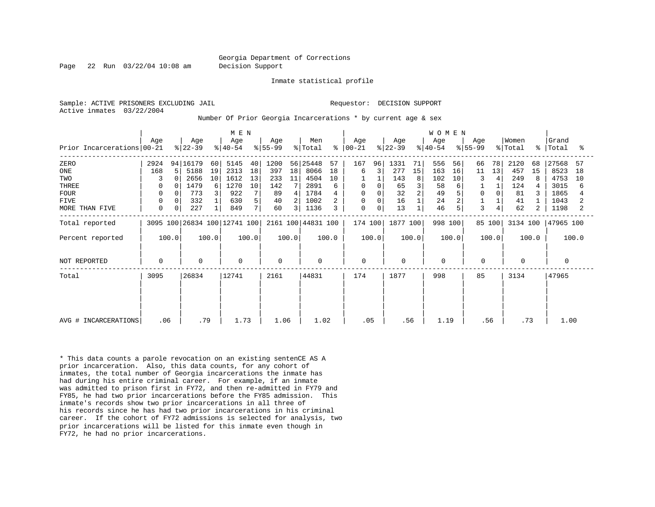Page 22 Run 03/22/04 10:08 am Decision Support

Inmate statistical profile

Active inmates 03/22/2004

Sample: ACTIVE PRISONERS EXCLUDING JAIL RESOLUTION SUPPORT Requestor: DECISION SUPPORT

Number Of Prior Georgia Incarcerations \* by current age & sex

| M E N                                        |             |                  |                   |                   |                              |          |                  |                          |                            |               |                       |       |                  |          | W O M E N        |             |                  |          |                  |                     |                      |          |
|----------------------------------------------|-------------|------------------|-------------------|-------------------|------------------------------|----------|------------------|--------------------------|----------------------------|---------------|-----------------------|-------|------------------|----------|------------------|-------------|------------------|----------|------------------|---------------------|----------------------|----------|
| Prior Incarcerations 00-21                   | Aqe         |                  | Age<br>$ 22-39 $  |                   | Age<br>$ 40-54 $             |          | Age<br>$ 55-99 $ |                          | Men<br>$\frac{1}{2}$ Total | $\frac{6}{6}$ | Age<br>$ 00-21 $      |       | Age<br>$ 22-39 $ |          | Age<br>$ 40-54 $ |             | Age<br>$ 55-99 $ |          | Women<br>% Total | $\approx$ 1         | Grand<br>Total       | ႜ        |
| ZERO<br>ONE                                  | 2924<br>168 | 5                | 94 16179<br>5188  | 60<br>19          | 5145<br>2313                 | 40<br>18 | 1200<br>397      | 18                       | 56 25448<br>8066           | 57<br>18      | 167<br>6              | 96    | 1331<br>277      | 71<br>15 | 556<br>163       | 56<br>16    | 66<br>11         | 78<br>13 | 2120<br>457      | 68<br>15            | 27568<br>8523        | 57<br>18 |
| TWO<br>THREE                                 | 3<br>0      |                  | 2656<br>1479      | 10<br>6           | 1612<br>1270                 | 13<br>10 | 233<br>142       | 11                       | 4504<br>2891               | 10<br>6       | $\mathbf 0$           |       | 143<br>65        | 8        | 102<br>58        | 10<br>6     | 3                | 4        | 249<br>124       | 8                   | 4753<br>3015         | 10<br>6  |
| <b>FOUR</b><br><b>FIVE</b><br>MORE THAN FIVE | 0<br>0<br>0 | 0<br>$\mathbf 0$ | 773<br>332<br>227 | 3<br>$\mathbf{1}$ | 922<br>630<br>849            | 5<br>7   | 89<br>40<br>60   | 4<br>2<br>$\overline{3}$ | 1784<br>1002<br>1136       | 3             | 0<br>0<br>$\mathbf 0$ | 0     | 32<br>16<br>13   |          | 49<br>24<br>46   | 5<br>2<br>5 | 0<br>3           |          | 81<br>41<br>62   | 3<br>$\overline{2}$ | 1865<br>1043<br>1198 |          |
| Total reported                               |             |                  |                   |                   | 3095 100 26834 100 12741 100 |          |                  |                          | 2161 100 44831 100         |               | 174 100               |       | 1877 100         |          | 998 100          |             |                  | 85 100   | 3134 100         |                     | 47965 100            |          |
| Percent reported                             |             | 100.0            |                   | 100.0             |                              | 100.0    |                  | 100.0                    |                            | 100.0         |                       | 100.0 |                  | 100.0    |                  | 100.0       |                  | 100.0    |                  | 100.0               |                      | 100.0    |
| NOT REPORTED                                 | 0           |                  | $\mathbf 0$       |                   | $\mathbf 0$                  |          | 0                |                          | $\mathbf 0$                |               | $\mathbf 0$           |       | $\mathbf 0$      |          | $\mathbf 0$      |             | 0                |          | $\Omega$         |                     | 0                    |          |
| Total                                        | 3095        |                  | 26834             |                   | 12741                        |          | 2161             |                          | 44831                      |               | 174                   |       | 1877             |          | 998              |             | 85               |          | 3134             |                     | 47965                |          |
| AVG # INCARCERATIONS                         | .06         |                  | .79               |                   | 1.73                         |          | 1.06             |                          | 1.02                       |               | .05                   |       | .56              |          | 1.19             |             | .56              |          |                  | .73                 | 1.00                 |          |

\* This data counts a parole revocation on an existing sentenCE AS A prior incarceration. Also, this data counts, for any cohort of inmates, the total number of Georgia incarcerations the inmate has had during his entire criminal career. For example, if an inmate was admitted to prison first in FY72, and then re-admitted in FY79 and FY85, he had two prior incarcerations before the FY85 admission. This inmate's records show two prior incarcerations in all three of his records since he has had two prior incarcerations in his criminal career. If the cohort of FY72 admissions is selected for analysis, two prior incarcerations will be listed for this inmate even though in FY72, he had no prior incarcerations.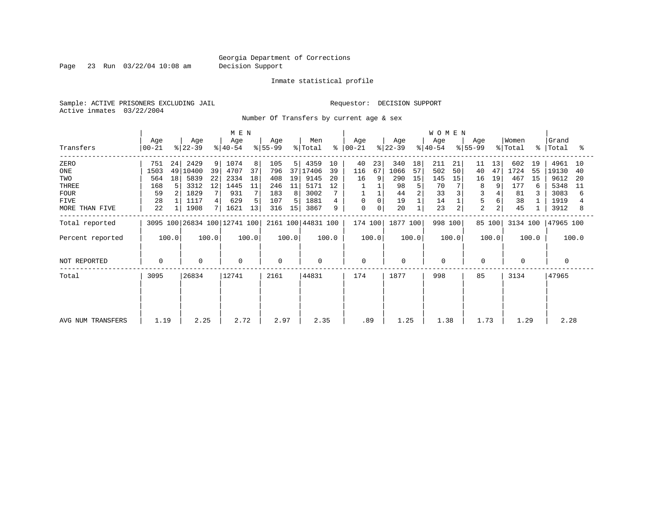Page 23 Run 03/22/04 10:08 am Decision Support

### Inmate statistical profile

Sample: ACTIVE PRISONERS EXCLUDING JAIL **Requestor: DECISION SUPPORT** Active inmates 03/22/2004

Number Of Transfers by current age & sex

|                   | M E N          |       |                  |                |                              |       |                  |                 |                    |       |                      |             |                  |       | <b>WOMEN</b>     |       |                  |        |                  |       |                    |       |
|-------------------|----------------|-------|------------------|----------------|------------------------------|-------|------------------|-----------------|--------------------|-------|----------------------|-------------|------------------|-------|------------------|-------|------------------|--------|------------------|-------|--------------------|-------|
| Transfers         | Age<br>  00-21 |       | Age<br>$ 22-39 $ |                | Age<br>$ 40-54 $             |       | Age<br>$8 55-99$ |                 | Men<br>% Total     |       | Age<br>$8   00 - 21$ |             | Age<br>$ 22-39 $ |       | Age<br>$8 40-54$ |       | Age<br>$ 55-99 $ |        | Women<br>% Total |       | Grand<br>%   Total | °≈    |
| ZERO              | 751            | 24    | 2429             | 9 <sup>1</sup> | 1074                         | 8     | 105              | 5               | 4359               | 10    | 40                   | 23          | 340              | 18    | 211              | 21    | 11               | 13     | 602              | 19    | 4961               | 10    |
| ONE               | 1503           | 49    | 10400            | 39             | 4707                         | 37    | 796              | 37 <sup>1</sup> | 17406              | 39    | 116                  | 67          | 1066             | 57    | 502              | 50    | 40               | 47     | 1724             | 55    | 19130              | 40    |
| TWO               | 564            | 18    | 5839             | 22             | 2334                         | 18    | 408              | 19              | 9145               | 20    | 16                   | 9           | 290              | 15    | 145              | 15    | 16               | 19     | 467              | 15    | 9612               | 20    |
| THREE             | 168            |       | 3312             | 12             | 1445                         | 11    | 246              | 11              | 5171               | 12    |                      |             | 98               | 5     | 70               |       | 8                |        | 177              |       | 5348               | 11    |
| <b>FOUR</b>       | 59             |       | 1829             |                | 931                          |       | 183              | 8               | 3002               |       |                      |             | 44               |       | 33               |       |                  |        | 81               |       | 3083               | 6     |
| FIVE              | 28             |       | 1117             |                | 629                          | 5     | 107              | 5.              | 1881               |       | 0                    | 0           | 19               |       | 14               |       |                  |        | 38               |       | 1919               |       |
| MORE THAN FIVE    | 22             |       | 1908             |                | 1621                         | 13    | 316              | 15              | 3867               | 9     | $\mathbf 0$          | $\mathbf 0$ | 20               |       | 23               | 2     | $\overline{2}$   |        | 45               |       | 3912               | 8     |
| Total reported    |                |       |                  |                | 3095 100 26834 100 12741 100 |       |                  |                 | 2161 100 44831 100 |       | 174 100              |             | 1877 100         |       | 998 100          |       |                  | 85 100 | 3134 100         |       | 47965 100          |       |
| Percent reported  |                | 100.0 |                  | 100.0          |                              | 100.0 |                  | 100.0           |                    | 100.0 |                      | 100.0       |                  | 100.0 |                  | 100.0 |                  | 100.0  |                  | 100.0 |                    | 100.0 |
| NOT REPORTED      | 0              |       | $\mathbf 0$      |                | $\mathbf 0$                  |       | $\mathbf 0$      |                 | $\mathbf 0$        |       | $\mathbf 0$          |             | 0                |       | 0                |       | 0                |        | $\mathbf 0$      |       |                    |       |
| Total             | 3095           |       | 26834            |                | 12741                        |       | 2161             |                 | 44831              |       | 174                  |             | 1877             |       | 998              |       | 85               |        | 3134             |       | 47965              |       |
|                   |                |       |                  |                |                              |       |                  |                 |                    |       |                      |             |                  |       |                  |       |                  |        |                  |       |                    |       |
| AVG NUM TRANSFERS | 1.19           |       | 2.25             |                | 2.72                         |       | 2.97             |                 | 2.35               |       | .89                  |             | 1.25             |       | 1.38             |       | 1.73             |        | 1.29             |       | 2.28               |       |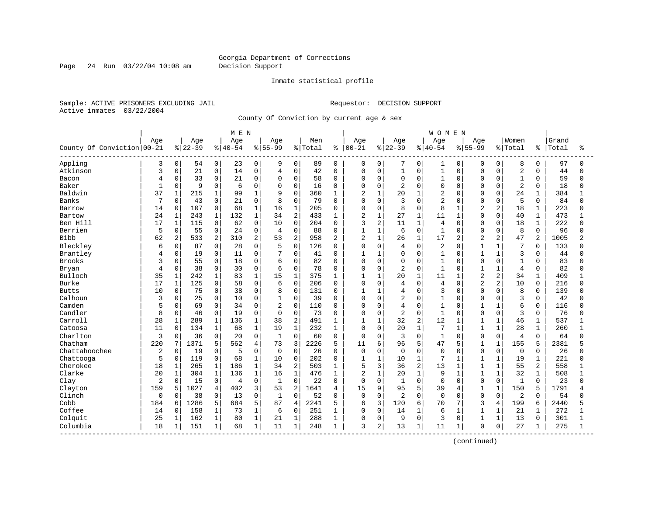Page 24 Run 03/22/04 10:08 am Decision Support

#### Inmate statistical profile

Sample: ACTIVE PRISONERS EXCLUDING JAIL **Requestor: DECISION SUPPORT** Active inmates 03/22/2004

County Of Conviction by current age & sex

|                              |                |              |           |                | M E N     |                |                |                |         |                |                |                |                |                | <b>WOMEN</b>   |                |                |                |                |                |       |              |
|------------------------------|----------------|--------------|-----------|----------------|-----------|----------------|----------------|----------------|---------|----------------|----------------|----------------|----------------|----------------|----------------|----------------|----------------|----------------|----------------|----------------|-------|--------------|
|                              | Age            |              | Age       |                | Age       |                | Age            |                | Men     |                | Age            |                | Age            |                | Age            |                | Age            |                | Women          |                | Grand |              |
| County Of Conviction   00-21 |                |              | $8 22-39$ |                | $8 40-54$ |                | $8 55-99$      |                | % Total | ႜ              | $00 - 21$      |                | $ 22-39$       |                | $8140 - 54$    |                | $8 55-99$      |                | % Total        | ៖              | Total | ႜ            |
| Appling                      | 3              | 0            | 54        | 0 <sup>1</sup> | 23        | 0              | 9              | 0              | 89      | $\mathbf 0$    | 0              | 0              | 7              | 0              | 1              | 0              | 0              | $\mathbf 0$    | 8              | $\Omega$       | 97    | $\Omega$     |
| Atkinson                     | 3              | 0            | 21        | 0              | 14        | $\mathbf 0$    | $\overline{4}$ | 0              | 42      | $\Omega$       | 0              | $\mathbf 0$    | $\overline{1}$ | $\mathbf 0$    | $1\,$          | 0              | $\mathbf 0$    | $\Omega$       | $\overline{2}$ | $\Omega$       | 44    | $\Omega$     |
| Bacon                        | 4              | 0            | 33        | 0              | 21        | $\mathbf 0$    | $\mathbf 0$    | $\Omega$       | 58      | $\mathbf 0$    | 0              | $\mathbf 0$    | 0              | $\Omega$       | $\mathbf{1}$   | $\Omega$       | $\Omega$       | $\Omega$       | 1              | $\Omega$       | 59    | $\Omega$     |
| Baker                        | $\mathbf{1}$   | 0            | 9         | 0              | 6         | $\mathbf 0$    | $\Omega$       | $\Omega$       | 16      | $\Omega$       | $\Omega$       | $\mathbf 0$    | 2              | $\Omega$       | $\mathbf 0$    | $\cap$         | $\Omega$       | $\Omega$       | $\overline{2}$ | $\Omega$       | 18    |              |
| Baldwin                      | 37             | $\mathbf{1}$ | 215       | $\mathbf{1}$   | 99        | $\mathbf{1}$   | 9              | $\Omega$       | 360     | -1             | $\overline{c}$ | $\mathbf{1}$   | 20             | $\mathbf{1}$   | $\overline{2}$ | $\cap$         | $\Omega$       | $\Omega$       | 24             | $\mathbf 1$    | 384   |              |
| Banks                        | 7              | 0            | 43        | 0              | 21        | $\mathbf 0$    | 8              | $\mathbf 0$    | 79      | $\Omega$       | 0              | $\Omega$       | 3              | $\Omega$       | $\overline{2}$ | $\Omega$       | $\Omega$       | $\Omega$       | 5              | $\Omega$       | 84    | U            |
| Barrow                       | 14             | 0            | 107       | 0              | 68        | $1\,$          | 16             | $\mathbf 1$    | 205     | $\Omega$       | 0              | $\mathbf 0$    | 8              | $\Omega$       | 8              | $\mathbf{1}$   | $\overline{c}$ | 2              | 18             | $\mathbf{1}$   | 223   |              |
| Bartow                       | 24             | $\mathbf 1$  | 243       | $\mathbf{1}$   | 132       | $\mathbf{1}$   | 34             | 2              | 433     | 1              | $\overline{2}$ | $\mathbf{1}$   | 27             | $\mathbf{1}$   | 11             | $\mathbf{1}$   | $\Omega$       | $\Omega$       | 40             | $\mathbf 1$    | 473   | $\mathbf{1}$ |
| Ben Hill                     | 17             | $\mathbf{1}$ | 115       | 0              | 62        | $\mathbf 0$    | 10             | 0              | 204     | 0              | 3              | $\overline{2}$ | 11             | $\mathbf{1}$   | $\overline{4}$ | $\Omega$       | $\Omega$       | 0              | 18             | 1              | 222   |              |
| Berrien                      | 5              | 0            | 55        | 0              | 24        | $\mathbf 0$    | $\overline{4}$ | 0              | 88      | $\mathbf{0}$   | $\mathbf{1}$   | $\mathbf{1}$   | 6              | $\Omega$       | $\mathbf{1}$   | $\Omega$       | $\Omega$       | $\Omega$       | 8              | $\Omega$       | 96    |              |
| Bibb                         | 62             | 2            | 533       | $\overline{a}$ | 310       | 2              | 53             | $\overline{2}$ | 958     | $\overline{2}$ | $\overline{a}$ | $\mathbf{1}$   | 26             | $\mathbf{1}$   | 17             | $\overline{a}$ | $\overline{c}$ | 2              | 47             | $\overline{a}$ | 1005  |              |
| Bleckley                     | 6              | 0            | 87        | $\mathbf{0}$   | 28        | $\mathbf 0$    | 5              | $\mathbf 0$    | 126     | $\Omega$       | 0              | $\Omega$       | 4              | $\Omega$       | $\overline{2}$ | $\Omega$       | $\mathbf{1}$   | $\mathbf{1}$   | 7              | $\Omega$       | 133   |              |
| Brantley                     |                | 0            | 19        | 0              | 11        | $\mathbf 0$    |                | 0              | 41      | $\mathbf 0$    | 1              | $\mathbf{1}$   | $\Omega$       | $\mathbf 0$    | $\mathbf{1}$   | $\Omega$       | $\mathbf{1}$   | $\mathbf 1$    | 3              | $\Omega$       | 44    |              |
| <b>Brooks</b>                | 3              | 0            | 55        | 0              | 18        | $\mathbf 0$    | 6              | $\Omega$       | 82      | $\Omega$       | 0              | $\mathbf 0$    | 0              | $\Omega$       | $\mathbf{1}$   | $\Omega$       | $\Omega$       | $\Omega$       | $\mathbf{1}$   | $\Omega$       | 83    |              |
| Bryan                        | 4              | 0            | 38        | 0              | 30        | $\mathbf 0$    | 6              | 0              | 78      | 0              | $\Omega$       | 0              | 2              | 0              | $\mathbf{1}$   | $\Omega$       | 1              | $\mathbf{1}$   | 4              | 0              | 82    |              |
| Bulloch                      | 35             | 1            | 242       | $\mathbf{1}$   | 83        | $\mathbf{1}$   | 15             | $\mathbf{1}$   | 375     | $\mathbf{1}$   | 1              | $\mathbf{1}$   | 20             | $\mathbf{1}$   | 11             | 1              | $\overline{2}$ | $\overline{2}$ | 34             | $\mathbf{1}$   | 409   |              |
| Burke                        | 17             | $\mathbf{1}$ | 125       | 0              | 58        | $\Omega$       | 6              | $\Omega$       | 206     | $\Omega$       | $\Omega$       | $\Omega$       | 4              | $\Omega$       | 4              | $\Omega$       | $\overline{a}$ | $\overline{2}$ | 10             | $\Omega$       | 216   | ∩            |
| <b>Butts</b>                 | 10             | $\Omega$     | 75        | $\Omega$       | 38        | $\Omega$       | 8              | $\Omega$       | 131     | $\Omega$       | 1              | $\mathbf{1}$   | 4              | $\Omega$       | 3              | $\Omega$       | $\Omega$       | $\Omega$       | 8              | $\Omega$       | 139   |              |
| Calhoun                      | 3              | 0            | 25        | 0              | 10        | $\mathbf 0$    | $\mathbf{1}$   | 0              | 39      | $\Omega$       | $\Omega$       | $\mathbf 0$    | $\overline{2}$ | $\Omega$       | $\mathbf{1}$   | $\Omega$       | $\Omega$       | $\mathbf 0$    | 3              | $\Omega$       | 42    |              |
| Camden                       | 5              | 0            | 69        | 0              | 34        | $\mathbf 0$    | $\overline{2}$ | $\mathbf 0$    | 110     | $\Omega$       | $\Omega$       | $\mathbf 0$    | 4              | $\Omega$       | $\mathbf{1}$   | $\Omega$       | $\mathbf{1}$   | $\mathbf{1}$   | 6              | $\Omega$       | 116   | U            |
| Candler                      | 8              | 0            | 46        | 0              | 19        | $\Omega$       | $\Omega$       | $\Omega$       | 73      | $\Omega$       | $\Omega$       | $\mathbf 0$    | $\overline{2}$ | $\Omega$       | $\mathbf{1}$   | $\Omega$       | $\Omega$       | $\Omega$       | 3              | $\Omega$       | 76    |              |
| Carroll                      | 28             | $\mathbf 1$  | 289       | $\mathbf 1$    | 136       | $\mathbf{1}$   | 38             | $\overline{2}$ | 491     | -1             | $\mathbf{1}$   | $\mathbf{1}$   | 32             | 2              | 12             | $\mathbf{1}$   | $\mathbf{1}$   | $\mathbf{1}$   | 46             | 1              | 537   |              |
| Catoosa                      | 11             | $\Omega$     | 134       | $\mathbf{1}$   | 68        | $\mathbf{1}$   | 19             | $\mathbf{1}$   | 232     | 1              | $\Omega$       | $\Omega$       | 20             | $\mathbf{1}$   | 7              | $\mathbf{1}$   | 1              | $\mathbf{1}$   | 28             | $\mathbf{1}$   | 260   |              |
| Charlton                     | 3              | 0            | 36        | 0              | 20        | $\Omega$       | $\mathbf{1}$   | $\Omega$       | 60      | $\Omega$       | $\Omega$       | $\Omega$       | 3              | $\Omega$       | $\mathbf{1}$   | $\Omega$       | $\Omega$       | $\Omega$       | 4              | $\Omega$       | 64    |              |
| Chatham                      | 220            | 7            | 1371      | 5              | 562       | $\overline{4}$ | 73             | 3              | 2226    | 5              | 11             | 6              | 96             | 5              | 47             | 5              | $\overline{1}$ | $\mathbf{1}$   | 155            | 5              | 2381  |              |
| Chattahoochee                | $\overline{2}$ | 0            | 19        | 0              | 5         | $\Omega$       | $\mathbf 0$    | $\mathbf 0$    | 26      | $\Omega$       | $\mathbf 0$    | $\mathbf 0$    | $\mathbf 0$    | $\Omega$       | $\Omega$       | $\Omega$       | $\Omega$       | $\Omega$       | $\Omega$       | $\Omega$       | 26    |              |
| Chattooga                    | 5              | $\mathbf 0$  | 119       | 0              | 68        | $1\,$          | 10             | $\Omega$       | 202     | 0              | $\mathbf{1}$   | $\mathbf{1}$   | 10             | $\mathbf{1}$   | 7              | 1              | $\mathbf{1}$   | $\mathbf{1}$   | 19             | 1              | 221   |              |
| Cherokee                     | 18             | 1            | 265       | $\mathbf 1$    | 186       | $\mathbf 1$    | 34             | $\overline{2}$ | 503     | 1              | 5              | 3              | 36             | $\overline{c}$ | 13             | $\mathbf{1}$   | 1              | $\mathbf{1}$   | 55             | 2              | 558   |              |
| Clarke                       | 20             | $\mathbf 1$  | 304       | $\mathbf{1}$   | 136       | $\mathbf{1}$   | 16             | $\mathbf{1}$   | 476     | 1              | $\overline{2}$ | $\mathbf{1}$   | 20             | $\mathbf{1}$   | 9              | $\mathbf{1}$   | $\mathbf{1}$   | $\mathbf{1}$   | 32             | $\mathbf{1}$   | 508   |              |
| Clay                         | 2              | 0            | 15        | 0              | 4         | $\mathsf 0$    | $\mathbf{1}$   | $\mathbf 0$    | 22      | $\mathbf 0$    | 0              | $\mathbf 0$    | $\mathbf 1$    | $\Omega$       | $\mathbf 0$    | $\Omega$       | $\mathbf 0$    | $\mathbf 0$    | $\mathbf{1}$   | $\Omega$       | 23    |              |
| Clayton                      | 159            | 5            | 1027      | 4              | 402       | 3              | 53             | $\overline{2}$ | 1641    | $\overline{4}$ | 15             | 9              | 95             | 5              | 39             | 4              | $\mathbf{1}$   | $\mathbf{1}$   | 150            | 5              | 1791  |              |
| Clinch                       | 0              | 0            | 38        | 0              | 13        | $\mathbf 0$    | $\mathbf{1}$   | $\Omega$       | 52      | $\Omega$       | 0              | $\mathbf 0$    | $\overline{a}$ | $\Omega$       | $\mathbf 0$    | $\Omega$       | $\mathbf 0$    | $\mathbf 0$    | 2              | $\Omega$       | 54    | Λ            |
| Cobb                         | 184            | 6            | 1286      | 5              | 684       | 5              | 87             | $\overline{4}$ | 2241    | 5              | 6              | 3              | 120            | 6              | 70             | 7              | 3              | 4              | 199            | 6              | 2440  |              |
| Coffee                       | 14             | $\Omega$     | 158       | $\mathbf{1}$   | 73        | $\mathbf{1}$   | 6              | $\Omega$       | 251     | $\mathbf{1}$   | $\Omega$       | $\Omega$       | 14             | $\mathbf{1}$   | 6              | $\mathbf{1}$   | $\mathbf{1}$   | $\mathbf{1}$   | 21             | $\mathbf 1$    | 272   |              |
| Colquit                      | 25             | $\mathbf{1}$ | 162       | $\mathbf{1}$   | 80        | $\mathbf{1}$   | 21             | $\mathbf{1}$   | 288     | $\mathbf{1}$   | 0              | $\mathbf 0$    | 9              | $\Omega$       | 3              | $\Omega$       | $\mathbf{1}$   | $\mathbf{1}$   | 13             | $\Omega$       | 301   |              |
| Columbia                     | 18             | 1            | 151       | 1              | 68        | $\mathbf{1}$   | 11             | $\mathbf{1}$   | 248     | 1              | 3              | 2              | 13             | $\mathbf 1$    | 11             | 1              | $\Omega$       | 0              | 27             | 1              | 275   |              |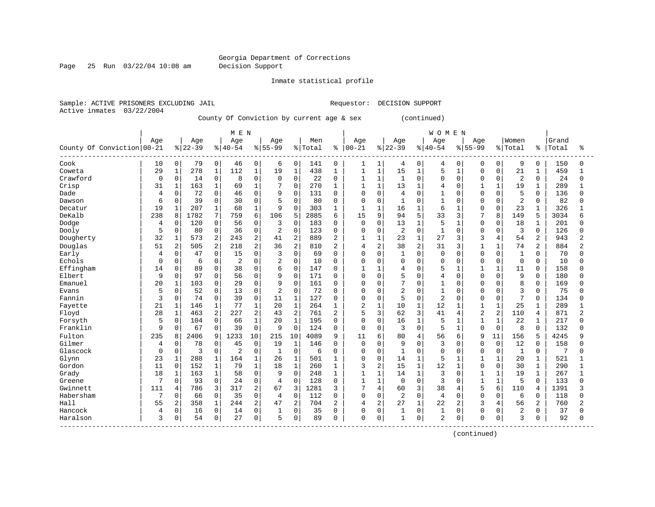Page 25 Run 03/22/04 10:08 am Decision Support

Inmate statistical profile

Sample: ACTIVE PRISONERS EXCLUDING JAIL **Requestor: DECISION SUPPORT** Active inmates 03/22/2004

County Of Conviction by current age & sex (continued)

|                            |          |                |          |              | M E N          |                |                |                |         |                |                |                |                |                | <b>WOMEN</b>   |                |                |                |                |                |       |                |
|----------------------------|----------|----------------|----------|--------------|----------------|----------------|----------------|----------------|---------|----------------|----------------|----------------|----------------|----------------|----------------|----------------|----------------|----------------|----------------|----------------|-------|----------------|
|                            | Age      |                | Age      |              | Age            |                | Age            |                | Men     |                | Age            |                | Age            |                | Age            |                | Age            |                | Women          |                | Grand |                |
| County Of Conviction 00-21 |          |                | $ 22-39$ |              | $8 40-54$      |                | $8 55-99$      |                | % Total | ႜ              | $ 00 - 21$     |                | $8 22-39$      |                | $8140 - 54$    |                | $8155 - 99$    |                | % Total        | ႜ              | Total | ႜ              |
| Cook                       | 10       | 0              | 79       | $\mathbf 0$  | 46             | $\mathbf 0$    | 6              | 0              | 141     | 0              | 1              | 1              | 4              | 0              | 4              | 0              | 0              | 0              | 9              | $\mathbf 0$    | 150   | n              |
| Coweta                     | 29       | 1              | 278      | 1            | 112            | $\mathbf{1}$   | 19             | $\mathbf 1$    | 438     | $\mathbf{1}$   | $\mathbf{1}$   | $\mathbf{1}$   | 15             | $\mathbf{1}$   | 5              | $\mathbf{1}$   | $\Omega$       | $\Omega$       | 21             | $\mathbf 1$    | 459   |                |
| Crawford                   | 0        | 0              | 14       | $\mathbf 0$  | 8              | $\mathbf 0$    | $\mathbf 0$    | $\Omega$       | 22      | 0              | 1              | $\mathbf{1}$   | $\mathbf{1}$   | $\Omega$       | $\Omega$       | $\Omega$       | $\Omega$       | $\Omega$       | $\overline{2}$ | $\mathbf 0$    | 24    | $\Omega$       |
| Crisp                      | 31       | $\mathbf{1}$   | 163      | $\mathbf{1}$ | 69             | $\mathbf{1}$   |                | $\mathbf 0$    | 270     | 1              | $\mathbf{1}$   | $\mathbf{1}$   | 13             | $\mathbf{1}$   | 4              | $\Omega$       | $\mathbf{1}$   | $\mathbf{1}$   | 19             | $\mathbf{1}$   | 289   |                |
| Dade                       | 4        | 0              | 72       | $\mathbf 0$  | 46             | $\Omega$       | 9              | $\Omega$       | 131     | $\Omega$       | $\mathbf 0$    | $\mathbf 0$    | $\overline{4}$ | $\Omega$       | $\mathbf{1}$   | O              | $\Omega$       | $\Omega$       | 5              | $\Omega$       | 136   | $\Omega$       |
| Dawson                     | 6        | 0              | 39       | $\mathbf 0$  | 30             | $\mathbf{0}$   | 5              | $\Omega$       | 80      | 0              | $\mathbf 0$    | $\mathbf 0$    | $\mathbf{1}$   | $\Omega$       | $\mathbf{1}$   | $\Omega$       | $\Omega$       | $\Omega$       | $\overline{2}$ | $\Omega$       | 82    |                |
| Decatur                    | 19       | 1              | 207      | 1            | 68             | 1              | 9              | $\Omega$       | 303     | 1              | 1              | 1              | 16             | 1              | 6              |                | $\Omega$       | $\Omega$       | 23             |                | 326   |                |
| DeKalb                     | 238      | 8              | 1782     | 7            | 759            | 6              | 106            | 5              | 2885    | 6              | 15             | 9              | 94             | 5              | 33             | 3              | 7              | 8              | 149            | 5              | 3034  |                |
| Dodge                      | 4        | $\mathbf 0$    | 120      | $\mathbf 0$  | 56             | $\mathbf 0$    | 3              | $\Omega$       | 183     | 0              | $\mathbf 0$    | $\Omega$       | 13             | $\mathbf{1}$   | 5              | 1              | $\Omega$       | $\Omega$       | 18             | 1              | 201   | ∩              |
| Dooly                      | 5        | 0              | 80       | $\mathbf 0$  | 36             | $\mathbf 0$    | 2              | $\mathbf 0$    | 123     | $\mathbf 0$    | $\mathbf 0$    | $\mathbf 0$    | $\overline{2}$ | $\Omega$       | $\mathbf{1}$   | $\Omega$       | $\Omega$       | $\Omega$       | 3              | $\Omega$       | 126   | O              |
| Dougherty                  | 32       | $\mathbf{1}$   | 573      | 2            | 243            | $\overline{a}$ | 41             | 2              | 889     | $\overline{2}$ | $\mathbf{1}$   | 1              | 23             | $\mathbf{1}$   | 27             | 3              | 3              | 4              | 54             | $\overline{a}$ | 943   | 2              |
| Douglas                    | 51       | 2              | 505      | 2            | 218            | $\overline{2}$ | 36             | 2              | 810     | 2              | 4              | 2              | 38             | $\overline{a}$ | 31             | 3              |                | $\mathbf{1}$   | 74             | 2              | 884   | 2              |
| Early                      | 4        | 0              | 47       | $\mathbf 0$  | 15             | $\Omega$       | 3              | $\Omega$       | 69      | $\Omega$       | $\Omega$       | $\Omega$       | $\mathbf{1}$   | $\Omega$       | $\mathbf 0$    | $\Omega$       | $\Omega$       | $\Omega$       | $\mathbf{1}$   | $\Omega$       | 70    | Λ              |
| Echols                     | $\Omega$ | $\mathbf 0$    | 6        | $\mathbf 0$  | $\overline{2}$ | $\Omega$       | 2              | $\Omega$       | 10      | $\Omega$       | $\Omega$       | $\Omega$       | $\Omega$       | $\Omega$       | $\Omega$       | 0              | $\Omega$       | $\Omega$       | $\Omega$       | $\Omega$       | 10    | U              |
| Effingham                  | 14       | $\mathbf 0$    | 89       | $\mathbf 0$  | 38             | $\mathbf 0$    | 6              | $\mathbf 0$    | 147     | 0              | 1              |                | 4              | $\Omega$       | 5              |                |                | $\mathbf{1}$   | 11             | 0              | 158   |                |
| Elbert                     | 9        | $\mathbf 0$    | 97       | $\mathbf 0$  | 56             | $\Omega$       | 9              | $\Omega$       | 171     | 0              | $\mathbf 0$    | $\Omega$       | 5              | $\Omega$       | 4              | $\Omega$       | $\Omega$       | $\Omega$       | 9              | $\Omega$       | 180   |                |
| Emanuel                    | 20       | $\mathbf{1}$   | 103      | 0            | 29             | $\Omega$       | 9              | $\Omega$       | 161     | $\Omega$       | $\Omega$       | $\Omega$       | 7              | $\Omega$       | $\mathbf{1}$   | $\Omega$       | $\Omega$       | $\Omega$       | 8              | $\Omega$       | 169   |                |
| Evans                      | 5        | $\mathbf 0$    | 52       | $\Omega$     | 13             | $\Omega$       | $\overline{a}$ | $\Omega$       | 72      | $\Omega$       | 0              | $\Omega$       | $\overline{2}$ | $\Omega$       | $\mathbf{1}$   | $\Omega$       | $\Omega$       | $\Omega$       | 3              | $\Omega$       | 75    |                |
| Fannin                     | 3        | 0              | 74       | $\mathbf 0$  | 39             | $\mathbf 0$    | 11             | $1\,$          | 127     | 0              | 0              | $\mathbf{0}$   | 5              | 0              | $\overline{2}$ | 0              | $\Omega$       | $\mathbf 0$    | 7              | $\mathbf 0$    | 134   |                |
| Fayette                    | 21       | $\mathbf{1}$   | 146      | 1            | 77             | $\mathbf{1}$   | 20             | $1\,$          | 264     | $\mathbf{1}$   | $\overline{2}$ | $\mathbf{1}$   | 10             | $\mathbf{1}$   | 12             | $\mathbf 1$    | $\mathbf{1}$   | $\mathbf{1}$   | 25             | $\mathbf{1}$   | 289   |                |
| Floyd                      | 28       | $\mathbf{1}$   | 463      | 2            | 227            | $\overline{2}$ | 43             | $\overline{2}$ | 761     | 2              | 5              | 3              | 62             | 3              | 41             | 4              | $\overline{2}$ | $\overline{a}$ | 110            | 4              | 871   | $\overline{2}$ |
| Forsyth                    | 5        | $\mathbf 0$    | 104      | $\mathbf 0$  | 66             | 1              | 20             | $\mathbf{1}$   | 195     | 0              | $\mathbf 0$    | 0              | 16             | 1              | 5              |                | $\mathbf{1}$   | 1              | 22             | 1              | 217   | U              |
| Franklin                   | 9        | $\mathbf 0$    | 67       | $\mathbf 0$  | 39             | $\mathbf 0$    | 9              | $\Omega$       | 124     | 0              | $\mathbf 0$    | $\mathbf 0$    | 3              | 0              | 5              | $\mathbf{1}$   | $\Omega$       | $\mathbf 0$    | 8              | $\Omega$       | 132   |                |
| Fulton                     | 235      | 8              | 2406     | 9            | 1233           | 10             | 215            | 10             | 4089    | 9              | 11             | 6              | 80             | 4              | 56             | 6              | 9              | 11             | 156            | 5              | 4245  |                |
| Gilmer                     | 4        | $\mathbf 0$    | 78       | 0            | 45             | $\mathbf 0$    | 19             | 1              | 146     | 0              | $\mathbf 0$    | $\Omega$       | 9              | $\Omega$       | 3              | $\Omega$       | $\Omega$       | $\Omega$       | 12             | 0              | 158   | ∩              |
| Glascock                   | $\Omega$ | $\mathbf 0$    | 3        | $\mathbf 0$  | 2              | $\mathbf 0$    | $\mathbf{1}$   | $\Omega$       | 6       | $\Omega$       | $\mathbf 0$    | $\Omega$       | $\mathbf{1}$   | $\Omega$       | $\Omega$       | $\Omega$       | $\Omega$       | $\Omega$       | $\mathbf{1}$   | $\Omega$       | 7     | U              |
| Glynn                      | 23       | $\mathbf{1}$   | 288      | 1            | 164            | 1              | 26             | $\mathbf 1$    | 501     | 1              | 0              | $\mathbf 0$    | 14             | $\mathbf{1}$   | 5              | $\mathbf{1}$   |                | $\mathbf{1}$   | 20             | 1              | 521   |                |
| Gordon                     | 11       | $\mathbf 0$    | 152      | $\mathbf{1}$ | 79             | $\mathbf{1}$   | 18             | $\mathbf{1}$   | 260     | $\mathbf{1}$   | 3              | $\overline{c}$ | 15             | $\mathbf{1}$   | 12             | $\mathbf{1}$   | $\Omega$       | $\Omega$       | 30             | $\mathbf{1}$   | 290   | $\mathbf{1}$   |
| Grady                      | 18       | $1\,$          | 163      | $\mathbf{1}$ | 58             | $\mathbf 0$    | 9              | $\Omega$       | 248     | 1              | $\mathbf{1}$   | $\mathbf{1}$   | 14             | $\mathbf 1$    | 3              | $\Omega$       | $\mathbf{1}$   | $\mathbf{1}$   | 19             | $\mathbf 1$    | 267   | $\mathbf{1}$   |
| Greene                     | 7        | 0              | 93       | $\mathbf 0$  | 24             | $\mathbf 0$    | $\overline{4}$ | $\Omega$       | 128     | 0              | $\mathbf{1}$   | $\mathbf{1}$   | 0              | $\Omega$       | 3              | O              | $\mathbf{1}$   | $\mathbf{1}$   | 5              | $\Omega$       | 133   | U              |
| Gwinnett                   | 111      | 4              | 786      | 3            | 317            | 2              | 67             | 3              | 1281    | 3              | 7              | 4              | 60             | 3              | 38             | 4              | 5              | 6              | 110            | 4              | 1391  |                |
| Habersham                  | 7        | $\Omega$       | 66       | $\Omega$     | 35             | $\Omega$       | 4              | $\Omega$       | 112     | $\Omega$       | $\Omega$       | $\Omega$       | $\overline{2}$ | $\Omega$       | $\overline{4}$ | $\Omega$       | $\Omega$       | <sup>0</sup>   | 6              | $\Omega$       | 118   | ∩              |
| Hall                       | 55       | $\overline{2}$ | 358      | $\mathbf{1}$ | 244            | $\overline{2}$ | 47             | $\overline{2}$ | 704     | $\overline{2}$ | 4              | $\overline{2}$ | 27             | $\mathbf{1}$   | 22             | $\overline{2}$ | 3              | $\overline{4}$ | 56             | 2              | 760   |                |
| Hancock                    | 4        | 0              | 16       | $\mathsf{O}$ | 14             | $\mathbf 0$    | 1              | $\mathbf 0$    | 35      | $\Omega$       | 0              | $\mathbf 0$    | 1              | $\Omega$       | 1              | 0              | $\Omega$       | $\Omega$       | 2              | 0              | 37    |                |
| Haralson                   | 3        | 0              | 54       | $\mathsf{O}$ | 27             | $\mathbf 0$    | 5              | 0              | 89      | 0              | $\mathbf 0$    | 0              | $\mathbf{1}$   | 0              | $\overline{a}$ | 0              | $\Omega$       | $\mathbf 0$    | 3              | 0              | 92    | U              |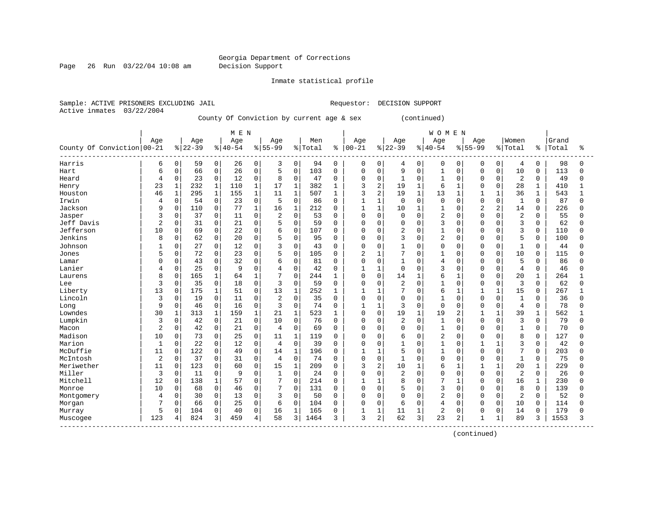Page 26 Run 03/22/04 10:08 am Decision Support

Inmate statistical profile

Sample: ACTIVE PRISONERS EXCLUDING JAIL **Requestor: DECISION SUPPORT** Active inmates 03/22/2004

County Of Conviction by current age & sex (continued)

|                                          |                |              |           |              | M E N       |              |                |              |         |              |                |                |                |              | <b>WOMEN</b>   |              |                |                |                |              |       |              |
|------------------------------------------|----------------|--------------|-----------|--------------|-------------|--------------|----------------|--------------|---------|--------------|----------------|----------------|----------------|--------------|----------------|--------------|----------------|----------------|----------------|--------------|-------|--------------|
|                                          | Age            |              | Age       |              | Age         |              | Age            |              | Men     |              | Age            |                | Age            |              | Age            |              | Age            |                | Women          |              | Grand |              |
| County Of Conviction   00-21             |                |              | $8 22-39$ |              | $8140 - 54$ |              | $8 55-99$      |              | % Total | ႜ            | $ 00 - 21$     |                | $8 22-39$      |              | $8140 - 54$    |              | $8155 - 99$    |                | % Total        | ႜ            | Total | ÷            |
| Harris                                   | 6              | 0            | 59        | 0            | 26          | 0            | 3              | 0            | 94      | 0            | 0              | 0              | 4              | 0            | 0              | 0            | 0              | 0              | $\overline{4}$ | 0            | 98    | 0            |
| Hart                                     | 6              | 0            | 66        | $\mathbf 0$  | 26          | $\mathbf 0$  | 5              | $\Omega$     | 103     | $\mathbf 0$  | $\mathbf 0$    | $\Omega$       | 9              | $\Omega$     | 1              | $\Omega$     | $\Omega$       | $\Omega$       | 10             | $\Omega$     | 113   | $\Omega$     |
| Heard                                    | 4              | 0            | 23        | $\mathbf 0$  | 12          | $\mathbf 0$  | 8              | $\Omega$     | 47      | 0            | 0              | 0              | 1              | 0            |                | $\Omega$     | $\Omega$       | $\Omega$       | 2              | $\Omega$     | 49    | 0            |
| Henry                                    | 23             | $\mathbf{1}$ | 232       | $\mathbf 1$  | 110         | $\mathbf{1}$ | 17             | $\mathbf{1}$ | 382     | 1            | 3              | $\overline{2}$ | 19             | $\mathbf{1}$ | 6              | $\mathbf{1}$ | $\Omega$       | $\Omega$       | 28             | $\mathbf{1}$ | 410   | -1           |
| Houston                                  | 46             | $\mathbf{1}$ | 295       | $\mathbf{1}$ | 155         | $\mathbf{1}$ | 11             | $\mathbf{1}$ | 507     | $\mathbf{1}$ | 3              | $\overline{a}$ | 19             | $\mathbf{1}$ | 13             | 1            | 1              | $\mathbf{1}$   | 36             | $\mathbf 1$  | 543   | $\mathbf{1}$ |
| Irwin                                    | 4              | 0            | 54        | 0            | 23          | 0            | 5              | $\Omega$     | 86      | 0            | 1              | $\mathbf{1}$   | $\mathbf 0$    | 0            | $\Omega$       | $\Omega$     | $\cap$         | $\Omega$       | $\mathbf{1}$   | $\Omega$     | 87    | <sup>0</sup> |
| Jackson                                  | 9              | $\Omega$     | 110       | 0            | 77          | $\mathbf{1}$ | 16             | $\mathbf{1}$ | 212     | $\Omega$     | $\mathbf{1}$   | $\mathbf{1}$   | 10             | 1            |                | $\Omega$     | $\overline{2}$ | $\overline{2}$ | 14             | $\Omega$     | 226   | O            |
| Jasper                                   | 3              | $\Omega$     | 37        | $\mathbf 0$  | 11          | $\Omega$     | $\overline{c}$ | $\Omega$     | 53      | $\Omega$     | $\Omega$       | $\Omega$       | $\Omega$       | O            | $\overline{2}$ | $\Omega$     | $\cap$         | $\cap$         | $\overline{c}$ | $\Omega$     | 55    | U            |
| Jeff Davis                               | $\overline{2}$ | $\Omega$     | 31        | $\mathbf 0$  | 21          | $\Omega$     | 5              | $\Omega$     | 59      | $\Omega$     | $\mathbf 0$    | $\Omega$       | $\Omega$       | $\Omega$     | 3              | $\cap$       | $\cap$         | $\Omega$       | 3              | $\Omega$     | 62    | U            |
| Jefferson                                | 10             | 0            | 69        | $\mathsf 0$  | 22          | 0            | 6              | $\mathbf 0$  | 107     | 0            | 0              | $\Omega$       | $\overline{2}$ | $\Omega$     |                | $\Omega$     | O              | $\Omega$       | 3              | $\Omega$     | 110   | <sup>0</sup> |
| Jenkins                                  | 8              | 0            | 62        | 0            | 20          | 0            | 5              | $\mathbf 0$  | 95      | $\Omega$     | 0              | $\Omega$       | 3              | 0            | $\overline{c}$ | <sup>0</sup> | O              | $\mathbf 0$    | 5              | 0            | 100   | <sup>0</sup> |
| Johnson                                  |                | 0            | 27        | 0            | 12          | 0            | 3              | $\mathbf 0$  | 43      | 0            | 0              | $\Omega$       | 1              | 0            | $\Omega$       | $\Omega$     | O              | $\mathbf 0$    | $\mathbf{1}$   | $\Omega$     | 44    | <sup>0</sup> |
| Jones                                    | 5              | 0            | 72        | $\mathbf 0$  | 23          | $\Omega$     | 5              | $\Omega$     | 105     | $\Omega$     | $\overline{2}$ | $\mathbf{1}$   | 7              | $\Omega$     | 1              | $\Omega$     | $\Omega$       | $\Omega$       | 10             | $\Omega$     | 115   | $\Omega$     |
| Lamar                                    | O              | 0            | 43        | $\mathbf 0$  | 32          | $\Omega$     | 6              | $\Omega$     | 81      | $\Omega$     | $\mathbf 0$    | $\Omega$       | $\mathbf{1}$   | $\Omega$     | $\overline{4}$ | $\Omega$     | $\cap$         | $\Omega$       | 5              | $\Omega$     | 86    | O            |
| Lanier                                   | 4              | 0            | 25        | $\mathbf 0$  | 9           | $\Omega$     | 4              | $\mathbf 0$  | 42      | $\mathbf 0$  | 1              | 1              | $\mathbf 0$    | $\Omega$     | 3              | $\Omega$     | O              | $\Omega$       | $\overline{4}$ | $\Omega$     | 46    | O            |
| Laurens                                  | 8              | 0            | 165       | $\mathbf{1}$ | 64          | $\mathbf{1}$ | 7              | $\Omega$     | 244     | 1            | $\mathbf 0$    | $\mathbf 0$    | 14             | $\mathbf{1}$ | 6              | $\mathbf{1}$ | $\cap$         | $\Omega$       | 20             | 1            | 264   |              |
| Lee                                      | 3              | 0            | 35        | $\Omega$     | 18          | $\Omega$     | 3              | $\Omega$     | 59      | $\Omega$     | $\Omega$       | $\Omega$       | $\overline{2}$ | $\Omega$     | $\mathbf{1}$   | $\Omega$     | $\Omega$       | $\Omega$       | 3              | $\Omega$     | 62    | 0            |
| Liberty                                  | 13             | $\Omega$     | 175       | $\mathbf{1}$ | 51          | $\Omega$     | 13             | $\mathbf{1}$ | 252     | 1            | $\mathbf{1}$   | 1              | 7              | $\Omega$     | 6              | 1            | 1              | 1              | 15             | $\Omega$     | 267   |              |
| Lincoln                                  | 3              | 0            | 19        | $\mathbf 0$  | 11          | 0            | $\overline{2}$ | $\mathbf 0$  | 35      | $\mathbf 0$  | $\mathbf 0$    | 0              | $\mathbf 0$    | 0            |                | $\Omega$     | $\Omega$       | $\mathbf 0$    | $\mathbf{1}$   | $\Omega$     | 36    | 0            |
| Long                                     | 9              | 0            | 46        | 0            | 16          | 0            | 3              | $\Omega$     | 74      | $\mathbf 0$  | $\mathbf{1}$   | $\mathbf{1}$   | 3              | 0            | $\Omega$       | $\Omega$     | $\Omega$       | $\Omega$       | $\overline{4}$ | $\Omega$     | 78    | <sup>0</sup> |
| Lowndes                                  | 30             | 1            | 313       | $\mathbf{1}$ | 159         | $\mathbf{1}$ | 21             | $\mathbf{1}$ | 523     | 1            | $\mathbf 0$    | $\Omega$       | 19             | $\mathbf{1}$ | 19             | 2            | $\mathbf{1}$   |                | 39             | 1            | 562   | $\mathbf{1}$ |
| Lumpkin                                  | 3              | 0            | 42        | 0            | 21          | 0            | 10             | $\Omega$     | 76      | 0            | $\mathbf{0}$   | 0              | $\overline{2}$ | $\Omega$     |                | $\Omega$     | $\Omega$       | $\Omega$       | 3              | 0            | 79    | 0            |
| Macon                                    | 2              | 0            | 42        | 0            | 21          | 0            | 4              | $\mathbf 0$  | 69      | 0            | $\mathbf 0$    | $\Omega$       | $\Omega$       | $\mathbf 0$  | $\mathbf{1}$   | $\Omega$     | $\cap$         | $\Omega$       | $\mathbf{1}$   | $\Omega$     | 70    | U            |
| Madison                                  | 10             | $\Omega$     | 73        | $\mathbf 0$  | 25          | $\Omega$     | 11             | 1            | 119     | 0            | $\Omega$       | $\Omega$       | 6              | $\Omega$     | $\overline{c}$ | $\Omega$     | U              | $\Omega$       | 8              | <sup>0</sup> | 127   | U            |
| Marion                                   | $\mathbf{1}$   | $\Omega$     | 22        | $\mathbf 0$  | 12          | $\Omega$     | $\overline{4}$ | $\Omega$     | 39      | $\Omega$     | $\Omega$       | $\Omega$       | $\mathbf{1}$   | $\cap$       | $\mathbf{1}$   | $\cap$       |                |                | $\overline{3}$ | $\Omega$     | 42    | U            |
| McDuffie                                 | 11             | 0            | 122       | $\mathsf 0$  | 49          | 0            | 14             | $\mathbf{1}$ | 196     | $\Omega$     | 1              | $\mathbf{1}$   | 5              | $\Omega$     |                | $\Omega$     | $\Omega$       | $\Omega$       | 7              | $\Omega$     | 203   | <sup>0</sup> |
| McIntosh                                 | $\overline{2}$ | 0            | 37        | $\mathbf 0$  | 31          | 0            | $\overline{4}$ | $\Omega$     | 74      | $\Omega$     | $\mathbf 0$    | 0              | $\mathbf{1}$   | $\Omega$     | $\Omega$       | $\Omega$     | $\Omega$       | $\Omega$       | $\mathbf{1}$   | $\Omega$     | 75    | <sup>0</sup> |
| Meriwether                               | 11             | 0            | 123       | $\mathsf 0$  | 60          | 0            | 15             | $\mathbf 1$  | 209     | 0            | 3              | 2              | 10             | $\mathbf{1}$ | 6              | 1            |                |                | 20             | 1            | 229   | $\Omega$     |
| Miller                                   | 3              | 0            | 11        | $\mathbf 0$  | 9           | 0            | $\mathbf{1}$   | $\mathbf 0$  | 24      | 0            | $\mathbf 0$    | $\mathbf 0$    | $\overline{2}$ | $\Omega$     | $\Omega$       | $\Omega$     | $\Omega$       | $\Omega$       | 2              | $\Omega$     | 26    | U            |
| Mitchell                                 | 12             | 0            | 138       | $\mathbf{1}$ | 57          | 0            | 7              | $\mathbf 0$  | 214     | 0            | $\mathbf{1}$   | 1              | 8              | $\Omega$     | 7              |              | O              | $\Omega$       | 16             | 1            | 230   | $\Omega$     |
| Monroe                                   | 10             | 0            | 68        | 0            | 46          | $\Omega$     | 7              | $\Omega$     | 131     | 0            | $\mathbf 0$    | 0              | 5              | $\Omega$     | 3              | $\Omega$     | $\Omega$       | $\Omega$       | 8              | $\Omega$     | 139   | N            |
| Montgomery                               | 4              | $\Omega$     | 30        | $\Omega$     | 13          | $\Omega$     | 3              | $\Omega$     | 50      | $\Omega$     | $\Omega$       | $\Omega$       | $\Omega$       | $\Omega$     | $\overline{c}$ | $\Omega$     | $\Omega$       | $\Omega$       | 2              | $\Omega$     | 52    | O            |
| Morgan                                   |                | 0            | 66        | $\mathbf 0$  | 25          | $\mathbf 0$  | 6              | $\mathbf 0$  | 104     | $\mathbf 0$  | $\mathbf 0$    | $\Omega$       | 6              | $\Omega$     | $\overline{4}$ | $\Omega$     | $\Omega$       | $\Omega$       | 10             | 0            | 114   | O            |
| Murray                                   | 5              | 0            | 104       | 0            | 40          | $\mathbf 0$  | 16             | $\mathbf 1$  | 165     | $\mathbf 0$  | 1              | $\mathbf{1}$   | 11             | 1            | 2              | $\mathbf 0$  | 0              | $\Omega$       | 14             | 0            | 179   | O            |
| Muscogee<br>---------------------------- | 123            | 4            | 824       | 3            | 459         | 4            | 58             | 3            | 1464    | 3            | 3              | 2              | 62             | 3            | 23             | 2            | $\mathbf{1}$   | $\mathbf{1}$   | 89             | 3            | 1553  | ς            |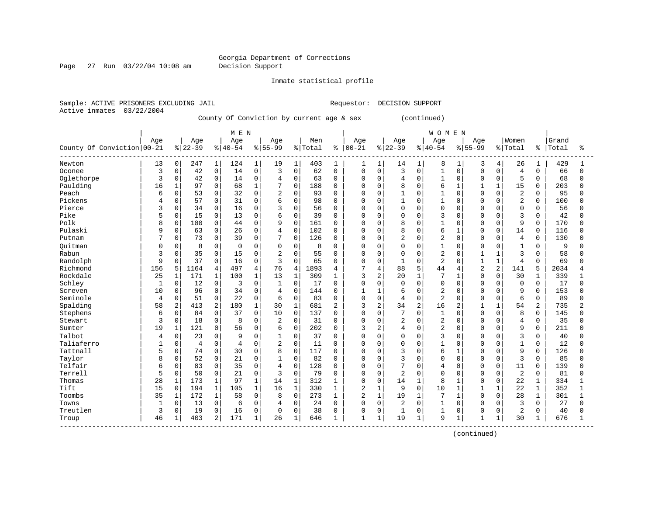Page 27 Run 03/22/04 10:08 am Decision Support

Inmate statistical profile

Sample: ACTIVE PRISONERS EXCLUDING JAIL **Requestor: DECISION SUPPORT** Active inmates 03/22/2004

County Of Conviction by current age & sex (continued)

|                            |              |              |                |                | M E N          |                |                |                |         |              |                |              |                |              | <b>WOMEN</b>   |              |                |                |                |          |       |              |
|----------------------------|--------------|--------------|----------------|----------------|----------------|----------------|----------------|----------------|---------|--------------|----------------|--------------|----------------|--------------|----------------|--------------|----------------|----------------|----------------|----------|-------|--------------|
|                            | Age          |              | Age            |                | Age            |                | Age            |                | Men     |              | Age            |              | Age            |              | Age            |              | Age            |                | Women          |          | Grand |              |
| County Of Conviction 00-21 |              |              | $ 22-39$       |                | $ 40-54$       |                | $8155 - 99$    |                | % Total |              | $8   00 - 21$  |              | $8 22-39$      |              | $8140 - 54$    |              | $8155 - 99$    |                | %   Total      | ႜၟ       | Total | ÷            |
| Newton                     | 13           | 0            | 247            | $\mathbf{1}$   | 124            | 1              | 19             | 1              | 403     | 1            | 1              | $\mathbf{1}$ | 14             | 1            | 8              | 1            | 3              | 4              | 26             | 1        | 429   |              |
| Oconee                     | 3            | $\mathbf 0$  | 42             | $\mathbf 0$    | 14             | $\mathbf 0$    | 3              | $\mathbf{0}$   | 62      | $\Omega$     | $\mathbf 0$    | $\Omega$     | 3              | $\Omega$     | $\mathbf{1}$   | $\Omega$     | $\Omega$       | $\Omega$       | $\overline{4}$ | $\Omega$ | 66    | $\Omega$     |
| Oglethorpe                 | 3            | $\mathbf 0$  | 42             | $\mathbf 0$    | 14             | $\mathbf{0}$   | $\overline{4}$ | $\mathbf 0$    | 63      | $\mathbf 0$  | $\Omega$       | 0            | $\overline{4}$ | $\Omega$     | $\mathbf{1}$   | $\Omega$     | $\Omega$       | $\Omega$       | 5              | $\Omega$ | 68    | 0            |
| Paulding                   | 16           | $\mathbf{1}$ | 97             | $\mathbf 0$    | 68             | $\mathbf{1}$   | 7              | $\mathbf 0$    | 188     | $\Omega$     | $\Omega$       | $\Omega$     | 8              | $\Omega$     | 6              | $\mathbf{1}$ | -1             |                | 15             | $\Omega$ | 203   | $\Omega$     |
| Peach                      | 6            | $\mathbf 0$  | 53             | $\mathbf 0$    | 32             | $\Omega$       | 2              | $\mathbf 0$    | 93      | $\Omega$     | $\Omega$       | 0            | $\mathbf{1}$   | $\Omega$     | $\mathbf{1}$   | $\Omega$     | $\cap$         | $\Omega$       | $\overline{2}$ | $\Omega$ | 95    | <sup>0</sup> |
| Pickens                    | 4            | 0            | 57             | $\mathbf 0$    | 31             | $\Omega$       | 6              | $\Omega$       | 98      | $\mathbf 0$  | $\mathbf 0$    | $\Omega$     | $\mathbf{1}$   | $\Omega$     |                | $\Omega$     | $\cap$         | $\Omega$       | 2              | $\Omega$ | 100   | U            |
| Pierce                     | κ            | $\mathbf 0$  | 34             | $\mathbf 0$    | 16             | $\Omega$       | 3              | $\Omega$       | 56      | 0            | $\Omega$       | 0            | $\Omega$       | $\Omega$     | $\Omega$       | $\Omega$     | $\cap$         |                | $\mathbf 0$    | $\Omega$ | 56    | <sup>0</sup> |
| Pike                       | 5            | $\mathbf 0$  | 15             | $\Omega$       | 13             | $\Omega$       | 6              | $\Omega$       | 39      | $\Omega$     | $\Omega$       | $\Omega$     | $\Omega$       | $\Omega$     | 3              | $\cap$       | $\cap$         | $\Omega$       | 3              | $\Omega$ | 42    | U            |
| Polk                       | 8            | $\mathbf 0$  | 100            | $\mathbf 0$    | 44             | $\Omega$       | 9              | $\Omega$       | 161     | $\Omega$     | $\Omega$       | $\Omega$     | 8              | $\Omega$     | $\mathbf{1}$   | $\Omega$     | $\Omega$       | $\Omega$       | 9              | $\Omega$ | 170   | $\Omega$     |
| Pulaski                    | 9            | 0            | 63             | $\mathbf 0$    | 26             | $\mathbf 0$    | $\overline{4}$ | $\Omega$       | 102     | $\mathbf 0$  | $\Omega$       | $\Omega$     | 8              | $\Omega$     | 6              | $\mathbf{1}$ | $\Omega$       | $\Omega$       | 14             | $\Omega$ | 116   | $\Omega$     |
| Putnam                     |              | 0            | 73             | $\mathbf 0$    | 39             | $\mathbf 0$    | 7              | $\mathbf 0$    | 126     | 0            | $\Omega$       | $\Omega$     | $\overline{c}$ | $\mathbf 0$  | $\overline{c}$ | $\Omega$     | $\Omega$       | $\Omega$       | $\overline{4}$ | 0        | 130   | U            |
| Ouitman                    | <sup>0</sup> | 0            | 8              | $\mathbf 0$    | $\mathbf 0$    | $\mathbf 0$    | 0              | $\mathbf 0$    | 8       | 0            | $\Omega$       | 0            | $\Omega$       | $\Omega$     | $\mathbf{1}$   | $\Omega$     | $\Omega$       | $\Omega$       | $\mathbf{1}$   | $\Omega$ | 9     | O            |
| Rabun                      | 3            | 0            | 35             | $\mathbf 0$    | 15             | $\Omega$       | 2              | $\Omega$       | 55      | $\Omega$     | $\Omega$       | 0            | $\Omega$       | $\Omega$     | $\overline{2}$ | $\Omega$     | $\mathbf{1}$   | $\mathbf{1}$   | 3              | $\Omega$ | 58    | <sup>0</sup> |
| Randolph                   | 9            | $\Omega$     | 37             | $\Omega$       | 16             | $\Omega$       | 3              | $\Omega$       | 65      | $\Omega$     | $\Omega$       | $\Omega$     | $\mathbf{1}$   | $\Omega$     | $\overline{c}$ | $\Omega$     | $\mathbf{1}$   | $\mathbf{1}$   | $\overline{4}$ | $\Omega$ | 69    | <sup>0</sup> |
| Richmond                   | 156          | 5            | 1164           | $\overline{4}$ | 497            | $\overline{4}$ | 76             | $\overline{4}$ | 1893    | 4            | 7              | 4            | 88             | 5            | 44             | 4            | $\overline{2}$ | $\overline{a}$ | 141            | 5        | 2034  | 4            |
| Rockdale                   | 25           | $\mathbf 1$  | 171            | $\mathbf{1}$   | 100            | $\mathbf{1}$   | 13             | $\mathbf{1}$   | 309     | $\mathbf{1}$ | 3              | 2            | 20             | $\mathbf{1}$ | 7              | $\mathbf{1}$ | $\Omega$       | $\Omega$       | 30             | 1        | 339   |              |
| Schley                     | 1            | $\Omega$     | 12             | $\mathbf 0$    | 3              | $\Omega$       | $\mathbf{1}$   | $\Omega$       | 17      | $\Omega$     | $\Omega$       | $\Omega$     | $\Omega$       | $\Omega$     | $\Omega$       | $\Omega$     | $\Omega$       | $\Omega$       | $\Omega$       | $\Omega$ | 17    | 0            |
| Screven                    | 10           | $\Omega$     | 96             | $\Omega$       | 34             | $\Omega$       | $\overline{4}$ | $\Omega$       | 144     | $\Omega$     | $\mathbf{1}$   | $\mathbf{1}$ | 6              | $\Omega$     | $\overline{2}$ | $\Omega$     | $\Omega$       | $\Omega$       | 9              | $\Omega$ | 153   | <sup>0</sup> |
| Seminole                   | 4            | $\mathbf 0$  | 51             | $\mathbf 0$    | 22             | $\mathbf 0$    | 6              | $\mathbf 0$    | 83      | $\mathbf 0$  | $\mathbf 0$    | 0            | $\overline{4}$ | $\mathbf 0$  | $\overline{2}$ | $\Omega$     | $\Omega$       | $\Omega$       | 6              | 0        | 89    | $\Omega$     |
| Spalding                   | 58           | 2            | 413            | 2              | 180            | $\mathbf{1}$   | 30             | $\mathbf{1}$   | 681     | 2            | 3              | 2            | 34             | 2            | 16             | 2            | -1             | $\mathbf{1}$   | 54             | 2        | 735   | 2            |
| Stephens                   | 6            | 0            | 84             | $\mathbf 0$    | 37             | $\Omega$       | 10             | $\Omega$       | 137     | $\Omega$     | $\Omega$       | $\Omega$     | 7              | $\Omega$     | $\mathbf{1}$   | $\Omega$     | $\Omega$       | $\Omega$       | 8              | $\Omega$ | 145   | 0            |
| Stewart                    | 3            | 0            | 18             | $\mathbf 0$    | 8              | $\Omega$       | 2              | $\Omega$       | 31      | $\Omega$     | $\Omega$       | $\Omega$     | $\overline{2}$ | $\Omega$     | $\overline{c}$ | $\Omega$     | $\cap$         | $\Omega$       | $\overline{4}$ | $\Omega$ | 35    | 0            |
| Sumter                     | 19           | $\mathbf 1$  | 121            | 0              | 56             | $\mathbf 0$    | 6              | $\mathbf 0$    | 202     | $\Omega$     | 3              | 2            | $\overline{4}$ | $\mathbf 0$  | $\overline{2}$ | $\Omega$     | $\cap$         | $\Omega$       | 9              | $\Omega$ | 211   | U            |
| Talbot                     | 4            | $\Omega$     | 23             | $\Omega$       | 9              | $\Omega$       | $\mathbf{1}$   | $\Omega$       | 37      | $\Omega$     | $\Omega$       | $\Omega$     | $\Omega$       | $\Omega$     | 3              | $\Omega$     | $\cap$         | $\Omega$       | 3              | $\Omega$ | 40    | U            |
| Taliaferro                 |              | $\mathbf 0$  | $\overline{4}$ | $\mathbf 0$    | $\overline{4}$ | $\Omega$       | $\overline{a}$ | $\Omega$       | 11      | $\Omega$     | $\Omega$       | $\Omega$     | $\Omega$       | $\Omega$     | $\mathbf{1}$   | $\cap$       | $\cap$         | $\cap$         | $\mathbf{1}$   | $\Omega$ | 12    | $\Omega$     |
| Tattnall                   | 5            | 0            | 74             | $\mathbf 0$    | 30             | $\Omega$       | 8              | $\Omega$       | 117     | $\Omega$     | $\Omega$       | $\Omega$     | 3              | $\Omega$     | 6              | 1            | $\cap$         | $\Omega$       | 9              | $\Omega$ | 126   | $\Omega$     |
| Taylor                     | 8            | $\mathbf 0$  | 52             | $\mathbf 0$    | 21             | $\Omega$       | $\mathbf{1}$   | $\Omega$       | 82      | $\Omega$     | $\Omega$       | $\Omega$     | 3              | $\Omega$     | $\Omega$       | $\Omega$     | $\Omega$       | $\Omega$       | $\overline{3}$ | $\Omega$ | 85    | <sup>0</sup> |
| Telfair                    | 6            | 0            | 83             | $\mathbf 0$    | 35             | $\Omega$       | 4              | $\Omega$       | 128     | 0            | $\Omega$       | 0            | 7              | 0            | $\overline{4}$ | 0            | $\Omega$       | $\Omega$       | 11             | $\Omega$ | 139   | <sup>0</sup> |
| Terrell                    | 5            | $\mathbf 0$  | 50             | $\mathbf 0$    | 21             | $\Omega$       | 3              | $\Omega$       | 79      | $\Omega$     | $\Omega$       | 0            | $\overline{2}$ | $\Omega$     | $\cap$         | $\Omega$     | $\Omega$       | $\Omega$       | 2              | $\Omega$ | 81    | 0            |
| Thomas                     | 28           | $\mathbf 1$  | 173            | $\mathbf 1$    | 97             | $\mathbf{1}$   | 14             | $\mathbf{1}$   | 312     | 1            | $\Omega$       | 0            | 14             | $\mathbf{1}$ | 8              |              | $\Omega$       | $\Omega$       | 22             | 1        | 334   |              |
| Tift                       | 15           | $\mathbf 0$  | 194            | 1              | 105            | 1              | 16             | $\mathbf{1}$   | 330     | 1            | $\overline{2}$ | $\mathbf{1}$ | 9              | $\Omega$     | 10             | 1            |                |                | 22             | 1        | 352   |              |
| Toombs                     | 35           | $\mathbf 1$  | 172            | $\mathbf{1}$   | 58             | $\Omega$       | 8              | $\Omega$       | 273     | 1            | $\overline{a}$ | $\mathbf{1}$ | 19             | $\mathbf{1}$ | 7              | 1            | $\Omega$       | $\Omega$       | 28             | 1        | 301   | 1            |
| Towns                      | 1            | $\mathbf 0$  | 13             | $\mathbf 0$    | 6              | $\mathbf 0$    | 4              | $\Omega$       | 24      | $\mathbf 0$  | $\mathbf 0$    | $\Omega$     | $\overline{c}$ | $\Omega$     | $\mathbf{1}$   | $\Omega$     | $\Omega$       | $\Omega$       | 3              | $\Omega$ | 27    | 0            |
| Treutlen                   | 3            | 0            | 19             | 0              | 16             | $\mathbf 0$    | 0              | $\mathbf 0$    | 38      | $\Omega$     | 0              | 0            | $\mathbf{1}$   | $\mathbf 0$  | $\mathbf{1}$   | 0            | $\Omega$       | $\Omega$       | $\overline{2}$ | $\Omega$ | 40    | 0            |
| Troup<br>----------------- | 46           | 1            | 403            | 2              | 171            | $\mathbf{1}$   | 26             | $\mathbf{1}$   | 646     | $\mathbf{1}$ | $\mathbf{1}$   | 1            | 19             | $\mathbf{1}$ | 9              | 1            | $\mathbf{1}$   | $\mathbf{1}$   | 30             |          | 676   | $\mathbf{1}$ |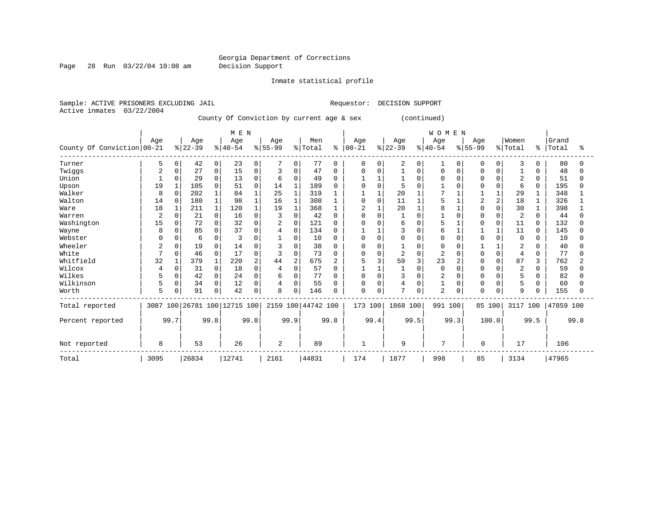Page 28 Run 03/22/04 10:08 am Decision Support

Inmate statistical profile

Sample: ACTIVE PRISONERS EXCLUDING JAIL **Requestor: DECISION SUPPORT** Active inmates 03/22/2004 County Of Conviction by current age & sex (continued) | M E N | W O M E N |

|                            |      |              |           |              | LAT ET TA               |          |                |                |               |          |                |          |                |          | אבים ויו ש     |          |           |              |                |              |           |      |
|----------------------------|------|--------------|-----------|--------------|-------------------------|----------|----------------|----------------|---------------|----------|----------------|----------|----------------|----------|----------------|----------|-----------|--------------|----------------|--------------|-----------|------|
|                            | Age  |              | Age       |              | Age                     |          | Age            |                | Men           |          | Age            |          | Age            |          | Age            |          | Age       |              | Women          |              | Grand     |      |
| County Of Conviction 00-21 |      |              | $ 22-39 $ |              | $ 40-54$                |          | $8 55-99$      |                | % Total       | ៖        | $00 - 21$      |          | $ 22-39 $      |          | $ 40-54$       |          | $ 55-99 $ |              | % Total        |              | %   Total | °≈   |
| Turner                     | 5    | 0            | 42        | $\mathbf 0$  | 23                      | $\Omega$ |                | 0              | 77            | $\Omega$ | 0              |          | 2              | 0        |                | 0        | $\Omega$  | 0            | 3              | $\Omega$     | 80        |      |
| Twiggs                     | 2    | 0            | 27        | $\mathbf 0$  | 15                      | $\Omega$ |                | $\Omega$       | 47            | $\Omega$ | $\Omega$       | $\Omega$ |                | $\Omega$ | $\cap$         | $\Omega$ |           |              |                | $\Omega$     | 48        |      |
| Union                      |      | $\Omega$     | 29        | $\Omega$     | 13                      | $\Omega$ | 6              | $\Omega$       | 49            |          |                |          |                | $\cap$   |                |          |           |              | $\overline{2}$ | $\Omega$     | 51        |      |
| Upson                      | 19   |              | 105       | $\Omega$     | 51                      |          | 14             |                | 189           |          |                |          | 5              |          |                |          |           |              | 6              | 0            | 195       |      |
| Walker                     | 8    | $\Omega$     | 202       | $\mathbf{1}$ | 84                      |          | 25             |                | 319           |          |                |          | 20             |          |                |          |           |              | 29             |              | 348       |      |
| Walton                     | 14   | $\Omega$     | 180       | $\mathbf{1}$ | 98                      |          | 16             |                | 308           |          | $\Omega$       | $\Omega$ | 11             |          |                |          |           |              | 18             |              | 326       |      |
| Ware                       | 18   |              | 211       | $\mathbf{1}$ | 120                     |          | 19             |                | 368           |          | $\overline{c}$ |          | 20             |          |                |          |           |              | 30             |              | 398       |      |
| Warren                     | 2    | <sup>0</sup> | 21        | $\Omega$     | 16                      |          |                | $\Omega$       | 42            |          | $\Omega$       |          |                |          |                |          |           |              | 2              |              | 44        |      |
| Washington                 | 15   | ∩            | 72        | $\Omega$     | 32                      | n        | $\overline{2}$ | $\Omega$       | 121           |          |                |          | 6              |          |                |          |           | ∩            | 11             | <sup>0</sup> | 132       |      |
| Wayne                      | 8    |              | 85        | $\Omega$     | 37                      | $\Omega$ |                | 0              | 134           |          |                |          | 3              |          |                |          |           |              | 11             | <sup>0</sup> | 145       |      |
| Webster                    | U    | $\Omega$     | 6         | $\Omega$     | ζ                       | O        |                | $\Omega$       | 10            |          | $\Omega$       |          | $\Omega$       | $\Omega$ |                | U        |           |              | $\Omega$       | <sup>0</sup> | 10        |      |
| Wheeler                    | 2    | 0            | 19        | 0            | 14                      | C        |                | $\Omega$       | 38            |          | $\Omega$       |          |                |          |                |          |           |              | 2              |              | 40        |      |
| White                      |      | $\Omega$     | 46        | $\Omega$     | 17                      | C        | ζ              | $\Omega$       | 73            |          |                |          | $\overline{c}$ |          |                |          |           |              | $\overline{4}$ | $\Omega$     | 77        |      |
| Whitfield                  | 32   |              | 379       | $\mathbf{1}$ | 220                     |          | 44             | $\overline{2}$ | 675           |          |                |          | 59             |          | 23             |          |           |              | 87             | 3            | 762       |      |
| Wilcox                     | 4    | 0            | 31        | $\Omega$     | 18                      | C        | 4              | $\Omega$       | 57            |          |                |          |                |          | $\Omega$       | $\cap$   |           |              | $\overline{c}$ |              | 59        |      |
| Wilkes                     | 5    | $\Omega$     | 42        | $\mathbf 0$  | 24                      | C        | б              | $\Omega$       | 77            |          | $\Omega$       |          | 3              |          |                |          |           |              |                | <sup>0</sup> | 82        |      |
| Wilkinson                  | 5    | 0            | 34        | $\mathbf 0$  | 12                      | $\Omega$ | 4              | $\Omega$       | 55            |          | $\Omega$       |          | 4              |          |                | 0        |           |              | 5              | $\Omega$     | 60        |      |
| Worth                      | 5    | 0            | 91        | $\mathbf 0$  | 42                      | $\Omega$ | 8              | $\Omega$       | 146           |          | $\Omega$       | $\Omega$ | 7              | 0        | $\overline{a}$ | $\Omega$ | $\cap$    | <sup>0</sup> | 9              | $\cap$       | 155       |      |
| Total reported             | 3087 |              |           |              | 100 26781 100 12715 100 |          | 2159           |                | 100 44742 100 |          | 173 100        |          | 1868 100       |          | 991            | 100      | 85 100    |              | 3117           | 100          | 47859 100 |      |
| Percent reported           |      | 99.7         |           | 99.8         |                         | 99.8     |                | 99.9           |               | 99.8     |                | 99.4     |                | 99.5     |                | 99.3     |           | 100.0        |                | 99.5         |           | 99.8 |
| Not reported               | 8    |              | 53        |              | 26                      |          | 2              |                | 89            |          | -1             |          | 9              |          | 7              |          | 0         |              | 17             |              | 106       |      |
| Total                      | 3095 |              | 26834     |              | 12741                   |          | 2161           |                | 44831         |          | 174            |          | 1877           |          | 998            |          | 85        |              | 3134           |              | 47965     |      |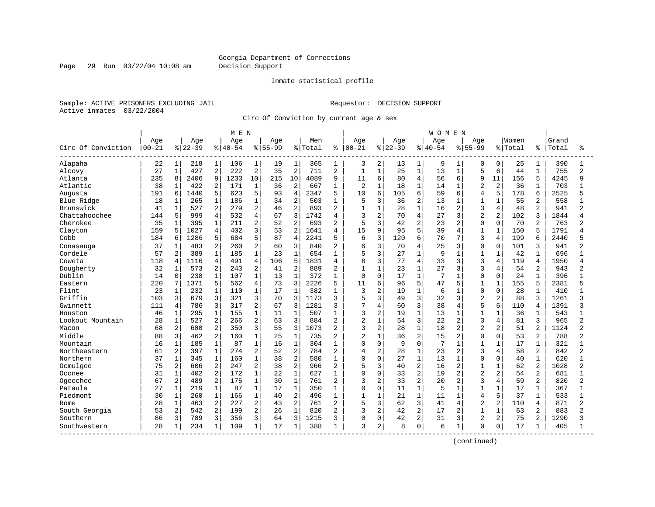Page 29 Run 03/22/04 10:08 am Decision Support

#### Inmate statistical profile

Sample: ACTIVE PRISONERS EXCLUDING JAIL **Requestor: DECISION SUPPORT** Active inmates 03/22/2004

Circ Of Conviction by current age & sex

|                    |           |              |           |                | M E N     |                |             |                |         |                |                |                |           |                | WOMEN     |                |                |                |         |              |       |                |
|--------------------|-----------|--------------|-----------|----------------|-----------|----------------|-------------|----------------|---------|----------------|----------------|----------------|-----------|----------------|-----------|----------------|----------------|----------------|---------|--------------|-------|----------------|
|                    | Age       |              | Age       |                | Age       |                | Age         |                | Men     |                | Age            |                | Age       |                | Age       |                | Aqe            |                | Women   |              | Grand |                |
| Circ Of Conviction | $00 - 21$ |              | $8 22-39$ |                | $8 40-54$ |                | $8155 - 99$ |                | % Total | ႜ              | $00 - 21$      |                | $8 22-39$ |                | $8 40-54$ |                | $8155 - 99$    |                | % Total | ႜ            | Total | °              |
| Alapaha            | 22        | 1            | 218       | 1              | 106       | $\mathbf{1}$   | 19          | $\mathbf{1}$   | 365     | 1              | 3              | 2              | 13        | $\mathbf{1}$   | 9         | 1              | 0              | 0              | 25      | 1            | 390   | 1              |
| Alcovy             | 27        | $\mathbf 1$  | 427       | 2              | 222       | $\sqrt{2}$     | 35          | $\overline{2}$ | 711     | $\overline{a}$ | $\mathbf{1}$   | $\mathbf{1}$   | 25        | $\mathbf{1}$   | 13        | $\mathbf{1}$   | 5              | 6              | 44      | $\mathbf{1}$ | 755   | $\overline{a}$ |
| Atlanta            | 235       | 8            | 2406      | 9              | 1233      | 10             | 215         | 10             | 4089    | 9              | 11             | 6              | 80        | $\overline{4}$ | 56        | 6              | 9              | 11             | 156     | 5            | 4245  | 9              |
| Atlantic           | 38        | 1            | 422       | 2              | 171       | $\mathbf{1}$   | 36          | 2              | 667     | 1              | $\overline{2}$ | $\mathbf{1}$   | 18        | $\mathbf{1}$   | 14        | 1              | $\overline{c}$ | $\overline{2}$ | 36      |              | 703   |                |
| Augusta            | 191       | б            | 1440      | 5              | 623       | 5              | 93          | $\overline{4}$ | 2347    | 5              | 10             | 6              | 105       | 6              | 59        | 6              | $\overline{4}$ | 5              | 178     | 6            | 2525  |                |
| Blue Ridge         | 18        | 1            | 265       | $\mathbf{1}$   | 186       | $\mathbf{1}$   | 34          | $\overline{2}$ | 503     | $\mathbf{1}$   | 5              | 3              | 36        | $\overline{a}$ | 13        | $\mathbf{1}$   | $\mathbf{1}$   | $\mathbf{1}$   | 55      | 2            | 558   |                |
| Brunswick          | 41        | 1            | 527       | 2              | 279       | 2              | 46          | $\overline{2}$ | 893     | $\overline{2}$ | $\mathbf{1}$   | $\mathbf{1}$   | 28        | $\mathbf{1}$   | 16        | 2              | 3              | 4              | 48      | 2            | 941   | 2              |
| Chattahoochee      | 144       | 5            | 999       | $\overline{4}$ | 532       | $\overline{4}$ | 67          | 3              | 1742    | 4              | 3              | $\overline{c}$ | 70        | 4              | 27        | 3              | $\overline{2}$ | 2              | 102     | 3            | 1844  | Δ              |
| Cherokee           | 35        | 1            | 395       | $\mathbf 1$    | 211       | 2              | 52          | $\overline{2}$ | 693     | 2              | 5              | 3              | 42        | $\overline{a}$ | 23        | 2              | $\Omega$       | $\Omega$       | 70      | 2            | 763   | 2              |
| Clayton            | 159       | 5            | 1027      | 4              | 402       | 3              | 53          | $\overline{2}$ | 1641    | 4              | 15             | 9              | 95        | 5              | 39        | 4              | 1              | $\mathbf{1}$   | 150     |              | 1791  |                |
| Cobb               | 184       | 6            | 1286      | 5              | 684       | 5              | 87          | $\overline{4}$ | 2241    | 5              | 6              | 3              | 120       | 6              | 70        | 7              | 3              | 4              | 199     | 6            | 2440  |                |
| Conasauga          | 37        | $\mathbf 1$  | 483       | $\overline{a}$ | 260       | $\overline{a}$ | 60          | 3              | 840     | $\overline{2}$ | 6              | 3              | 70        | 4              | 25        | 3              | $\Omega$       | $\Omega$       | 101     | 3            | 941   | 2              |
| Cordele            | 57        | 2            | 389       | $\mathbf{1}$   | 185       | $1\,$          | 23          | $\mathbf{1}$   | 654     | $\mathbf{1}$   | 5              | 3              | 27        | $\mathbf{1}$   | 9         | 1              | $\mathbf{1}$   | $1\,$          | 42      |              | 696   |                |
| Coweta             | 118       | 4            | 1116      | $\overline{4}$ | 491       | $\overline{4}$ | 106         | 5              | 1831    | $\overline{4}$ | б              | 3              | 77        | $\overline{4}$ | 33        | 3              | 3              | $\overline{4}$ | 119     | 4            | 1950  | Δ              |
| Dougherty          | 32        | $\mathbf 1$  | 573       | 2              | 243       | $\overline{2}$ | 41          | $\overline{2}$ | 889     | $\overline{c}$ | $\mathbf{1}$   | $\mathbf{1}$   | 23        | $\mathbf{1}$   | 27        | 3              | 3              | $\overline{4}$ | 54      | 2            | 943   | 2              |
| Dublin             | 14        | 0            | 238       | $\mathbf 1$    | 107       | $\mathbf{1}$   | 13          | $\mathbf{1}$   | 372     | 1              | $\Omega$       | $\mathbf 0$    | 17        | $\mathbf{1}$   | 7         | 1              | $\Omega$       | $\Omega$       | 24      |              | 396   |                |
| Eastern            | 220       | 7            | 1371      | 5              | 562       | 4              | 73          | 3              | 2226    | 5              | 11             | 6              | 96        | 5              | 47        | 5              | 1              | $\mathbf{1}$   | 155     | 5            | 2381  |                |
| Flint              | 23        | 1            | 232       | 1              | 110       | $\mathbf 1$    | 17          | $\mathbf 1$    | 382     | 1              | 3              | 2              | 19        | 1              | 6         | 1              | $\Omega$       | $\Omega$       | 28      |              | 410   |                |
| Griffin            | 103       | 3            | 679       | 3              | 321       | 3              | 70          | 3              | 1173    | 3              | 5              | 3              | 49        | 3              | 32        | 3              | $\overline{c}$ | 2              | 88      | 3            | 1261  | ς              |
| Gwinnett           | 111       | 4            | 786       | 3              | 317       | 2              | 67          | 3              | 1281    | ζ              | 7              | $\overline{4}$ | 60        | 3              | 38        | 4              | 5              | 6              | 110     | 4            | 1391  | 3              |
| Houston            | 46        | 1            | 295       | $\mathbf{1}$   | 155       | $\mathbf{1}$   | 11          | $\mathbf{1}$   | 507     | 1              | 3              | $\overline{2}$ | 19        | 1              | 13        | 1              |                | 1              | 36      |              | 543   |                |
| Lookout Mountain   | 28        | $\mathbf 1$  | 527       | $\overline{2}$ | 266       | $\overline{2}$ | 63          | 3              | 884     | $\overline{2}$ | $\overline{2}$ | $\mathbf{1}$   | 54        | 3              | 22        | 2              | 3              | 4              | 81      | 3            | 965   | 2              |
| Macon              | 68        | 2            | 600       | $\overline{a}$ | 350       | 3              | 55          | 3              | 1073    | $\overline{2}$ | 3              | 2              | 28        | $\mathbf{1}$   | 18        | 2              | $\overline{2}$ | 2              | 51      | 2            | 1124  | 2              |
| Middle             | 88        | 3            | 462       | 2              | 160       | $\mathbf{1}$   | 25          | $\mathbf{1}$   | 735     | $\overline{2}$ | 2              | $\mathbf{1}$   | 36        | $\overline{a}$ | 15        | $\overline{2}$ | $\Omega$       | $\Omega$       | 53      | 2            | 788   | 2              |
| Mountain           | 16        | $\mathbf{1}$ | 185       | $\mathbf{1}$   | 87        | $1\,$          | 16          | $\mathbf{1}$   | 304     | $\mathbf{1}$   | 0              | $\mathbf 0$    | 9         | $\Omega$       | 7         | 1              | $\mathbf{1}$   | $\mathbf 1$    | 17      | $\mathbf{1}$ | 321   |                |
| Northeastern       | 61        | 2            | 397       | $\mathbf{1}$   | 274       | $\overline{2}$ | 52          | $\overline{2}$ | 784     | $\overline{2}$ | 4              | $\overline{c}$ | 28        | $\mathbf 1$    | 23        | 2              | 3              | 4              | 58      | 2            | 842   | $\overline{2}$ |
| Northern           | 37        | 1            | 345       | $\mathbf{1}$   | 160       | $\mathbf 1$    | 38          | $\overline{2}$ | 580     | 1              | 0              | $\mathbf 0$    | 27        | $\mathbf{1}$   | 13        | 1              | $\Omega$       | $\Omega$       | 40      | 1            | 620   |                |
| Ocmulgee           | 75        | 2            | 606       | 2              | 247       | 2              | 38          | $\overline{2}$ | 966     | 2              | 5              | 3              | 40        | 2              | 16        | 2              | $\mathbf{1}$   | 1              | 62      | 2            | 1028  | 2              |
| Oconee             | 31        | 1            | 402       | $\overline{2}$ | 172       | $\mathbf{1}$   | 22          | $\mathbf{1}$   | 627     | 1              | 0              | $\Omega$       | 33        | $\overline{a}$ | 19        | 2              | $\overline{2}$ | $\overline{2}$ | 54      | 2            | 681   |                |
| Ogeechee           | 67        | 2            | 489       | $\overline{2}$ | 175       | $\mathbf{1}$   | 30          | $\mathbf{1}$   | 761     | $\overline{2}$ | 3              | $\overline{2}$ | 33        | $\overline{2}$ | 20        | $\overline{2}$ | 3              | 4              | 59      | 2            | 820   | 2              |
| Pataula            | 27        | $\mathbf 1$  | 219       | $\mathbf{1}$   | 87        | $\mathbf{1}$   | 17          | $\mathbf{1}$   | 350     | 1              | 0              | $\mathbf 0$    | 11        | $\mathbf{1}$   | 5         | $\mathbf 1$    | 1              | $\mathbf{1}$   | 17      | $\mathbf{1}$ | 367   |                |
| Piedmont           | 30        | $\mathbf 1$  | 260       | $\mathbf{1}$   | 166       | $\mathbf{1}$   | 40          | $\overline{2}$ | 496     | $\mathbf{1}$   | $\mathbf{1}$   | $\mathbf{1}$   | 21        | $\mathbf{1}$   | 11        | $\mathbf{1}$   | $\overline{4}$ | 5              | 37      | $\mathbf{1}$ | 533   |                |
| Rome               | 28        | $\mathbf 1$  | 463       | $\overline{2}$ | 227       | $\overline{2}$ | 43          | $\overline{2}$ | 761     | $\overline{c}$ | 5              | 3              | 62        | 3              | 41        | 4              | $\overline{c}$ | $\overline{a}$ | 110     | 4            | 871   | 2              |
| South Georgia      | 53        | 2            | 542       | 2              | 199       | $\overline{2}$ | 26          | $\mathbf{1}$   | 820     | $\overline{c}$ | 3              | 2              | 42        | 2              | 17        | 2              | $\mathbf{1}$   | $\mathbf{1}$   | 63      | 2            | 883   | $\overline{2}$ |
| Southern           | 86        | 3            | 709       | 3              | 356       | 3              | 64          | 3              | 1215    | 3              | 0              | $\Omega$       | 42        | $\overline{a}$ | 31        | 3              | $\overline{2}$ | $\overline{2}$ | 75      | 2            | 1290  | 3              |
| Southwestern       | 28        | 1            | 234       | $\mathbf{1}$   | 109       | $\mathbf{1}$   | 17          | 1              | 388     | 1              | 3              | 2              | 8         | 0              | 6         | $\mathbf{1}$   | $\Omega$       | $\mathbf 0$    | 17      |              | 405   |                |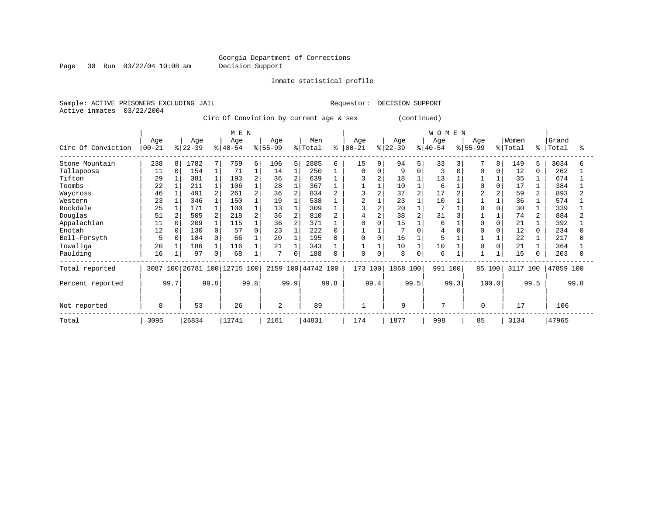Page 30 Run 03/22/04 10:08 am Decision Support

Inmate statistical profile

Sample: ACTIVE PRISONERS EXCLUDING JAIL **Requestor: DECISION SUPPORT** Active inmates 03/22/2004 Circ Of Conviction by current age & sex (continued)

|                    | Age        |          | Age      |              | M E N<br>Age            |      | Age       |                | Men            |      | Age            |      | Age      |             | <b>WOMEN</b><br>Aqe |      | Age      |              | Women    |               | Grand     |      |
|--------------------|------------|----------|----------|--------------|-------------------------|------|-----------|----------------|----------------|------|----------------|------|----------|-------------|---------------------|------|----------|--------------|----------|---------------|-----------|------|
| Circ Of Conviction | $ 00 - 21$ |          | $ 22-39$ |              | $ 40-54$                |      | $ 55-99 $ |                | % Total        | ి    | $ 00-21$       |      | $ 22-39$ |             | $ 40-54 $           |      | $ 55-99$ |              | % Total  | $\frac{8}{6}$ | Total     | န္   |
| Stone Mountain     | 238        | 8        | 1782     | 7            | 759                     | 6    | 106       | 5              | 2885           | 6    | 15             | 9    | 94       | 5           | 33                  | 31   |          | 8            | 149      | 5             | 3034      |      |
| Tallapoosa         | 11         | $\Omega$ | 154      |              | 71                      |      | 14        |                | 250            |      | $\Omega$       |      | 9        |             | 3                   |      | $\Omega$ | 0            | 12       | 0             | 262       |      |
| Tifton             | 29         |          | 381      |              | 193                     |      | 36        | $\overline{a}$ | 639            |      |                |      | 18       |             | 13                  |      |          |              | 35       |               | 674       |      |
| Toombs             | 22         |          | 211      |              | 106                     |      | 28        |                | 367            |      |                |      | 10       |             | 6                   |      | $\cap$   | $\Omega$     | 17       |               | 384       |      |
| Waycross           | 46         |          | 491      | $\mathbf{2}$ | 261                     |      | 36        | 2              | 834            |      |                |      | 37       |             | 17                  |      |          | 2            | 59       |               | 893       |      |
| Western            | 23         |          | 346      |              | 150                     |      | 19        |                | 538            |      | $\overline{2}$ |      | 23       |             | 10                  |      |          |              | 36       |               | 574       |      |
| Rockdale           | 25         |          | 171      | $\mathbf{1}$ | 100                     |      | 13        | $\mathbf{1}$   | 309            |      | 3              |      | 20       |             | $\mathbf{r}$        |      |          |              | 30       |               | 339       |      |
| Douglas            | 51         |          | 505      | 2            | 218                     |      | 36        | 2              | 810            |      |                |      | 38       |             | 31                  |      |          |              | 74       |               | 884       |      |
| Appalachian        | 11         | $\Omega$ | 209      |              | 115                     |      | 36        | 2              | 371            |      | $\cap$         |      | 15       |             | 6                   |      | $\cap$   | $\Omega$     | 21       |               | 392       |      |
| Enotah             | 12         | $\Omega$ | 130      | $\Omega$     | 57                      |      | 23        |                | 222            |      |                |      |          |             | 4                   |      | n        | <sup>0</sup> | 12       | n.            | 234       |      |
| Bell-Forsyth       | 5          | 0        | 104      | $\Omega$     | 66                      |      | 20        |                | 195            |      | $\Omega$       |      | 16       |             | 5                   |      |          |              | 22       |               | 217       |      |
| Towaliga           | 20         |          | 186      | 1            | 116                     |      | 21        |                | 343            |      |                |      | 10       |             | 10                  |      | 0        |              | 21       |               | 364       |      |
| Paulding           | 16         |          | 97       | $\mathbf 0$  | 68                      |      | 7         | $\mathbf 0$    | 188            | O    | $\Omega$       |      | 8        | $\mathbf 0$ | 6                   |      |          |              | 15       |               | 203       |      |
| Total reported     | 3087       |          |          |              | 100 26781 100 12715 100 |      |           |                | 2159 100 44742 | 100  | 173            | 100  | 1868     | 100         | 991                 | 100  | 85 100   |              | 3117 100 |               | 47859 100 |      |
| Percent reported   |            | 99.7     |          | 99.8         |                         | 99.8 |           | 99.9           |                | 99.8 |                | 99.4 |          | 99.5        |                     | 99.3 | 100.0    |              |          | 99.5          |           | 99.8 |
| Not reported       | 8          |          | 53       |              | 26                      |      | 2         |                | 89             |      | 1              |      | 9        |             | 7                   |      | 0        |              | 17       |               | 106       |      |
| Total              | 3095       |          | 26834    |              | 12741                   |      | 2161      |                | 44831          |      | 174            |      | 1877     |             | 998                 |      | 85       |              | 3134     |               | 47965     |      |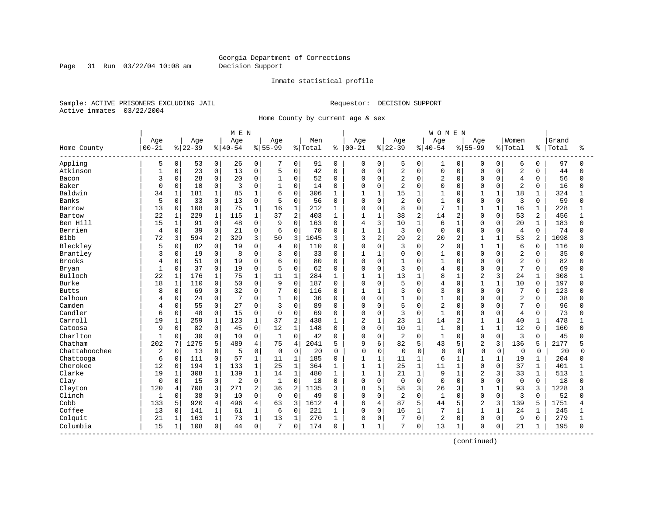Page 31 Run 03/22/04 10:08 am Decision Support

#### Inmate statistical profile

Sample: ACTIVE PRISONERS EXCLUDING JAIL **Requestor: DECISION SUPPORT** Active inmates 03/22/2004

Home County by current age & sex

|               |              |              |          |                | M E N       |                |              |                |         |              |                |                |             |              | <b>WOMEN</b>   |              |                |              |                         |                |       |              |
|---------------|--------------|--------------|----------|----------------|-------------|----------------|--------------|----------------|---------|--------------|----------------|----------------|-------------|--------------|----------------|--------------|----------------|--------------|-------------------------|----------------|-------|--------------|
|               | Age          |              | Age      |                | Age         |                | Age          |                | Men     |              | Age            |                | Age         |              | Age            |              | Aqe            |              | Women                   |                | Grand |              |
| Home County   | $00 - 21$    |              | $ 22-39$ |                | $8140 - 54$ |                | $8155 - 99$  |                | % Total | ႜ            | $ 00 - 21$     |                | $ 22-39$    |              | $8 40-54$      |              | $8155 - 99$    |              | % Total                 | ႜ              | Total | ႜ            |
| Appling       | 5            | 0            | 53       | 0 <sup>1</sup> | 26          | 0              |              | 0              | 91      | 0            | 0              | 0              | 5           | 0            | 1              | 0            | 0              | 0            | 6                       | 0              | 97    | $\Omega$     |
| Atkinson      | $\mathbf{1}$ | 0            | 23       | 0              | 13          | $\mathbf 0$    | 5            | 0              | 42      | $\mathbf 0$  | 0              | $\mathbf 0$    | 2           | $\mathbf 0$  | $\mathbf 0$    | 0            | $\Omega$       | $\Omega$     | $\overline{2}$          | $\Omega$       | 44    |              |
| Bacon         | 3            | 0            | 28       | 0              | 20          | $\mathbf 0$    | 1            | $\Omega$       | 52      | $\Omega$     | 0              | $\mathbf 0$    | 2           | $\Omega$     | $\overline{2}$ | $\Omega$     | $\Omega$       | $\Omega$     | 4                       | $\Omega$       | 56    | $\Omega$     |
| Baker         | $\Omega$     | 0            | 10       | 0              | 3           | $\mathbf 0$    |              | $\Omega$       | 14      | $\Omega$     | 0              | $\mathbf 0$    | 2           | $\Omega$     | $\mathbf 0$    | $\Omega$     | $\Omega$       | $\Omega$     | $\overline{2}$          | $\Omega$       | 16    |              |
| Baldwin       | 34           | $\mathbf{1}$ | 181      | $\mathbf{1}$   | 85          | $\mathbf{1}$   | 6            | $\Omega$       | 306     | $\mathbf{1}$ | $\mathbf{1}$   | $\mathbf{1}$   | 15          | $\mathbf{1}$ | $\mathbf{1}$   | $\cap$       | 1              | $\mathbf{1}$ | 18                      | $\mathbf 1$    | 324   |              |
| Banks         | 5            | 0            | 33       | 0              | 13          | $\mathbf 0$    | 5            | $\Omega$       | 56      | $\Omega$     | 0              | $\Omega$       | 2           | $\Omega$     | $\mathbf{1}$   | $\Omega$     | $\Omega$       | $\Omega$     | 3                       | $\Omega$       | 59    | $\Omega$     |
| Barrow        | 13           | 0            | 108      | 0              | 75          | $\mathbf{1}$   | 16           | $\mathbf 1$    | 212     | 1            | 0              | $\mathbf 0$    | 8           | $\Omega$     | 7              | $\mathbf{1}$ | $\mathbf{1}$   | $\mathbf{1}$ | 16                      | $\mathbf{1}$   | 228   |              |
| Bartow        | 22           | 1            | 229      | $\mathbf{1}$   | 115         | $1\,$          | 37           | $\overline{2}$ | 403     | $\mathbf{1}$ | $\mathbf{1}$   | $\mathbf{1}$   | 38          | 2            | 14             | 2            | $\Omega$       | $\Omega$     | 53                      | $\overline{2}$ | 456   | $\mathbf{1}$ |
| Ben Hill      | 15           | 1            | 91       | 0              | 48          | 0              | 9            | $\mathbf 0$    | 163     | 0            | 4              | 3              | 10          | $\mathbf{1}$ | 6              | $\mathbf{1}$ | $\Omega$       | $\Omega$     | 20                      | 1              | 183   | U            |
| Berrien       | 4            | 0            | 39       | 0              | 21          | $\mathbf 0$    | 6            | 0              | 70      | 0            | $\mathbf{1}$   | $\mathbf{1}$   | 3           | $\mathbf 0$  | $\mathbf 0$    | 0            | $\Omega$       | $\mathbf 0$  | 4                       | $\mathbf 0$    | 74    |              |
| <b>Bibb</b>   | 72           | 3            | 594      | 2              | 329         | 3              | 50           | 3              | 1045    | 3            | 3              | 2              | 29          | 2            | 20             | 2            | $\mathbf{1}$   | $\mathbf{1}$ | 53                      | $\overline{a}$ | 1098  |              |
| Bleckley      | 5            | 0            | 82       | $\Omega$       | 19          | $\Omega$       | 4            | $\Omega$       | 110     | $\Omega$     | 0              | $\Omega$       | 3           | $\Omega$     | $\overline{2}$ | $\Omega$     | 1              | $\mathbf{1}$ | 6                       | $\Omega$       | 116   |              |
| Brantley      | 3            | 0            | 19       | $\overline{0}$ | 8           | $\Omega$       | 3            | $\overline{0}$ | 33      | $\Omega$     | 1              | $\mathbf{1}$   | 0           | $\Omega$     | $\mathbf{1}$   | $\Omega$     | $\Omega$       | $\Omega$     | $\overline{2}$          | $\Omega$       | 35    |              |
| <b>Brooks</b> | 4            | 0            | 51       | 0              | 19          | $\mathbf 0$    | 6            | $\Omega$       | 80      | $\Omega$     | 0              | $\mathbf 0$    | 1           | $\Omega$     | $\mathbf{1}$   | 0            | $\Omega$       | $\Omega$     | $\overline{\mathbf{c}}$ | $\Omega$       | 82    |              |
| Bryan         | $\mathbf{1}$ | 0            | 37       | 0              | 19          | $\mathbf 0$    | 5            | $\Omega$       | 62      | $\Omega$     | 0              | $\mathbf 0$    | 3           | $\Omega$     | 4              | $\Omega$     | $\Omega$       | $\Omega$     | 7                       | $\Omega$       | 69    | n            |
| Bulloch       | 22           | 1            | 176      | $\mathbf{1}$   | 75          | $\mathbf{1}$   | 11           | $\mathbf{1}$   | 284     |              | 1              | $\mathbf{1}$   | 13          |              | 8              | 1            | $\overline{2}$ | 3            | 24                      | 1              | 308   |              |
| Burke         | 18           | $\mathbf 1$  | 110      | 0              | 50          | $\Omega$       | 9            | $\Omega$       | 187     | $\Omega$     | $\Omega$       | $\Omega$       | 5           | $\Omega$     | 4              | $\Omega$     | $\mathbf{1}$   | $\mathbf{1}$ | 10                      | $\Omega$       | 197   | ∩            |
| <b>Butts</b>  | 8            | 0            | 69       | $\mathbf{0}$   | 32          | $\mathbf 0$    | 7            | $\mathbf 0$    | 116     | 0            | 1              | $\mathbf{1}$   | 3           | $\Omega$     | 3              | $\Omega$     | $\Omega$       | $\Omega$     | 7                       | $\Omega$       | 123   |              |
| Calhoun       |              | 0            | 24       | 0              |             | $\mathbf 0$    | 1            | 0              | 36      | 0            | $\Omega$       | $\mathbf 0$    | 1           | $\Omega$     | $\mathbf{1}$   | $\Omega$     | $\Omega$       | $\mathbf 0$  | $\overline{2}$          | $\Omega$       | 38    |              |
| Camden        | 4            | 0            | 55       | $\mathbf{0}$   | 27          | $\mathbf{0}$   | 3            | $\Omega$       | 89      | $\Omega$     | 0              | $\mathbf 0$    | 5           | $\Omega$     | $\overline{2}$ | $\Omega$     | $\Omega$       | O            | 7                       | $\Omega$       | 96    | $\cap$       |
| Candler       | 6            | 0            | 48       | 0              | 15          | $\mathbf 0$    | 0            | 0              | 69      | 0            | 0              | 0              | 3           | $\Omega$     | $\mathbf{1}$   | $\Omega$     | $\Omega$       | $\Omega$     | $\overline{4}$          | $\Omega$       | 73    |              |
| Carroll       | 19           | $\mathbf{1}$ | 259      | $\mathbf 1$    | 123         | $\mathbf{1}$   | 37           | $\overline{2}$ | 438     | 1            | $\overline{a}$ | $\mathbf{1}$   | 23          | $\mathbf{1}$ | 14             | 2            | $\mathbf{1}$   | $\mathbf{1}$ | 40                      | $\mathbf 1$    | 478   |              |
| Catoosa       | 9            | $\Omega$     | 82       | $\Omega$       | 45          | $\Omega$       | 12           | $\mathbf{1}$   | 148     | $\Omega$     | $\Omega$       | $\Omega$       | 10          | $\mathbf{1}$ | $\mathbf{1}$   | $\Omega$     | $\mathbf{1}$   | $\mathbf{1}$ | 12                      | $\Omega$       | 160   |              |
| Charlton      | $\mathbf{1}$ | 0            | 30       | $\Omega$       | 10          | $\mathbf 0$    | $\mathbf{1}$ | $\Omega$       | 42      | $\Omega$     | 0              | $\mathbf 0$    | 2           | $\Omega$     | $\mathbf 1$    | $\Omega$     | $\Omega$       | $\Omega$     | 3                       | $\Omega$       | 45    |              |
| Chatham       | 202          | 7            | 1275     | 5              | 489         | 4              | 75           | $\overline{4}$ | 2041    | 5            | 9              | 6              | 82          | 5            | 43             | 5            | $\overline{a}$ | 3            | 136                     | 5              | 2177  |              |
| Chattahoochee | 2            | $\mathbf 0$  | 13       | 0              | 5           | $\mathbf 0$    | $\mathbf 0$  | $\Omega$       | 20      | $\mathbf 0$  | $\Omega$       | 0              | $\mathbf 0$ | 0            | $\Omega$       | $\Omega$     | $\Omega$       | $\mathbf 0$  | 0                       | 0              | 20    | U            |
| Chattooga     | 6            | $\mathbf 0$  | 111      | 0              | 57          | 1              | 11           | $\mathbf{1}$   | 185     | 0            | 1              | 1              | 11          | 1            | 6              | 1            | 1              | 1            | 19                      | 1              | 204   | U            |
| Cherokee      | 12           | $\mathbf 0$  | 194      | $\mathbf 1$    | 133         | $\mathbf 1$    | 25           | $\mathbf{1}$   | 364     | 1            | 1              | $\mathbf{1}$   | 25          | $\mathbf{1}$ | 11             | $\mathbf{1}$ | $\Omega$       | $\Omega$     | 37                      | 1              | 401   |              |
| Clarke        | 19           | $\mathbf 1$  | 308      | $\mathbf{1}$   | 139         | $\mathbf{1}$   | 14           | $\mathbf{1}$   | 480     | 1            | $\mathbf{1}$   | $\mathbf{1}$   | 21          | $\mathbf{1}$ | 9              | $\mathbf{1}$ | $\overline{a}$ | 3            | 33                      | $\mathbf 1$    | 513   |              |
| Clay          | 0            | 0            | 15       | 0              | 2           | $\mathbf 0$    | $\mathbf{1}$ | $\mathbf 0$    | 18      | $\Omega$     | 0              | $\mathbf 0$    | 0           | $\mathbf 0$  | $\mathbf 0$    | $\Omega$     | $\Omega$       | 0            | $\mathbf 0$             | $\mathbf 0$    | 18    |              |
| Clayton       | 120          | 4            | 708      | 3              | 271         | 2              | 36           | $\overline{2}$ | 1135    | 3            | 8              | 5              | 58          | 3            | 26             | 3            | $\mathbf{1}$   | $\mathbf{1}$ | 93                      | 3              | 1228  |              |
| Clinch        | $\mathbf{1}$ | 0            | 38       | $\Omega$       | 10          | $\Omega$       | $\Omega$     | $\Omega$       | 49      | $\Omega$     | $\Omega$       | $\Omega$       | 2           | $\Omega$     | $\mathbf{1}$   | $\Omega$     | $\Omega$       | $\Omega$     | 3                       | $\Omega$       | 52    | $\Omega$     |
| Cobb          | 133          | 5            | 920      | 4              | 496         | $\overline{4}$ | 63           | 3              | 1612    | 4            | 6              | $\overline{4}$ | 87          | 5            | 44             | 5            | $\overline{a}$ | 3            | 139                     | 5              | 1751  |              |
| Coffee        | 13           | $\Omega$     | 141      | $\mathbf{1}$   | 61          | $\mathbf{1}$   | 6            | $\Omega$       | 221     | $\mathbf{1}$ | $\Omega$       | $\Omega$       | 16          | $\mathbf{1}$ | 7              | $\mathbf{1}$ | $\mathbf{1}$   | $\mathbf{1}$ | 24                      | $\mathbf 1$    | 245   |              |
| Colquit       | 21           | $\mathbf 1$  | 163      | $\mathbf{1}$   | 73          | $\mathbf{1}$   | 13           | $\mathbf{1}$   | 270     | 1            | 0              | 0              | 7           | $\Omega$     | $\overline{2}$ | $\Omega$     | $\Omega$       | $\Omega$     | 9                       | $\Omega$       | 279   |              |
| Columbia      | 15           | 1            | 108      | $\mathbf{0}$   | 44          | $\mathsf 0$    |              | 0              | 174     | $\Omega$     | 1              | 1              | 7           | 0            | 13             | 1            | $\Omega$       | 0            | 21                      | 1              | 195   | $\Omega$     |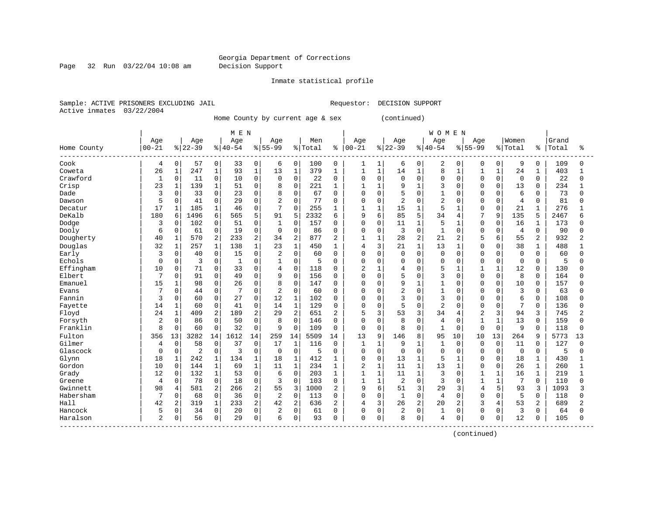Page 32 Run 03/22/04 10:08 am Decision Support

#### Inmate statistical profile

Sample: ACTIVE PRISONERS EXCLUDING JAIL **Requestor: DECISION SUPPORT** Active inmates 03/22/2004

Home County by current age & sex (continued)

|             |                |              |                |              | M E N     |              |                |                |         |                |                |                |                |              | <b>WOMEN</b>   |              |                |              |                |                |       |                |
|-------------|----------------|--------------|----------------|--------------|-----------|--------------|----------------|----------------|---------|----------------|----------------|----------------|----------------|--------------|----------------|--------------|----------------|--------------|----------------|----------------|-------|----------------|
|             | Age            |              | Age            |              | Age       |              | Age            |                | Men     |                | Age            |                | Age            |              | Age            |              | Age            |              | Women          |                | Grand |                |
| Home County | $00 - 21$      |              | $ 22-39$       |              | $8 40-54$ |              | $8 55-99$      |                | % Total | ి              | $00 - 21$      |                | $ 22-39$       |              | $8 40-54$      |              | $8155 - 99$    |              | % Total        | ႜ              | Total | ిక             |
| Cook        | 4              | 0            | 57             | 0            | 33        | 0            | 6              | 0              | 100     | $\mathbf 0$    | 1              | 1              | 6              | $\mathbf 0$  | 2              | 0            | $\Omega$       | 0            | 9              | 0              | 109   | 0              |
| Coweta      | 26             | $1\,$        | 247            | $\mathbf{1}$ | 93        | $\mathbf 1$  | 13             | $1\,$          | 379     | $\mathbf{1}$   | $\mathbf{1}$   | $\mathbf{1}$   | 14             | $\mathbf{1}$ | 8              | $\mathbf{1}$ | $\mathbf{1}$   | $\mathbf{1}$ | 24             | 1              | 403   |                |
| Crawford    | $\mathbf{1}$   | $\mathsf{O}$ | 11             | 0            | 10        | 0            | $\Omega$       | $\mathsf 0$    | 22      | 0              | 0              | $\mathbf 0$    | 0              | $\mathbf 0$  | $\Omega$       | $\Omega$     | $\Omega$       | $\mathbf 0$  | $\mathbf 0$    | $\Omega$       | 22    | 0              |
| Crisp       | 23             | $\mathbf 1$  | 139            | $\mathbf{1}$ | 51        | $\Omega$     | 8              | $\mathbf 0$    | 221     | 1              | $\mathbf{1}$   | $\mathbf{1}$   | 9              | $\mathbf{1}$ | 3              | $\Omega$     | $\Omega$       | $\Omega$     | 13             | $\Omega$       | 234   | $\mathbf{1}$   |
| Dade        | 3              | 0            | 33             | 0            | 23        | 0            | 8              | $\mathbf 0$    | 67      | 0              | 0              | $\mathbf 0$    | 5              | $\Omega$     | $\mathbf{1}$   | 0            | $\Omega$       | $\Omega$     | 6              | 0              | 73    | 0              |
| Dawson      | 5              | 0            | 41             | 0            | 29        | 0            | 2              | $\mathbf 0$    | 77      | $\Omega$       | 0              | $\mathbf 0$    | $\overline{2}$ | $\Omega$     | $\overline{2}$ | O            | $\Omega$       | $\Omega$     | $\overline{4}$ | 0              | 81    | U              |
| Decatur     | 17             | 1            | 185            | 1            | 46        | 0            | 7              | $\mathbf 0$    | 255     | 1              | 1              | $\mathbf{1}$   | 15             | $\mathbf{1}$ | 5              | $\mathbf{1}$ | $\Omega$       | $\Omega$     | 21             | $\mathbf{1}$   | 276   |                |
| DeKalb      | 180            | 6            | 1496           | 6            | 565       | 5            | 91             | 5              | 2332    | 6              | 9              | 6              | 85             | 5            | 34             | 4            | 7              | 9            | 135            | 5              | 2467  | б              |
| Dodge       | 3              | $\Omega$     | 102            | 0            | 51        | $\Omega$     | $\mathbf{1}$   | $\mathbf 0$    | 157     | 0              | 0              | $\mathbf 0$    | 11             | $\mathbf{1}$ | 5              | 1            | $\Omega$       | $\Omega$     | 16             | 1              | 173   | O              |
| Dooly       | 6              | $\mathbf 0$  | 61             | 0            | 19        | 0            | $\mathbf 0$    | $\mathbf 0$    | 86      | $\mathbf 0$    | 0              | $\mathbf 0$    | 3              | $\mathbf 0$  | $\mathbf{1}$   | 0            | $\Omega$       | $\mathbf 0$  | $\overline{4}$ | $\mathbf 0$    | 90    | U              |
| Dougherty   | 40             | $\mathbf{1}$ | 570            | 2            | 233       | 2            | 34             | 2              | 877     | 2              | $\mathbf{1}$   | $\mathbf{1}$   | 28             | 2            | 21             | 2            | 5              | 6            | 55             | $\overline{c}$ | 932   | 2              |
| Douglas     | 32             | $\mathbf 1$  | 257            | $\mathbf 1$  | 138       | $\mathbf{1}$ | 23             | $\mathbf 1$    | 450     | 1              | 4              | 3              | 21             | $\mathbf{1}$ | 13             | $\mathbf{1}$ | $\Omega$       | $\Omega$     | 38             | 1              | 488   |                |
| Early       | 3              | 0            | 40             | 0            | 15        | 0            | 2              | $\mathbf 0$    | 60      | $\Omega$       | 0              | $\mathbf 0$    | 0              | $\mathbf 0$  | $\mathbf 0$    | 0            | $\Omega$       | $\Omega$     | $\mathbf 0$    | $\Omega$       | 60    | 0              |
| Echols      | $\Omega$       | $\mathbf 0$  | 3              | 0            | 1         | 0            |                | $\mathsf 0$    | 5       | 0              | 0              | $\mathbf 0$    | 0              | 0            | $\mathbf 0$    | 0            | $\Omega$       | $\Omega$     | $\mathbf 0$    | 0              | 5     | U              |
| Effingham   | 10             | 0            | 71             | 0            | 33        | $\Omega$     | 4              | $\mathbf 0$    | 118     | $\Omega$       | $\overline{2}$ | $\mathbf{1}$   | 4              | $\Omega$     | 5              | $\mathbf{1}$ | $\mathbf{1}$   | $\mathbf{1}$ | 12             | $\Omega$       | 130   |                |
| Elbert      | 7              | $\Omega$     | 91             | 0            | 49        | $\Omega$     | 9              | $\Omega$       | 156     | $\Omega$       | O              | $\mathbf 0$    | 5              | $\Omega$     | 3              | $\Omega$     | $\Omega$       | $\Omega$     | 8              | $\Omega$       | 164   | U              |
| Emanuel     | 15             | 1            | 98             | 0            | 26        | $\Omega$     | 8              | $\mathbf 0$    | 147     | 0              | 0              | $\Omega$       | 9              | $\mathbf{1}$ | $\mathbf{1}$   | 0            | $\Omega$       | $\Omega$     | 10             | $\Omega$       | 157   | U              |
| Evans       |                | 0            | 44             | 0            |           | 0            | 2              | $\mathbf 0$    | 60      | 0              | 0              | $\mathbf 0$    | $\overline{2}$ | $\mathbf 0$  | $\mathbf{1}$   | $\Omega$     | $\Omega$       | $\Omega$     | 3              | $\mathbf 0$    | 63    | U              |
| Fannin      | 3              | 0            | 60             | 0            | 27        | 0            | 12             | $1\,$          | 102     | $\Omega$       | 0              | $\mathbf 0$    | 3              | $\Omega$     | 3              | 0            | $\Omega$       | $\Omega$     | 6              | $\mathbf 0$    | 108   |                |
| Fayette     | 14             | $\mathbf 1$  | 60             | 0            | 41        | 0            | 14             | $\mathbf 1$    | 129     | $\Omega$       | 0              | $\overline{0}$ | 5              | $\Omega$     | $\overline{2}$ | $\Omega$     | $\Omega$       | $\Omega$     | 7              | $\Omega$       | 136   | U              |
| Floyd       | 24             | $\mathbf{1}$ | 409            | 2            | 189       | 2            | 29             | $\overline{2}$ | 651     | 2              | 5              | 3              | 53             | 3            | 34             | 4            | $\overline{c}$ | 3            | 94             | 3              | 745   | 2              |
| Forsyth     | 2              | 0            | 86             | 0            | 50        | 0            | 8              | $\mathbf 0$    | 146     | 0              | 0              | $\mathbf 0$    | 8              | $\Omega$     | 4              | 0            | $\mathbf{1}$   | $\mathbf{1}$ | 13             | 0              | 159   | O              |
| Franklin    | 8              | $\mathbf 0$  | 60             | 0            | 32        | 0            | 9              | $\mathbf 0$    | 109     | 0              | $\mathbf 0$    | $\mathbf 0$    | 8              | $\Omega$     | $\mathbf{1}$   | 0            | $\Omega$       | $\mathbf 0$  | 9              | $\Omega$       | 118   | U              |
| Fulton      | 356            | 13           | 3282           | 14           | 1612      | 14           | 259            | 14             | 5509    | 14             | 13             | 9              | 146            | 8            | 95             | 10           | 10             | 13           | 264            | 9              | 5773  | 13             |
| Gilmer      | 4              | $\Omega$     | 58             | $\Omega$     | 37        | $\Omega$     | 17             | $\mathbf{1}$   | 116     | 0              | $\mathbf{1}$   | $\mathbf{1}$   | 9              | 1            | $\mathbf{1}$   | $\Omega$     | $\Omega$       | $\Omega$     | 11             | $\Omega$       | 127   | U              |
| Glascock    | $\Omega$       | $\mathbf 0$  | $\overline{2}$ | 0            | 3         | 0            | $\mathbf 0$    | $\mathbf 0$    | 5       | 0              | 0              | $\mathbf 0$    | 0              | $\Omega$     | $\mathbf 0$    | $\Omega$     | $\Omega$       | $\Omega$     | $\mathbf 0$    | 0              | 5     | O              |
| Glynn       | 18             | 1            | 242            | 1            | 134       | $\mathbf{1}$ | 18             | $1\,$          | 412     | 1              | 0              | $\mathbf 0$    | 13             | $\mathbf{1}$ | 5              | $\mathbf{1}$ | $\Omega$       | $\mathbf 0$  | 18             | $\mathbf{1}$   | 430   |                |
| Gordon      | 10             | $\mathbf 0$  | 144            | $\mathbf{1}$ | 69        | $\mathbf 1$  | 11             | $\mathbf 1$    | 234     | $\mathbf{1}$   | 2              | $\mathbf{1}$   | 11             | $\mathbf{1}$ | 13             | $\mathbf{1}$ | $\Omega$       | $\Omega$     | 26             | $\mathbf 1$    | 260   | $\mathbf{1}$   |
| Grady       | 12             | $\mathbf 0$  | 132            | $\mathbf{1}$ | 53        | $\Omega$     | 6              | $\mathbf 0$    | 203     | 1              | $\mathbf{1}$   | $\mathbf{1}$   | 11             | 1            | 3              | $\Omega$     | 1              | $\mathbf{1}$ | 16             | $\mathbf{1}$   | 219   | $\mathbf{1}$   |
| Greene      | $\overline{4}$ | $\mathbf 0$  | 78             | 0            | 18        | 0            | 3              | $\mathbf 0$    | 103     | 0              | $\mathbf{1}$   | $\mathbf{1}$   | 2              | $\Omega$     | 3              | 0            | $\mathbf{1}$   | $\mathbf{1}$ | 7              | $\Omega$       | 110   | 0              |
| Gwinnett    | 98             | 4            | 581            | 2            | 266       | 2            | 55             | 3              | 1000    | $\overline{2}$ | 9              | 6              | 51             | 3            | 29             | 3            | 4              | 5            | 93             | 3              | 1093  | 3              |
| Habersham   | 7              | $\mathbf 0$  | 68             | 0            | 36        | 0            | $\overline{2}$ | $\mathbf 0$    | 113     | $\Omega$       | 0              | $\mathbf 0$    | $\mathbf{1}$   | $\Omega$     | 4              | $\Omega$     | $\Omega$       | U            | 5              | 0              | 118   | ∩              |
| Hall        | 42             | 2            | 319            | $\mathbf{1}$ | 233       | 2            | 42             | 2              | 636     | $\overline{2}$ | 4              | 3              | 26             | 2            | 20             | 2            | 3              | 4            | 53             | 2              | 689   | $\overline{2}$ |
| Hancock     | 5              | 0            | 34             | 0            | 20        | 0            | 2              | $\mathsf 0$    | 61      | $\Omega$       | 0              | $\mathbf 0$    | 2              | $\mathbf 0$  | 1              | 0            | $\Omega$       | $\Omega$     | 3              | $\Omega$       | 64    | O              |
| Haralson    | $\overline{2}$ | 0            | 56             | 0            | 29        | 0            | 6              | 0              | 93      | $\Omega$       | O              | 0              | 8              | 0            | 4              | 0            | $\Omega$       | 0            | 12             | $\Omega$       | 105   | 0              |
|             |                |              |                |              |           |              |                |                |         |                |                |                |                |              |                |              |                |              |                |                |       |                |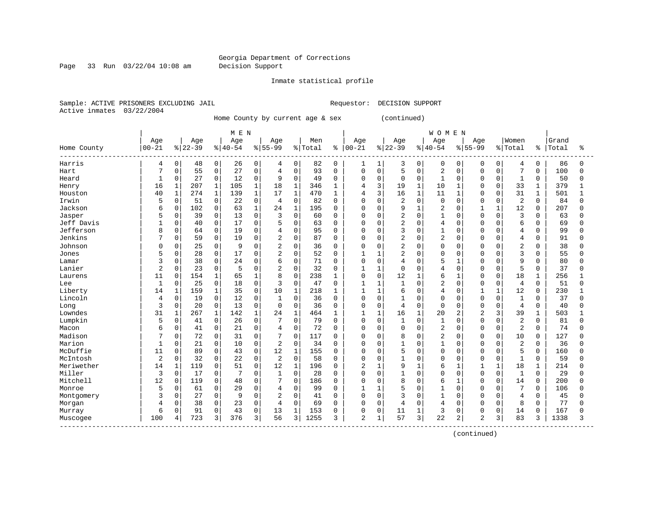Page 33 Run 03/22/04 10:08 am Decision Support

#### Inmate statistical profile

Sample: ACTIVE PRISONERS EXCLUDING JAIL **Requestor: DECISION SUPPORT** Active inmates 03/22/2004

Home County by current age & sex (continued)

| Age<br>Age<br>Women<br>Grand<br>Age<br>Age<br>Age<br>Men<br>Age<br>Age<br>Age<br>$00 - 21$<br>$00 - 21$<br>$ 22-39$<br>$8 40-54$<br>$8 55-99$<br>$ 22-39$<br>$8 55-99$<br>% Total<br>$ 40-54$<br>% Total<br>Total<br>Home County<br>နွ<br>နွ<br>Harris<br>0<br>48<br>$\overline{0}$<br>0<br>$\mathbf 0$<br>82<br>$\mathbf 0$<br>0<br>$\mathbf 0$<br>$\mathbf 0$<br>26<br>1<br>3<br>0<br>0<br>0<br>4<br>4<br>4<br>1<br>$\mathbf 0$<br>$\mathbf 0$<br>0<br>55<br>0<br>$\overline{4}$<br>93<br>$\mathbf 0$<br>5<br>$\overline{2}$<br>$\overline{7}$<br>7<br>27<br>$\mathbf 0$<br>0<br>$\Omega$<br>$\mathbf 0$<br>$\Omega$<br>Hart<br>$\mathbf 0$<br>$\mathbf 0$<br>$\mathbf 0$<br>Heard<br>0<br>27<br>0<br>12<br>0<br>9<br>49<br>$\Omega$<br>0<br>$\mathbf 0$<br>$\mathbf 0$<br>0<br>$\mathbf{1}$<br>$\Omega$<br>$\mathbf{1}$<br>$\mathbf{1}$<br>0<br>$\Omega$<br>0<br>16<br>$\mathbf{1}$<br>207<br>$\mathbf{1}$<br>$\mathbf 1$<br>18<br>$\mathbf{1}$<br>3<br>19<br>$\mathbf{1}$<br>33<br>105<br>346<br>10<br>$\mathbf{1}$<br>$\Omega$<br>$\Omega$<br>$\mathbf 1$<br>1<br>4<br>Henry<br>274<br>$\mathbf{1}$<br>17<br>$\mathbf{1}$<br>3<br>31<br>40<br>$\mathbf 1$<br>$\mathbf 1$<br>139<br>470<br>16<br>$\mathbf 1$<br>11<br>$\mathbf{1}$<br>4<br>$\cap$<br>$\Omega$<br>1<br>Houston<br>1<br>$\mathbf 0$<br>Irwin<br>0<br>0<br>$\mathsf 0$<br>$\overline{2}$<br>$\mathbf 0$<br>$\overline{2}$<br>5<br>51<br>22<br>$\overline{4}$<br>82<br>0<br>$\mathbf 0$<br>0<br>$\mathbf 0$<br>$\Omega$<br>0<br>O<br>$\Omega$<br>102<br>0<br>9<br>$\mathbf{1}$<br>$\overline{2}$<br>12<br>Jackson<br>$\mathbf 0$<br>63<br>$\mathbf{1}$<br>24<br>$\mathbf{1}$<br>195<br>$\Omega$<br>$\Omega$<br>$\mathbf 0$<br>$\Omega$<br>6<br>0<br>$\Omega$<br>$\overline{2}$<br>Jasper<br>$\Omega$<br>0<br>$\Omega$<br>3<br>$\Omega$<br>3<br>39<br>13<br>60<br>O<br>$\Omega$<br>$\mathbf{1}$<br>$\Omega$<br>$\cap$<br>$\Omega$<br>$\Omega$<br>$\Omega$<br>5<br>$\overline{2}$<br>0<br>$\Omega$<br>$\overline{4}$<br>6<br>Jeff Davis<br>0<br>40<br>17<br>$\Omega$<br>5<br>63<br>$\Omega$<br>$\Omega$<br>0<br>$\Omega$<br>$\Omega$<br>$\Omega$<br>$\Omega$<br>$\Omega$<br>Jefferson<br>$\mathbf{0}$<br>$\mathbf 0$<br>$\mathbf 0$<br>3<br>0<br>64<br>19<br>$\overline{4}$<br>95<br>0<br>$\mathbf 0$<br>0<br>$\mathbf 0$<br>$\mathbf 0$<br>$\overline{4}$<br>8<br>0<br>0<br>Jenkins<br>$\overline{2}$<br>$\overline{c}$<br>0<br>$\mathbf 0$<br>$\overline{2}$<br>0<br>$\overline{4}$<br>0<br>59<br>19<br>87<br>0<br>$\mathbf 0$<br>0<br>$\mathbf 0$<br>$\Omega$<br>0<br>$\Omega$<br>$\cap$<br>$\overline{2}$<br>$\overline{2}$<br>$\overline{2}$<br>Johnson<br>0<br>25<br>0<br>$\Omega$<br>0<br>36<br>0<br>$\Omega$<br>9<br>$\Omega$<br>$\Omega$<br>$\Omega$<br>$\Omega$<br>$\cap$<br>$\Omega$<br>$\Omega$<br>0<br>28<br>0<br>$\overline{2}$<br>$\mathbf 0$<br>52<br>$\overline{2}$<br>$\Omega$<br>$\overline{3}$<br>5<br>0<br>17<br>$\mathbf 0$<br>$\mathbf{1}$<br>$\Omega$<br>$\mathbf 0$<br>$\cap$<br>Jones<br>0<br>1<br>$\Omega$<br>$\Omega$<br>38<br>0<br>$\mathbf 0$<br>5<br>9<br>3<br>0<br>24<br>$\mathbf 0$<br>6<br>71<br>0<br>$\mathbf 0$<br>$\overline{4}$<br>0<br>O<br>1<br>$\cap$<br>$\Omega$<br>Lamar<br>O<br>$\Omega$<br>5<br>Lanier<br>$\overline{c}$<br>$\mathbf 0$<br>23<br>0<br>$\mathbf 0$<br>$\overline{c}$<br>32<br>$\mathbf 0$<br>$\overline{4}$<br>5<br>$\mathbf{1}$<br>$\mathbf{1}$<br>$\Omega$<br>$\Omega$<br>$\cap$<br>$\Omega$<br>$\Omega$<br>$\Omega$<br>$\mathbf 1$<br>8<br>$\Omega$<br>12<br>11<br>154<br>$\mathbf{1}$<br>238<br>$\Omega$<br>$\mathbf{1}$<br>6<br>18<br>0<br>65<br>$\Omega$<br>$\mathbf{1}$<br>$\Omega$<br>$\Omega$<br>1<br>Laurens<br>$\mathbf{1}$<br>25<br>0<br>$\Omega$<br>$\Omega$<br>$\overline{c}$<br>0<br>18<br>3<br>47<br>$\mathbf{1}$<br>$\Omega$<br>$\Omega$<br>$\Omega$<br>$\overline{4}$<br>1<br>1<br>-1<br>$\Omega$<br>$\Omega$<br>Lee<br>$\Omega$<br>$\mathbf 0$<br>159<br>$\mathbf{1}$<br>10<br>$\mathbf{1}$<br>$\mathbf{1}$<br>6<br>$\overline{4}$<br>12<br>Liberty<br>1<br>35<br>218<br>$\mathbf{1}$<br>$\Omega$<br>$\mathbf 0$<br>$\mathbf{1}$<br>$\mathbf 0$<br>14<br>1<br>Lincoln<br>0<br>19<br>0<br>$\mathsf 0$<br>$\mathbf 0$<br>$\Omega$<br>$\mathbf{1}$<br>$\Omega$<br>$\mathbf{1}$<br>12<br>$\mathbf{1}$<br>36<br>$\mathbf{0}$<br>$\mathbf 0$<br>0<br>$\mathbf 0$<br>$\Omega$<br>$\Omega$<br>$\Omega$<br>4<br>3<br>0<br>20<br>0<br>$\mathbf 0$<br>$\Omega$<br>$\Omega$<br>36<br>0<br>$\Omega$<br>$\overline{4}$<br>13<br>$\Omega$<br>$\mathbf 0$<br>4<br>0<br>$\Omega$<br>$\cap$<br>$\Omega$<br>$\Omega$<br>Long<br>Lowndes<br>31<br>267<br>1<br>142<br>$\mathbf{1}$<br>24<br>$\mathbf{1}$<br>464<br>16<br>$\mathbf{1}$<br>20<br>$\overline{2}$<br>2<br>ζ<br>39<br>1<br>$\mathbf{1}$<br>1<br>$\mathbf{1}$<br>Lumpkin<br>0<br>$\Omega$<br>$\overline{c}$<br>0<br>41<br>26<br>$\mathbf 0$<br>7<br>0<br>$\mathbf 0$<br>1<br>5<br>79<br>0<br>$\Omega$<br>$\Omega$<br>$\Omega$<br>$\Omega$<br>$\Omega$<br>$\overline{c}$<br>0<br>$\mathbf 0$<br>$\mathbf 0$<br>$\overline{c}$<br>0<br>41<br>21<br>$\mathbf 0$<br>72<br>0<br>0<br>$\mathbf 0$<br>$\Omega$<br>$\Omega$<br>Macon<br>6<br>4<br>$\Omega$<br>$\Omega$<br>$\cap$<br>Madison<br>O<br>72<br>0<br>$\Omega$<br>$\Omega$<br>117<br>8<br>$\overline{2}$<br>10<br>31<br>O<br>$\Omega$<br>$\Omega$<br>$\Omega$<br>$\cap$<br>$\Omega$<br>0<br>$\Omega$ | ిక<br>86<br>0<br>100<br>$\Omega$<br>50<br>0<br>379<br>$\mathbf{1}$<br>501<br>84<br><sup>0</sup><br>207<br>U<br>63<br><sup>0</sup> |
|-----------------------------------------------------------------------------------------------------------------------------------------------------------------------------------------------------------------------------------------------------------------------------------------------------------------------------------------------------------------------------------------------------------------------------------------------------------------------------------------------------------------------------------------------------------------------------------------------------------------------------------------------------------------------------------------------------------------------------------------------------------------------------------------------------------------------------------------------------------------------------------------------------------------------------------------------------------------------------------------------------------------------------------------------------------------------------------------------------------------------------------------------------------------------------------------------------------------------------------------------------------------------------------------------------------------------------------------------------------------------------------------------------------------------------------------------------------------------------------------------------------------------------------------------------------------------------------------------------------------------------------------------------------------------------------------------------------------------------------------------------------------------------------------------------------------------------------------------------------------------------------------------------------------------------------------------------------------------------------------------------------------------------------------------------------------------------------------------------------------------------------------------------------------------------------------------------------------------------------------------------------------------------------------------------------------------------------------------------------------------------------------------------------------------------------------------------------------------------------------------------------------------------------------------------------------------------------------------------------------------------------------------------------------------------------------------------------------------------------------------------------------------------------------------------------------------------------------------------------------------------------------------------------------------------------------------------------------------------------------------------------------------------------------------------------------------------------------------------------------------------------------------------------------------------------------------------------------------------------------------------------------------------------------------------------------------------------------------------------------------------------------------------------------------------------------------------------------------------------------------------------------------------------------------------------------------------------------------------------------------------------------------------------------------------------------------------------------------------------------------------------------------------------------------------------------------------------------------------------------------------------------------------------------------------------------------------------------------------------------------------------------------------------------------------------------------------------------------------------------------------------------------------------------------------------------------------------------------------------------------------------------------------------------------------------------------------------------------------------------------------------------------------------------------------------------------------------------------------------------------------------------------------------------------------------------------------------------------------------------------------------------------------------------------------------------------------------------------------------------------------------------------------------------------------------------------------------------------------------------------------------------------------------------------------------------------------------------------------------------------------------------------------------------------------------------------------------------------------------------------------------------------------------------------------------------------------------------------------------------------------------------------------------------------------------------------------------------|-----------------------------------------------------------------------------------------------------------------------------------|
|                                                                                                                                                                                                                                                                                                                                                                                                                                                                                                                                                                                                                                                                                                                                                                                                                                                                                                                                                                                                                                                                                                                                                                                                                                                                                                                                                                                                                                                                                                                                                                                                                                                                                                                                                                                                                                                                                                                                                                                                                                                                                                                                                                                                                                                                                                                                                                                                                                                                                                                                                                                                                                                                                                                                                                                                                                                                                                                                                                                                                                                                                                                                                                                                                                                                                                                                                                                                                                                                                                                                                                                                                                                                                                                                                                                                                                                                                                                                                                                                                                                                                                                                                                                                                                                                                                                                                                                                                                                                                                                                                                                                                                                                                                                                                                                                                                                                                                                                                                                                                                                                                                                                                                                                                                                                                                                                         |                                                                                                                                   |
|                                                                                                                                                                                                                                                                                                                                                                                                                                                                                                                                                                                                                                                                                                                                                                                                                                                                                                                                                                                                                                                                                                                                                                                                                                                                                                                                                                                                                                                                                                                                                                                                                                                                                                                                                                                                                                                                                                                                                                                                                                                                                                                                                                                                                                                                                                                                                                                                                                                                                                                                                                                                                                                                                                                                                                                                                                                                                                                                                                                                                                                                                                                                                                                                                                                                                                                                                                                                                                                                                                                                                                                                                                                                                                                                                                                                                                                                                                                                                                                                                                                                                                                                                                                                                                                                                                                                                                                                                                                                                                                                                                                                                                                                                                                                                                                                                                                                                                                                                                                                                                                                                                                                                                                                                                                                                                                                         |                                                                                                                                   |
|                                                                                                                                                                                                                                                                                                                                                                                                                                                                                                                                                                                                                                                                                                                                                                                                                                                                                                                                                                                                                                                                                                                                                                                                                                                                                                                                                                                                                                                                                                                                                                                                                                                                                                                                                                                                                                                                                                                                                                                                                                                                                                                                                                                                                                                                                                                                                                                                                                                                                                                                                                                                                                                                                                                                                                                                                                                                                                                                                                                                                                                                                                                                                                                                                                                                                                                                                                                                                                                                                                                                                                                                                                                                                                                                                                                                                                                                                                                                                                                                                                                                                                                                                                                                                                                                                                                                                                                                                                                                                                                                                                                                                                                                                                                                                                                                                                                                                                                                                                                                                                                                                                                                                                                                                                                                                                                                         |                                                                                                                                   |
|                                                                                                                                                                                                                                                                                                                                                                                                                                                                                                                                                                                                                                                                                                                                                                                                                                                                                                                                                                                                                                                                                                                                                                                                                                                                                                                                                                                                                                                                                                                                                                                                                                                                                                                                                                                                                                                                                                                                                                                                                                                                                                                                                                                                                                                                                                                                                                                                                                                                                                                                                                                                                                                                                                                                                                                                                                                                                                                                                                                                                                                                                                                                                                                                                                                                                                                                                                                                                                                                                                                                                                                                                                                                                                                                                                                                                                                                                                                                                                                                                                                                                                                                                                                                                                                                                                                                                                                                                                                                                                                                                                                                                                                                                                                                                                                                                                                                                                                                                                                                                                                                                                                                                                                                                                                                                                                                         |                                                                                                                                   |
|                                                                                                                                                                                                                                                                                                                                                                                                                                                                                                                                                                                                                                                                                                                                                                                                                                                                                                                                                                                                                                                                                                                                                                                                                                                                                                                                                                                                                                                                                                                                                                                                                                                                                                                                                                                                                                                                                                                                                                                                                                                                                                                                                                                                                                                                                                                                                                                                                                                                                                                                                                                                                                                                                                                                                                                                                                                                                                                                                                                                                                                                                                                                                                                                                                                                                                                                                                                                                                                                                                                                                                                                                                                                                                                                                                                                                                                                                                                                                                                                                                                                                                                                                                                                                                                                                                                                                                                                                                                                                                                                                                                                                                                                                                                                                                                                                                                                                                                                                                                                                                                                                                                                                                                                                                                                                                                                         |                                                                                                                                   |
|                                                                                                                                                                                                                                                                                                                                                                                                                                                                                                                                                                                                                                                                                                                                                                                                                                                                                                                                                                                                                                                                                                                                                                                                                                                                                                                                                                                                                                                                                                                                                                                                                                                                                                                                                                                                                                                                                                                                                                                                                                                                                                                                                                                                                                                                                                                                                                                                                                                                                                                                                                                                                                                                                                                                                                                                                                                                                                                                                                                                                                                                                                                                                                                                                                                                                                                                                                                                                                                                                                                                                                                                                                                                                                                                                                                                                                                                                                                                                                                                                                                                                                                                                                                                                                                                                                                                                                                                                                                                                                                                                                                                                                                                                                                                                                                                                                                                                                                                                                                                                                                                                                                                                                                                                                                                                                                                         |                                                                                                                                   |
|                                                                                                                                                                                                                                                                                                                                                                                                                                                                                                                                                                                                                                                                                                                                                                                                                                                                                                                                                                                                                                                                                                                                                                                                                                                                                                                                                                                                                                                                                                                                                                                                                                                                                                                                                                                                                                                                                                                                                                                                                                                                                                                                                                                                                                                                                                                                                                                                                                                                                                                                                                                                                                                                                                                                                                                                                                                                                                                                                                                                                                                                                                                                                                                                                                                                                                                                                                                                                                                                                                                                                                                                                                                                                                                                                                                                                                                                                                                                                                                                                                                                                                                                                                                                                                                                                                                                                                                                                                                                                                                                                                                                                                                                                                                                                                                                                                                                                                                                                                                                                                                                                                                                                                                                                                                                                                                                         |                                                                                                                                   |
|                                                                                                                                                                                                                                                                                                                                                                                                                                                                                                                                                                                                                                                                                                                                                                                                                                                                                                                                                                                                                                                                                                                                                                                                                                                                                                                                                                                                                                                                                                                                                                                                                                                                                                                                                                                                                                                                                                                                                                                                                                                                                                                                                                                                                                                                                                                                                                                                                                                                                                                                                                                                                                                                                                                                                                                                                                                                                                                                                                                                                                                                                                                                                                                                                                                                                                                                                                                                                                                                                                                                                                                                                                                                                                                                                                                                                                                                                                                                                                                                                                                                                                                                                                                                                                                                                                                                                                                                                                                                                                                                                                                                                                                                                                                                                                                                                                                                                                                                                                                                                                                                                                                                                                                                                                                                                                                                         |                                                                                                                                   |
|                                                                                                                                                                                                                                                                                                                                                                                                                                                                                                                                                                                                                                                                                                                                                                                                                                                                                                                                                                                                                                                                                                                                                                                                                                                                                                                                                                                                                                                                                                                                                                                                                                                                                                                                                                                                                                                                                                                                                                                                                                                                                                                                                                                                                                                                                                                                                                                                                                                                                                                                                                                                                                                                                                                                                                                                                                                                                                                                                                                                                                                                                                                                                                                                                                                                                                                                                                                                                                                                                                                                                                                                                                                                                                                                                                                                                                                                                                                                                                                                                                                                                                                                                                                                                                                                                                                                                                                                                                                                                                                                                                                                                                                                                                                                                                                                                                                                                                                                                                                                                                                                                                                                                                                                                                                                                                                                         |                                                                                                                                   |
|                                                                                                                                                                                                                                                                                                                                                                                                                                                                                                                                                                                                                                                                                                                                                                                                                                                                                                                                                                                                                                                                                                                                                                                                                                                                                                                                                                                                                                                                                                                                                                                                                                                                                                                                                                                                                                                                                                                                                                                                                                                                                                                                                                                                                                                                                                                                                                                                                                                                                                                                                                                                                                                                                                                                                                                                                                                                                                                                                                                                                                                                                                                                                                                                                                                                                                                                                                                                                                                                                                                                                                                                                                                                                                                                                                                                                                                                                                                                                                                                                                                                                                                                                                                                                                                                                                                                                                                                                                                                                                                                                                                                                                                                                                                                                                                                                                                                                                                                                                                                                                                                                                                                                                                                                                                                                                                                         |                                                                                                                                   |
|                                                                                                                                                                                                                                                                                                                                                                                                                                                                                                                                                                                                                                                                                                                                                                                                                                                                                                                                                                                                                                                                                                                                                                                                                                                                                                                                                                                                                                                                                                                                                                                                                                                                                                                                                                                                                                                                                                                                                                                                                                                                                                                                                                                                                                                                                                                                                                                                                                                                                                                                                                                                                                                                                                                                                                                                                                                                                                                                                                                                                                                                                                                                                                                                                                                                                                                                                                                                                                                                                                                                                                                                                                                                                                                                                                                                                                                                                                                                                                                                                                                                                                                                                                                                                                                                                                                                                                                                                                                                                                                                                                                                                                                                                                                                                                                                                                                                                                                                                                                                                                                                                                                                                                                                                                                                                                                                         | 69<br>0                                                                                                                           |
|                                                                                                                                                                                                                                                                                                                                                                                                                                                                                                                                                                                                                                                                                                                                                                                                                                                                                                                                                                                                                                                                                                                                                                                                                                                                                                                                                                                                                                                                                                                                                                                                                                                                                                                                                                                                                                                                                                                                                                                                                                                                                                                                                                                                                                                                                                                                                                                                                                                                                                                                                                                                                                                                                                                                                                                                                                                                                                                                                                                                                                                                                                                                                                                                                                                                                                                                                                                                                                                                                                                                                                                                                                                                                                                                                                                                                                                                                                                                                                                                                                                                                                                                                                                                                                                                                                                                                                                                                                                                                                                                                                                                                                                                                                                                                                                                                                                                                                                                                                                                                                                                                                                                                                                                                                                                                                                                         | 99<br>0                                                                                                                           |
|                                                                                                                                                                                                                                                                                                                                                                                                                                                                                                                                                                                                                                                                                                                                                                                                                                                                                                                                                                                                                                                                                                                                                                                                                                                                                                                                                                                                                                                                                                                                                                                                                                                                                                                                                                                                                                                                                                                                                                                                                                                                                                                                                                                                                                                                                                                                                                                                                                                                                                                                                                                                                                                                                                                                                                                                                                                                                                                                                                                                                                                                                                                                                                                                                                                                                                                                                                                                                                                                                                                                                                                                                                                                                                                                                                                                                                                                                                                                                                                                                                                                                                                                                                                                                                                                                                                                                                                                                                                                                                                                                                                                                                                                                                                                                                                                                                                                                                                                                                                                                                                                                                                                                                                                                                                                                                                                         | 91<br><sup>0</sup>                                                                                                                |
|                                                                                                                                                                                                                                                                                                                                                                                                                                                                                                                                                                                                                                                                                                                                                                                                                                                                                                                                                                                                                                                                                                                                                                                                                                                                                                                                                                                                                                                                                                                                                                                                                                                                                                                                                                                                                                                                                                                                                                                                                                                                                                                                                                                                                                                                                                                                                                                                                                                                                                                                                                                                                                                                                                                                                                                                                                                                                                                                                                                                                                                                                                                                                                                                                                                                                                                                                                                                                                                                                                                                                                                                                                                                                                                                                                                                                                                                                                                                                                                                                                                                                                                                                                                                                                                                                                                                                                                                                                                                                                                                                                                                                                                                                                                                                                                                                                                                                                                                                                                                                                                                                                                                                                                                                                                                                                                                         | 38<br>O                                                                                                                           |
|                                                                                                                                                                                                                                                                                                                                                                                                                                                                                                                                                                                                                                                                                                                                                                                                                                                                                                                                                                                                                                                                                                                                                                                                                                                                                                                                                                                                                                                                                                                                                                                                                                                                                                                                                                                                                                                                                                                                                                                                                                                                                                                                                                                                                                                                                                                                                                                                                                                                                                                                                                                                                                                                                                                                                                                                                                                                                                                                                                                                                                                                                                                                                                                                                                                                                                                                                                                                                                                                                                                                                                                                                                                                                                                                                                                                                                                                                                                                                                                                                                                                                                                                                                                                                                                                                                                                                                                                                                                                                                                                                                                                                                                                                                                                                                                                                                                                                                                                                                                                                                                                                                                                                                                                                                                                                                                                         | 55<br><sup>0</sup>                                                                                                                |
|                                                                                                                                                                                                                                                                                                                                                                                                                                                                                                                                                                                                                                                                                                                                                                                                                                                                                                                                                                                                                                                                                                                                                                                                                                                                                                                                                                                                                                                                                                                                                                                                                                                                                                                                                                                                                                                                                                                                                                                                                                                                                                                                                                                                                                                                                                                                                                                                                                                                                                                                                                                                                                                                                                                                                                                                                                                                                                                                                                                                                                                                                                                                                                                                                                                                                                                                                                                                                                                                                                                                                                                                                                                                                                                                                                                                                                                                                                                                                                                                                                                                                                                                                                                                                                                                                                                                                                                                                                                                                                                                                                                                                                                                                                                                                                                                                                                                                                                                                                                                                                                                                                                                                                                                                                                                                                                                         | 80<br><sup>0</sup>                                                                                                                |
|                                                                                                                                                                                                                                                                                                                                                                                                                                                                                                                                                                                                                                                                                                                                                                                                                                                                                                                                                                                                                                                                                                                                                                                                                                                                                                                                                                                                                                                                                                                                                                                                                                                                                                                                                                                                                                                                                                                                                                                                                                                                                                                                                                                                                                                                                                                                                                                                                                                                                                                                                                                                                                                                                                                                                                                                                                                                                                                                                                                                                                                                                                                                                                                                                                                                                                                                                                                                                                                                                                                                                                                                                                                                                                                                                                                                                                                                                                                                                                                                                                                                                                                                                                                                                                                                                                                                                                                                                                                                                                                                                                                                                                                                                                                                                                                                                                                                                                                                                                                                                                                                                                                                                                                                                                                                                                                                         | 37<br>U                                                                                                                           |
|                                                                                                                                                                                                                                                                                                                                                                                                                                                                                                                                                                                                                                                                                                                                                                                                                                                                                                                                                                                                                                                                                                                                                                                                                                                                                                                                                                                                                                                                                                                                                                                                                                                                                                                                                                                                                                                                                                                                                                                                                                                                                                                                                                                                                                                                                                                                                                                                                                                                                                                                                                                                                                                                                                                                                                                                                                                                                                                                                                                                                                                                                                                                                                                                                                                                                                                                                                                                                                                                                                                                                                                                                                                                                                                                                                                                                                                                                                                                                                                                                                                                                                                                                                                                                                                                                                                                                                                                                                                                                                                                                                                                                                                                                                                                                                                                                                                                                                                                                                                                                                                                                                                                                                                                                                                                                                                                         | 256                                                                                                                               |
|                                                                                                                                                                                                                                                                                                                                                                                                                                                                                                                                                                                                                                                                                                                                                                                                                                                                                                                                                                                                                                                                                                                                                                                                                                                                                                                                                                                                                                                                                                                                                                                                                                                                                                                                                                                                                                                                                                                                                                                                                                                                                                                                                                                                                                                                                                                                                                                                                                                                                                                                                                                                                                                                                                                                                                                                                                                                                                                                                                                                                                                                                                                                                                                                                                                                                                                                                                                                                                                                                                                                                                                                                                                                                                                                                                                                                                                                                                                                                                                                                                                                                                                                                                                                                                                                                                                                                                                                                                                                                                                                                                                                                                                                                                                                                                                                                                                                                                                                                                                                                                                                                                                                                                                                                                                                                                                                         | 51<br>0                                                                                                                           |
|                                                                                                                                                                                                                                                                                                                                                                                                                                                                                                                                                                                                                                                                                                                                                                                                                                                                                                                                                                                                                                                                                                                                                                                                                                                                                                                                                                                                                                                                                                                                                                                                                                                                                                                                                                                                                                                                                                                                                                                                                                                                                                                                                                                                                                                                                                                                                                                                                                                                                                                                                                                                                                                                                                                                                                                                                                                                                                                                                                                                                                                                                                                                                                                                                                                                                                                                                                                                                                                                                                                                                                                                                                                                                                                                                                                                                                                                                                                                                                                                                                                                                                                                                                                                                                                                                                                                                                                                                                                                                                                                                                                                                                                                                                                                                                                                                                                                                                                                                                                                                                                                                                                                                                                                                                                                                                                                         | 230                                                                                                                               |
|                                                                                                                                                                                                                                                                                                                                                                                                                                                                                                                                                                                                                                                                                                                                                                                                                                                                                                                                                                                                                                                                                                                                                                                                                                                                                                                                                                                                                                                                                                                                                                                                                                                                                                                                                                                                                                                                                                                                                                                                                                                                                                                                                                                                                                                                                                                                                                                                                                                                                                                                                                                                                                                                                                                                                                                                                                                                                                                                                                                                                                                                                                                                                                                                                                                                                                                                                                                                                                                                                                                                                                                                                                                                                                                                                                                                                                                                                                                                                                                                                                                                                                                                                                                                                                                                                                                                                                                                                                                                                                                                                                                                                                                                                                                                                                                                                                                                                                                                                                                                                                                                                                                                                                                                                                                                                                                                         | 37<br><sup>0</sup>                                                                                                                |
|                                                                                                                                                                                                                                                                                                                                                                                                                                                                                                                                                                                                                                                                                                                                                                                                                                                                                                                                                                                                                                                                                                                                                                                                                                                                                                                                                                                                                                                                                                                                                                                                                                                                                                                                                                                                                                                                                                                                                                                                                                                                                                                                                                                                                                                                                                                                                                                                                                                                                                                                                                                                                                                                                                                                                                                                                                                                                                                                                                                                                                                                                                                                                                                                                                                                                                                                                                                                                                                                                                                                                                                                                                                                                                                                                                                                                                                                                                                                                                                                                                                                                                                                                                                                                                                                                                                                                                                                                                                                                                                                                                                                                                                                                                                                                                                                                                                                                                                                                                                                                                                                                                                                                                                                                                                                                                                                         | 40<br>U                                                                                                                           |
|                                                                                                                                                                                                                                                                                                                                                                                                                                                                                                                                                                                                                                                                                                                                                                                                                                                                                                                                                                                                                                                                                                                                                                                                                                                                                                                                                                                                                                                                                                                                                                                                                                                                                                                                                                                                                                                                                                                                                                                                                                                                                                                                                                                                                                                                                                                                                                                                                                                                                                                                                                                                                                                                                                                                                                                                                                                                                                                                                                                                                                                                                                                                                                                                                                                                                                                                                                                                                                                                                                                                                                                                                                                                                                                                                                                                                                                                                                                                                                                                                                                                                                                                                                                                                                                                                                                                                                                                                                                                                                                                                                                                                                                                                                                                                                                                                                                                                                                                                                                                                                                                                                                                                                                                                                                                                                                                         | 503                                                                                                                               |
|                                                                                                                                                                                                                                                                                                                                                                                                                                                                                                                                                                                                                                                                                                                                                                                                                                                                                                                                                                                                                                                                                                                                                                                                                                                                                                                                                                                                                                                                                                                                                                                                                                                                                                                                                                                                                                                                                                                                                                                                                                                                                                                                                                                                                                                                                                                                                                                                                                                                                                                                                                                                                                                                                                                                                                                                                                                                                                                                                                                                                                                                                                                                                                                                                                                                                                                                                                                                                                                                                                                                                                                                                                                                                                                                                                                                                                                                                                                                                                                                                                                                                                                                                                                                                                                                                                                                                                                                                                                                                                                                                                                                                                                                                                                                                                                                                                                                                                                                                                                                                                                                                                                                                                                                                                                                                                                                         | 81<br>0                                                                                                                           |
|                                                                                                                                                                                                                                                                                                                                                                                                                                                                                                                                                                                                                                                                                                                                                                                                                                                                                                                                                                                                                                                                                                                                                                                                                                                                                                                                                                                                                                                                                                                                                                                                                                                                                                                                                                                                                                                                                                                                                                                                                                                                                                                                                                                                                                                                                                                                                                                                                                                                                                                                                                                                                                                                                                                                                                                                                                                                                                                                                                                                                                                                                                                                                                                                                                                                                                                                                                                                                                                                                                                                                                                                                                                                                                                                                                                                                                                                                                                                                                                                                                                                                                                                                                                                                                                                                                                                                                                                                                                                                                                                                                                                                                                                                                                                                                                                                                                                                                                                                                                                                                                                                                                                                                                                                                                                                                                                         | 74<br>U                                                                                                                           |
|                                                                                                                                                                                                                                                                                                                                                                                                                                                                                                                                                                                                                                                                                                                                                                                                                                                                                                                                                                                                                                                                                                                                                                                                                                                                                                                                                                                                                                                                                                                                                                                                                                                                                                                                                                                                                                                                                                                                                                                                                                                                                                                                                                                                                                                                                                                                                                                                                                                                                                                                                                                                                                                                                                                                                                                                                                                                                                                                                                                                                                                                                                                                                                                                                                                                                                                                                                                                                                                                                                                                                                                                                                                                                                                                                                                                                                                                                                                                                                                                                                                                                                                                                                                                                                                                                                                                                                                                                                                                                                                                                                                                                                                                                                                                                                                                                                                                                                                                                                                                                                                                                                                                                                                                                                                                                                                                         | 127<br>U                                                                                                                          |
| Marion<br>21<br>$\Omega$<br>$\overline{2}$<br>$\Omega$<br>$\mathbf{1}$<br>2<br>0<br>10<br>$\Omega$<br>34<br>0<br>$\Omega$<br>$\Omega$<br>$\mathbf{1}$<br>$\Omega$<br>$\Omega$<br>$\mathbf{1}$<br>$\cap$<br>$\Omega$<br>$\Omega$                                                                                                                                                                                                                                                                                                                                                                                                                                                                                                                                                                                                                                                                                                                                                                                                                                                                                                                                                                                                                                                                                                                                                                                                                                                                                                                                                                                                                                                                                                                                                                                                                                                                                                                                                                                                                                                                                                                                                                                                                                                                                                                                                                                                                                                                                                                                                                                                                                                                                                                                                                                                                                                                                                                                                                                                                                                                                                                                                                                                                                                                                                                                                                                                                                                                                                                                                                                                                                                                                                                                                                                                                                                                                                                                                                                                                                                                                                                                                                                                                                                                                                                                                                                                                                                                                                                                                                                                                                                                                                                                                                                                                                                                                                                                                                                                                                                                                                                                                                                                                                                                                                         | 36<br>O                                                                                                                           |
| 12<br>5<br>McDuffie<br>11<br>89<br>0<br>$\mathbf 0$<br>155<br>5<br>$\Omega$<br>0<br>43<br>1<br>$\Omega$<br>$\Omega$<br>$\Omega$<br>0<br>$\Omega$<br>$\Omega$<br>$\Omega$<br>0                                                                                                                                                                                                                                                                                                                                                                                                                                                                                                                                                                                                                                                                                                                                                                                                                                                                                                                                                                                                                                                                                                                                                                                                                                                                                                                                                                                                                                                                                                                                                                                                                                                                                                                                                                                                                                                                                                                                                                                                                                                                                                                                                                                                                                                                                                                                                                                                                                                                                                                                                                                                                                                                                                                                                                                                                                                                                                                                                                                                                                                                                                                                                                                                                                                                                                                                                                                                                                                                                                                                                                                                                                                                                                                                                                                                                                                                                                                                                                                                                                                                                                                                                                                                                                                                                                                                                                                                                                                                                                                                                                                                                                                                                                                                                                                                                                                                                                                                                                                                                                                                                                                                                           | 160<br><sup>0</sup>                                                                                                               |
| $\mathbf 0$<br>$\overline{a}$<br>$\mathbf 0$<br>32<br>0<br>$\mathsf 0$<br>$\overline{2}$<br>58<br>$\mathbf{1}$<br>0<br>$\Omega$<br>$\mathbf 0$<br>$\mathbf{1}$<br>McIntosh<br>22<br>$\Omega$<br>0<br>$\mathbf 0$<br>$\mathbf 0$<br>$\Omega$<br>$\Omega$                                                                                                                                                                                                                                                                                                                                                                                                                                                                                                                                                                                                                                                                                                                                                                                                                                                                                                                                                                                                                                                                                                                                                                                                                                                                                                                                                                                                                                                                                                                                                                                                                                                                                                                                                                                                                                                                                                                                                                                                                                                                                                                                                                                                                                                                                                                                                                                                                                                                                                                                                                                                                                                                                                                                                                                                                                                                                                                                                                                                                                                                                                                                                                                                                                                                                                                                                                                                                                                                                                                                                                                                                                                                                                                                                                                                                                                                                                                                                                                                                                                                                                                                                                                                                                                                                                                                                                                                                                                                                                                                                                                                                                                                                                                                                                                                                                                                                                                                                                                                                                                                                 | 59<br><sup>0</sup>                                                                                                                |
| Meriwether<br>14<br>$\mathbf{1}$<br>119<br>0<br>$\mathbf 0$<br>12<br>$\mathbf{1}$<br>2<br>9<br>$\mathbf{1}$<br>6<br>18<br>51<br>196<br>$\mathbf 0$<br>$\mathbf{1}$<br>$\mathbf{1}$<br>$\mathbf{1}$<br>$\mathbf{1}$                                                                                                                                                                                                                                                                                                                                                                                                                                                                                                                                                                                                                                                                                                                                                                                                                                                                                                                                                                                                                                                                                                                                                                                                                                                                                                                                                                                                                                                                                                                                                                                                                                                                                                                                                                                                                                                                                                                                                                                                                                                                                                                                                                                                                                                                                                                                                                                                                                                                                                                                                                                                                                                                                                                                                                                                                                                                                                                                                                                                                                                                                                                                                                                                                                                                                                                                                                                                                                                                                                                                                                                                                                                                                                                                                                                                                                                                                                                                                                                                                                                                                                                                                                                                                                                                                                                                                                                                                                                                                                                                                                                                                                                                                                                                                                                                                                                                                                                                                                                                                                                                                                                      | 214<br>$\Omega$                                                                                                                   |
| Miller<br>3<br>0<br>17<br>0<br>$\Omega$<br>0<br>28<br>$\Omega$<br>$\mathbf{1}$<br>$\Omega$<br>$\Omega$<br>$\mathbf{1}$<br>7<br>1<br>$\Omega$<br>0<br>$\Omega$<br>$\Omega$<br>$\Omega$<br>$\Omega$                                                                                                                                                                                                                                                                                                                                                                                                                                                                                                                                                                                                                                                                                                                                                                                                                                                                                                                                                                                                                                                                                                                                                                                                                                                                                                                                                                                                                                                                                                                                                                                                                                                                                                                                                                                                                                                                                                                                                                                                                                                                                                                                                                                                                                                                                                                                                                                                                                                                                                                                                                                                                                                                                                                                                                                                                                                                                                                                                                                                                                                                                                                                                                                                                                                                                                                                                                                                                                                                                                                                                                                                                                                                                                                                                                                                                                                                                                                                                                                                                                                                                                                                                                                                                                                                                                                                                                                                                                                                                                                                                                                                                                                                                                                                                                                                                                                                                                                                                                                                                                                                                                                                       | 29<br><sup>0</sup>                                                                                                                |
| Mitchell<br>12<br>8<br>119<br>0<br>$\Omega$<br>7<br>0<br>6<br>14<br>0<br>48<br>186<br>0<br>0<br>$\Omega$<br>O<br>$\Omega$<br>$\Omega$<br>0<br>1                                                                                                                                                                                                                                                                                                                                                                                                                                                                                                                                                                                                                                                                                                                                                                                                                                                                                                                                                                                                                                                                                                                                                                                                                                                                                                                                                                                                                                                                                                                                                                                                                                                                                                                                                                                                                                                                                                                                                                                                                                                                                                                                                                                                                                                                                                                                                                                                                                                                                                                                                                                                                                                                                                                                                                                                                                                                                                                                                                                                                                                                                                                                                                                                                                                                                                                                                                                                                                                                                                                                                                                                                                                                                                                                                                                                                                                                                                                                                                                                                                                                                                                                                                                                                                                                                                                                                                                                                                                                                                                                                                                                                                                                                                                                                                                                                                                                                                                                                                                                                                                                                                                                                                                         | 200<br>O                                                                                                                          |
| 0<br>5<br>7<br>5<br>$\mathbf 0$<br>61<br>29<br>$\mathbf 0$<br>0<br>99<br>0<br>$\mathbf{1}$<br>$\mathbf 0$<br>Monroe<br>4<br>1<br>1<br>$\Omega$<br>$\Omega$<br>$\Omega$<br>0                                                                                                                                                                                                                                                                                                                                                                                                                                                                                                                                                                                                                                                                                                                                                                                                                                                                                                                                                                                                                                                                                                                                                                                                                                                                                                                                                                                                                                                                                                                                                                                                                                                                                                                                                                                                                                                                                                                                                                                                                                                                                                                                                                                                                                                                                                                                                                                                                                                                                                                                                                                                                                                                                                                                                                                                                                                                                                                                                                                                                                                                                                                                                                                                                                                                                                                                                                                                                                                                                                                                                                                                                                                                                                                                                                                                                                                                                                                                                                                                                                                                                                                                                                                                                                                                                                                                                                                                                                                                                                                                                                                                                                                                                                                                                                                                                                                                                                                                                                                                                                                                                                                                                             | 106<br>ი                                                                                                                          |
| 3<br>27<br>0<br>$\Omega$<br>$\overline{2}$<br>$\Omega$<br>$\mathbf{1}$<br>$\overline{4}$<br>0<br>9<br>41<br>$\Omega$<br>$\Omega$<br>$\Omega$<br>$\Omega$<br>$\cap$<br>$\Omega$<br>Montgomery<br>3<br>$\Omega$<br>$\Omega$                                                                                                                                                                                                                                                                                                                                                                                                                                                                                                                                                                                                                                                                                                                                                                                                                                                                                                                                                                                                                                                                                                                                                                                                                                                                                                                                                                                                                                                                                                                                                                                                                                                                                                                                                                                                                                                                                                                                                                                                                                                                                                                                                                                                                                                                                                                                                                                                                                                                                                                                                                                                                                                                                                                                                                                                                                                                                                                                                                                                                                                                                                                                                                                                                                                                                                                                                                                                                                                                                                                                                                                                                                                                                                                                                                                                                                                                                                                                                                                                                                                                                                                                                                                                                                                                                                                                                                                                                                                                                                                                                                                                                                                                                                                                                                                                                                                                                                                                                                                                                                                                                                               | 45<br>O                                                                                                                           |
| 38<br>0<br>$\mathbf 0$<br>$\mathbf 0$<br>$\overline{4}$<br>8<br>0<br>23<br>$\overline{4}$<br>69<br>0<br>$\mathbf 0$<br>$\overline{4}$<br>$\Omega$<br>$\mathbf 0$<br>$\Omega$<br>$\Omega$<br>$\Omega$<br>0<br>Morgan<br>4                                                                                                                                                                                                                                                                                                                                                                                                                                                                                                                                                                                                                                                                                                                                                                                                                                                                                                                                                                                                                                                                                                                                                                                                                                                                                                                                                                                                                                                                                                                                                                                                                                                                                                                                                                                                                                                                                                                                                                                                                                                                                                                                                                                                                                                                                                                                                                                                                                                                                                                                                                                                                                                                                                                                                                                                                                                                                                                                                                                                                                                                                                                                                                                                                                                                                                                                                                                                                                                                                                                                                                                                                                                                                                                                                                                                                                                                                                                                                                                                                                                                                                                                                                                                                                                                                                                                                                                                                                                                                                                                                                                                                                                                                                                                                                                                                                                                                                                                                                                                                                                                                                                | 77<br><sup>0</sup>                                                                                                                |
| 0<br>$\mathsf 0$<br>0<br>91<br>13<br>1<br>3<br>14<br>43<br>153<br>0<br>$\mathbf 0$<br>11<br>1<br>$\mathbf 0$<br>$\Omega$<br>$\Omega$<br>0<br>Murray<br>6<br>$\Omega$                                                                                                                                                                                                                                                                                                                                                                                                                                                                                                                                                                                                                                                                                                                                                                                                                                                                                                                                                                                                                                                                                                                                                                                                                                                                                                                                                                                                                                                                                                                                                                                                                                                                                                                                                                                                                                                                                                                                                                                                                                                                                                                                                                                                                                                                                                                                                                                                                                                                                                                                                                                                                                                                                                                                                                                                                                                                                                                                                                                                                                                                                                                                                                                                                                                                                                                                                                                                                                                                                                                                                                                                                                                                                                                                                                                                                                                                                                                                                                                                                                                                                                                                                                                                                                                                                                                                                                                                                                                                                                                                                                                                                                                                                                                                                                                                                                                                                                                                                                                                                                                                                                                                                                    | 167<br>O                                                                                                                          |
| 56<br>3<br>$\overline{2}$<br>57<br>22<br>$\overline{2}$<br>83<br>100<br>723<br>3<br>376<br>3<br>1255<br>3<br>2<br>3<br>1338<br>4<br>3<br>$\mathbf{1}$<br>3<br>Muscogee                                                                                                                                                                                                                                                                                                                                                                                                                                                                                                                                                                                                                                                                                                                                                                                                                                                                                                                                                                                                                                                                                                                                                                                                                                                                                                                                                                                                                                                                                                                                                                                                                                                                                                                                                                                                                                                                                                                                                                                                                                                                                                                                                                                                                                                                                                                                                                                                                                                                                                                                                                                                                                                                                                                                                                                                                                                                                                                                                                                                                                                                                                                                                                                                                                                                                                                                                                                                                                                                                                                                                                                                                                                                                                                                                                                                                                                                                                                                                                                                                                                                                                                                                                                                                                                                                                                                                                                                                                                                                                                                                                                                                                                                                                                                                                                                                                                                                                                                                                                                                                                                                                                                                                  | ς                                                                                                                                 |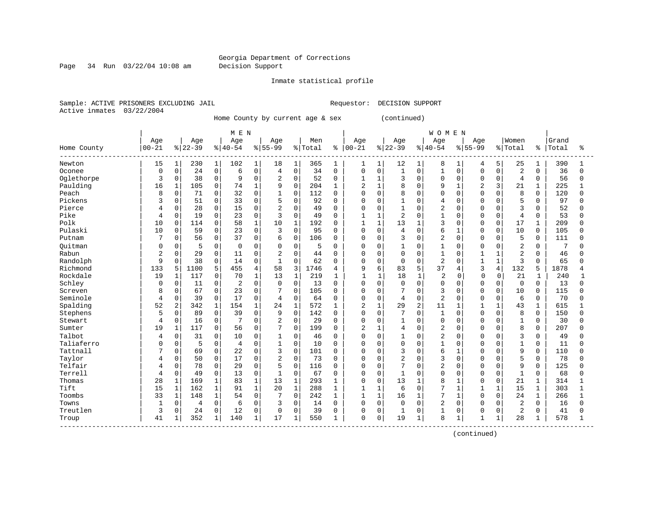Page 34 Run 03/22/04 10:08 am Decision Support

#### Inmate statistical profile

Sample: ACTIVE PRISONERS EXCLUDING JAIL **Requestor: DECISION SUPPORT** Active inmates 03/22/2004

Home County by current age & sex (continued)

|                          |                |              |          |              | M E N          |              |                |              |         |              |                |              |                |                | <b>WOMEN</b>   |              |              |                |                |              |       |              |
|--------------------------|----------------|--------------|----------|--------------|----------------|--------------|----------------|--------------|---------|--------------|----------------|--------------|----------------|----------------|----------------|--------------|--------------|----------------|----------------|--------------|-------|--------------|
|                          | Age            |              | Age      |              | Age            |              | Age            |              | Men     |              | Age            |              | Age            |                | Age            |              | Age          |                | Women          |              | Grand |              |
| Home County<br>--------- | $00 - 21$      |              | $ 22-39$ |              | $8 40-54$      |              | $8 55-99$      |              | % Total | နွ           | $ 00 - 21$     |              | $ 22-39$       |                | $8 40-54$      |              | $8155 - 99$  |                | % Total        | ႜ            | Total | ిక           |
| Newton                   | 15             | $\mathbf 1$  | 230      | $\mathbf{1}$ | 102            | $\mathbf{1}$ | 18             | 1            | 365     | 1            | 1              | 1            | 12             | $\mathbf{1}$   | 8              | 1            | 4            | 5              | 25             | 1            | 390   |              |
| Oconee                   | $\mathbf 0$    | $\mathbf 0$  | 24       | 0            | 6              | $\mathbf 0$  | $\overline{4}$ | $\mathbf 0$  | 34      | $\mathbf 0$  | 0              | $\mathbf 0$  | $\overline{1}$ | 0              | $\mathbf{1}$   | $\Omega$     | $\mathbf 0$  | $\mathbf 0$    | 2              | $\Omega$     | 36    | $\Omega$     |
| Oglethorpe               | 3              | $\mathbf 0$  | 38       | 0            | 9              | $\mathbf 0$  | $\overline{2}$ | $\mathbf 0$  | 52      | $\Omega$     | 1              | $\mathbf{1}$ | 3              | $\Omega$       | $\Omega$       | $\mathbf 0$  | $\Omega$     | $\mathbf 0$    | $\overline{4}$ | $\Omega$     | 56    | 0            |
| Paulding                 | 16             | 1            | 105      | 0            | 74             | $\mathbf{1}$ | 9              | $\mathbf 0$  | 204     | 1            | $\overline{2}$ | $\mathbf{1}$ | 8              | $\Omega$       | 9              | $\mathbf{1}$ | 2            | 3              | 21             | 1            | 225   |              |
| Peach                    | 8              | 0            | 71       | 0            | 32             | $\Omega$     | 1              | 0            | 112     | $\Omega$     | 0              | $\Omega$     | 8              | $\Omega$       | $\Omega$       | $\Omega$     | $\cap$       | $\Omega$       | 8              | $\Omega$     | 120   | $\Omega$     |
| Pickens                  | 3              | $\Omega$     | 51       | 0            | 33             | $\Omega$     | 5              | $\Omega$     | 92      | $\Omega$     | 0              | $\Omega$     | $\mathbf{1}$   | $\Omega$       | $\overline{4}$ | $\Omega$     | $\cap$       | $\Omega$       | 5              | $\Omega$     | 97    | <sup>0</sup> |
| Pierce                   |                | 0            | 28       | 0            | 15             | $\Omega$     | $\overline{2}$ | $\Omega$     | 49      | $\Omega$     | 0              | 0            | $\mathbf{1}$   | O              | $\overline{c}$ | $\Omega$     |              | $\Omega$       | 3              | O            | 52    | 0            |
| Pike                     | 4              | 0            | 19       | 0            | 23             | $\mathbf 0$  | 3              | $\Omega$     | 49      | $\Omega$     |                | 1            | $\overline{2}$ | O              | $\mathbf{1}$   | $\Omega$     | $\cap$       | $\Omega$       | $\overline{4}$ | $\Omega$     | 53    | O            |
| Polk                     | 10             | $\Omega$     | 114      | 0            | 58             | $\mathbf{1}$ | 10             | $\mathbf{1}$ | 192     | $\Omega$     | $\mathbf{1}$   | $\mathbf{1}$ | 13             | $\mathbf{1}$   | $\mathbf{z}$   | $\Omega$     | $\Omega$     | $\Omega$       | 17             | 1            | 209   | $\cap$       |
| Pulaski                  | 10             | 0            | 59       | 0            | 23             | $\Omega$     | 3              | $\Omega$     | 95      | $\Omega$     | 0              | $\Omega$     | 4              | 0              | 6              | 1            | $\Omega$     | $\Omega$       | 10             | $\Omega$     | 105   | <sup>0</sup> |
| Putnam                   |                | $\Omega$     | 56       | $\mathbf{0}$ | 37             | $\Omega$     | 6              | 0            | 106     | $\Omega$     | O              | $\Omega$     | 3              | $\Omega$       | $\overline{c}$ | $\Omega$     | $\Omega$     | $\Omega$       | 5              | $\Omega$     | 111   | O            |
| Ouitman                  | 0              | 0            | 5        | 0            | 0              | $\mathbf 0$  | 0              | 0            | 5       | <sup>0</sup> | 0              | 0            | 1              | $\Omega$       |                | $\Omega$     |              | $\Omega$       | $\overline{2}$ | $\Omega$     | 7     | N            |
| Rabun                    | $\overline{2}$ | 0            | 29       | 0            | 11             | $\Omega$     | $\overline{2}$ | $\Omega$     | 44      | $\Omega$     | 0              | $\mathbf 0$  | $\mathbf 0$    | $\Omega$       |                | $\Omega$     |              |                | $\overline{c}$ | $\Omega$     | 46    | N            |
| Randolph                 | 9              | 0            | 38       | 0            | 14             | $\mathbf 0$  | $\mathbf{1}$   | $\Omega$     | 62      | $\Omega$     | 0              | $\mathbf 0$  | $\mathbf 0$    | $\Omega$       | $\overline{2}$ | $\Omega$     | $\mathbf{1}$ | $\mathbf{1}$   | $\overline{3}$ | $\Omega$     | 65    | U            |
| Richmond                 | 133            | 5            | 1100     | 5            | 455            | 4            | 58             | 3            | 1746    | 4            | 9              | 6            | 83             | 5              | 37             | 4            | 3            | $\overline{4}$ | 132            | 5            | 1878  | 4            |
| Rockdale                 | 19             | 1            | 117      | $\mathbf 0$  | 70             | $\mathbf{1}$ | 13             | $\mathbf{1}$ | 219     | -1           |                | 1            | 18             | 1              | $\overline{2}$ | 0            | <sup>0</sup> | $\Omega$       | 21             | 1            | 240   |              |
| Schley                   | <sup>0</sup>   | 0            | 11       | 0            | $\overline{2}$ | $\mathbf 0$  | $\Omega$       | 0            | 13      | $\Omega$     | O              | $\mathbf 0$  | $\mathbf 0$    | 0              | $\Omega$       | $\Omega$     | O            | $\Omega$       | $\mathbf 0$    | $\Omega$     | 13    | <sup>0</sup> |
| Screven                  | 8              | U            | 67       | 0            | 23             | $\mathbf 0$  |                | $\Omega$     | 105     | $\Omega$     | U              | $\Omega$     | 7              | 0              | 3              | $\Omega$     | $\Omega$     | $\Omega$       | 10             | 0            | 115   |              |
| Seminole                 | 4              | 0            | 39       | $\Omega$     | 17             | $\Omega$     | 4              | $\Omega$     | 64      | $\Omega$     | O              | $\Omega$     | 4              | $\Omega$       | $\overline{c}$ | $\Omega$     | $\cap$       | $\Omega$       | 6              | $\Omega$     | 70    | U            |
| Spalding                 | 52             | 2            | 342      | $\mathbf{1}$ | 154            | $\mathbf{1}$ | 24             | $\mathbf{1}$ | 572     | $\mathbf{1}$ | $\overline{2}$ | $\mathbf{1}$ | 29             | $\overline{a}$ | 11             | $\mathbf{1}$ |              |                | 43             | 1            | 615   |              |
| Stephens                 | 5              | $\mathbf 0$  | 89       | 0            | 39             | $\mathbf 0$  | 9              | 0            | 142     | $\Omega$     | 0              | $\mathbf 0$  | 7              | $\Omega$       | $\mathbf{1}$   | $\Omega$     | $\cap$       | $\Omega$       | 8              | $\Omega$     | 150   | O            |
| Stewart                  | 4              | 0            | 16       | 0            |                | $\mathbf 0$  | $\overline{2}$ | 0            | 29      | $\Omega$     | 0              | $\mathbf 0$  | $\mathbf{1}$   | $\Omega$       | $\Omega$       | $\mathbf 0$  | $\cap$       | $\Omega$       | $\mathbf 1$    | 0            | 30    | U            |
| Sumter                   | 19             | $\mathbf{1}$ | 117      | 0            | 56             | 0            | 7              | 0            | 199     | $\Omega$     | $\overline{2}$ | $\mathbf{1}$ | $\overline{4}$ | $\Omega$       | $\overline{2}$ | $\mathbf 0$  | $\cap$       | $\Omega$       | 8              | $\mathbf 0$  | 207   | U            |
| Talbot                   | 4              | 0            | 31       | 0            | 10             | $\mathbf 0$  | 1              | $\Omega$     | 46      | $\Omega$     | 0              | 0            | $\mathbf{1}$   | $\Omega$       | $\overline{c}$ | $\Omega$     | U            | $\Omega$       | 3              | $\Omega$     | 49    | O            |
| Taliaferro               | $\cap$         | 0            | 5        | 0            | 4              | $\Omega$     | 1              | $\Omega$     | 10      | $\Omega$     | U              | $\Omega$     | $\mathbf 0$    | $\Omega$       | $\mathbf{1}$   | $\Omega$     | $\cap$       | $\Omega$       | $\mathbf 1$    | $\Omega$     | 11    | $\Omega$     |
| Tattnall                 |                | 0            | 69       | 0            | 22             | $\mathbf 0$  | 3              | $\Omega$     | 101     | $\Omega$     | O              | $\Omega$     | 3              | O              | 6              | 1            |              | $\Omega$       | 9              | $\Omega$     | 110   | $\Omega$     |
| Taylor                   |                | 0            | 50       | 0            | 17             | $\mathbf 0$  | $\overline{2}$ | $\Omega$     | 73      | $\Omega$     | O              | $\Omega$     | 2              | O              | 3              | $\Omega$     |              |                | 5              | $\Omega$     | 78    | U            |
| Telfair                  | 4              | $\Omega$     | 78       | 0            | 29             | $\Omega$     | 5              | $\Omega$     | 116     | $\Omega$     | O              | $\Omega$     | 7              | $\Omega$       | $\overline{c}$ | $\Omega$     | $\cap$       | $\Omega$       | 9              | $\Omega$     | 125   | O            |
| Terrell                  | 4              | 0            | 49       | 0            | 13             | $\mathbf 0$  | $\mathbf{1}$   | $\Omega$     | 67      | $\Omega$     | $\Omega$       | $\Omega$     | 1              | $\Omega$       | $\Omega$       | $\Omega$     | $\cap$       | $\Omega$       | $\mathbf{1}$   | $\Omega$     | 68    | U            |
| Thomas                   | 28             | $\mathbf{1}$ | 169      | $\mathbf{1}$ | 83             | $\mathbf 1$  | 13             | 1            | 293     | 1            | 0              | $\mathbf 0$  | 13             | $\mathbf{1}$   | 8              | 1            | $\Omega$     | $\Omega$       | 21             | 1            | 314   |              |
| Tift                     | 15             | $\mathbf{1}$ | 162      | $\mathbf{1}$ | 91             | $\mathbf{1}$ | 20             | $1\,$        | 288     | $\mathbf{1}$ | $\mathbf{1}$   | $\mathbf{1}$ | 6              | $\Omega$       | 7              | $\mathbf{1}$ | 1            | $\mathbf{1}$   | 15             | $\mathbf{1}$ | 303   | $\mathbf{1}$ |
| Toombs                   | 33             | $\mathbf 1$  | 148      | $\mathbf{1}$ | 54             | $\mathbf 0$  |                | 0            | 242     | 1            | $\mathbf{1}$   | $\mathbf{1}$ | 16             | $\mathbf{1}$   | 7              | $\mathbf{1}$ | $\cap$       | $\Omega$       | 24             | $\mathbf 1$  | 266   | 1            |
| Towns                    | -1             | 0            | 4        | 0            | 6              | $\mathbf 0$  | 3              | 0            | 14      | $\Omega$     | $\Omega$       | $\mathbf 0$  | $\mathbf 0$    | $\Omega$       | $\overline{c}$ | $\mathbf 0$  | $\cap$       | $\Omega$       | 2              | $\Omega$     | 16    | $\Omega$     |
| Treutlen                 | 3              | 0            | 24       | 0            | 12             | $\mathbf 0$  | 0              | 0            | 39      | 0            | 0              | 0            | 1              | 0              |                | 0            | ∩            | 0              | $\overline{2}$ | 0            | 41    | O            |
| Troup                    | 41             | 1            | 352      | $\mathbf{1}$ | 140            | 1            | 17             | $\mathbf{1}$ | 550     |              | 0              | 0            | 19             | $\mathbf{1}$   | 8              | 1            |              |                | 28             |              | 578   |              |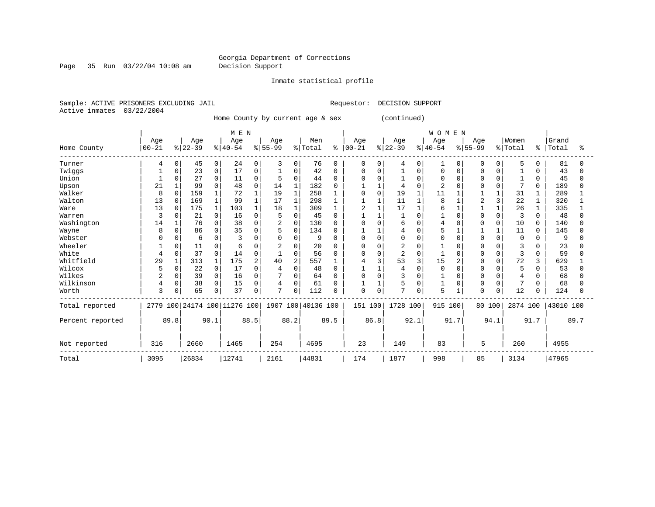Page 35 Run 03/22/04 10:08 am Decision Support

Inmate statistical profile

Sample: ACTIVE PRISONERS EXCLUDING JAIL **Requestor: DECISION SUPPORT** Active inmates 03/22/2004

Home County by current age & sex (continued)

|                  |           |              |           |             | MEN                          |      |           |                |                    |              |            |             |           |          | <b>WOMEN</b> |          |              |          |          |          |           |      |
|------------------|-----------|--------------|-----------|-------------|------------------------------|------|-----------|----------------|--------------------|--------------|------------|-------------|-----------|----------|--------------|----------|--------------|----------|----------|----------|-----------|------|
|                  | Age       |              | Age       |             | Age                          |      | Age       |                | Men                |              | Age        |             | Age       |          | Age          |          | Age          |          | Women    |          | Grand     |      |
| Home County      | $00 - 21$ |              | $ 22-39 $ |             | $ 40-54$                     |      | $8 55-99$ |                | % Total            | ి            | $ 00 - 21$ |             | $ 22-39 $ |          | $8 40-54$    |          | $8 55-99$    |          | % Total  | °        | Total     | ႜ    |
| Turner           | 4         | 0            | 45        | 0           | 24                           | 0    | 3         | 0              | 76                 | 0            | 0          | 0           | 4         | 0        |              | $\Omega$ | $\Omega$     | 0        | 5        | $\Omega$ | 81        |      |
| Twiggs           |           |              | 23        | 0           | 17                           | 0    |           | $\Omega$       | 42                 | 0            | 0          | $\Omega$    |           | O        | 0            |          |              |          |          |          | 43        |      |
| Union            |           | U            | 27        | 0           | 11                           | O    |           | $\Omega$       | 44                 | O            |            |             |           | $\Omega$ | O            |          | <sup>0</sup> | U        |          | $\Omega$ | 45        |      |
| Upson            | 21        |              | 99        | 0           | 48                           | 0    | 14        | $\mathbf{1}$   | 182                |              |            |             |           | O        | 2            |          |              | U        | 7        | $\Omega$ | 189       |      |
| Walker           | 8         | $\Omega$     | 159       |             | 72                           |      | 19        | $\mathbf{1}$   | 258                |              | 0          | $\mathbf 0$ | 19        |          | 11           |          |              |          | 31       |          | 289       |      |
| Walton           | 13        | $\mathbf 0$  | 169       |             | 99                           |      | 17        | 1              | 298                |              |            |             | 11        |          | 8            |          |              |          | 22       | 1        | 320       |      |
| Ware             | 13        | $\Omega$     | 175       |             | 103                          |      | 18        |                | 309                |              | 2          |             | 17        |          | 6            |          |              |          | 26       |          | 335       |      |
| Warren           | 3         |              | 21        | 0           | 16                           | 0    |           | $\Omega$       | 45                 |              |            |             |           | $\cap$   |              |          | <sup>0</sup> | O        | 3        | 0        | 48        |      |
| Washington       | 14        |              | 76        | 0           | 38                           | O    | 2         | $\mathbf 0$    | 130                | 0            | 0          | $\Omega$    | 6         | $\Omega$ |              |          |              | $\Omega$ | 10       | 0        | 140       |      |
| Wayne            | 8         | <sup>0</sup> | 86        | 0           | 35                           | O    |           | $\Omega$       | 134                | O            |            |             | 4         | 0        | 5            |          |              |          | 11       | $\Omega$ | 145       |      |
| Webster          |           |              | 6         | 0           |                              |      |           | $\Omega$       | 9                  | O            | U          | $\Omega$    | 0         | $\Omega$ | O            |          | $\cap$       | O        | 0        | U        | 9         |      |
| Wheeler          |           |              | 11        | 0           | 6                            |      |           | $\Omega$       | 20                 | n            | U          | $\Omega$    | 2         | O        |              |          | O            |          | 3        |          | 23        |      |
| White            |           | 0            | 37        | 0           | 14                           | 0    |           | 0              | 56                 | <sup>0</sup> | 0          | 0           | 2         | $\Omega$ |              |          | O            | 0        | 3        | $\Omega$ | 59        |      |
| Whitfield        | 29        |              | 313       |             | 175                          | 2    | 40        | $\overline{2}$ | 557                |              |            | 3           | 53        | 3        | 15           |          | U            | $\cap$   | 72       |          | 629       |      |
| Wilcox           | 5         | 0            | 22        | 0           | 17                           | O    |           | $\Omega$       | 48                 |              |            |             |           | $\Omega$ | $\Omega$     |          |              |          | 5        | O        | 53        |      |
| Wilkes           |           | 0            | 39        | $\mathbf 0$ | 16                           | O    |           | $\Omega$       | 64                 |              | 0          | O           | 3         | O        |              |          |              | U        | 4        | O        | 68        |      |
| Wilkinson        |           | 0            | 38        | 0           | 15                           | 0    | 4         | $\Omega$       | 61                 | 0            |            |             | 5         | 0        |              | 0        | 0            | 0        |          | 0        | 68        |      |
| Worth            | 3         |              | 65        | 0           | 37                           | 0    | 7         | 0              | 112                | O            | 0          | $\Omega$    | 7         | 0        | 5            |          | <sup>0</sup> | 0        | 12       | 0        | 124       |      |
| Total reported   |           |              |           |             | 2779 100 24174 100 11276 100 |      |           |                | 1907 100 40136 100 |              | 151 100    |             | 1728 100  |          | 915          | 100      | 80 100       |          | 2874 100 |          | 43010 100 |      |
| Percent reported |           | 89.8         |           | 90.1        |                              | 88.5 |           | 88.2           |                    | 89.5         |            | 86.8        |           | 92.1     |              | 91.7     |              | 94.1     |          | 91.7     |           | 89.7 |
| Not reported     | 316       |              | 2660      |             | 1465                         |      | 254       |                | 4695               |              | 23         |             | 149       |          | 83           |          | 5            |          | 260      |          | 4955      |      |
| Total            | 3095      |              | 26834     |             | 12741                        |      | 2161      |                | 44831              |              | 174        |             | 1877      |          | 998          |          | 85           |          | 3134     |          | 47965     |      |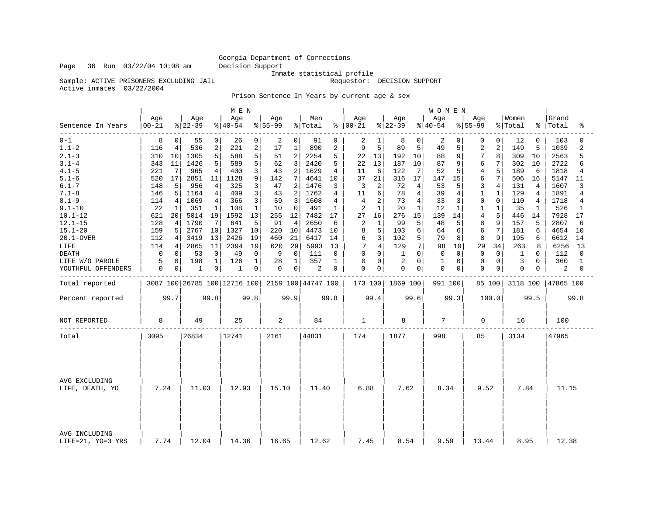Inmate statistical profile<br>Requestor: DECISION SUPPORT

Sample: ACTIVE PRISONERS EXCLUDING JAIL Active inmates 03/22/2004

Prison Sentence In Years by current age & sex

|                                    |                  |                 |                 |                | M E N                        |                |                  |                |                    |      |                      |              |                  |          | WOMEN           |          |                 |                |                  |              |                    |                |
|------------------------------------|------------------|-----------------|-----------------|----------------|------------------------------|----------------|------------------|----------------|--------------------|------|----------------------|--------------|------------------|----------|-----------------|----------|-----------------|----------------|------------------|--------------|--------------------|----------------|
| Sentence In Years                  | Age<br>$00 - 21$ |                 | Age<br>$ 22-39$ |                | Age<br>$ 40-54 $             |                | Age<br>$8 55-99$ |                | Men<br>% Total     |      | Age<br>$8   00 - 21$ |              | Age<br>$ 22-39 $ |          | Age<br>$ 40-54$ |          | Age<br>$ 55-99$ |                | Women<br>% Total |              | Grand<br>%   Total | ిన             |
| $0 - 1$                            | 8                | 0               | 55              | $\overline{0}$ | 26                           | 0              | 2                | 0 <sup>1</sup> | 91                 | 0    | 2                    | 1            | 8                | 0        | 2               | 0        | 0               | $\Omega$       | 12               | $\Omega$     | 103                | $\Omega$       |
| $1.1 - 2$                          | 116              | $\overline{4}$  | 536             | $\overline{c}$ | 221                          | $\overline{a}$ | 17               | $\mathbf{1}$   | 890                | 2    | 9                    | 5            | 89               | 5        | 49              | 5        | $\overline{c}$  | $\overline{2}$ | 149              | 5            | 1039               | $\overline{c}$ |
| $2.1 - 3$                          | 310              | 10              | 1305            | 5              | 588                          | 5              | 51               | $\overline{2}$ | 2254               | 5    | 22                   | 13           | 192              | 10       | 88              | 9        | 7               | 8              | 309              | 10           | 2563               | 5              |
| $3.1 - 4$                          | 343              | 11              | 1426            | 5              | 589                          | 5              | 62               | 3              | 2420               | 5    | 22                   | 13           | 187              | 10       | 87              | 9        | 6               | 7              | 302              | 10           | 2722               | б              |
| $4.1 - 5$                          | 221              | 7               | 965             | 4              | 400                          | 3              | 43               | 2              | 1629               | 4    | 11                   | 6            | 122              | 7        | 52              | 5        | $\overline{4}$  | 5              | 189              | 6            | 1818               | 4              |
| $5.1 - 6$                          | 520              | 17              | 2851            | 11             | 1128                         | 9              | 142              | 7              | 4641               | 10   | 37                   | 21           | 316              | 17       | 147             | 15       | 6               | 7              | 506              | 16           | 5147               | 11             |
| $6.1 - 7$                          | 148              | 5               | 956             | 4              | 325                          | 3              | 47               | 2              | 1476               | 3    | 3                    | 2            | 72               | 4        | 53              | 5        | 3               | $\overline{4}$ | 131              | 4            | 1607               | 3              |
| $7.1 - 8$                          | 146              | 5               | 1164            | 4              | 409                          | 3              | 43               | $\overline{a}$ | 1762               | 4    | 11                   | 6            | 78               | 4        | 39              | 4        | 1               | 1              | 129              | 4            | 1891               | 4              |
| $8.1 - 9$                          | 114              | 4               | 1069            | 4              | 366                          | 3              | 59               | 3              | 1608               | 4    | $\overline{4}$       | 2            | 73               | 4        | 33              | 3        | $\mathbf 0$     | $\Omega$       | 110              | 4            | 1718               | 4              |
| $9.1 - 10$                         | 22               | 1               | 351             | $\mathbf{1}$   | 108                          | 1              | 10               | $\Omega$       | 491                | 1    | 2                    | $\mathbf{1}$ | 20               | 1        | 12              | 1        | $\mathbf{1}$    |                | 35               | 1            | 526                | 1              |
| $10.1 - 12$                        | 621              | 20              | 5014            | 19             | 1592                         | 13             | 255              | 12             | 7482               | 17   | 27                   | 16           | 276              | 15       | 139             | 14       | $\overline{4}$  | 5              | 446              | 14           | 7928               | 17             |
| $12.1 - 15$                        | 128              | 4               | 1790            | 7              | 641                          | 5              | 91               | 4              | 2650               | 6    | 2                    | 1            | 99               | 5        | 48              | 5        | 8               |                | 157              | 5            | 2807               | 6              |
| $15.1 - 20$                        | 159              | 5               | 2767            | 10             | 1327                         | 10             | 220              | 10             | 4473               | 10   | 8                    | 5            | 103              | 6        | 64              | 6        | 6               | 7              | 181              | 6            | 4654               | 10             |
| 20.1-OVER                          | 112              | $\vert 4 \vert$ | 3419            | 13             | 2426                         | 19             | 460              | 21             | 6417               | 14   | 6                    | 3            | 102              | 5        | 79              | 8        | 8               | 9              | 195              | 6            | 6612               | 14             |
| LIFE                               | 114              | 4               | 2865            | 11             | 2394                         | 19             | 620              | 29             | 5993               | 13   | 7                    | 4            | 129              | 7        | 98              | 10       | 29              | 34             | 263              | 8            | 6256               | 13             |
| <b>DEATH</b>                       | 0                | 0               | 53              | $\Omega$       | 49                           | 0              | 9                | $\Omega$       | 111                | 0    | $\Omega$             | $\Omega$     | $\mathbf{1}$     | 0        | $\Omega$        | $\Omega$ | $\Omega$        | $\Omega$       | 1                | <sup>0</sup> | 112                | $\Omega$       |
| LIFE W/O PAROLE                    | 5                | 0               | 198             | 1              | 126                          | $\mathbf{1}$   | 28               | $\mathbf{1}$   | 357                | 1    | 0                    | 0            | $\overline{c}$   | $\Omega$ | 1               | $\Omega$ | 0               | $\mathbf 0$    | 3                | 0            | 360                | 1              |
| YOUTHFUL OFFENDERS                 | 0                | 0               | 1               | 0              | 1                            | 0              | 0                | 0 <sup>1</sup> | 2                  | 0    | $\mathbf 0$          | 0            | $\mathbf 0$      | 0        | $\mathbf 0$     | 0        | $\Omega$        | 0              | $\mathbf 0$      | 0            | 2                  | 0              |
| Total reported                     |                  |                 |                 |                | 3087 100 26785 100 12716 100 |                |                  |                | 2159 100 44747 100 |      | 173 100              |              | 1869 100         |          | 991 100         |          |                 | 85 100         | 3118 100         |              | 47865 100          |                |
| Percent reported                   |                  | 99.7            |                 | 99.8           |                              | 99.8           |                  | 99.9           |                    | 99.8 |                      | 99.4         |                  | 99.6     |                 | 99.3     |                 | 100.0          |                  | 99.5         |                    | 99.8           |
| NOT REPORTED                       | 8                |                 | 49              |                | 25                           |                | 2                |                | 84                 |      | 1                    |              | 8                |          | 7               |          | 0               |                | 16               |              | 100                |                |
| Total                              | 3095             |                 | 26834           |                | 12741                        |                | 2161             |                | 44831              |      | 174                  |              | 1877             |          | 998             |          | 85              |                | 3134             |              | 47965              |                |
| AVG EXCLUDING<br>LIFE, DEATH, YO   | 7.24             |                 | 11.03           |                | 12.93                        |                | 15.10            |                | 11.40              |      | 6.88                 |              | 7.62             |          | 8.34            |          | 9.52            |                | 7.84             |              | 11.15              |                |
| AVG INCLUDING<br>LIFE=21, YO=3 YRS | 7.74             |                 | 12.04           |                | 14.36                        |                | 16.65            |                | 12.62              |      | 7.45                 |              | 8.54             |          | 9.59            |          | 13.44           |                | 8.95             |              | 12.38              |                |

Page 36 Run 03/22/04 10:08 am Decision Support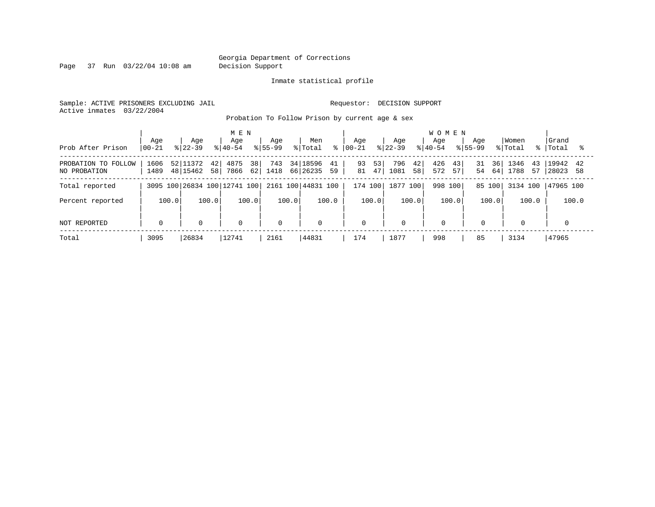Page 37 Run 03/22/04 10:08 am Decision Support

#### Inmate statistical profile

Sample: ACTIVE PRISONERS EXCLUDING JAIL **Requestor: DECISION SUPPORT** Active inmates 03/22/2004

Probation To Follow Prison by current age & sex

|                                     | Age          | Age                              | M E N<br>Age                    | Age            | Men                              | Aqe                  | Age                     | <b>WOMEN</b><br>Age        | Aqe                  | Women                    | Grand                      |
|-------------------------------------|--------------|----------------------------------|---------------------------------|----------------|----------------------------------|----------------------|-------------------------|----------------------------|----------------------|--------------------------|----------------------------|
| Prob After Prison                   | $ 00 - 21$   | $8122 - 39$                      | $ 40-54 $                       | $8155 - 99$    | % Total<br>$\approx$             | $ 00-21$             | $8 22-39$               | $8155 - 99$<br>$8140 - 54$ |                      | % Total<br>န္            | Total                      |
| PROBATION TO FOLLOW<br>NO PROBATION | 1606<br>1489 | 52 11372<br>42<br>48 15462<br>58 | 38 <sup>1</sup><br>4875<br>7866 | 743<br>62 1418 | 34 18596<br>41<br>66 26235<br>59 | 53<br>93<br>47<br>81 | 796<br>42<br>1081<br>58 | 426<br>43<br>572<br>57     | 36<br>31<br>64<br>54 | 1346<br>43<br>1788<br>57 | 19942<br>42<br>28023<br>58 |
| Total reported                      |              |                                  | 3095 100 26834 100 12741 100    |                | 2161 100 44831 100               | 174 100              | 1877 100                | 998 100                    | 85 100               | 3134 100                 | 47965 100                  |
| Percent reported                    | 100.0        | 100.0                            | 100.0                           | 100.0          | 100.0                            | 100.0                | 100.0                   | 100.0                      | 100.0                | 100.0                    | 100.0                      |
| NOT REPORTED                        | $\mathbf 0$  | $\mathbf 0$                      | 0                               | $\Omega$       | $\mathbf 0$                      | 0                    | $\mathbf 0$             | $\mathbf 0$                | $\mathbf 0$          | 0                        |                            |
| Total                               | 3095         | 26834                            | 12741                           | 2161           | 44831                            | 174                  | 1877                    | 998                        | 85                   | 3134                     | 47965                      |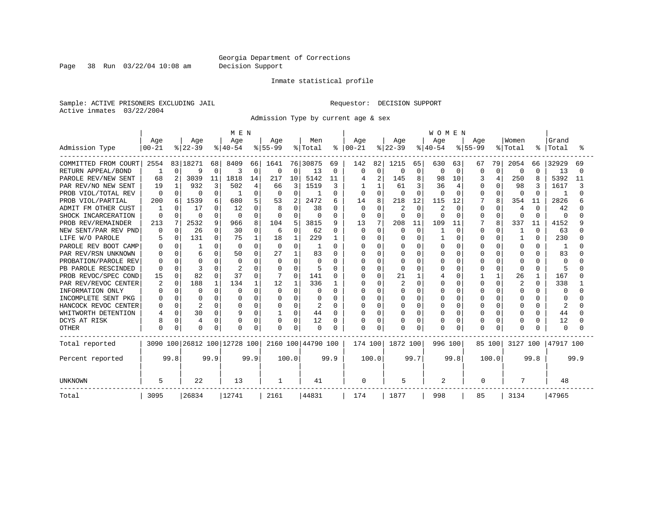Page 38 Run 03/22/04 10:08 am Decision Support

### Inmate statistical profile

Sample: ACTIVE PRISONERS EXCLUDING JAIL **Requestor: DECISION SUPPORT** Active inmates 03/22/2004

Admission Type by current age & sex

|                        |           |              |              |          | M E N                        |             |              |          |                    |               |              |                |              |              | <b>WOMEN</b> |          |             |          |          |              |              |        |
|------------------------|-----------|--------------|--------------|----------|------------------------------|-------------|--------------|----------|--------------------|---------------|--------------|----------------|--------------|--------------|--------------|----------|-------------|----------|----------|--------------|--------------|--------|
|                        | Age       |              | Age          |          | Age                          |             | Age          |          | Men                |               | Aqe          |                | Age          |              | Aqe          |          | Aqe         |          | Women    |              | Grand        |        |
| Admission Type         | $00 - 21$ |              | $ 22-39$     |          | $ 40-54$                     |             | $ 55-99$     |          | % Total            | $\frac{8}{6}$ | $00 - 21$    |                | $ 22-39$     |              | $ 40-54$     |          | $8155 - 99$ |          | % Total  | ႜ            | Total        |        |
| COMMITTED FROM COURT   | 2554      |              | 83 18271     | 68       | 8409                         | 66          | 1641         |          | 76 30875           | 69            | 142          | 82             | 1215         | 65           | 630          | 63       | 67          | 79       | 2054     | 66           | 32929        | 69     |
| RETURN APPEAL/BOND     |           | $\Omega$     | 9            | $\Omega$ | 3                            | $\mathbf 0$ | 0            | $\Omega$ | 13                 | 0             | <sup>0</sup> | 0              | $\Omega$     | 0            | 0            | $\Omega$ | 0           | $\Omega$ | 0        | $\Omega$     | 13           | $\cap$ |
| PAROLE REV/NEW SENT    | 68        |              | 3039         | 11       | 1818                         | 14          | 217          | 10       | 5142               | 11            |              | $\overline{2}$ | 145          | 8            | 98           | 10       |             | 4        | 250      |              | 5392         | 11     |
| PAR REV/NO NEW SENT    | 19        | 1            | 932          |          | 502                          | 4           | 66           | 3        | 1519               | 3             |              |                | 61           | 3            | 36           | 4        | 0           | $\cap$   | 98       |              | 1617         |        |
| PROB VIOL/TOTAL REV    | 0         |              | $\Omega$     |          |                              |             | 0            | $\Omega$ |                    | 0             |              | $\Omega$       |              | $\cap$       | $\Omega$     | $\Omega$ | 0           | $\Omega$ | $\Omega$ | $\Omega$     | -1           |        |
| PROB VIOL/PARTIAL      | 200       | 6            | 1539         | 6        | 680                          |             | 53           | 2        | 2472               | 6             | 14           | 8              | 218          | 12           | 115          | 12       |             | 8        | 354      | 11           | 2826         |        |
| FM OTHER CUST<br>ADMIT |           |              | 17           | O        | 12                           |             | 8            | O        | 38                 | 0             | $\Omega$     | $\Omega$       | 2            | $\Omega$     | 2            | $\Omega$ |             | O        | 4        | <sup>0</sup> | 42           |        |
| SHOCK INCARCERATION    | $\Omega$  | <sup>n</sup> | $\Omega$     | U        | $\Omega$                     | $\cap$      | $\Omega$     | $\Omega$ | O                  | 0             | <sup>0</sup> | $\Omega$       | <sup>0</sup> | $\cap$       | U            | $\Omega$ | U           | $\cap$   | 0        | $\Omega$     | $\Omega$     |        |
| PROB REV/REMAINDER     | 213       | 7            | 2532         | 9        | 966                          | 8           | 104          | 5        | 3815               | 9             | 13           | 7              | 208          | 11           | 109          | 11       |             | 8        | 337      | 11           | 4152         |        |
| NEW SENT/PAR REV PND   | 0         | $\Omega$     | 26           | O        | 30                           | $\Omega$    | 6            | $\Omega$ | 62                 | 0             | $\Omega$     | $\Omega$       | $\Omega$     | $\Omega$     |              | $\Omega$ | 0           | $\Omega$ | 1        | $\Omega$     | 63           |        |
| LIFE W/O PAROLE        |           | $\Omega$     | 131          | O        | 75                           |             | 18           |          | 229                | 1             |              | $\Omega$       |              | $\Omega$     |              | 0        |             | $\Omega$ |          | $\Omega$     | 230          |        |
| PAROLE REV BOOT CAMP   | U         | U            |              | ∩        | $\Omega$                     | $\Omega$    | $\Omega$     | O        |                    | 0             |              | $\Omega$       |              | $\Omega$     | O            | $\Omega$ |             | $\cap$   | 0        | U            | -1           |        |
| PAR REV/RSN UNKNOWN    |           | n.           | 6            | U        | 50                           | $\Omega$    | 27           | 1        | 83                 | 0             |              | $\Omega$       | O            | <sup>n</sup> | O            | $\Omega$ |             | O        | O        | U            | 83           |        |
| PROBATION/PAROLE REV   |           |              | $\Omega$     |          | $\Omega$                     |             | $\Omega$     | U        | O                  | 0             |              | $\Omega$       |              | <sup>n</sup> | O            | $\Omega$ |             |          | O        |              | $\Omega$     |        |
| PB PAROLE RESCINDED    |           | U            |              |          |                              |             | $\Omega$     | O        | 5                  | O             |              | $\Omega$       |              | U            | U            | 0        |             | O        | $\Omega$ | O            |              |        |
| PROB REVOC/SPEC COND   | 15        | O            | 82           |          | 37                           | $\Omega$    |              | O        | 141                | Ω             |              | $\Omega$       | 21           | 1            |              | 0        |             |          | 26       | 1            | 167          |        |
| PAR REV/REVOC CENTER   |           | $\Omega$     | 188          |          | 134                          |             | 12           |          | 336                |               |              | $\Omega$       |              | $\Omega$     |              | 0        |             | $\Omega$ | 2        | $\Omega$     | 338          |        |
| INFORMATION ONLY       |           | O            | $\Omega$     | n        | O                            |             | 0            | $\Omega$ | O                  | 0             |              | $\Omega$       |              | $\Omega$     |              | $\Omega$ |             | O        | O        | O            | 0            |        |
| INCOMPLETE SENT PKG    |           | 0            | <sup>0</sup> | U        |                              |             | 0            | O        | O                  | 0             |              | O              |              | $\Omega$     |              | $\Omega$ |             | O        | O        | O            | <sup>0</sup> |        |
| HANCOCK REVOC CENTER   |           | $\Omega$     | 2            | U        | n                            | O           | 0            | O        | 2                  | 0             |              | O              |              | $\Omega$     |              | $\Omega$ |             | O        | O        | U            | 2            |        |
| WHITWORTH DETENTION    |           | $\Omega$     | 30           | O        | 9                            | 0           |              | 0        | 44                 | 0             |              | O              | <sup>0</sup> | $\Omega$     |              | 0        |             | O        | 0        | O            | 44           |        |
| DCYS AT RISK           |           | 0            | 4            | $\Omega$ | $\Omega$                     | $\Omega$    | $\Omega$     | $\Omega$ | 12                 | 0             |              | $\Omega$       |              | $\Omega$     | Λ            | 0        |             | $\Omega$ | 0        | 0            | 12           |        |
| <b>OTHER</b>           | 0         | 0            | $\Omega$     | 0        |                              | $\Omega$    | 0            | 0        | 0                  | O             | O            | $\Omega$       |              | $\mathbf 0$  | N            | $\Omega$ |             | $\Omega$ | $\Omega$ |              | $\Omega$     |        |
| Total reported         |           |              |              |          | 3090 100 26812 100 12728 100 |             |              |          | 2160 100 44790 100 |               | 174 100      |                | 1872 100     |              | 996 100      |          |             | 85 100   | 3127 100 |              | 47917 100    |        |
| Percent reported       |           | 99.8         |              | 99.9     |                              | 99.9        |              | 100.0    |                    | 99.9          |              | 100.0          |              | 99.7         |              | 99.8     |             | 100.0    |          | 99.8         |              | 99.9   |
| <b>UNKNOWN</b>         | 5         |              | 22           |          | 13                           |             | $\mathbf{1}$ |          | 41                 |               | 0            |                | 5            |              | 2            |          | 0           |          |          |              | 48           |        |
| Total                  | 3095      |              | 26834        |          | 12741                        |             | 2161         |          | 44831              |               | 174          |                | 1877         |              | 998          |          | 85          |          | 3134     |              | 47965        |        |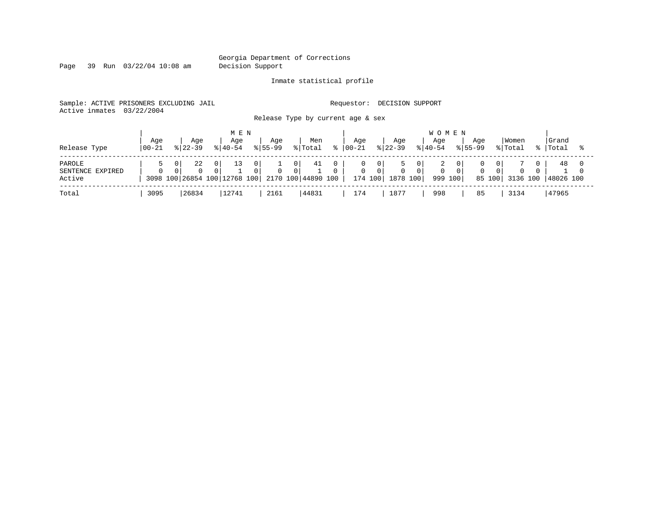Page 39 Run 03/22/04 10:08 am Decision Support

### Inmate statistical profile

Sample: ACTIVE PRISONERS EXCLUDING JAIL **Requestor: DECISION SUPPORT** 

Active inmates 03/22/2004

Release Type by current age & sex

| Release Type                         | Age<br>$100 - 21$ |   | Age<br>$8122 - 39$ | $8140 - 54$                                                | M E N<br>Aqe | Aqe<br>$8155 - 99$ |                | Men<br>% Total           | Aqe<br>$ 00 - 21$ |                                       | Age<br>$ 22-39 $     | <b>WOMEN</b><br>Aqe<br>$8140 - 54$ | Aqe<br>$8155 - 99$ |                | Women<br>% Total | Grand<br>%   Total |  |
|--------------------------------------|-------------------|---|--------------------|------------------------------------------------------------|--------------|--------------------|----------------|--------------------------|-------------------|---------------------------------------|----------------------|------------------------------------|--------------------|----------------|------------------|--------------------|--|
| PAROLE<br>SENTENCE EXPIRED<br>Active | $\Omega$          | 0 | 22<br>$\Omega$     | $\overline{0}$<br>$\Omega$<br>3098 100 26854 100 12768 100 | 13           |                    | 01<br>$\Omega$ | 41<br>2170 100 44890 100 | 0                 | $\overline{0}$<br>$\Omega$<br>174 100 | $\Omega$<br>1878 100 | 999 100                            | $\Omega$           | 01<br>$\Omega$ | 85 100 3136 100  | 48<br>48026 100    |  |
| Total                                | 3095              |   | 26834              |                                                            | 12741        | 2161               |                | 44831                    | 174               |                                       | 1877                 | 998                                | 85                 |                | 3134             | 47965              |  |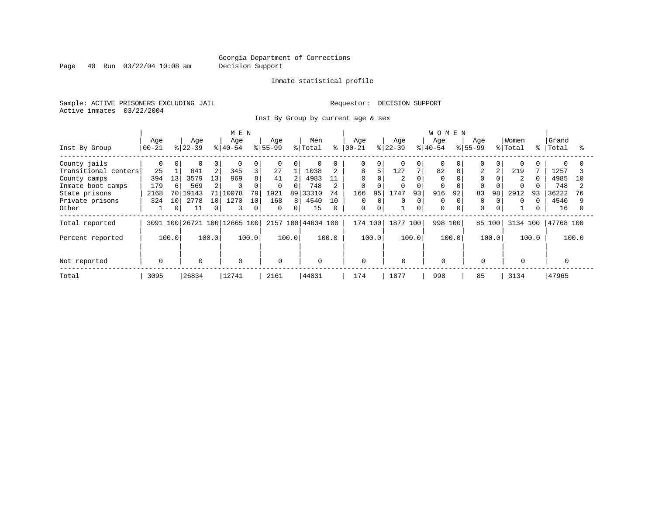Page 40 Run 03/22/04 10:08 am Decision Support

### Inmate statistical profile

Sample: ACTIVE PRISONERS EXCLUDING JAIL **Requestor: DECISION SUPPORT** Active inmates 03/22/2004

Inst By Group by current age & sex

|                      |           |          |             |       | M E N                        |       |              |                |                    |          |            |             |           |          | <b>WOMEN</b> |       |                |                |                |       |           |       |
|----------------------|-----------|----------|-------------|-------|------------------------------|-------|--------------|----------------|--------------------|----------|------------|-------------|-----------|----------|--------------|-------|----------------|----------------|----------------|-------|-----------|-------|
|                      | Age       |          | Age         |       | Age                          |       | Age          |                | Men                |          | Age        |             | Age       |          | Age          |       | Age            |                | Women          |       | Grand     |       |
| Inst By Group        | $00 - 21$ |          | $ 22-39 $   |       | $8 40-54$                    |       | $ 55-99$     |                | % Total            | °        | $ 00 - 21$ |             | $8 22-39$ |          | $8 40-54$    |       | $8155 - 99$    |                | % Total        | န္    | Total     |       |
| County jails         |           | $\Omega$ | $\Omega$    | 0     | $\Omega$                     | 0     | $\mathbf 0$  | 0              | $\Omega$           |          | 0          | 0           |           | 0        | $\Omega$     |       |                | $\Omega$       | $\Omega$       |       |           |       |
| Transitional centers | 25        |          | 641         | 2     | 345                          | 3     | 27           |                | 1038               |          | 8          | 5           | 127       | 7        | 82           | 8     | $\overline{2}$ | 2              | 219            |       | 1257      |       |
| County camps         | 394       | 13       | 3579        | 13    | 969                          | 8     | 41           | $\overline{2}$ | 4983               | 11       | $\Omega$   |             | 2         |          | $\Omega$     |       |                |                | $\overline{2}$ |       | 4985      | 10    |
| Inmate boot camps    | 179       | 6        | 569         | 2     | $\Omega$                     |       | 0            | 0              | 748                |          | 0          |             |           | $\Omega$ | $\Omega$     |       |                |                |                |       | 748       |       |
| State prisons        | 2168      |          | 70   19143  | 71    | 10078                        | 79    | 1921         |                | 89 33310           | 74       | 166        | 95          | 1747      | 93       | 916          | 92    | 83             | 98             | 2912           | 93    | 36222     | 76    |
| Private prisons      | 324       | 10       | 2778        | 10    | 1270                         | 10    | 168          | 8              | 4540               | 10       | 0          | 0           | 0         | 0        | $\Omega$     |       | 0              |                | $\Omega$       |       | 4540      |       |
| Other                |           | 0        | 11          | 0     | 3                            | 0     | $\mathbf{0}$ | 0              | 15                 | $\Omega$ | 0          | $\mathbf 0$ |           | 0        | 0            |       | $\Omega$       | $\overline{0}$ |                |       | 16        |       |
| Total reported       |           |          |             |       | 3091 100 26721 100 12665 100 |       |              |                | 2157 100 44634 100 |          | 174 100    |             | 1877 100  |          | 998          | 100   | 85 100         |                | 3134 100       |       | 47768 100 |       |
| Percent reported     |           | 100.0    |             | 100.0 |                              | 100.0 |              | 100.0          |                    | 100.0    |            | 100.0       |           | 100.0    |              | 100.0 |                | 100.0          |                | 100.0 |           | 100.0 |
|                      |           |          |             |       |                              |       |              |                |                    |          |            |             |           |          |              |       |                |                |                |       |           |       |
| Not reported         | 0         |          | $\mathbf 0$ |       | $\mathbf 0$                  |       | $\Omega$     |                | $\mathbf 0$        |          | 0          |             | $\Omega$  |          | $\mathbf 0$  |       | $\Omega$       |                | 0              |       |           |       |
| Total                | 3095      |          | 26834       |       | 12741                        |       | 2161         |                | 44831              |          | 174        |             | 1877      |          | 998          |       | 85             |                | 3134           |       | 47965     |       |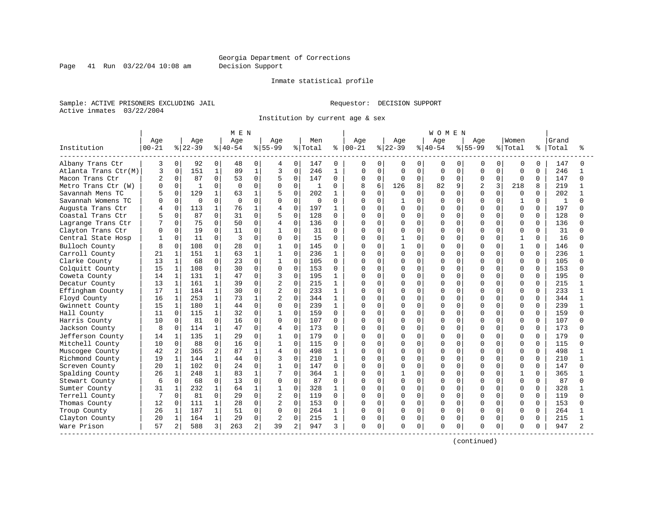Page 41 Run 03/22/04 10:08 am Decision Support

#### Inmate statistical profile

Sample: ACTIVE PRISONERS EXCLUDING JAIL **Requestor: DECISION SUPPORT** Active inmates 03/22/2004

Institution by current age & sex

|                      |           |              |              |              | MEN      |              |                |                |              |              |               |             |          |             | WOMEN    |             |                |              |              |          |       |          |
|----------------------|-----------|--------------|--------------|--------------|----------|--------------|----------------|----------------|--------------|--------------|---------------|-------------|----------|-------------|----------|-------------|----------------|--------------|--------------|----------|-------|----------|
|                      | Age       |              | Age          |              | Age      |              | Age            |                | Men          |              | Age           |             | Age      |             | Age      |             | Age            |              | Women        |          | Grand |          |
| Institution          | $00 - 21$ |              | $8 22-39$    |              | $ 40-54$ |              | $8 55-99$      |                | % Total      |              | $8   00 - 21$ |             | $ 22-39$ |             | $ 40-54$ |             | $8 55-99$      |              | % Total      | ిక       | Total |          |
| Albany Trans Ctr     | 3         | $\mathbf 0$  | 92           | $\mathbf{0}$ | 48       | 0            | 4              | 0 <sup>1</sup> | 147          | $\Omega$     | 0             | 0           | 0        | 0           | 0        | 0           | 0              | $\Omega$     | $\mathbf 0$  | $\Omega$ | 147   | 0        |
| Atlanta Trans Ctr(M) | 3         | $\mathbf 0$  | 151          | $\mathbf 1$  | 89       | $\mathbf{1}$ | 3              | 0              | 246          | $\mathbf{1}$ | O             | $\mathbf 0$ | $\Omega$ | $\mathbf 0$ | $\Omega$ | $\Omega$    | $\Omega$       | $\Omega$     | $\Omega$     | $\Omega$ | 246   | 1        |
| Macon Trans Ctr      |           | $\Omega$     | 87           | $\mathbf 0$  | 53       | $\mathbf 0$  | 5              | 0              | 147          | $\Omega$     | O             | $\mathbf 0$ | $\Omega$ | $\mathbf 0$ | $\Omega$ | $\mathbf 0$ | 0              | $\Omega$     | $\mathbf 0$  | $\Omega$ | 147   | $\Omega$ |
| Metro Trans Ctr (W)  |           | $\Omega$     | $\mathbf{1}$ | <sup>0</sup> | ∩        | $\Omega$     | <sup>0</sup>   | $\Omega$       | $\mathbf{1}$ | U            |               | 6           | 126      | 8           | 82       | 9           | $\overline{a}$ | 3            | 218          | 8        | 219   |          |
| Savannah Mens TC     |           | $\Omega$     | 129          | 1            | 63       | 1            | 5              | $\Omega$       | 202          | $\mathbf{1}$ | U             | $\cap$      | U        | $\Omega$    | $\Omega$ | $\cap$      | U              | $\Omega$     | <sup>0</sup> | $\Omega$ | 202   |          |
| Savannah Womens TC   |           | $\Omega$     | $\mathbf{0}$ | $\Omega$     | $\Omega$ | $\Omega$     | $\Omega$       | 0              | $\mathbf 0$  | $\Omega$     |               | $\Omega$    |          | $\Omega$    | U        | $\Omega$    | O              | $\Omega$     | 1            | $\Omega$ | 1     |          |
| Augusta Trans Ctr    |           | $\mathbf 0$  | 113          | 1            | 76       | 1            | 4              | 0              | 197          | 1            |               | $\mathbf 0$ | O        | $\mathbf 0$ | O        | $\Omega$    | U              | $\Omega$     | $\Omega$     | 0        | 197   |          |
| Coastal Trans Ctr    |           | $\Omega$     | 87           | $\Omega$     | 31       | $\Omega$     | 5              | 0              | 128          | $\Omega$     | O             | $\Omega$    | 0        | $\mathbf 0$ | U        | $\Omega$    | U              | U            | 0            | $\Omega$ | 128   |          |
| Lagrange Trans Ctr   |           | $\Omega$     | 75           | $\Omega$     | 50       | $\Omega$     | 4              | 0              | 136          | $\Omega$     | O             | $\Omega$    | 0        | $\mathbf 0$ | U        | $\Omega$    | U              | <sup>0</sup> | 0            | $\Omega$ | 136   |          |
| Clayton Trans Ctr    |           | $\Omega$     | 19           | $\Omega$     | 11       | 0            | $\mathbf{1}$   | $\Omega$       | 31           | 0            | U             | $\Omega$    | U        | $\mathbf 0$ | O        | $\Omega$    | O              | U            | $\Omega$     | $\Omega$ | 31    |          |
| Central State Hosp   |           | $\Omega$     | 11           | $\Omega$     | 3        | $\Omega$     | $\Omega$       | $\Omega$       | 15           | 0            | U             | $\Omega$    |          | $\Omega$    | $\Omega$ | $\Omega$    | U              | $\Omega$     | $\mathbf{1}$ | $\Omega$ | 16    |          |
| Bulloch County       |           | $\Omega$     | 108          | $\Omega$     | 28       | $\Omega$     | 1              | $\Omega$       | 145          | 0            | N             | $\Omega$    |          | $\Omega$    | O        | $\Omega$    | U              | 0            | 1            | $\Omega$ | 146   |          |
| Carroll County       | 21        |              | 151          | $\mathbf{1}$ | 63       | $\mathbf{1}$ | $\mathbf{1}$   | $\Omega$       | 236          | 1            | Ω             | $\mathbf 0$ | $\Omega$ | $\mathbf 0$ | O        | $\mathbf 0$ | U              | $\Omega$     | $\Omega$     | 0        | 236   |          |
| Clarke County        | 13        | 1            | 68           | $\Omega$     | 23       | $\Omega$     | $\mathbf{1}$   | 0              | 105          | $\Omega$     | U             | $\Omega$    | O        | $\mathbf 0$ | O        | $\Omega$    | U              | <sup>0</sup> | 0            | $\Omega$ | 105   |          |
| Colquitt County      | 15        | 1            | 108          | 0            | 30       | 0            | 0              | 0              | 153          | 0            | O             | $\Omega$    | 0        | 0           | O        | $\Omega$    | U              | U            | 0            | 0        | 153   |          |
| Coweta County        | 14        |              | 131          | 1            | 47       | 0            | 3              | $\Omega$       | 195          | 1            | Λ             | $\Omega$    | O        | 0           | U        | $\Omega$    | U              |              | 0            | 0        | 195   |          |
| Decatur County       | 13        | 1            | 161          | $\mathbf{1}$ | 39       | 0            | 2              | $\Omega$       | 215          | $\mathbf{1}$ | Λ             | $\Omega$    | O        | $\Omega$    | O        | $\Omega$    | U              | $\Omega$     | $\Omega$     | $\Omega$ | 215   |          |
| Effingham County     | 17        | 1            | 184          | $\mathbf{1}$ | 30       | 0            | $\overline{2}$ | $\Omega$       | 233          | 1            | Ω             | $\Omega$    | 0        | $\Omega$    | O        | $\Omega$    | U              | $\Omega$     | $\Omega$     | $\Omega$ | 233   |          |
| Floyd County         | 16        | $\mathbf{1}$ | 253          | $\mathbf{1}$ | 73       | $\mathbf{1}$ | $\overline{2}$ | $\Omega$       | 344          | $\mathbf{1}$ |               | $\Omega$    | O        | $\mathbf 0$ | O        | $\Omega$    | O              | $\Omega$     | $\Omega$     | $\Omega$ | 344   |          |
| Gwinnett County      | 15        | $\mathbf{1}$ | 180          | $\mathbf{1}$ | 44       | 0            | 0              | $\Omega$       | 239          | $\mathbf{1}$ | Ω             | $\Omega$    | 0        | $\Omega$    | O        | $\Omega$    | O              | 0            | $\Omega$     | $\Omega$ | 239   |          |
| Hall County          | 11        | $\Omega$     | 115          | $\mathbf{1}$ | 32       | 0            | $\mathbf{1}$   | $\Omega$       | 159          | $\Omega$     | Ω             | $\Omega$    | O        | $\Omega$    | O        | $\Omega$    | O              | N            | $\Omega$     | $\Omega$ | 159   |          |
| Harris County        | 10        | $\Omega$     | 81           | $\Omega$     | 16       | 0            | $\Omega$       | $\Omega$       | 107          | $\Omega$     | U             | $\Omega$    | U        | $\Omega$    | U        | $\cap$      | U              | U            | $\Omega$     | $\Omega$ | 107   |          |
| Jackson County       | 8         | $\Omega$     | 114          | $\mathbf{1}$ | 47       | $\Omega$     | 4              | $\Omega$       | 173          | 0            | O             | $\Omega$    | U        | 0           | O        | $\Omega$    | O              | $\Omega$     | <sup>0</sup> | $\Omega$ | 173   |          |
| Jefferson County     | 14        | 1            | 135          | $\mathbf{1}$ | 29       | 0            | $\mathbf{1}$   | $\Omega$       | 179          | $\Omega$     | Ω             | $\Omega$    | 0        | $\Omega$    | O        | $\Omega$    | 0              | $\Omega$     | 0            | $\Omega$ | 179   |          |
| Mitchell County      | 10        | $\Omega$     | 88           | $\Omega$     | 16       | $\Omega$     | $\mathbf{1}$   | $\Omega$       | 115          | $\Omega$     |               | $\Omega$    | Ω        | $\mathbf 0$ | O        | $\Omega$    | O              | $\Omega$     | $\Omega$     | $\Omega$ | 115   |          |
| Muscogee County      | 42        | 2            | 365          | 2            | 87       | 1            | 4              | $\Omega$       | 498          | $\mathbf{1}$ | Λ             | $\Omega$    | O        | $\Omega$    | O        | $\Omega$    | O              | U            | $\Omega$     | $\Omega$ | 498   |          |
| Richmond County      | 19        | 1            | 144          | $\mathbf{1}$ | 44       | 0            | 3              | $\Omega$       | 210          | $\mathbf{1}$ | Ω             | $\Omega$    | O        | $\Omega$    | O        | $\Omega$    | O              | U            | $\Omega$     | $\Omega$ | 210   |          |
| Screven County       | 20        | $\mathbf{1}$ | 102          | 0            | 24       | 0            | $\overline{1}$ | $\Omega$       | 147          | $\Omega$     | Λ             | $\Omega$    | U        | $\Omega$    | U        | $\cap$      | U              |              | $\Omega$     | $\Omega$ | 147   |          |
| Spalding County      | 26        | $\mathbf{1}$ | 248          | $\mathbf{1}$ | 83       | 1            | 7              | $\Omega$       | 364          | $\mathbf{1}$ | Λ             | $\cap$      |          | $\Omega$    | U        | $\cap$      | U              | <sup>n</sup> | $\mathbf{1}$ | $\Omega$ | 365   |          |
| Stewart County       | 6         | $\Omega$     | 68           | $\Omega$     | 13       | $\Omega$     | 0              | $\Omega$       | 87           | $\Omega$     | O             | $\Omega$    | 0        | $\mathbf 0$ | O        | $\Omega$    | O              | $\Omega$     | $\Omega$     | $\Omega$ | 87    |          |
| Sumter County        | 31        |              | 232          | $\mathbf{1}$ | 64       | 1            | $\mathbf{1}$   | 0              | 328          | 1            |               | $\Omega$    | O        | $\mathbf 0$ | O        | $\Omega$    | O              | $\Omega$     | $\Omega$     | 0        | 328   |          |
| Terrell County       | 7         | $\Omega$     | 81           | $\mathbf{0}$ | 29       | $\mathbf 0$  | 2              | 0              | 119          | 0            | O             | 0           | 0        | 0           | U        | $\Omega$    | O              | 0            | 0            | 0        | 119   | ∩        |
| Thomas County        | 12        | $\Omega$     | 111          | 1            | 28       | 0            | $\overline{2}$ | 0              | 153          | 0            | O             | 0           | O        | $\mathbf 0$ | O        | $\Omega$    | O              | O            | 0            | 0        | 153   |          |
| Troup County         | 26        | $\mathbf{1}$ | 187          | $\mathbf{1}$ | 51       | 0            | $\Omega$       | $\Omega$       | 264          | $\mathbf{1}$ | O             | $\Omega$    | 0        | $\Omega$    | $\Omega$ | $\Omega$    | O              | $\Omega$     | $\Omega$     | $\Omega$ | 264   |          |
| Clayton County       | 20        | $\mathbf{1}$ | 164          | $\mathbf{1}$ | 29       | 0            | 2              | 0              | 215          | $\mathbf{1}$ | 0             | $\mathbf 0$ | 0        | $\mathbf 0$ | 0        | $\mathbf 0$ | 0              | $\Omega$     | $\Omega$     | $\Omega$ | 215   |          |
| Ware Prison          | 57        | 2            | 588          | 3            | 263      | 2            | 39             | 2              | 947          | 3            | 0             | 0           | O        | 0           | $\Omega$ | 0           | O              | 0            | 0            | U        | 947   |          |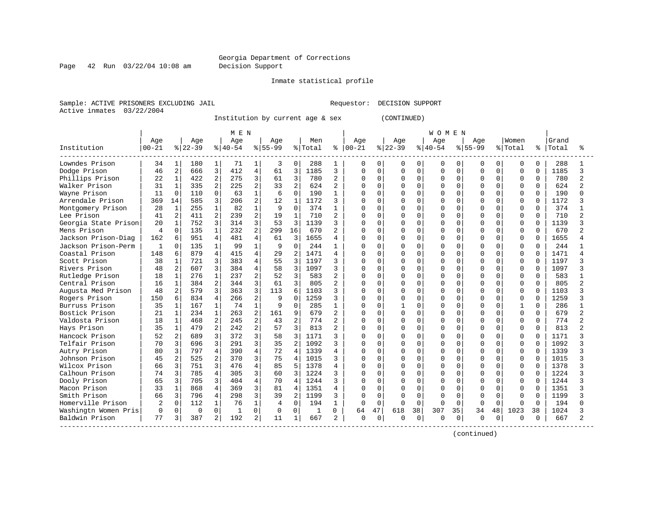Page 42 Run 03/22/04 10:08 am Decision Support

#### Inmate statistical profile

Sample: ACTIVE PRISONERS EXCLUDING JAIL **Requestor: DECISION SUPPORT** Active inmates 03/22/2004

Institution by current age & sex (CONTINUED)

|                      |           |                |           |                | M E N     |                |           |                |         |                |               |             |           |          | <b>WOMEN</b> |             |              |          |              |          |       |                |
|----------------------|-----------|----------------|-----------|----------------|-----------|----------------|-----------|----------------|---------|----------------|---------------|-------------|-----------|----------|--------------|-------------|--------------|----------|--------------|----------|-------|----------------|
|                      | Age       |                | Age       |                | Age       |                | Age       |                | Men     |                | Age           |             | Age       |          | Age          |             | Age          |          | Women        |          | Grand |                |
| Institution          | $00 - 21$ |                | $ 22-39 $ |                | $8 40-54$ |                | $8 55-99$ |                | % Total |                | $8   00 - 21$ |             | $ 22-39 $ |          | $ 40-54$     |             | $8155 - 99$  |          | % Total      | ႜ        | Total |                |
| Lowndes Prison       | 34        | 1              | 180       | 1              | 71        | 1              | 3         | 0              | 288     | 1              | 0             | 0           | 0         | 0        | 0            | 0           | 0            | 0        | 0            | 0        | 288   |                |
| Dodge Prison         | 46        | 2              | 666       | 3              | 412       | 4              | 61        | 3              | 1185    | 3              | O             | $\Omega$    | $\Omega$  | $\Omega$ | $\Omega$     | $\Omega$    | $\Omega$     | 0        | $\Omega$     | $\Omega$ | 1185  | ς              |
| Phillips Prison      | 22        | 1              | 422       | $\overline{2}$ | 275       | 3              | 61        | 3              | 780     | 2              | U             | $\Omega$    | O         | $\Omega$ | $\Omega$     | $\Omega$    | $\Omega$     | 0        | $\Omega$     | $\Omega$ | 780   |                |
| Walker Prison        | 31        | 1              | 335       | $\overline{2}$ | 225       | $\overline{a}$ | 33        | $\overline{a}$ | 624     | $\overline{a}$ | U             | $\Omega$    | $\Omega$  | $\Omega$ | $\Omega$     | $\Omega$    | $\Omega$     | $\Omega$ | $\Omega$     | $\Omega$ | 624   |                |
| Wayne Prison         | 11        | $\Omega$       | 110       | $\Omega$       | 63        | $\mathbf 1$    | 6         | $\Omega$       | 190     | 1              | Λ             | $\mathbf 0$ | O         | $\Omega$ | $\Omega$     | $\Omega$    | <sup>0</sup> | 0        | $\Omega$     | $\Omega$ | 190   |                |
| Arrendale Prison     | 369       | 14             | 585       | 3              | 206       | 2              | 12        | $\mathbf{1}$   | 1172    | 3              | U             | $\Omega$    | O         | $\Omega$ | $\cap$       | $\Omega$    | $\Omega$     | O.       | $\Omega$     | $\Omega$ | 1172  |                |
| Montgomery Prison    | 28        | $\mathbf{1}$   | 255       | 1              | 82        |                | 9         | $\Omega$       | 374     | 1              | Ω             | $\Omega$    | 0         | $\Omega$ | O            | $\Omega$    | <sup>0</sup> |          | $\Omega$     | $\Omega$ | 374   |                |
| Lee Prison           | 41        | $\overline{2}$ | 411       | $\overline{2}$ | 239       | 2              | 19        | $\mathbf{1}$   | 710     | 2              | U             | $\mathbf 0$ | U         | $\Omega$ | $\Omega$     | $\cap$      | $\cap$       |          | $\Omega$     | $\Omega$ | 710   |                |
| Georgia State Prison | 20        | $\mathbf{1}$   | 752       | 3              | 314       | 3              | 53        | 3              | 1139    | 3              | U             | $\Omega$    | O         | $\Omega$ | $\cap$       | $\Omega$    | U            | U        | $\Omega$     | $\Omega$ | 1139  |                |
| Mens Prison          | 4         | $\Omega$       | 135       | $\mathbf{1}$   | 232       | 2              | 299       | 16             | 670     | $\mathbf{2}$   | Ω             | $\Omega$    | O         | $\Omega$ | $\Omega$     | $\Omega$    | $\Omega$     | $\Omega$ | $\Omega$     | $\Omega$ | 670   |                |
| Jackson Prison-Diag  | 162       | 6              | 951       | 4              | 481       | $\overline{4}$ | 61        | 3              | 1655    | 4              | 0             | $\Omega$    | 0         | $\Omega$ | $\Omega$     | $\Omega$    | $\Omega$     | $\Omega$ | $\Omega$     | $\Omega$ | 1655  |                |
| Jackson Prison-Perm  | 1         | $\Omega$       | 135       | 1              | 99        | $\mathbf{1}$   | 9         | $\Omega$       | 244     | 1              | O             | $\Omega$    | O         | $\Omega$ | O            | $\Omega$    | <sup>0</sup> | 0        | $\Omega$     | $\Omega$ | 244   |                |
| Coastal Prison       | 148       | 6              | 879       | 4              | 415       | $\overline{4}$ | 29        | $\overline{a}$ | 1471    | 4              | በ             | $\Omega$    | O         | $\Omega$ | $\cap$       | $\Omega$    | $\Omega$     | 0        | $\Omega$     | $\Omega$ | 1471  |                |
| Scott Prison         | 38        | $\mathbf{1}$   | 721       | 3              | 383       | 4              | 55        | 3              | 1197    | 3              | U             | $\mathbf 0$ | O         | $\Omega$ | U            | $\Omega$    | <sup>0</sup> | 0        | $\Omega$     | $\Omega$ | 1197  |                |
| Rivers Prison        | 48        | 2              | 607       | 3              | 384       | 4              | 58        | 3              | 1097    | 3              | U             | $\mathbf 0$ | U         | $\Omega$ | $\Omega$     | $\Omega$    | $\Omega$     | U        | $\Omega$     | $\Omega$ | 1097  |                |
| Rutledge Prison      | 18        | $\mathbf{1}$   | 276       | $\mathbf{1}$   | 237       | 2              | 52        | 3              | 583     | 2              | U             | $\Omega$    | U         | $\Omega$ | $\Omega$     | $\Omega$    | $\Omega$     | U        | $\Omega$     | $\Omega$ | 583   |                |
| Central Prison       | 16        | $\mathbf{1}$   | 384       | $\overline{2}$ | 344       | 3              | 61        | 3              | 805     | 2              | U             | $\Omega$    | O         | $\Omega$ | $\cap$       | $\Omega$    | $\cap$       | 0        | $\Omega$     | $\Omega$ | 805   |                |
| Augusta Med Prison   | 48        | $\overline{a}$ | 579       | 3              | 363       | 3              | 113       | 6              | 1103    | 3              | U             | $\Omega$    | $\Omega$  | $\Omega$ | $\cap$       | $\Omega$    | $\Omega$     | $\Omega$ | $\Omega$     | $\Omega$ | 1103  |                |
| Rogers Prison        | 150       | 6              | 834       | 4              | 266       | 2              | 9         | $\Omega$       | 1259    | 3              | Ω             | $\mathbf 0$ | $\Omega$  | $\Omega$ | $\Omega$     | $\Omega$    | $\Omega$     | $\Omega$ | $\Omega$     | $\Omega$ | 1259  |                |
| Burruss Prison       | 35        | $\mathbf{1}$   | 167       | $\mathbf{1}$   | 74        | $\mathbf{1}$   | 9         | $\Omega$       | 285     | 1              | Λ             | $\mathbf 0$ |           | $\Omega$ | $\Omega$     | $\Omega$    | $\Omega$     | 0        | $\mathbf{1}$ | $\Omega$ | 286   |                |
| Bostick Prison       | 21        | $\mathbf{1}$   | 234       | $\mathbf{1}$   | 263       | 2              | 161       | 9              | 679     | $\mathbf{2}$   | U             | $\mathbf 0$ | $\Omega$  | $\Omega$ | $\Omega$     | $\Omega$    | $\Omega$     | 0        | $\Omega$     | $\Omega$ | 679   | $\overline{a}$ |
| Valdosta Prison      | 18        | 1              | 468       | 2              | 245       | 2              | 43        | $\overline{a}$ | 774     | 2              | U             | $\mathbf 0$ | 0         | $\Omega$ | $\Omega$     | O           | $\Omega$     | U        | $\mathbf 0$  | $\Omega$ | 774   |                |
| Hays Prison          | 35        | $\mathbf{1}$   | 479       | $\overline{2}$ | 242       | 2              | 57        | 3              | 813     | 2              | U             | $\mathbf 0$ | U         | $\Omega$ | $\Omega$     | O           | $\Omega$     | O        | $\Omega$     | $\Omega$ | 813   |                |
| Hancock Prison       | 52        | 2              | 689       | 3              | 372       | 3              | 58        | 3              | 1171    | 3              | U             | $\mathbf 0$ | O         | $\Omega$ | $\Omega$     | $\Omega$    | O            | U        | $\Omega$     | $\Omega$ | 1171  |                |
| Telfair Prison       | 70        | 3              | 696       | 3              | 291       | 3              | 35        | $\overline{a}$ | 1092    | 3              | U             | $\Omega$    | U         | $\Omega$ | $\cap$       | $\cap$      | U            | U        | $\Omega$     | $\Omega$ | 1092  |                |
| Autry Prison         | 80        | 3              | 797       | 4              | 390       | 4              | 72        | 4              | 1339    | 4              | U             | $\mathbf 0$ | O         | $\Omega$ | U            | $\Omega$    | <sup>0</sup> | 0        | $\Omega$     | $\Omega$ | 1339  |                |
| Johnson Prison       | 45        | $\overline{a}$ | 525       | $\overline{2}$ | 370       | 3              | 75        | $\overline{4}$ | 1015    | 3              | U             | $\mathbf 0$ | $\Omega$  | $\Omega$ | $\cap$       | $\Omega$    | $\Omega$     | $\Omega$ | $\Omega$     | $\Omega$ | 1015  |                |
| Wilcox Prison        | 66        | 3              | 751       | 3              | 476       | 4              | 85        | 5              | 1378    | 4              | Λ             | $\mathbf 0$ | O         | $\Omega$ | O            | $\Omega$    | <sup>0</sup> | 0        | $\Omega$     | $\Omega$ | 1378  |                |
| Calhoun Prison       | 74        | 3              | 785       | 4              | 305       | 3              | 60        | 3              | 1224    | 3              | U             | $\Omega$    | O         | $\Omega$ | $\cap$       | $\Omega$    | <sup>0</sup> | 0        | $\Omega$     | $\Omega$ | 1224  |                |
| Dooly Prison         | 65        | 3              | 705       | 3              | 404       | $\overline{4}$ | 70        | $\overline{4}$ | 1244    | 3              | U             | $\mathbf 0$ | 0         | $\Omega$ | O            | $\Omega$    | <sup>0</sup> | U        | $\Omega$     | $\Omega$ | 1244  |                |
| Macon Prison         | 33        | $\mathbf{1}$   | 868       | 4              | 369       | 3              | 81        | 4              | 1351    | 4              | U             | $\mathbf 0$ | U         | $\Omega$ | $\Omega$     | $\Omega$    | U            |          | $\Omega$     | $\Omega$ | 1351  |                |
| Smith Prison         | 66        | 3              | 796       | 4              | 298       | 3              | 39        | $\overline{a}$ | 1199    | 3              | U             | $\Omega$    | O         | $\cap$   | U            | $\Omega$    | <sup>0</sup> |          | $\Omega$     | $\Omega$ | 1199  |                |
| Homerville Prison    | 2         | $\Omega$       | 112       | 1              | 76        | $\mathbf{1}$   | 4         | 0              | 194     | 1              | $\Omega$      | $\Omega$    | U         | $\Omega$ | $\Omega$     | $\Omega$    | 0            | 0        | $\Omega$     | $\Omega$ | 194   |                |
| Washingtn Women Pris | 0         | $\Omega$       | 0         | $\Omega$       | 1         | $\mathbf 0$    | 0         | $\mathbf 0$    | 1       | 0              | 64            | 47          | 618       | 38       | 307          | 35          | 34           | 48       | 1023         | 38       | 1024  |                |
| Baldwin Prison       | 77        | 3              | 387       | 2              | 192       | 2              | 11        | $\mathbf{1}$   | 667     | 2              | 0             | 0           | Ω         | 0        | 0            | $\mathbf 0$ | $\Omega$     | 0        | $\Omega$     | $\Omega$ | 667   |                |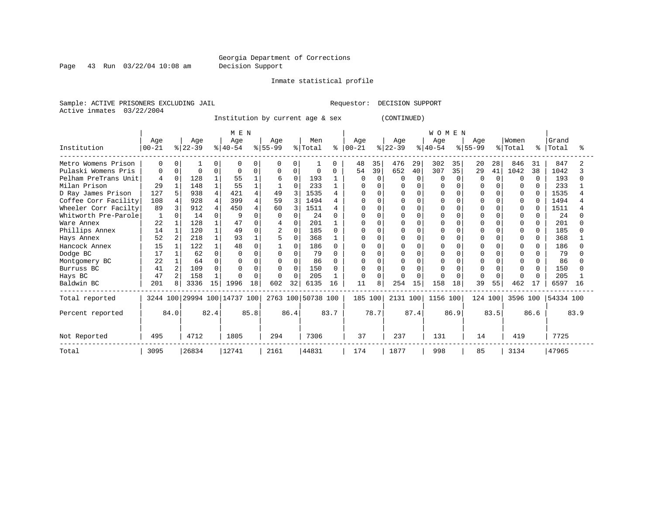Page 43 Run 03/22/04 10:08 am Decision Support

Inmate statistical profile

Sample: ACTIVE PRISONERS EXCLUDING JAIL **Requestor: DECISION SUPPORT** Active inmates 03/22/2004

Institution by current age & sex (CONTINUED)

|                      |           |          |           |      | MEN                          |          |           |          |                    |              |           |          |           |          | <b>WOMEN</b> |          |              |        |              |              |           |      |
|----------------------|-----------|----------|-----------|------|------------------------------|----------|-----------|----------|--------------------|--------------|-----------|----------|-----------|----------|--------------|----------|--------------|--------|--------------|--------------|-----------|------|
|                      | Age       |          | Age       |      | Age                          |          | Age       |          | Men                |              | Age       |          | Age       |          | Age          |          | Age          |        | Women        |              | Grand     |      |
| Institution          | $00 - 21$ |          | $ 22-39 $ |      | $ 40-54$                     |          | $8 55-99$ |          | % Total            | နွ           | $00 - 21$ |          | $ 22-39 $ |          | $8 40-54$    |          | $8 55-99$    |        | % Total      | °            | Total     |      |
| Metro Womens Prison  | $\Omega$  | $\Omega$ |           | 0    | <sup>o</sup>                 | U        | $\Omega$  | 0        |                    | 0            | 48        | 35       | 476       | 29       | 302          | 35       | 20           | 28     | 846          | 31           | 847       |      |
| Pulaski Womens Pris  | $\Omega$  | $\Omega$ | $\Omega$  | 0    | $\Omega$                     |          | $\Omega$  | 0        | $\Omega$           | $\Omega$     | 54        | 39       | 652       | 40       | 307          | 35       | 29           | 41     | 1042         | 38           | 1042      |      |
| Pelham PreTrans Unit | 4         | $\Omega$ | 128       |      | 55                           |          | 6         | $\Omega$ | 193                |              | U         | $\Omega$ | O         | $\Omega$ | $\Omega$     | $\Omega$ | $\Omega$     | $\cap$ | $\Omega$     | $\Omega$     | 193       |      |
| Milan Prison         | 29        |          | 148       |      | 55                           |          |           | O        | 233                |              | O         |          |           | ∩        |              |          |              |        | $\Omega$     | 0            | 233       |      |
| D Ray James Prison   | 127       | 5        | 938       | 4    | 421                          |          | 49        | ζ        | 1535               |              |           |          |           | U        |              |          |              |        | <sup>0</sup> | <sup>0</sup> | 1535      |      |
| Coffee Corr Facility | 108       | 4        | 928       | 4    | 399                          |          | 59        | 3        | 1494               |              |           |          |           | U        |              |          | U            |        | <sup>0</sup> | <sup>0</sup> | 1494      |      |
| Wheeler Corr Facilty | 89        |          | 912       | 4    | 450                          |          | 60        |          | 1511               |              |           | $\Omega$ |           |          |              |          |              |        | $\Omega$     |              | 1511      |      |
| Whitworth Pre-Parole | 1         |          | 14        | O    | q                            |          | $\Omega$  | O        | 24                 |              | U         |          |           | $\cap$   |              |          |              |        | <sup>0</sup> | U            | 24        |      |
| Ware Annex           | 22        |          | 128       |      | 47                           |          |           | 0        | 201                |              |           |          |           | O        |              |          |              |        | <sup>0</sup> | 0            | 201       |      |
| Phillips Annex       | 14        |          | 120       |      | 49                           |          | 2         | 0        | 185                |              | U         |          |           | $\Omega$ |              |          | <sup>0</sup> |        | $\Omega$     | $\Omega$     | 185       |      |
| Hays Annex           | 52        | 2        | 218       |      | 93                           |          |           | $\Omega$ | 368                |              | 0         | $\Omega$ |           | $\Omega$ | 0            |          |              |        | $\Omega$     | 0            | 368       |      |
| Hancock Annex        | 15        |          | 122       |      | 48                           |          |           | 0        | 186                |              | O         |          |           |          |              |          |              |        | <sup>0</sup> | 0            | 186       |      |
| Dodge BC             | 17        |          | 62        | 0    | <sup>0</sup>                 |          |           | U        | 79                 | n            |           |          |           | O        |              |          |              |        | n            |              | 79        |      |
| Montgomery BC        | 22        |          | 64        | 0    |                              |          | $\Omega$  | $\Omega$ | 86                 | <sup>n</sup> | O         |          |           | $\cap$   |              |          |              |        | $\Omega$     | 0            | 86        |      |
| Burruss BC           | 41        | 2        | 109       | O    |                              |          | $\Omega$  | $\Omega$ | 150                | <sup>0</sup> | O         |          |           |          |              |          |              |        | $\Omega$     | $\Omega$     | 150       |      |
| Hays BC              | 47        | 2        | 158       |      | O                            | $\Omega$ |           | O        | 205                |              | $\Omega$  |          |           | ∩        |              |          | U            |        | <sup>0</sup> | <sup>0</sup> | 205       |      |
| Baldwin BC           | 201       | 8        | 3336      | 15   | 1996                         | 18       | 602       | 32       | 6135               | 16           | 11        | 8        | 254       | 15       | 158          | 18       | 39           | 55     | 462          | 17           | 6597      | 16   |
| Total reported       |           |          |           |      | 3244 100 29994 100 14737 100 |          |           |          | 2763 100 50738 100 |              | 185 100   |          | 2131 100  |          | 1156 100     |          | 124 100      |        | 3596 100     |              | 54334 100 |      |
| Percent reported     |           | 84.0     |           | 82.4 |                              | 85.8     |           | 86.4     |                    | 83.7         |           | 78.7     |           | 87.4     |              | 86.9     |              | 83.5   |              | 86.6         |           | 83.9 |
| Not Reported         | 495       |          | 4712      |      | 1805                         |          | 294       |          | 7306               |              | 37        |          | 237       |          | 131          |          | 14           |        | 419          |              | 7725      |      |
| Total                | 3095      |          | 26834     |      | 12741                        |          | 2161      |          | 44831              |              | 174       |          | 1877      |          | 998          |          | 85           |        | 3134         |              | 47965     |      |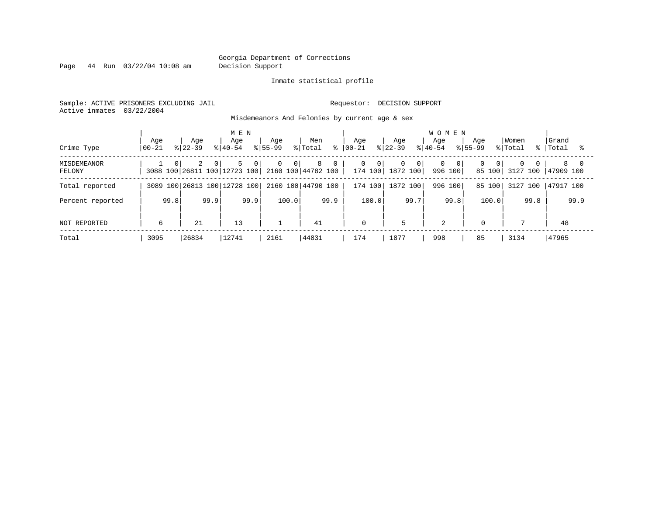Page 44 Run 03/22/04 10:08 am Decision Support

#### Inmate statistical profile

Sample: ACTIVE PRISONERS EXCLUDING JAIL **Requestor: DECISION SUPPORT** Active inmates 03/22/2004

Misdemeanors And Felonies by current age & sex

| Crime Type            | Age<br>$00 - 21$ | Age<br>$8122 - 39$ | M E N<br>Age<br>$8140 - 54$                                            | Age<br>$8155 - 99$               | Men<br>% Total<br>⊱ | Aqe<br>$ 00-21 $ | Age<br>$ 22-39 $                    | <b>WOMEN</b><br>Aqe<br>$8140 - 54$ | Aqe<br>$8155 - 99$                   | Women<br>% Total<br>$\approx$ 1 | Grand<br>Total      |
|-----------------------|------------------|--------------------|------------------------------------------------------------------------|----------------------------------|---------------------|------------------|-------------------------------------|------------------------------------|--------------------------------------|---------------------------------|---------------------|
| MISDEMEANOR<br>FELONY | $\Omega$         | 2<br>$\Omega$      | 5<br>$\overline{0}$<br>3088 100 26811 100 12723 100 2160 100 44782 100 | $\overline{0}$<br>0 <sup>1</sup> | 8<br>$\mathbf 0$    | 0<br>- 0 I       | $\Omega$<br> 0 <br>174 100 1872 100 | $\Omega$<br>- 0  <br>996 100       | $\Omega$<br>0 <sup>1</sup><br>85 100 | $\Omega$<br>3127 100            | 8 0<br>$147909$ 100 |
| Total reported        |                  |                    | 3089 100 26813 100 12728 100                                           |                                  | 2160 100 44790 100  | 174 100          | 1872 100                            | 996 100                            | 85 100                               | 3127 100                        | 47917 100           |
| Percent reported      | 99.8             | 99.9               | 99.9                                                                   | 100.0                            | 99.9                | 100.0            | 99.7                                | 99.8                               | 100.0                                | 99.8                            | 99.9                |
| NOT REPORTED          | 6                | 21                 | 13                                                                     |                                  | 41                  | 0                | 5                                   | 2                                  | $\mathbf 0$                          |                                 | 48                  |
| Total                 | 3095             | 26834              | 12741                                                                  | 2161                             | 44831               | 174              | 1877                                | 998                                | 85                                   | 3134                            | 47965               |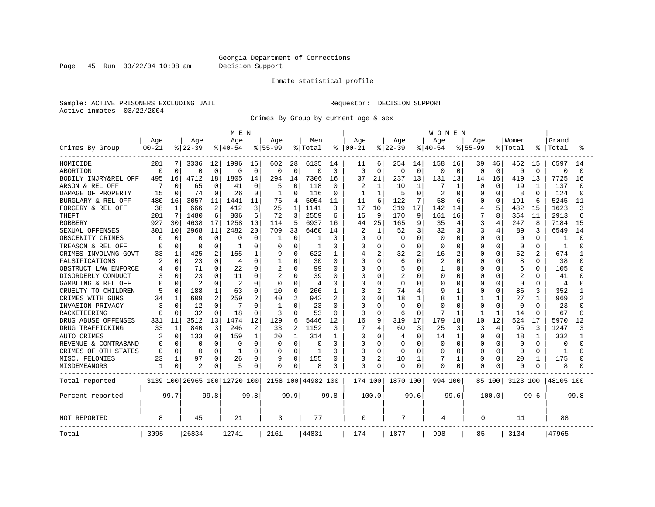Page 45 Run 03/22/04 10:08 am Decision Support

### Inmate statistical profile

Sample: ACTIVE PRISONERS EXCLUDING JAIL **Requestor: DECISION SUPPORT** Active inmates 03/22/2004

Crimes By Group by current age & sex

|                      |                  |              |                    |             | M E N                        |             |                    |          |                    |                |                 |                |                  |              | <b>WOMEN</b>     |                |                    |              |                  |                |                |          |
|----------------------|------------------|--------------|--------------------|-------------|------------------------------|-------------|--------------------|----------|--------------------|----------------|-----------------|----------------|------------------|--------------|------------------|----------------|--------------------|--------------|------------------|----------------|----------------|----------|
| Crimes By Group      | Age<br>$00 - 21$ |              | Age<br>$8$   22-39 |             | Age<br>$8140 - 54$           |             | Age<br>$8155 - 99$ |          | Men<br>% Total     | ႜ              | Age<br>$ 00-21$ |                | Age<br>$ 22-39 $ |              | Age<br>$8 40-54$ |                | Age<br>$8155 - 99$ |              | Women<br>% Total |                | Grand<br>Total |          |
| HOMICIDE             | 201              | 7            | 3336               | 12          | 1996                         | 16          | 602                | 28       | 6135               | 14             | 11              | 6              | 254              | 14           | 158              | 16             | 39                 | 46           | 462              | 15             | 6597           | 14       |
| <b>ABORTION</b>      | $\mathbf 0$      | $\Omega$     | $\Omega$           | $\mathbf 0$ | 0                            | $\mathbf 0$ | $\Omega$           | 0        | $\Omega$           | $\Omega$       | $\mathbf 0$     | $\Omega$       | 0                | $\mathbf 0$  | 0                | $\overline{0}$ | $\Omega$           | $\mathbf 0$  | $\Omega$         | $\Omega$       | $\mathbf 0$    | $\Omega$ |
| BODILY INJRY&REL OFF | 495              | 16           | 4712               | 18          | 1805                         | 14          | 294                | 14       | 7306               | 16             | 37              | 21             | 237              | 13           | 131              | 13             | 14                 | 16           | 419              | 13             | 7725           | 16       |
| ARSON & REL OFF      |                  | $\Omega$     | 65                 | $\Omega$    | 41                           | 0           | 5                  | $\Omega$ | 118                | $\Omega$       | 2               | 1              | 10               | 1            | 7                |                | $\Omega$           | U            | 19               | -1             | 137            |          |
| DAMAGE OF PROPERTY   | 15               | <sup>0</sup> | 74                 | $\Omega$    | 26                           | 0           | 1                  | $\Omega$ | 116                | $\Omega$       | 1               | 1              | 5                | $\Omega$     | 2                | $\Omega$       | U                  | U            | 8                | <sup>0</sup>   | 124            |          |
| BURGLARY & REL OFF   | 480              | 16           | 3057               | 11          | 1441                         | 11          | 76                 | 4        | 5054               | 11             | 11              | 6              | 122              | 7            | 58               | 6              | O                  | $\Omega$     | 191              | 6              | 5245           | 11       |
| FORGERY & REL OFF    | 38               | $\mathbf{1}$ | 666                | 2           | 412                          | 3           | 25                 | 1        | 1141               | 3              | 17              | 10             | 319              | 17           | 142              | 14             | 4                  | 5            | 482              | 15             | 1623           | ζ        |
| <b>THEFT</b>         | 201              | 7            | 1480               | 6           | 806                          | 6           | 72                 | 3        | 2559               | 6              | 16              | 9              | 170              | 9            | 161              | 16             | 7                  | 8            | 354              | 11             | 2913           |          |
| <b>ROBBERY</b>       | 927              | 30           | 4638               | 17          | 1258                         | 10          | 114                | 5        | 6937               | 16             | 44              | 25             | 165              | 9            | 35               | 4              | 3                  | 4            | 247              | 8              | 7184           | 15       |
| SEXUAL OFFENSES      | 301              | 10           | 2968               | 11          | 2482                         | 20          | 709                | 33       | 6460               | 14             | 2               | $\mathbf{1}$   | 52               | 3            | 32               | 3              |                    | 4            | 89               |                | 6549           | 14       |
| OBSCENITY CRIMES     | 0                | $\Omega$     | ∩                  | $\Omega$    | 0                            | 0           | -1                 | 0        |                    | 0              | 0               | $\Omega$       | U                | $\Omega$     | $\Omega$         | $\Omega$       | $\Omega$           | $\Omega$     | $\Omega$         | O              |                |          |
| TREASON & REL OFF    | 0                | $\Omega$     | 0                  | 0           | -1                           | 0           | 0                  | 0        | 1                  | O              | 0               | $\Omega$       | $\Omega$         | $\Omega$     | O                | $\Omega$       | O                  | 0            | 0                | $\Omega$       | 1              |          |
| CRIMES INVOLVNG GOVT | 33               | 1            | 425                | 2           | 155                          | 1           | 9                  | O        | 622                | 1              | 4               | 2              | 32               | 2            | 16               | 2              | $\Omega$           | O            | 52               | $\overline{c}$ | 674            |          |
| FALSIFICATIONS       |                  | $\Omega$     | 23                 | $\Omega$    | 4                            | 0           | 1                  | 0        | 30                 | $\Omega$       | O               | $\Omega$       | 6                | $\Omega$     | 2                | $\Omega$       | O                  | 0            | 8                | $\Omega$       | 38             |          |
| OBSTRUCT LAW ENFORCE |                  | $\Omega$     | 71                 | 0           | 22                           | 0           | 2                  | 0        | 99                 | $\Omega$       | O               | $\Omega$       | 5                | $\Omega$     | 1                | n              | 0                  | U            | 6                | $\Omega$       | 105            |          |
| DISORDERLY CONDUCT   |                  |              | 23                 | 0           | 11                           | 0           | 2                  | U        | 39                 | O              | O               | $\Omega$       | $\overline{2}$   | $\Omega$     | 0                | 0              | O                  |              | 2                | O              | 41             |          |
| GAMBLING & REL OFF   | <sup>0</sup>     | $\Omega$     | $\overline{c}$     | $\Omega$    | $\overline{c}$               | 0           | $\Omega$           | $\Omega$ | 4                  | $\Omega$       | O               | $\Omega$       | $\Omega$         | $\Omega$     | 0                | O              | $\Omega$           | U            | $\Omega$         | $\Omega$       | 4              |          |
| CRUELTY TO CHILDREN  | 5                | $\Omega$     | 188                | 1           | 63                           | 0           | 10                 | $\Omega$ | 266                | 1              | 3               | $\overline{a}$ | 74               | 4            | 9                |                | 0                  | 0            | 86               | 3              | 352            |          |
| CRIMES WITH GUNS     | 34               | 1            | 609                | 2           | 259                          | 2           | 40                 | 2        | 942                | $\overline{2}$ | O               | $\mathbf 0$    | 18               | $\mathbf{1}$ | 8                | 1              |                    | $\mathbf{1}$ | 27               | $\mathbf{1}$   | 969            |          |
| INVASION PRIVACY     | 3                | $\Omega$     | 12                 | $\Omega$    | 7                            | $\Omega$    | $\mathbf{1}$       | $\Omega$ | 23                 | $\Omega$       | $\Omega$        | $\Omega$       | U                | $\Omega$     | U                | $\Omega$       | $\Omega$           | 0            | $\Omega$         | <sup>0</sup>   | 23             |          |
| RACKETEERING         | n                |              | 32                 | $\Omega$    | 18                           | $\Omega$    | 3                  | O        | 53                 | $\Omega$       | $\Omega$        | $\Omega$       | 6                | $\Omega$     |                  |                | 1                  | $\mathbf{1}$ | 14               | <sup>0</sup>   | 67             |          |
| DRUG ABUSE OFFENSES  | 331              | 11           | 3512               | 13          | 1474                         | 12          | 129                | 6        | 5446               | 12             | 16              | 9              | 319              | 17           | 179              | 18             | 10                 | 12           | 524              | 17             | 5970           | 12       |
| DRUG TRAFFICKING     | 33               | 1            | 840                | 3           | 246                          | 2           | 33                 | 2        | 1152               | 3              | 7               | 4              | 60               | 3            | 25               | 3              | 3                  | 4            | 95               | 3              | 1247           |          |
| AUTO CRIMES          | 2                | $\Omega$     | 133                | $\Omega$    | 159                          | 1           | 20                 | 1        | 314                | 1              | 0               | $\Omega$       | 4                | $\Omega$     | 14               | -1             | 0                  | $\Omega$     | 18               | 1              | 332            |          |
| REVENUE & CONTRABAND | 0                | $\Omega$     | $\Omega$           | $\mathbf 0$ | 0                            | $\Omega$    | $\Omega$           | $\Omega$ | 0                  | $\Omega$       | 0               | $\Omega$       | 0                | $\Omega$     | $\Omega$         | $\Omega$       | 0                  | 0            | $\Omega$         | $\Omega$       | 0              |          |
| CRIMES OF OTH STATES | $\Omega$         | $\Omega$     | $\Omega$           | $\Omega$    | -1                           | O           | $\Omega$           | $\Omega$ | 1                  | O              | O               | $\Omega$       | Ω                | $\Omega$     | $\Omega$         | O              | $\Omega$           | $\Omega$     | $\Omega$         | $\Omega$       | 1              |          |
| MISC. FELONIES       | 23               | 1            | 97                 | 0           | 26                           | 0           | 9                  | $\Omega$ | 155                | 0              | 3               | 2              | 10               | 1            | 7                | 1              | <sup>0</sup>       | 0            | 20               | 1              | 175            |          |
| MISDEMEANORS         | 1                | 0            | 2                  | 0           | 5                            | 0           | 0                  | 0        | 8                  | 0              | 0               | 0              | Ω                | 0            | $\Omega$         | 0              | $\Omega$           | 0            | $\Omega$         |                | 8              |          |
| Total reported       |                  |              |                    |             | 3139 100 26965 100 12720 100 |             |                    |          | 2158 100 44982 100 |                | 174 100         |                | 1870 100         |              | 994 100          |                |                    | 85 100       | 3123 100         |                | 48105 100      |          |
| Percent reported     |                  | 99.7         |                    | 99.8        |                              | 99.8        |                    | 99.9     |                    | 99.8           |                 | 100.0          |                  | 99.6         |                  | 99.6           |                    | 100.0        |                  | 99.6           |                | 99.8     |
| NOT REPORTED         | 8                |              | 45                 |             | 21                           |             | 3                  |          | 77                 |                | 0               |                | 7                |              | 4                |                | $\Omega$           |              | 11               |                | 88             |          |
| Total                | 3095             |              | 26834              |             | 12741                        |             | 2161               |          | 44831              |                | 174             |                | 1877             |              | 998              |                | 85                 |              | 3134             |                | 47965          |          |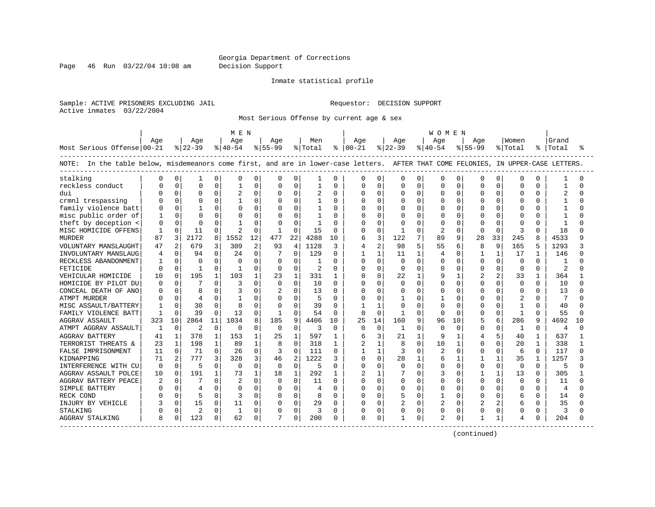Page 46 Run 03/22/04 10:08 am Decision Support

#### Inmate statistical profile

Sample: ACTIVE PRISONERS EXCLUDING JAIL **Requestor: DECISION SUPPORT** Active inmates 03/22/2004

Most Serious Offense by current age & sex

|                                                                                                                                   |              |                |                |              | M E N          |                |             |                |         |              |                |                |                |              | W O M E N      |          |               |              |              |              |                |          |
|-----------------------------------------------------------------------------------------------------------------------------------|--------------|----------------|----------------|--------------|----------------|----------------|-------------|----------------|---------|--------------|----------------|----------------|----------------|--------------|----------------|----------|---------------|--------------|--------------|--------------|----------------|----------|
|                                                                                                                                   | Age          |                | Age            |              | Age            |                | Age         |                | Men     |              | Age            |                | Age            |              | Aqe            |          | Aqe           |              | Women        |              | Grand          |          |
| Most Serious Offense 00-21                                                                                                        |              |                | $8 22-39$      |              | $8 40-54$      |                | $8 55-99$   |                | % Total |              | $8   00 - 21$  |                | $8122 - 39$    |              | $ 40-54 $      |          | $8155 - 99$   |              | % Total      | ိ            | Total          | ႜ        |
| NOTE: In the table below, misdemeanors come first, and are in lower-case letters. AFTER THAT COME FELONIES, IN UPPER-CASE LETTERS |              |                |                |              |                |                |             |                |         |              |                |                |                |              |                |          |               |              |              |              |                |          |
| stalking                                                                                                                          | 0            | 0              |                | 0            |                | $\Omega$       | 0           | 0              | 1       | $\Omega$     | $\Omega$       | O              | $\Omega$       | 0            | $\Omega$       | $\Omega$ | O             | 0            | $\Omega$     | O            |                | O        |
| reckless conduct                                                                                                                  |              | $\Omega$       | $\cap$         | $\Omega$     |                | $\Omega$       | 0           | $\Omega$       | 1       | O            | O              | O              | $\cap$         | $\Omega$     | $\Omega$       | $\Omega$ | C             | $\Omega$     | $\Omega$     | 0            |                | ∩        |
| dui                                                                                                                               |              | $\Omega$       | $\Omega$       | $\Omega$     | $\overline{c}$ | $\Omega$       | $\Omega$    | $\Omega$       | 2       | $\Omega$     | <sup>0</sup>   | $\Omega$       | $\Omega$       | $\Omega$     | $\Omega$       | $\Omega$ | $\Omega$      | $\Omega$     | $\Omega$     | 0            | $\overline{c}$ | $\cap$   |
| crmnl trespassing                                                                                                                 |              | $\Omega$       |                | $\Omega$     |                | $\Omega$       | $\Omega$    | $\Omega$       |         | $\Omega$     | $\Omega$       | $\Omega$       |                | $\Omega$     | $\Omega$       | $\Omega$ | 0             | $\Omega$     | $\Omega$     | 0            |                |          |
| family violence batt                                                                                                              |              | $\Omega$       |                | $\Omega$     |                | $\Omega$       | 0           | $\Omega$       |         | $\Omega$     | $\Omega$       | $\Omega$       |                | $\Omega$     | $\mathbf 0$    | $\Omega$ | C             | $\Omega$     | $\Omega$     | 0            |                |          |
| misc public order of                                                                                                              | $\mathbf{1}$ | $\Omega$       |                | $\Omega$     |                | $\Omega$       | O           | $\Omega$       | 1       | O            | $\Omega$       | $\Omega$       | ∩              | O            | $\Omega$       | $\Omega$ | n             | <sup>0</sup> | $\Omega$     | 0            |                |          |
| theft by deception <                                                                                                              | 0            | $\Omega$       |                | $\Omega$     |                | $\Omega$       | U           | $\Omega$       | -1      | O            | O              | $\Omega$       |                |              | $\Omega$       | ∩        | n             | $\Omega$     | $\Omega$     | 0            |                |          |
| MISC HOMICIDE OFFENS                                                                                                              | $\mathbf{1}$ | $\Omega$       | 11             | $\Omega$     |                | $\Omega$       |             | $\Omega$       | 15      | $\Omega$     | $\Omega$       | $\Omega$       |                |              | $\mathfrak{D}$ | $\cap$   | $\Omega$      | $\Omega$     | 3            | U            | 18             | ∩        |
| <b>MURDER</b>                                                                                                                     | 87           | 3              | 2172           | 8            | 1552           | 12             | 477         | 22             | 4288    | 10           | 6              | 3              | 122            |              | 89             | 9        | 28            | 33           | 245          | 8            | 4533           | q        |
| VOLUNTARY MANSLAUGHT                                                                                                              | 47           | $\mathbf{2}$   | 679            | 3            | 309            | $\overline{a}$ | 93          | 4              | 1128    | κ            | 4              | $\overline{a}$ | 98             |              | 55             | 6        | 8             | 9            | 165          | 5            | 1293           |          |
| INVOLUNTARY MANSLAUG                                                                                                              | 4            | $\Omega$       | 94             | $\Omega$     | 24             | $\Omega$       |             | $\Omega$       | 129     | $\Omega$     | $\mathbf{1}$   | $\mathbf{1}$   | 11             | 1            | $\overline{4}$ | $\Omega$ | -1            | $\mathbf{1}$ | 17           | 1            | 146            | $\cap$   |
| RECKLESS ABANDONMENT                                                                                                              | $\mathbf{1}$ | $\Omega$       | $\Omega$       | $\Omega$     | $\Omega$       | $\Omega$       | 0           | $\Omega$       | 1       | $\Omega$     | $\Omega$       | $\Omega$       | $\Omega$       | $\Omega$     | $\Omega$       | $\Omega$ | $\Omega$      | $\Omega$     | $\Omega$     | 0            |                | ∩        |
| FETICIDE                                                                                                                          | U            | $\Omega$       | $\mathbf{1}$   | $\Omega$     | $\mathbf{1}$   | $\Omega$       | 0           | $\Omega$       | 2       | $\Omega$     | <sup>0</sup>   | $\Omega$       | $\Omega$       | $\Omega$     | $\Omega$       | $\Omega$ | $\Omega$      | $\Omega$     | $\Omega$     | 0            | $\mathcal{D}$  | ∩        |
| VEHICULAR HOMICIDE                                                                                                                | 10           | $\Omega$       | 195            | $\mathbf{1}$ | 103            | 1              | 23          | $\mathbf{1}$   | 331     | -1           | $\Omega$       | $\Omega$       | 22             |              | 9              |          |               | 2            | 33           | 1            | 364            |          |
| HOMICIDE BY PILOT DU                                                                                                              | U            | $\Omega$       |                | $\Omega$     | 3              | $\Omega$       | 0           | $\Omega$       | 10      | $\Omega$     | <sup>0</sup>   | $\Omega$       | $\Omega$       |              | $\cap$         | $\Omega$ | ∩             | $\Omega$     | $\Omega$     | 0            | 10             | ∩        |
| CONCEAL DEATH OF ANO                                                                                                              | U            | $\Omega$       | 8              | $\Omega$     |                | $\Omega$       |             | $\Omega$       | 13      | $\Omega$     | <sup>0</sup>   | $\Omega$       | <sup>0</sup>   |              | $\cap$         | $\Omega$ | ∩             | $\Omega$     | $\Omega$     | 0            | 13             | $\cap$   |
| ATMPT MURDER                                                                                                                      |              | $\Omega$       | $\overline{4}$ | $\Omega$     |                | $\Omega$       | $\Omega$    | $\Omega$       | 5       | $\Omega$     | O              | $\Omega$       |                |              | -1             | $\Omega$ | n             | $\Omega$     | 2            | 0            | 7              | ∩        |
| MISC ASSAULT/BATTERY                                                                                                              |              | $\Omega$       | 30             | $\Omega$     | 8              | $\Omega$       | 0           | $\Omega$       | 39      | $\Omega$     | 1              | $\mathbf{1}$   | $\Omega$       | <sup>n</sup> | $\cap$         | $\Omega$ | ∩             | $\Omega$     | -1           | 0            | 40             |          |
| FAMILY VIOLENCE BATT                                                                                                              | $\mathbf{1}$ | $\Omega$       | 39             | $\Omega$     | 13             | $\Omega$       |             | $\Omega$       | 54      | $\Omega$     | $\Omega$       | $\Omega$       | $\mathbf{1}$   | $\Omega$     | $\Omega$       | $\Omega$ | $\Omega$      | $\mathbf 0$  | $\mathbf{1}$ | O            | 55             | ∩        |
| <b>AGGRAV ASSAULT</b>                                                                                                             | 323          | 10             | 2864           | 11           | 1034           | 8              | 185         | 9              | 4406    | 10           | 25             | 14             | 160            | 9            | 96             | 10       | 5             | 6            | 286          | 9            | 4692           | 1 O      |
| ATMPT AGGRAV ASSAULT                                                                                                              | $\mathbf{1}$ | $\Omega$       | $\overline{2}$ | $\Omega$     | $\Omega$       | $\Omega$       | $\Omega$    | $\Omega$       | ζ       | $\Omega$     | $\Omega$       | $\Omega$       | 1              | $\Omega$     | $\Omega$       | $\Omega$ | $\Omega$      | $\Omega$     | -1           | 0            | $\overline{4}$ | $\Omega$ |
| <b>AGGRAV BATTERY</b>                                                                                                             | 41           | $\mathbf{1}$   | 378            | $\mathbf{1}$ | 153            | 1              | 25          | $\mathbf{1}$   | 597     | $\mathbf{1}$ | 6              | 3              | 21             |              | q              |          | 4             | 5            | 40           | 1            | 637            |          |
| TERRORIST THREATS &                                                                                                               | 23           | $\mathbf{1}$   | 198            | $\mathbf{1}$ | 89             | 1              | 8           | $\Omega$       | 318     | 1            | $\overline{2}$ | $\mathbf{1}$   | 8              | <sup>n</sup> | 10             |          | ∩             | 0            | 20           | 1            | 338            | 1        |
| FALSE IMPRISONMENT                                                                                                                | 11           | $\Omega$       | 71             | $\Omega$     | 26             | $\Omega$       | 3           | $\Omega$       | 111     | $\Omega$     | 1              | $\mathbf{1}$   | 3              | $\Omega$     | $\overline{2}$ | $\Omega$ | $\Omega$      | $\Omega$     | 6            | $\Omega$     | 117            | $\cap$   |
| KIDNAPPING                                                                                                                        | 71           | $\overline{2}$ | 777            | 3            | 328            | 3              | 46          | $\mathfrak{D}$ | 1222    | 3            | $\Omega$       | $\Omega$       | 28             |              | 6              |          |               | $\mathbf{1}$ | 35           | $\mathbf{1}$ | 1257           | κ        |
| INTERFERENCE WITH CU                                                                                                              | 0            | $\Omega$       | 5              | $\mathbf 0$  | $\Omega$       | $\Omega$       | $\mathbf 0$ | $\Omega$       | 5       | $\Omega$     | $\Omega$       | $\mathbf 0$    | $\Omega$       | $\Omega$     | $\mathbf 0$    | $\Omega$ | $\Omega$      | $\mathbf 0$  | $\Omega$     | $\Omega$     | 5              | $\cap$   |
| AGGRAV ASSAULT POLCE                                                                                                              | 10           | $\Omega$       | 191            | $\mathbf{1}$ | 73             | $\mathbf{1}$   | 18          | 1              | 292     | $\mathbf{1}$ | 2              | $\mathbf{1}$   |                | $\Omega$     | 3              | $\Omega$ |               | $\mathbf{1}$ | 13           | $\Omega$     | 305            |          |
| AGGRAV BATTERY PEACE                                                                                                              | 2            | $\Omega$       |                | $\Omega$     | 2              | $\Omega$       | 0           | $\Omega$       | 11      | $\Omega$     | <sup>0</sup>   | 0              | <sup>0</sup>   | 0            | $\Omega$       | $\Omega$ | ∩             | $\Omega$     | $\Omega$     | 0            | 11             | $\cap$   |
| SIMPLE BATTERY                                                                                                                    |              | $\Omega$       | $\overline{4}$ | $\Omega$     |                | $\Omega$       | $\Omega$    | $\Omega$       | 4       | $\Omega$     | $\Omega$       | $\Omega$       | <sup>0</sup>   |              | $\Omega$       |          | O             | $\Omega$     | O            | O            | 4              | $\cap$   |
| RECK COND                                                                                                                         |              | $\Omega$       |                | $\Omega$     |                | $\Omega$       | $\mathbf 0$ | $\Omega$       | 8       | $\Omega$     | U              | $\Omega$       |                | 0            | -1             | $\Omega$ | $\Omega$      | $\Omega$     | 6            | U            | 14             | ∩        |
| INJURY BY VEHICLE                                                                                                                 |              | $\Omega$       | 1.5            | $\Omega$     | 11             | $\Omega$       | 0           | $\Omega$       | 29      | $\Omega$     | $\Omega$       | $\Omega$       | $\overline{c}$ | $\Omega$     | $\overline{2}$ | $\Omega$ | $\mathcal{D}$ | 2            | 6            | 0            | 35             | U        |
| STALKING                                                                                                                          |              | $\Omega$       | $\overline{c}$ | $\Omega$     | 1              | $\Omega$       | 0           | $\Omega$       | 3       | $\Omega$     | 0              | $\Omega$       | $\Omega$       | $\Omega$     | $\mathbf 0$    | $\Omega$ | 0             | $\mathbf 0$  | 0            | 0            | 3              |          |
| AGGRAV STALKING                                                                                                                   | 8            | 0              | 123            | 0            | 62             | 0              |             | $\Omega$       | 200     | 0            | $\Omega$       | 0              |                | 0            | $\overline{c}$ | 0        |               | 1            | 4            | N            | 204            | U        |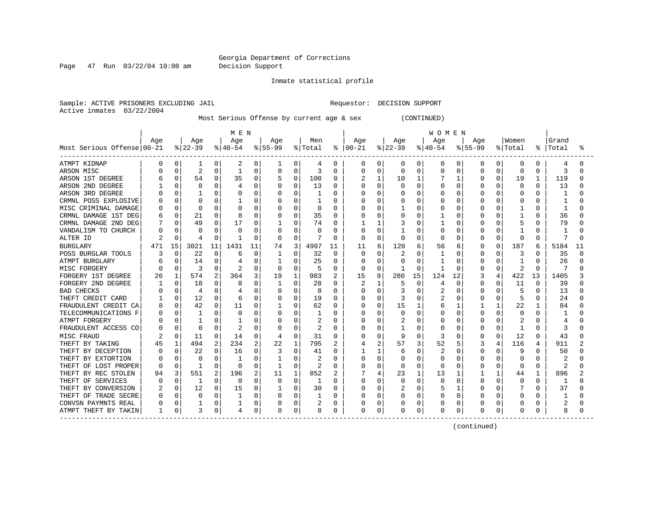Page 47 Run 03/22/04 10:08 am Decision Support

#### Inmate statistical profile

Sample: ACTIVE PRISONERS EXCLUDING JAIL **Requestor: DECISION SUPPORT** Active inmates 03/22/2004

Most Serious Offense by current age & sex (CONTINUED)

|                            |          |          |                |          | MEN      |          |          |          |         |                |               |          |          |              | <b>WOMEN</b> |          |             |          |              |              |       |    |
|----------------------------|----------|----------|----------------|----------|----------|----------|----------|----------|---------|----------------|---------------|----------|----------|--------------|--------------|----------|-------------|----------|--------------|--------------|-------|----|
|                            | Age      |          | Age            |          | Age      |          | Age      |          | Men     |                | Aqe           |          | Age      |              | Age          |          | Aqe         |          | Women        |              | Grand |    |
| Most Serious Offense 00-21 |          |          | $ 22-39 $      |          | $ 40-54$ |          | $ 55-99$ |          | % Total |                | $8   00 - 21$ |          | $ 22-39$ |              | $ 40-54$     |          | $8155 - 99$ |          | % Total      | ႜ            | Total | °≈ |
| ATMPT KIDNAP               | $\Omega$ | 0        | 1              | 0        | 2        | 0        | ı        | 0        | 4       | 0              | 0             | 0        | 0        | $\mathbf{0}$ | 0            | 0        | 0           | 0        | 0            | 0            | 4     |    |
| ARSON MISC                 |          | 0        | $\overline{2}$ | 0        | -1       | $\Omega$ | 0        | $\Omega$ | 3       | $\Omega$       | Ω             | 0        | 0        | 0            | 0            | O        | $\Omega$    | O        | $\Omega$     | $\Omega$     | 3     |    |
| ARSON 1ST DEGREE           |          | 0        | 54             | 0        | 35       | 0        |          | 0        | 100     | 0              |               | 1        | 10       | 1            |              |          | 0           | 0        | 19           | $\mathbf{1}$ | 119   |    |
| ARSON 2ND DEGREE           |          | O        | 8              | 0        |          | O        | O        | O        | 13      | <sup>0</sup>   | Λ             | $\Omega$ | U        | $\Omega$     | U            | $\Omega$ | U           |          | <sup>0</sup> | U            | 13    |    |
| ARSON 3RD DEGREE           |          | $\Omega$ |                | U        |          | O        |          | O        |         | O              |               | $\Omega$ | U        | O            | U            | $\Omega$ | O           | O        | $\Omega$     | U            |       |    |
| CRMNL POSS EXPLOSIVE       |          | $\Omega$ | O              | U        |          | $\Omega$ | 0        | O        |         | O              |               | 0        | С        | ∩            | U            | $\Omega$ | O           | U        | $\Omega$     | n            |       |    |
| MISC CRIMINAL DAMAGE       |          | $\Omega$ | $\Omega$       | U        |          | $\Omega$ | 0        | 0        | 0       | $\Omega$       |               | 0        |          | $\Omega$     | U            | 0        | O           | O        |              | O            | 1     |    |
| CRMNL DAMAGE 1ST DEG       |          | 0        | 21             | 0        | 8        | 0        |          | 0        | 35      | $\Omega$       |               | 0        | C        | O            |              | 0        |             | O        |              | O            | 36    |    |
| CRMNL DAMAGE 2ND DEG       |          | U        | 49             | O        | 17       | 0        |          | 0        | 74      | $\Omega$       |               | 1        |          | O            |              | $\Omega$ | U           | O        | 5            | O            | 79    |    |
| VANDALISM TO CHURCH        |          | $\Omega$ | C              | 0        | O        | $\Omega$ | 0        | O        |         | $\Omega$       | Ω             | 0        |          | O            | 0            | 0        | O           | O        |              | U            |       |    |
| ALTER ID                   | 2        | 0        | 4              | 0        | -1       | 0        | $\Omega$ | 0        |         | $\Omega$       | $\Omega$      | 0        | U        | $\Omega$     | O            | $\Omega$ | O           | 0        | $\Omega$     | $\Omega$     | 7     |    |
| <b>BURGLARY</b>            | 471      | 15       | 3021           | 11       | 1431     | 11       | 74       | 3        | 4997    | 11             | 11            | 6        | 120      | 6            | 56           | 6        | 0           | $\Omega$ | 187          | 6            | 5184  | 11 |
| POSS BURGLAR TOOLS         |          | 0        | 22             | $\Omega$ | 6        | $\Omega$ | 1        | 0        | 32      | $\Omega$       | 0             | 0        | 2        | $\Omega$     | 1            | 0        | 0           | 0        | 3            | 0            | 35    |    |
| ATMPT BURGLARY             |          | 0        | 14             | 0        |          | 0        |          | 0        | 25      | $\Omega$       | 0             | 0        | C        | $\Omega$     |              | 0        | 0           | O        |              | $\Omega$     | 26    |    |
| MISC FORGERY               |          | 0        | 3              | U        |          | 0        | $\Omega$ | O        | 5       | 0              | 0             | 0        |          | $\Omega$     |              | $\Omega$ | 0           | O        | 2            | $\Omega$     |       |    |
| FORGERY 1ST DEGREE         | 26       |          | 574            | 2        | 364      | 3        | 19       | 1        | 983     | $\overline{2}$ | 15            | 9        | 280      | 15           | 124          | 12       |             | 4        | 422          | 13           | 1405  |    |
| FORGERY 2ND DEGREE         |          |          | 18             | U        | 8        | O        |          | O        | 28      | <sup>0</sup>   |               |          | 5        | 0            | 4            | ∩        | U           |          | 11           | O            | 39    |    |
| <b>BAD CHECKS</b>          |          | $\Omega$ | 4              | O        | 4        | $\Omega$ | $\Omega$ | O        |         | O              | Λ             | $\Omega$ | 3        | n            | 2            | $\Omega$ | U           | U        | 5            | U            | 13    |    |
| THEFT CREDIT CARD          |          | $\Omega$ | 12             | O        | 6        | $\Omega$ | 0        | 0        | 19      | $\Omega$       |               | 0        | 3        | $\Omega$     | 2            | $\Omega$ | U           | O        | 5            | <sup>0</sup> | 24    |    |
| FRAUDULENT CREDIT CA       |          | 0        | 42             | 0        | 11       | $\Omega$ |          | 0        | 62      | 0              |               | $\Omega$ | 15       |              | 6            |          |             | 1        | 22           |              | 84    |    |
| TELECOMMUNICATIONS F       |          | 0        | 1              | 0        |          | 0        |          | 0        |         | $\Omega$       |               | 0        | 0        | $\Omega$     | 0            | $\Omega$ | O           | O        | 0            |              |       |    |
| ATMPT FORGERY              |          | 0        |                | U        |          | 0        |          | 0        | 2       | $\Omega$       |               | 0        | 2        | $\Omega$     |              | $\Omega$ | O           | O        | 2            |              |       |    |
| FRAUDULENT ACCESS CO       |          | $\Omega$ | -C             | $\Omega$ |          | 0        | O        | O        | 2       | $\Omega$       |               | 0        |          | $\Omega$     | 0            | $\Omega$ | O           | O        | 1            | U            |       |    |
| MISC FRAUD                 |          | 0        | 11             | 0        | 14       | $\Omega$ | 4        | 0        | 31      | $\Omega$       |               | 0        | 9        | $\Omega$     | 3            | 0        | 0           | 0        | 12           | $\Omega$     | 43    |    |
| THEFT BY TAKING            | 45       | 1        | 494            | 2        | 234      | 2        | 22       | 1        | 795     | 2              |               | 2        | 57       | 3            | 52           | 5        |             | 4        | 116          | 4            | 911   |    |
| THEFT BY DECEPTION         |          | 0        | 22             | 0        | 16       | 0        | 3        | 0        | 41      | 0              |               | 1        | 6        | $\Omega$     | 2            | 0        | 0           | O        | 9            | U            | 50    |    |
| THEFT BY EXTORTION         |          | $\Omega$ | 0              | $\Omega$ | -1       | 0        |          | 0        | 2       | $\Omega$       | U             | 0        | C        | $\Omega$     | U            | $\Omega$ | 0           | O        | $\Omega$     | U            | 2     |    |
| THEFT OF LOST PROPER       | ∩        | 0        |                | U        | $\Omega$ | 0        |          | 0        | 2       | 0              |               | 0        | 0        | $\Omega$     | U            | $\Omega$ | 0           | O        | $\Omega$     | O            | 2     |    |
| THEFT BY REC STOLEN        | 94       | 3        | 551            | 2        | 196      | 2        | 11       | 1        | 852     | 2              |               | 4        | 23       | 1            | 13           |          |             |          | 44           |              | 896   |    |
| THEFT OF SERVICES          |          | 0        | -1             | U        | $\Omega$ | O        | 0        | 0        |         | O              | Ω             | 0        | C        | $\Omega$     | O            | O        | O           | U        | $\Omega$     | O            |       |    |
| THEFT BY CONVERSION        |          | $\Omega$ | 12             | 0        | 15       | 0        |          | 0        | 30      | O              | O             | $\Omega$ | 2        | $\Omega$     | 5            | 1        | 0           | O        |              | O            | 37    |    |
| THEFT OF TRADE SECRE       |          | $\Omega$ | $\Omega$       | O        | -1       | 0        | O        | 0        |         | $\Omega$       |               | 0        | U        | $\Omega$     | 0            | $\Omega$ | O           | 0        | $\Omega$     | O            |       |    |
| CONVSN PAYMNTS REAL        |          | 0        |                | 0        |          | 0        |          | 0        | 2       | 0              |               | 0        | 0        | $\Omega$     |              | 0        | 0           | 0        | 0            |              |       |    |
| ATMPT THEFT BY TAKIN       | 1        | 0        | 3              | 0        | 4        | 0        | 0        | 0        | 8       | 0              | 0             | 0        | 0        | 0            | 0            | 0        | $\Omega$    | 0        | $\Omega$     | 0            | 8     |    |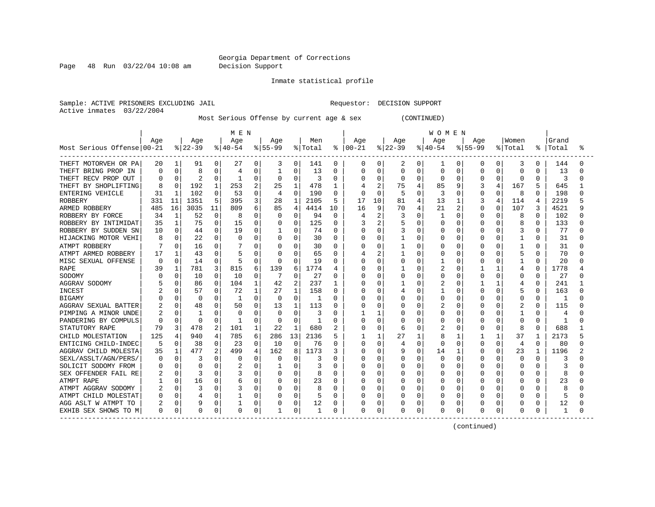Page 48 Run 03/22/04 10:08 am Decision Support

Inmate statistical profile

Sample: ACTIVE PRISONERS EXCLUDING JAIL **Requestor: DECISION SUPPORT** Active inmates 03/22/2004

Most Serious Offense by current age & sex (CONTINUED)

|                            |              |              |          |          | M E N     |          |             |                |              |              |            |                |          |              | <b>WOMEN</b> |                |              |          |          |              |       |   |
|----------------------------|--------------|--------------|----------|----------|-----------|----------|-------------|----------------|--------------|--------------|------------|----------------|----------|--------------|--------------|----------------|--------------|----------|----------|--------------|-------|---|
|                            | Age          |              | Age      |          | Age       |          | Age         |                | Men          |              | Age        |                | Age      |              | Age          |                | Age          |          | Women    |              | Grand |   |
| Most Serious Offense 00-21 |              |              | $ 22-39$ |          | $ 40-54 $ |          | $8155 - 99$ |                | % Total      | ႜ            | $ 00 - 21$ |                | $ 22-39$ |              | $8 40-54$    |                | $8155 - 99$  |          | % Total  | ႜ            | Total | ႜ |
| THEFT MOTORVEH OR PA       | 20           | 1            | 91       | 0        | 27        | 0        | 3           | 0              | 141          | 0            | 0          | 0              | 2        | 0            | 1            | 0              | 0            | 0        | 3        | 0            | 144   |   |
| THEFT BRING PROP IN        | 0            | 0            | 8        | 0        | 4         | 0        |             | $\Omega$       | 13           | 0            | 0          | 0              | 0        | 0            | 0            | 0              | 0            | 0        | $\Omega$ | O            | 13    |   |
| THEFT RECV PROP OUT        |              | $\Omega$     |          | 0        |           | 0        | 0           | $\mathbf 0$    | 3            | $\Omega$     | U          | 0              | 0        | 0            | O            | $\Omega$       | $\Omega$     | 0        | $\Omega$ | $\cap$       | 3     |   |
| THEFT BY SHOPLIFTING       |              | $\Omega$     | 192      | 1        | 253       | 2        | 25          | 1              | 478          | 1            |            | $\overline{2}$ | 75       |              | 85           | 9              |              | 4        | 167      |              | 645   |   |
| <b>ENTERING VEHICLE</b>    | 31           | -1           | 102      | $\Omega$ | 53        | $\Omega$ | 4           | $\Omega$       | 190          | 0            | 0          | $\Omega$       | 5        | O            | 3            | $\Omega$       | 0            | $\Omega$ | 8        | U            | 198   |   |
| <b>ROBBERY</b>             | 331          | 11           | 1351     | 5        | 395       | 3        | 28          | 1              | 2105         | 5            | 17         | 10             | 81       | 4            | 13           | 1              | 3            | 4        | 114      | 4            | 2219  |   |
| ARMED ROBBERY              | 485          | 16           | 3035     | 11       | 809       | 6        | 85          | $\overline{4}$ | 4414         | 10           | 16         | 9              | 70       | 4            | 21           | $\overline{2}$ | $\Omega$     | 0        | 107      | κ            | 4521  |   |
| ROBBERY BY FORCE           | 34           | $\mathbf{1}$ | 52       | 0        | 8         | 0        | $\Omega$    | $\mathbf 0$    | 94           | $\mathbf 0$  |            | 2              | 3        | 0            | $\mathbf{1}$ | $\Omega$       | 0            | 0        | 8        | $\mathbf 0$  | 102   |   |
| ROBBERY BY INTIMIDAT       | 35           | 1            | 75       | 0        | 15        | 0        |             | 0              | 125          | 0            | 3          | 2              | 5        | O            | 0            | O              | 0            | U        | 8        | $\Omega$     | 133   |   |
| ROBBERY BY SUDDEN SN       | 10           | $\Omega$     | 44       | $\Omega$ | 19        | $\Omega$ |             | $\Omega$       | 74           | 0            | 0          | $\Omega$       | 3        | O            | 0            | 0              | 0            | 0        | 3        | $\Omega$     | 77    |   |
| HIJACKING MOTOR VEHI       | 8            | 0            | 22       | 0        | $\Omega$  | 0        | $\Omega$    | 0              | 30           | 0            | U          | 0              |          | 0            | 0            | 0              | 0            | 0        |          | 0            | 31    |   |
| ATMPT ROBBERY              |              | 0            | 16       | 0        |           | 0        | $\Omega$    | 0              | 30           | 0            | U          | 0              |          | O            | U            | $\Omega$       | O            | O        | 1        | O            | 31    |   |
| ATMPT ARMED ROBBERY        | 17           |              | 43       | 0        |           | 0        | $\Omega$    | $\Omega$       | 65           | 0            | 4          | 2              |          | O            | 0            | O              | O            | O        | 5        | $\Omega$     | 70    |   |
| MISC SEXUAL OFFENSE        | $\Omega$     | $\Omega$     | 14       | 0        | 5         | $\Omega$ | O           | $\Omega$       | 19           | 0            | 0          | 0              | 0        | 0            |              | 0              | 0            | 0        |          | $\Omega$     | 20    |   |
| <b>RAPE</b>                | 39           |              | 781      | 3        | 815       | 6        | 139         | 6              | 1774         | 4            | Ω          | $\Omega$       |          | C            | 2            |                |              |          | 4        | U            | 1778  |   |
| SODOMY                     |              | O            | 10       | 0        | 10        | 0        |             | $\Omega$       | 27           | O            | Ω          | -0             | O        | O            | O            | O              | <sup>0</sup> |          | $\Omega$ | $\Omega$     | 27    |   |
| AGGRAV SODOMY              |              | O            | 86       | 0        | 104       | 1        | 42          | $\overline{2}$ | 237          | 1            | Ω          | $\Omega$       |          | n            | 2            | $\cap$         |              | 1        | 4        | $\Omega$     | 241   |   |
| INCEST                     |              | O            | 57       | 0        | 72        | 1        | 27          | 1              | 158          | 0            | O          | $\Omega$       |          | O            | 1            | O              | O            | U        | 5        | <sup>0</sup> | 163   |   |
| <b>BIGAMY</b>              |              | O            | $\Omega$ | 0        | -1        | $\Omega$ | $\Omega$    | $\Omega$       | -1           | $\Omega$     | Ω          | $\Omega$       | 0        | $\cap$       | 0            | $\Omega$       | O            | O        | $\Omega$ | $\Omega$     | -1    |   |
| AGGRAV SEXUAL BATTER       |              | 0            | 48       | 0        | 50        | 0        | 13          | 1              | 113          | <sup>0</sup> | 0          | $\mathbf 0$    |          | $\Omega$     | 2            | $\Omega$       | U            | U        | 2        | <sup>0</sup> | 115   |   |
| PIMPING A MINOR UNDE       |              | $\Omega$     | -1       | O        | $\Omega$  | $\Omega$ | $\Omega$    | $\Omega$       | 3            | O            |            | 1              | U        | O            | O            | $\Omega$       | O            | O        | 1        | O            | 4     |   |
| PANDERING BY COMPULS       |              | 0            | 0        | 0        |           | 0        | $\Omega$    | $\mathbf 0$    | $\mathbf{1}$ | $\Omega$     | U          | $\mathbf 0$    |          | O            | 0            | $\Omega$       | $\Omega$     | 0        | $\Omega$ | 0            |       |   |
| STATUTORY RAPE             | 79           | 3            | 478      | 2        | 101       | 1        | 22          | 1              | 680          | 2            | U          | 0              | 6        | O            | 2            | 0              | O            | 0        | 8        | <sup>0</sup> | 688   |   |
| CHILD MOLESTATION          | 125          | 4            | 940      | 4        | 785       | 6        | 286         | 13             | 2136         | 5            |            | 1              | 27       | $\mathbf{1}$ | 8            | 1              |              | 1        | 37       | 1            | 2173  |   |
| ENTICING CHILD-INDEC       |              | $\Omega$     | 38       | 0        | 23        | $\Omega$ | 10          | $\Omega$       | 76           | <sup>0</sup> | U          | $\Omega$       | 4        | $\Omega$     | $\Omega$     | <sup>0</sup>   | O            | $\Omega$ | 4        | $\Omega$     | 80    |   |
| AGGRAV CHILD MOLESTA       | 35           | 1            | 477      | 2        | 499       | 4        | 162         | 8              | 1173         | 3            | Ω          | $\mathbf 0$    | 9        | 0            | 14           | -1             | 0            | 0        | 23       | 1            | 1196  |   |
| SEXL/ASSLT/AGN/PERS/       | C            | 0            | 3        | 0        | $\Omega$  | O        | O           | 0              | 3            | 0            | Ω          | 0              | 0        | O            | 0            | O              | O            | O        | $\Omega$ | <sup>0</sup> | 3     |   |
| SOLICIT SODOMY FROM        |              | 0            | 0        | 0        |           | 0        |             | $\Omega$       | 3            | 0            | Ω          | 0              |          | 0            | 0            | 0              | 0            |          | 0        |              |       |   |
| SEX OFFENDER FAIL RE       |              | O            |          | 0        |           | O        | 0           | 0              |              | $\Omega$     | Ω          | 0              |          | O            | 0            | O              | O            |          | $\Omega$ | O            | 8     |   |
| ATMPT RAPE                 |              | 0            | 16       | 0        | 6         | O        | $\Omega$    | 0              | 23           | O            | Ω          | $\Omega$       | U        | O            | O            | O              | O            | U        | $\Omega$ | O            | 23    |   |
| ATMPT AGGRAV SODOMY        |              | 0            | 3        | 0        |           | O        | $\Omega$    | $\Omega$       |              | O            | U          | 0              | U        | O            | O            | O              | O            | O        | $\Omega$ | U            | 8     |   |
| ATMPT CHILD MOLESTAT       |              | $\Omega$     | 4        | 0        |           | O        | $\Omega$    | $\mathbf 0$    |              | O            | Ω          | 0              | U        | O            | O            | $\Omega$       | O            | 0        | $\Omega$ | O            |       |   |
| AGG ASLT W ATMPT TO        |              | $\Omega$     |          | 0        |           | 0        | 0           | 0              | 12           | 0            | Ω          | 0              | 0        | 0            | 0            | 0              | 0            | 0        | 0        | 0            | 12    |   |
| EXHIB SEX SHOWS TO M       | <sup>0</sup> | 0            | 0        | 0        | $\Omega$  | 0        |             | 0              |              | 0            | 0          | 0              | 0        | 0            | 0            | 0              | $\Omega$     | 0        | $\Omega$ | 0            | 1     |   |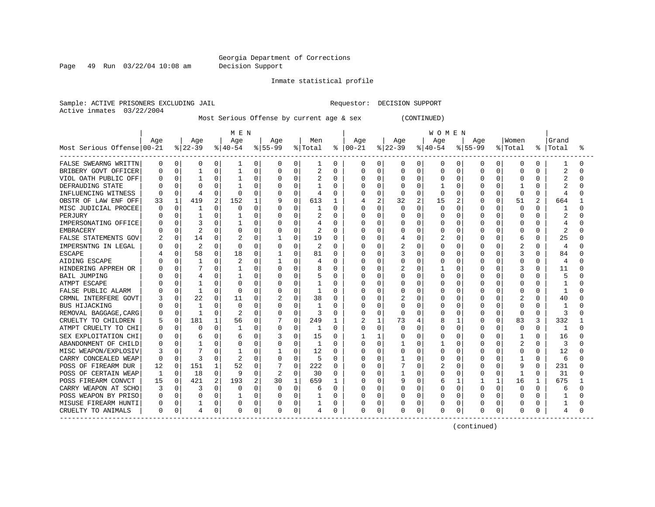Page 49 Run 03/22/04 10:08 am Decision Support

#### Inmate statistical profile

Sample: ACTIVE PRISONERS EXCLUDING JAIL **Requestor: DECISION SUPPORT** Active inmates 03/22/2004

Most Serious Offense by current age & sex (CONTINUED)

|                            |     |             |                |   | M E N    |          |           |          |         |          |          |              |          |              | <b>WOMEN</b> |              |             |          |                |          |       |   |
|----------------------------|-----|-------------|----------------|---|----------|----------|-----------|----------|---------|----------|----------|--------------|----------|--------------|--------------|--------------|-------------|----------|----------------|----------|-------|---|
|                            | Age |             | Age            |   | Age      |          | Age       |          | Men     |          | Age      |              | Age      |              | Age          |              | Age         |          | Women          |          | Grand |   |
| Most Serious Offense 00-21 |     |             | $ 22-39 $      |   | $ 40-54$ |          | $8 55-99$ |          | % Total | ⊱        | $ 00-21$ |              | $ 22-39$ |              | $ 40-54$     |              | $8155 - 99$ |          | % Total        | ႜ        | Total | ႜ |
| FALSE SWEARNG WRITTN       | 0   | 0           | 0              | 0 | 1        | 0        | 0         | 0        | 1       | 0        | 0        | 0            | 0        | 0            | 0            | 0            | 0           | 0        | 0              | 0        |       |   |
| BRIBERY GOVT OFFICER       |     | 0           | 1              | 0 |          | 0        | 0         | 0        | 2       | $\Omega$ | 0        | $\mathbf 0$  | 0        | 0            | 0            | 0            | $\Omega$    | 0        | $\Omega$       | O        | 2     |   |
| VIOL OATH PUBLIC OFF       |     | 0           |                | 0 |          | 0        | $\Omega$  | 0        | 2       | $\Omega$ | 0        | $\mathbf 0$  | 0        | $\Omega$     | 0            | $\Omega$     | $\Omega$    | O        | $\Omega$       | $\cap$   |       |   |
| DEFRAUDING STATE           |     | $\Omega$    | C              | U |          | 0        | O         | O        |         | O        |          | $\Omega$     | U        | $\Omega$     |              | $\Omega$     | O           | O        |                | U        |       |   |
| INFLUENCING WITNESS        |     | $\Omega$    | 4              | U | 0        | $\Omega$ | 0         | 0        | 4       | $\Omega$ |          | $\Omega$     | 0        | $\Omega$     | 0            | $\Omega$     | O           | 0        | $\Omega$       | $\Omega$ | 4     |   |
| OBSTR OF LAW ENF OFF       | 33  | 1           | 419            | 2 | 152      | 1        |           | 0        | 613     | 1        |          | 2            | 32       | 2            | 15           | 2            | O           | 0        | 51             | 2        | 664   |   |
| MISC JUDICIAL PROCEE       | C   | 0           |                | 0 | O        | $\Omega$ | 0         | O        |         | $\Omega$ |          | $\mathbf 0$  | 0        | $\Omega$     | 0            | $\Omega$     | O           | 0        | $\Omega$       | O        | 1     |   |
| PERJURY                    |     | 0           |                | 0 |          | 0        | 0         | 0        | 2       | $\Omega$ |          | $\mathbf 0$  | C        | $\Omega$     | 0            | $\Omega$     | 0           | 0        | $\Omega$       | $\Omega$ | 2     |   |
| IMPERSONATING OFFICE       |     | $\Omega$    |                | O |          | 0        | O         | 0        |         | $\Omega$ |          | 0            | C        | $\Omega$     | O            | 0            | O           | O        | $\Omega$       | O        |       |   |
| <b>EMBRACERY</b>           |     | $\Omega$    | $\overline{c}$ | 0 |          | $\Omega$ | 0         | 0        | 2       | $\Omega$ | Λ        | $\Omega$     | 0        | $\Omega$     | 0            | $\Omega$     | 0           | 0        | $\Omega$       | O        | 2     |   |
| FALSE STATEMENTS GOV       |     | 0           | 14             | 0 |          | 0        |           | 0        | 19      | $\Omega$ | Ω        | 0            | 4        | $\Omega$     | 2            | $\Omega$     | 0           | 0        | 6              | $\Omega$ | 25    |   |
| IMPERSNTNG IN LEGAL        |     | 0           | $\overline{2}$ | 0 | $\Omega$ | 0        | 0         | 0        | 2       | 0        | Λ        | 0            | 2        | $\Omega$     | U            | $\Omega$     | 0           | 0        | 2              | O        | 4     |   |
| <b>ESCAPE</b>              |     | 0           | 58             | 0 | 18       | 0        |           | 0        | 81      | $\Omega$ | O        | 0            | 3        | $\Omega$     | O            | $\Omega$     | 0           | 0        | 3              | $\Omega$ | 84    |   |
| AIDING ESCAPE              |     | $\Omega$    |                | 0 |          | 0        |           | 0        | 4       | $\Omega$ | Ω        | 0            | 0        | $\Omega$     | 0            | 0            | 0           |          | $\Omega$       | O        | 4     |   |
| HINDERING APPREH OR        |     | 0           |                | 0 |          | 0        | 0         | 0        |         | $\Omega$ |          | 0            | 2        | $\Omega$     |              | 0            | 0           |          | 3              |          | 11    |   |
| <b>BAIL JUMPING</b>        |     | O           |                | O |          | $\Omega$ | O         | O        |         | $\Omega$ | Ω        | 0            | C        | $\Omega$     | 0            | O            | O           |          | $\Omega$       | O        |       |   |
| ATMPT ESCAPE               |     | 0           |                | 0 |          | $\Omega$ | O         | O        |         | $\Omega$ | Λ        | 0            | C        | ∩            | 0            | $\Omega$     | O           | U        | $\Omega$       | ∩        |       |   |
| FALSE PUBLIC ALARM         |     | $\Omega$    |                | U | $\Omega$ | $\Omega$ | O         | O        |         | O        |          | $\Omega$     | U        | <sup>0</sup> | U            | $\Omega$     | O           | O        | $\Omega$       | O        |       |   |
| CRMNL INTERFERE GOVT       |     | $\Omega$    | 22             | 0 | 11       | $\Omega$ |           | $\Omega$ | 38      | $\Omega$ |          | $\Omega$     |          | $\Omega$     | U            | $\Omega$     | 0           | 0        |                | U        | 40    |   |
| <b>BUS HIJACKING</b>       |     | $\Omega$    |                | 0 | $\Omega$ | 0        | 0         | O        |         | $\Omega$ |          | 0            | 0        | $\Omega$     |              | $\Omega$     | O           | 0        | $\Omega$       | U        |       |   |
| REMOVAL BAGGAGE, CARG      |     | $\Omega$    | -1             | O | 2        | $\Omega$ |           | 0        | 3       | $\Omega$ |          | $\mathbf 0$  | O        | O            |              | O            | O           | 0        | $\Omega$       | O        | Р     |   |
| CRUELTY TO CHILDREN        |     | $\mathbf 0$ | 181            |   | 56       | 0        |           | 0        | 249     | 1        |          | $\mathbf{1}$ | 73       | 4            | 8            | 1            | 0           | 0        | 83             | 3        | 332   |   |
| ATMPT CRUELTY TO CHI       |     | 0           | C              | O | -1       | $\Omega$ | 0         | 0        | 1       | $\Omega$ | Ω        | 0            | U        | $\Omega$     | U            | 0            | O           | 0        | 0              | O        | -1    |   |
| SEX EXPLOITATION CHI       |     | $\Omega$    | 6              | 0 | ь        | 0        |           | 0        | 15      | $\Omega$ |          | 1            |          | $\Omega$     | U            | 0            | 0           | 0        | 1              | $\cap$   | 16    |   |
| ABANDONMENT OF CHILD       |     | $\Omega$    | -1             | O |          | $\Omega$ | O         | $\Omega$ | 1       | $\Omega$ | Λ        | 0            |          | <sup>0</sup> |              | $\Omega$     | O           | 0        | $\overline{c}$ | O        | 3     |   |
| MISC WEAPON/EXPLOSIV       |     | 0           |                | 0 |          | 0        |           | 0        | 12      | 0        | Ω        | 0            | 0        | $\Omega$     | U            | 0            | 0           | O        | 0              | $\Omega$ | 12    |   |
| CARRY CONCEALED WEAP       | ∩   | $\Omega$    | 3              | O |          | 0        | 0         | O        | 5       | $\Omega$ | Ω        | 0            |          | $\Omega$     | U            | 0            | O           | O        |                | $\Omega$ | 6     |   |
| POSS OF FIREARM DUR        | 12  | 0           | 151            |   | 52       | 0        |           | 0        | 222     | 0        | Ω        | 0            |          | 0            | 2            | $\Omega$     | 0           |          | 9              | 0        | 231   |   |
| POSS OF CERTAIN WEAP       |     | 0           | 18             | 0 | 9        | $\Omega$ |           | 0        | 30      | $\Omega$ | Ω        | 0            |          | $\Omega$     | U            | 0            | 0           | 0        | 1              | $\Omega$ | 31    |   |
| POSS FIREARM CONVCT        | 15  | 0           | 421            | 2 | 193      | 2        | 30        | 1        | 659     | -1       | Ω        | $\Omega$     | 9        | O            | б            | $\mathbf{1}$ |             | 1        | 16             | 1        | 675   |   |
| CARRY WEAPON AT SCHO       |     | 0           |                | 0 | 0        | $\Omega$ | 0         | 0        | 6       | 0        | Ω        | 0            | 0        | $\Omega$     | 0            | $\Omega$     | $\Omega$    | O        | $\Omega$       | U        | 6     |   |
| POSS WEAPON BY PRISO       |     | $\Omega$    | $\Omega$       | 0 | -1       | 0        | O         | 0        |         | $\Omega$ |          | 0            | 0        | <sup>0</sup> | O            | $\Omega$     | O           | $\Omega$ | $\Omega$       | $\Omega$ |       |   |
| MISUSE FIREARM HUNTI       | 0   | $\mathbf 0$ |                | 0 | 0        | 0        | 0         | 0        |         | 0        |          | 0            | Ω        | 0            |              | 0            | 0           | 0        | 0              | 0        |       |   |
| CRUELTY TO ANIMALS         | 0   | 0           | 4              | 0 | 0        | 0        | 0         | 0        | 4       | 0        | 0        | 0            | 0        | 0            | 0            | 0            | $\Omega$    | 0        | $\Omega$       | 0        | 4     |   |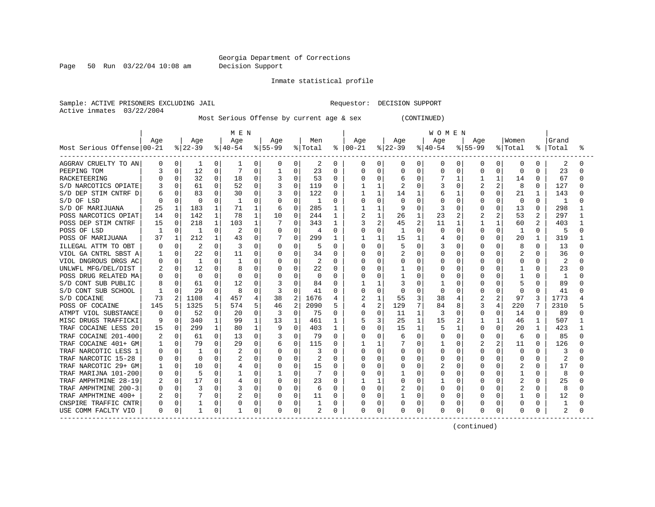Page 50 Run 03/22/04 10:08 am Decision Support

#### Inmate statistical profile

Sample: ACTIVE PRISONERS EXCLUDING JAIL **Requestor: DECISION SUPPORT** Active inmates 03/22/2004

Most Serious Offense by current age & sex (CONTINUED)

|                            | M E N    |                |                |              |           |              |              |                |          |              |          | <b>WOMEN</b> |                |              |              |                |                |          |                |                |       |  |
|----------------------------|----------|----------------|----------------|--------------|-----------|--------------|--------------|----------------|----------|--------------|----------|--------------|----------------|--------------|--------------|----------------|----------------|----------|----------------|----------------|-------|--|
|                            | Age      |                | Age            |              | Age       |              | Age          |                | Men      |              | Age      |              | Age            |              | Age          |                | Age            |          | Women          |                | Grand |  |
| Most Serious Offense 00-21 |          |                | $ 22-39$       |              | $ 40-54 $ |              | $ 55-99$     |                | % Total  | ႜ            | $ 00-21$ |              | $ 22-39$       |              | $ 40-54$     |                | $8155 - 99$    |          | % Total        | ႜ              | Total |  |
| AGGRAV CRUELTY TO AN       | 0        | 0              | 1              | 0            | 1         | 0            | 0            | 0              | 2        | 0            | 0        | 0            | 0              | 0            | 0            | 0              | 0              | 0        | 0              | 0              | 2     |  |
| PEEPING TOM                |          | 0              | 12             | 0            |           | $\Omega$     |              | 0              | 23       | 0            | 0        | 0            | 0              | 0            | 0            | 0              | 0              | 0        | 0              | O              | 23    |  |
| <b>RACKETEERING</b>        |          | 0              | 32             | 0            | 18        | 0            | 3            | $\mathbf 0$    | 53       | $\Omega$     | U        | 0            | 6              | O            |              |                |                | 1        | 14             | $\Omega$       | 67    |  |
| S/D NARCOTICS OPIATE       |          | 0              | 61             | 0            | 52        | 0            | 3            | $\Omega$       | 119      | 0            |          | 1            | $\overline{c}$ | 0            | 3            | <sup>0</sup>   | $\overline{2}$ | 2        | 8              | <sup>0</sup>   | 127   |  |
| S/D DEP STIM CNTRF D       |          | 0              | 83             | 0            | 30        | $\Omega$     |              | $\Omega$       | 122      | 0            |          | $\mathbf{1}$ | 14             |              | 6            | -1             | <sup>0</sup>   | $\Omega$ | 21             | 1              | 143   |  |
| S/D OF LSD                 |          | $\Omega$       | $\Omega$       | O            | 1         | 0            | 0            | 0              | 1        | 0            | 0        | 0            | 0              | $\cap$       | 0            | $\Omega$       | O              | 0        | 0              | $\Omega$       | 1     |  |
| S/D OF MARIJUANA           | 25       | 1              | 183            | 1            | 71        | 1            | 6            | $\Omega$       | 285      |              |          | $\mathbf{1}$ | 9              | 0            | 3            | O              | 0              | $\Omega$ | 13             | $\Omega$       | 298   |  |
| POSS NARCOTICS OPIAT       | 14       | $\mathbf 0$    | 142            | $\mathbf{1}$ | 78        | $\mathbf{1}$ | 10           | $\mathbf 0$    | 244      | 1            | 2        | $\mathbf{1}$ | 26             |              | 23           | $\overline{2}$ |                | 2        | 53             |                | 297   |  |
| POSS DEP STIM CNTRF        | 15       | 0              | 218            | 1            | 103       | 1            |              | $\Omega$       | 343      | 1            | 3        | 2            | 45             | 2            | 11           | 1              |                | 1        | 60             | $\mathfrak{D}$ | 403   |  |
| POSS OF LSD                | -1       | $\Omega$       | -1             | 0            |           | $\Omega$     | 0            | $\Omega$       | 4        | 0            | O        | $\Omega$     | -1             | O            | $\Omega$     | 0              | 0              | $\Omega$ | -1             | $\Omega$       | 5     |  |
| POSS OF MARIJUANA          |          | 1              | 212            | 1            | 43        | 0            |              | 0              | 299      | 1            |          | 1            | 15             | 1            | 4            | 0              | 0              | 0        | 20             | 1              | 319   |  |
| ILLEGAL ATTM TO OBT        | C        | $\Omega$       | $\overline{2}$ | 0            |           | $\Omega$     | 0            | 0              | 5        | 0            | U        | 0            | 5              | $\Omega$     | 3            | $\Omega$       | O              | 0        | 8              | $\Omega$       | 13    |  |
| VIOL GA CNTRL SBST A       |          | $\Omega$       | 22             | 0            | 11        | 0            | 0            | 0              | 34       | 0            | O        | 0            | 2              | 0            | 0            | O              | O              | 0        |                | $\Omega$       | 36    |  |
| VIOL DNGROUS DRGS AC       | 0        | $\Omega$       | -1             | 0            |           | O            | 0            | $\Omega$       | 2        | 0            | 0        | 0            | 0              | 0            | 0            | 0              | 0              | O        | 0              | O              | 2     |  |
| UNLWFL MFG/DEL/DIST        |          | 0              | 12             | 0            |           | O            |              | $\Omega$       | 22       | O            | Ω        | 0            |                | O            | 0            | O              | U              |          |                |                | 23    |  |
| POSS DRUG RELATED MA       |          | 0              | $\Omega$       | O            |           | O            |              | $\Omega$       | $\Omega$ | O            | Ω        | 0            |                | O            | O            | O              | O              |          |                | U              |       |  |
| S/D CONT SUB PUBLIC        |          |                | 61             | 0            | 12        | O            | 3            | $\cap$         | 84       | O            |          | $\mathbf{1}$ |                | O            |              | O              | U              | U        | 5              | U              | 89    |  |
| S/D CONT SUB SCHOOL        |          | 0              | 29             | O            | 8         | O            | 3            | <sup>0</sup>   | 41       | <sup>0</sup> | U        | $\Omega$     | O              | 0            | <sup>0</sup> | O              | O              | O        | $\Omega$       | $\Omega$       | 41    |  |
| S/D COCAINE                | 73       | $\overline{a}$ | 1108           | 4            | 457       | 4            | 38           | $\overline{c}$ | 1676     |              | 2        | $\mathbf{1}$ | 55             | 3            | 38           | 4              |                | 2        | 97             | 3              | 1773  |  |
| POSS OF COCAINE            | 145      | 5              | 1325           | 5            | 574       | 5            | 46           | $\overline{2}$ | 2090     | 5            | 4        | 2            | 129            | 7            | 84           | 8              | 3              | 4        | 220            |                | 2310  |  |
| ATMPT VIOL SUBSTANCE       | $\Omega$ | $\Omega$       | 52             | 0            | 20        | $\Omega$     | 3            | $\mathbf 0$    | 75       | 0            | Ω        | $\mathbf 0$  | 11             | 1            | 3            | $\Omega$       | 0              | 0        | 14             | $\Omega$       | 89    |  |
| MISC DRUGS TRAFFICKI       | g        | 0              | 340            | $\mathbf{1}$ | 99        | $\mathbf{1}$ | 13           | 1              | 461      | 1            | 5        | 3            | 25             | $\mathbf{1}$ | 15           | 2              |                | 1        | 46             | $\mathbf 1$    | 507   |  |
| TRAF COCAINE LESS 20       | 15       | 0              | 299            | 1            | 80        | 1            | 9            | $\Omega$       | 403      | 1            | N        | $\Omega$     | 15             | 1            | 5            | 1              | O              | 0        | 20             | 1              | 423   |  |
| TRAF COCAINE 201-400       |          | $\Omega$       | 61             | 0            | 13        | 0            |              | 0              | 79       | $\Omega$     | O        | 0            | 6              | $\Omega$     | 0            | $\Omega$       | 0              | 0        | 6              | $\Omega$       | 85    |  |
| TRAF COCAINE 401+ GM       |          | $\Omega$       | 79             | $\Omega$     | 29        | $\Omega$     | 6            | $\Omega$       | 115      | <sup>0</sup> |          | 1            |                | $\Omega$     | 1            | <sup>0</sup>   | 2              | 2        | 11             | <sup>0</sup>   | 126   |  |
| TRAF NARCOTIC LESS 1       | n        | 0              | -1             | 0            |           | 0            | 0            | $\mathbf 0$    | 3        | 0            | U        | $\mathbf 0$  | 0              | 0            | 0            | 0              | O              | 0        | 0              | U              |       |  |
| TRAF NARCOTIC 15-28        | O        | 0              | $\Omega$       | O            |           | O            | 0            | 0              | 2        | 0            | U        | 0            | 0              | 0            | O            | O              | O              | 0        | 0              | $\Omega$       | 2     |  |
| TRAF NARCOTIC 29+ GM       |          | 0              | 10             | 0            |           | 0            | 0            | 0              | 15       | 0            | 0        | 0            |                | 0            | 2            | 0              | 0              |          | 2              | O              | 17    |  |
| TRAF MARIJNA 101-200       |          | $\Omega$       | 5              | 0            |           | 0            |              | 0              |          | $\Omega$     | Ω        | 0            |                | O            | 0            | O              | O              |          |                | O              | 8     |  |
| TRAF AMPHTMINE 28-19       |          | $\Omega$       | 17             | O            | 4         | O            | 0            | $\Omega$       | 23       | <sup>0</sup> |          | 1            | U              | O            |              | O              | <sup>0</sup>   | O        | $\overline{2}$ | $\Omega$       | 25    |  |
| TRAF AMPHTMINE 200-3       |          | $\Omega$       | 3              | 0            |           | $\Omega$     | 0            | 0              | 6        | 0            | 0        | 0            | 2              | 0            | O            | O              | O              | 0        | $\overline{c}$ | O              | 8     |  |
| TRAF AMPHTMINE 400+        |          | $\Omega$       |                | 0            |           | $\Omega$     | <sup>0</sup> | $\mathbf 0$    | 11       | 0            | Ω        | 0            |                | O            | U            | $\Omega$       | O              | $\Omega$ |                | $\Omega$       | 12    |  |
| CNSPIRE TRAFFIC CNTR       | 0        | $\Omega$       |                | 0            |           | $\Omega$     |              | $\mathbf 0$    |          | 0            | Ω        | $\mathbf 0$  | 0              | 0            | 0            | 0              | 0              | 0        | 0              | 0              |       |  |
| USE COMM FACLTY VIO        | 0        | 0              | $\mathbf{1}$   | 0            |           | 0            |              | 0              | 2        | 0            | 0        | 0            | 0              | 0            | 0            | 0              | $\Omega$       | 0        | $\Omega$       | 0              | 2     |  |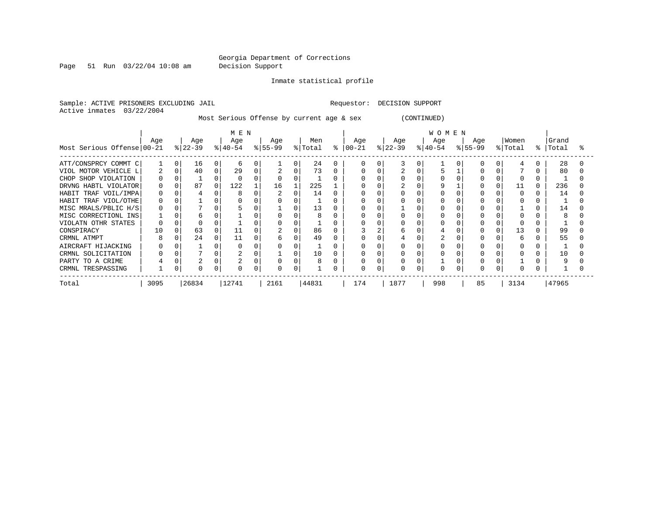Page 51 Run 03/22/04 10:08 am Decision Support

Inmate statistical profile

Sample: ACTIVE PRISONERS EXCLUDING JAIL **Requestor: DECISION SUPPORT** Active inmates 03/22/2004

Most Serious Offense by current age & sex (CONTINUED)

|                            | MEN      |          |                  |          |                  |   |                  |          |                |   |                  | WOMEN |                  |          |                  |  |                  |   |                |   |                |  |  |
|----------------------------|----------|----------|------------------|----------|------------------|---|------------------|----------|----------------|---|------------------|-------|------------------|----------|------------------|--|------------------|---|----------------|---|----------------|--|--|
| Most Serious Offense 00-21 | Age      |          | Age<br>$ 22-39 $ |          | Age<br>$ 40-54 $ |   | Age<br>$ 55-99 $ |          | Men<br>% Total | ႜ | Age<br>$00 - 21$ |       | Age<br>$ 22-39 $ |          | Age<br>$ 40-54 $ |  | Age<br>$ 55-99 $ | 유 | Women<br>Total | ႜ | Grand<br>Total |  |  |
|                            |          |          |                  |          |                  |   |                  |          |                |   |                  |       |                  |          |                  |  |                  |   |                |   |                |  |  |
| ATT/CONSPRCY COMMT C       |          | $\Omega$ | 16               | $\Omega$ | b                |   |                  | $\Omega$ | 24             |   |                  |       |                  | $\Omega$ |                  |  |                  |   |                |   | 28             |  |  |
| VIOL MOTOR VEHICLE L       | 2.       |          | 40               | 0        | 29               |   |                  |          | 73             |   |                  |       |                  |          |                  |  |                  |   |                |   | 80             |  |  |
| CHOP SHOP VIOLATION        |          |          |                  |          |                  |   |                  |          |                |   |                  |       |                  |          |                  |  |                  |   |                |   |                |  |  |
| DRVNG HABTL VIOLATOR       | 0        |          | 87               | 0        | 122              |   | 16               |          | 225            |   |                  |       |                  |          |                  |  |                  |   |                |   | 236            |  |  |
| TRAF VOIL/IMPA<br>HABIT    | 0        |          |                  |          |                  |   |                  |          | 14             |   |                  |       |                  |          |                  |  |                  |   |                |   | 14             |  |  |
| HABIT TRAF VIOL/OTHE       | $\Omega$ |          |                  |          |                  |   |                  |          |                |   | O                |       |                  |          |                  |  |                  |   |                |   |                |  |  |
| MISC MRALS/PBLIC H/S       |          |          |                  |          |                  |   |                  |          | 13             |   |                  |       |                  |          |                  |  |                  |   |                |   | 14             |  |  |
| MISC CORRECTIONL INS       |          |          | h                |          |                  |   |                  |          | 8              |   |                  |       |                  |          |                  |  |                  |   |                |   |                |  |  |
| VIOLATN OTHR STATES        |          |          |                  |          |                  |   |                  |          |                |   |                  |       |                  |          |                  |  |                  |   |                |   |                |  |  |
| CONSPIRACY                 | 10       |          | 63               |          | 11               |   |                  |          | 86             |   |                  |       | b                |          |                  |  |                  |   | 13             |   | 99             |  |  |
| CRMNL ATMPT                | 8        |          | 24               | 0        | 11               |   |                  |          | 49             |   |                  |       |                  |          |                  |  |                  |   | 6              |   | 55             |  |  |
| AIRCRAFT HIJACKING         |          |          |                  |          |                  |   |                  |          |                |   |                  |       |                  |          |                  |  |                  |   |                |   |                |  |  |
| CRMNL SOLICITATION         |          |          |                  |          |                  |   |                  |          | 10             |   |                  |       |                  |          |                  |  |                  |   |                |   | 10             |  |  |
| PARTY TO A CRIME           |          | 0        |                  | 0        |                  |   |                  |          | 8              |   | 0                |       |                  |          |                  |  |                  |   |                |   |                |  |  |
| CRMNL TRESPASSING          |          | 0        |                  |          |                  | 0 |                  | 0        |                |   | 0                |       | 0                |          |                  |  |                  | 0 |                |   |                |  |  |
| Total                      | 3095     |          | 26834            |          | 12741            |   | 2161             |          | 44831          |   | 174              |       | 1877             |          | 998              |  | 85               |   | 3134           |   | 47965          |  |  |